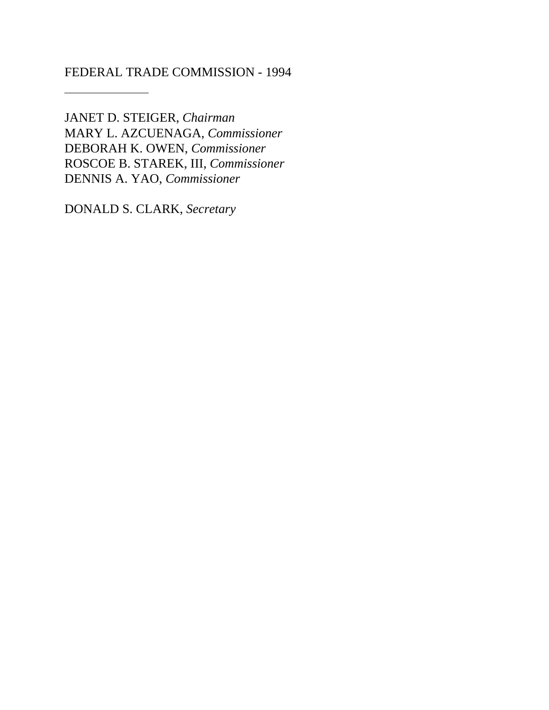# FEDERAL TRADE COMMISSION - 1994

JANET D. STEIGER, *Chairman* MARY L. AZCUENAGA, *Commissioner* DEBORAH K. OWEN, *Commissioner* ROSCOE B. STAREK, III, *Commissioner* DENNIS A. YAO, *Commissioner*

DONALD S. CLARK, *Secretary*

 $\overline{\phantom{a}}$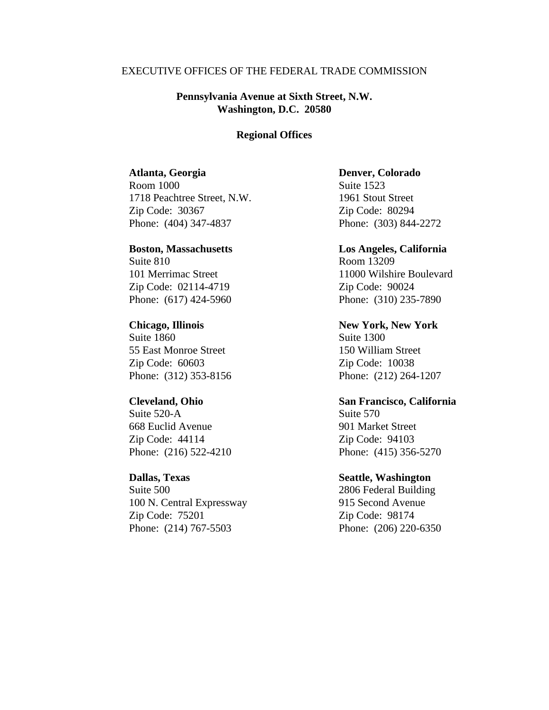#### EXECUTIVE OFFICES OF THE FEDERAL TRADE COMMISSION

#### **Pennsylvania Avenue at Sixth Street, N.W. Washington, D.C. 20580**

#### **Regional Offices**

### **Atlanta, Georgia**

Room 1000 1718 Peachtree Street, N.W. Zip Code: 30367 Phone: (404) 347-4837

#### **Boston, Massachusetts**

Suite 810 101 Merrimac Street Zip Code: 02114-4719 Phone: (617) 424-5960

# **Chicago, Illinois**

Suite 1860 55 East Monroe Street Zip Code: 60603 Phone: (312) 353-8156

### **Cleveland, Ohio**

Suite 520-A 668 Euclid Avenue Zip Code: 44114 Phone: (216) 522-4210

#### **Dallas, Texas**

Suite 500 100 N. Central Expressway Zip Code: 75201 Phone: (214) 767-5503

### **Denver, Colorado** Suite 1523

1961 Stout Street Zip Code: 80294 Phone: (303) 844-2272

## **Los Angeles, California** Room 13209

11000 Wilshire Boulevard Zip Code: 90024 Phone: (310) 235-7890

### **New York, New York**

Suite 1300 150 William Street Zip Code: 10038 Phone: (212) 264-1207

### **San Francisco, California**

Suite 570 901 Market Street Zip Code: 94103 Phone: (415) 356-5270

### **Seattle, Washington**

2806 Federal Building 915 Second Avenue Zip Code: 98174 Phone: (206) 220-6350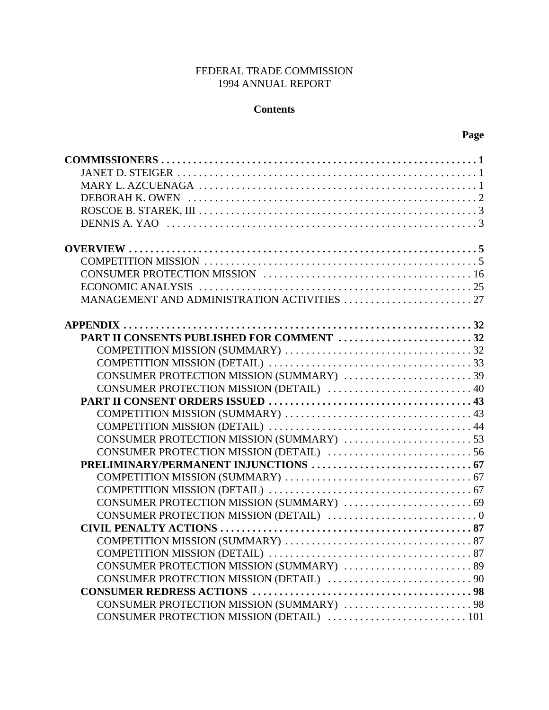## FEDERAL TRADE COMMISSION 1994 ANNUAL REPORT

### **Contents**

| DENNIS A. YAO $\ldots$ , $\ldots$ , $\ldots$ , $\ldots$ , $\ldots$ , $\ldots$ , $\ldots$ , $\ldots$ , $\ldots$ , $\ldots$ , $\ldots$ , $\ldots$ , $\ldots$ , $\ldots$ |  |
|-----------------------------------------------------------------------------------------------------------------------------------------------------------------------|--|
|                                                                                                                                                                       |  |
|                                                                                                                                                                       |  |
|                                                                                                                                                                       |  |
|                                                                                                                                                                       |  |
|                                                                                                                                                                       |  |
|                                                                                                                                                                       |  |
|                                                                                                                                                                       |  |
| PART II CONSENTS PUBLISHED FOR COMMENT 32                                                                                                                             |  |
|                                                                                                                                                                       |  |
|                                                                                                                                                                       |  |
| CONSUMER PROTECTION MISSION (SUMMARY) 39                                                                                                                              |  |
| CONSUMER PROTECTION MISSION (DETAIL)  40                                                                                                                              |  |
|                                                                                                                                                                       |  |
|                                                                                                                                                                       |  |
|                                                                                                                                                                       |  |
|                                                                                                                                                                       |  |
|                                                                                                                                                                       |  |
|                                                                                                                                                                       |  |
|                                                                                                                                                                       |  |
|                                                                                                                                                                       |  |
|                                                                                                                                                                       |  |
|                                                                                                                                                                       |  |
|                                                                                                                                                                       |  |
|                                                                                                                                                                       |  |
|                                                                                                                                                                       |  |
|                                                                                                                                                                       |  |
|                                                                                                                                                                       |  |
|                                                                                                                                                                       |  |
| CONSUMER PROTECTION MISSION (SUMMARY) 98                                                                                                                              |  |
|                                                                                                                                                                       |  |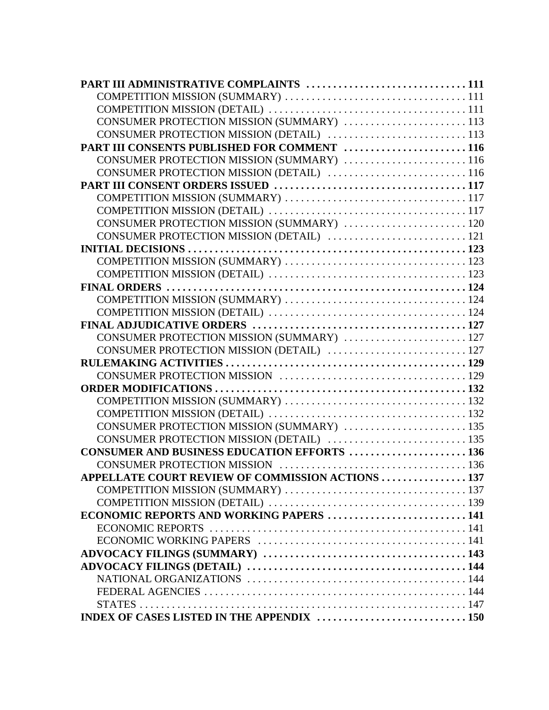| PART III ADMINISTRATIVE COMPLAINTS  111             |  |
|-----------------------------------------------------|--|
|                                                     |  |
|                                                     |  |
| CONSUMER PROTECTION MISSION (SUMMARY) 113           |  |
| CONSUMER PROTECTION MISSION (DETAIL)  113           |  |
| PART III CONSENTS PUBLISHED FOR COMMENT  116        |  |
| CONSUMER PROTECTION MISSION (SUMMARY) 116           |  |
|                                                     |  |
|                                                     |  |
|                                                     |  |
|                                                     |  |
| CONSUMER PROTECTION MISSION (SUMMARY)  120          |  |
| CONSUMER PROTECTION MISSION (DETAIL)  121           |  |
|                                                     |  |
|                                                     |  |
|                                                     |  |
|                                                     |  |
|                                                     |  |
|                                                     |  |
|                                                     |  |
| CONSUMER PROTECTION MISSION (SUMMARY)  127          |  |
|                                                     |  |
|                                                     |  |
|                                                     |  |
|                                                     |  |
|                                                     |  |
|                                                     |  |
| CONSUMER PROTECTION MISSION (SUMMARY)  135          |  |
|                                                     |  |
| <b>CONSUMER AND BUSINESS EDUCATION EFFORTS  136</b> |  |
|                                                     |  |
| APPELLATE COURT REVIEW OF COMMISSION ACTIONS 137    |  |
|                                                     |  |
|                                                     |  |
| ECONOMIC REPORTS AND WORKING PAPERS  141            |  |
|                                                     |  |
|                                                     |  |
|                                                     |  |
|                                                     |  |
|                                                     |  |
|                                                     |  |
|                                                     |  |
|                                                     |  |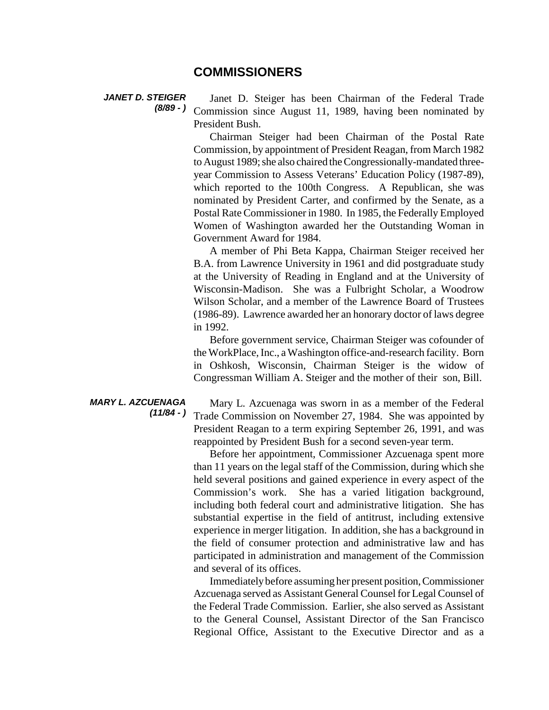### **COMMISSIONERS**

#### *JANET D. STEIGER (8/89 - )*

Janet D. Steiger has been Chairman of the Federal Trade Commission since August 11, 1989, having been nominated by President Bush.

Chairman Steiger had been Chairman of the Postal Rate Commission, by appointment of President Reagan, from March 1982 to August 1989; she also chaired the Congressionally-mandated threeyear Commission to Assess Veterans' Education Policy (1987-89), which reported to the 100th Congress. A Republican, she was nominated by President Carter, and confirmed by the Senate, as a Postal Rate Commissioner in 1980. In 1985, the Federally Employed Women of Washington awarded her the Outstanding Woman in Government Award for 1984.

A member of Phi Beta Kappa, Chairman Steiger received her B.A. from Lawrence University in 1961 and did postgraduate study at the University of Reading in England and at the University of Wisconsin-Madison. She was a Fulbright Scholar, a Woodrow Wilson Scholar, and a member of the Lawrence Board of Trustees (1986-89). Lawrence awarded her an honorary doctor of laws degree in 1992.

Before government service, Chairman Steiger was cofounder of the WorkPlace,Inc., aWashington office-and-research facility. Born in Oshkosh, Wisconsin, Chairman Steiger is the widow of Congressman William A. Steiger and the mother of their son, Bill.

#### *MARY L. AZCUENAGA (11/84 - )*

Mary L. Azcuenaga was sworn in as a member of the Federal Trade Commission on November 27, 1984. She was appointed by President Reagan to a term expiring September 26, 1991, and was reappointed by President Bush for a second seven-year term.

Before her appointment, Commissioner Azcuenaga spent more than 11 years on the legal staff of the Commission, during which she held several positions and gained experience in every aspect of the Commission's work. She has a varied litigation background, including both federal court and administrative litigation. She has substantial expertise in the field of antitrust, including extensive experience in merger litigation. In addition, she has a background in the field of consumer protection and administrative law and has participated in administration and management of the Commission and several of its offices.

Immediatelybefore assuming her present position, Commissioner Azcuenaga served as Assistant General Counsel for Legal Counsel of the Federal Trade Commission. Earlier, she also served as Assistant to the General Counsel, Assistant Director of the San Francisco Regional Office, Assistant to the Executive Director and as a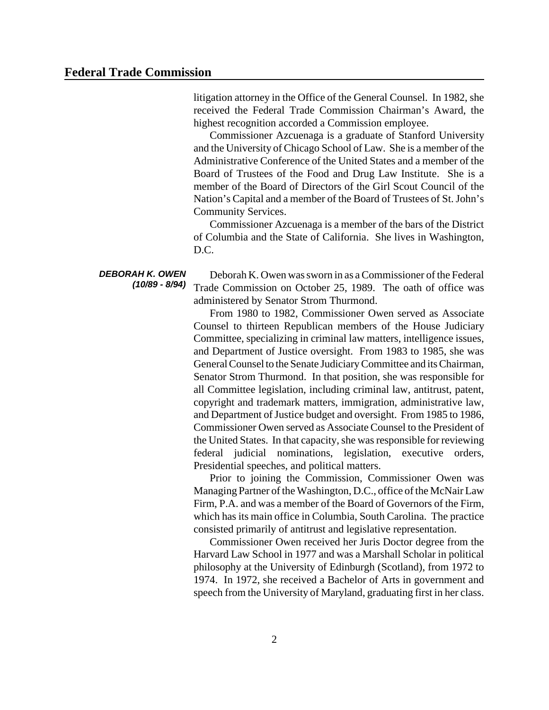litigation attorney in the Office of the General Counsel. In 1982, she received the Federal Trade Commission Chairman's Award, the highest recognition accorded a Commission employee.

Commissioner Azcuenaga is a graduate of Stanford University and the University of Chicago School of Law. She is a member of the Administrative Conference of the United States and a member of the Board of Trustees of the Food and Drug Law Institute. She is a member of the Board of Directors of the Girl Scout Council of the Nation's Capital and a member of the Board of Trustees of St.John's Community Services.

Commissioner Azcuenaga is a member of the bars of the District of Columbia and the State of California. She lives in Washington, D.C.

*DEBORAH K. OWEN (10/89 - 8/94)*

Deborah K. Owen was sworn in as a Commissioner of the Federal Trade Commission on October 25, 1989. The oath of office was administered by Senator Strom Thurmond.

From 1980 to 1982, Commissioner Owen served as Associate Counsel to thirteen Republican members of the House Judiciary Committee, specializing in criminal law matters, intelligence issues, and Department of Justice oversight. From 1983 to 1985, she was General Counsel to the Senate Judiciary Committee and its Chairman, Senator Strom Thurmond. In that position, she was responsible for all Committee legislation, including criminal law, antitrust, patent, copyright and trademark matters, immigration, administrative law, and Department of Justice budget and oversight. From 1985 to 1986, Commissioner Owen served as Associate Counsel to the President of the United States. In that capacity, she was responsible for reviewing federal judicial nominations, legislation, executive orders, Presidential speeches, and political matters.

Prior to joining the Commission, Commissioner Owen was Managing Partner of the Washington, D.C., office of the McNair Law Firm, P.A. and was a member of the Board of Governors of the Firm, which has its main office in Columbia, South Carolina. The practice consisted primarily of antitrust and legislative representation.

Commissioner Owen received her Juris Doctor degree from the Harvard Law School in 1977 and was a Marshall Scholar in political philosophy at the University of Edinburgh (Scotland), from 1972 to 1974. In 1972, she received a Bachelor of Arts in government and speech from the University of Maryland, graduating first in her class.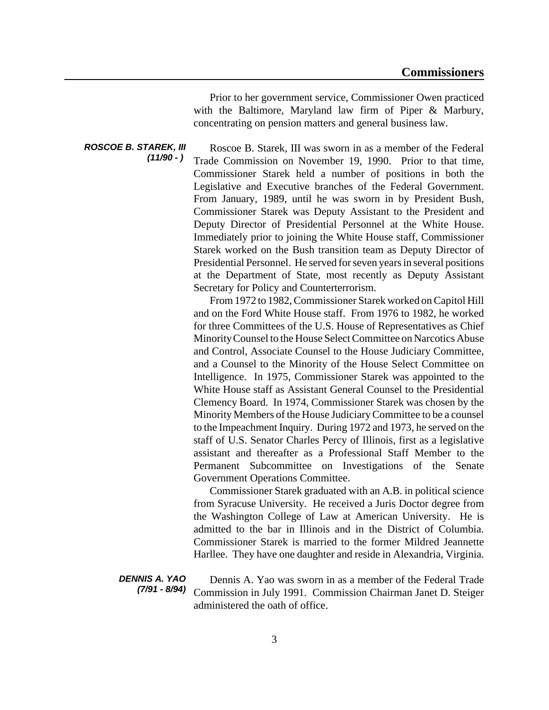Prior to her government service, Commissioner Owen practiced with the Baltimore, Maryland law firm of Piper & Marbury, concentrating on pension matters and general business law.

*ROSCOE B. STAREK, III (11/90 - )*  Roscoe B. Starek, III was sworn in as a member of the Federal Trade Commission on November 19, 1990. Prior to that time, Commissioner Starek held a number of positions in both the Legislative and Executive branches of the Federal Government. From January, 1989, until he was sworn in by President Bush, Commissioner Starek was Deputy Assistant to the President and Deputy Director of Presidential Personnel at the White House. Immediately prior to joining the White House staff, Commissioner Starek worked on the Bush transition team as Deputy Director of Presidential Personnel. He served for seven years in several positions at the Department of State, most recently as Deputy Assistant Secretary for Policy and Counterterrorism.

> From 1972 to 1982, Commissioner Starek worked on Capitol Hill and on the Ford White House staff. From 1976 to 1982, he worked for three Committees of the U.S. House of Representatives as Chief Minority Counsel to the House Select Committee on Narcotics Abuse and Control, Associate Counsel to the House Judiciary Committee, and a Counsel to the Minority of the House Select Committee on Intelligence. In 1975, Commissioner Starek was appointed to the White House staff as Assistant General Counsel to the Presidential Clemency Board. In 1974, Commissioner Starek was chosen by the Minority Members of the House JudiciaryCommittee to be a counsel to the Impeachment Inquiry. During 1972 and 1973, he served on the staff of U.S. Senator Charles Percy of Illinois, first as a legislative assistant and thereafter as a Professional Staff Member to the Permanent Subcommittee on Investigations of the Senate Government Operations Committee.

> Commissioner Starek graduated with an A.B. in political science from Syracuse University. He received a Juris Doctor degree from the Washington College of Law at American University. He is admitted to the bar in Illinois and in the District of Columbia. Commissioner Starek is married to the former Mildred Jeannette Harllee. They have one daughter and reside in Alexandria, Virginia.

*DENNIS A. YAO (7/91 - 8/94)* Dennis A. Yao was sworn in as a member of the Federal Trade Commission in July 1991. Commission Chairman Janet D. Steiger administered the oath of office.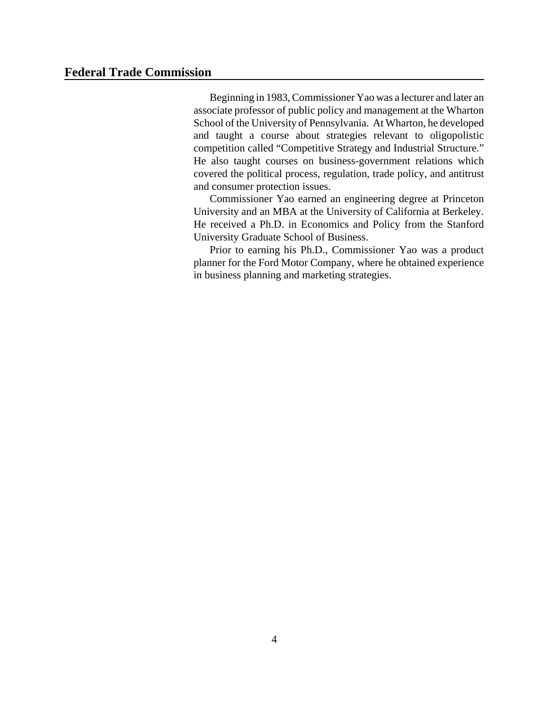### **Federal Trade Commission**

Beginning in 1983, Commissioner Yao was a lecturer and later an associate professor of public policy and management at the Wharton School of the University of Pennsylvania. At Wharton, he developed and taught a course about strategies relevant to oligopolistic competition called "Competitive Strategy and Industrial Structure." He also taught courses on business-government relations which covered the political process, regulation, trade policy, and antitrust and consumer protection issues.

Commissioner Yao earned an engineering degree at Princeton University and an MBA at the University of California at Berkeley. He received a Ph.D. in Economics and Policy from the Stanford University Graduate School of Business.

Prior to earning his Ph.D., Commissioner Yao was a product planner for the Ford Motor Company, where he obtained experience in business planning and marketing strategies.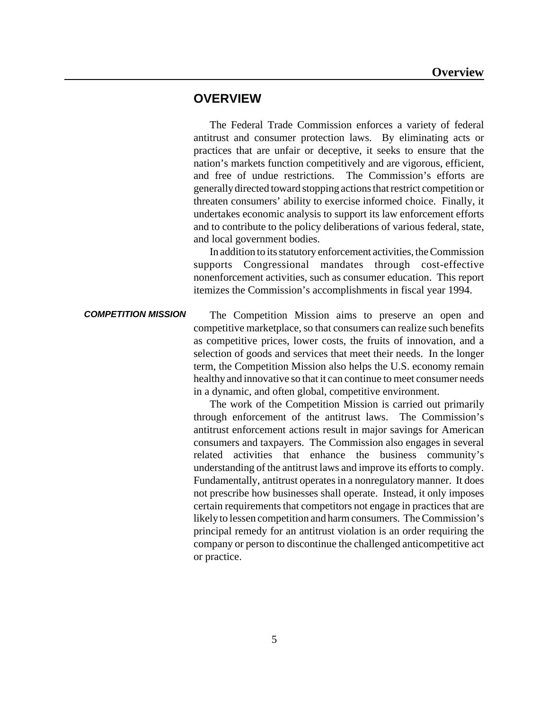### **OVERVIEW**

The Federal Trade Commission enforces a variety of federal antitrust and consumer protection laws. By eliminating acts or practices that are unfair or deceptive, it seeks to ensure that the nation's markets function competitively and are vigorous, efficient, and free of undue restrictions. The Commission's efforts are generallydirected toward stopping actionsthatrestrict competition or threaten consumers' ability to exercise informed choice. Finally, it undertakes economic analysis to support its law enforcement efforts and to contribute to the policy deliberations of various federal, state, and local government bodies.

In addition to its statutory enforcement activities, the Commission supports Congressional mandates through cost-effective nonenforcement activities, such as consumer education. This report itemizes the Commission's accomplishments in fiscal year 1994.

*COMPETITION MISSION* The Competition Mission aims to preserve an open and competitive marketplace, so that consumers can realize such benefits as competitive prices, lower costs, the fruits of innovation, and a selection of goods and services that meet their needs. In the longer term, the Competition Mission also helps the U.S. economy remain healthy and innovative so that it can continue to meet consumer needs in a dynamic, and often global, competitive environment.

The work of the Competition Mission is carried out primarily through enforcement of the antitrust laws. The Commission's antitrust enforcement actions result in major savings for American consumers and taxpayers. The Commission also engages in several related activities that enhance the business community's understanding of the antitrust laws and improve its efforts to comply. Fundamentally, antitrust operatesin a nonregulatory manner. It does not prescribe how businesses shall operate. Instead, it only imposes certain requirements that competitors not engage in practices that are likely to lessen competition and harmconsumers. The Commission's principal remedy for an antitrust violation is an order requiring the company or person to discontinue the challenged anticompetitive act or practice.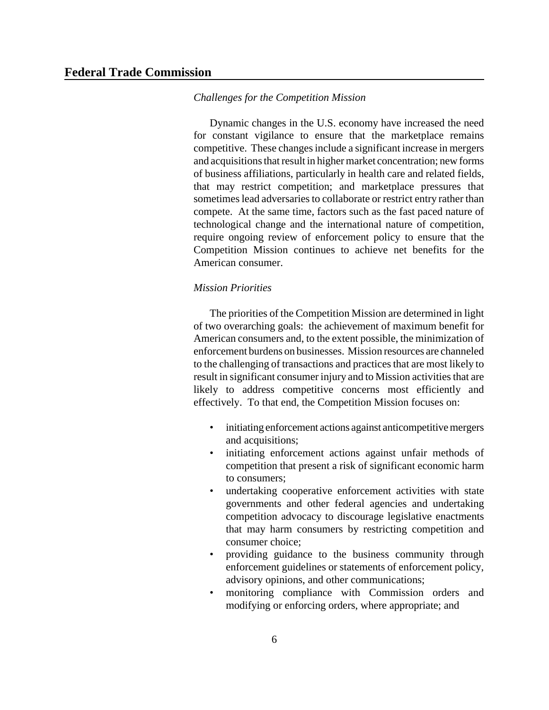#### *Challenges for the Competition Mission*

Dynamic changes in the U.S. economy have increased the need for constant vigilance to ensure that the marketplace remains competitive. These changes include a significant increase in mergers and acquisitions that result in higher market concentration; new forms of business affiliations, particularly in health care and related fields, that may restrict competition; and marketplace pressures that sometimes lead adversaries to collaborate or restrict entry rather than compete. At the same time, factors such as the fast paced nature of technological change and the international nature of competition, require ongoing review of enforcement policy to ensure that the Competition Mission continues to achieve net benefits for the American consumer.

#### *Mission Priorities*

The priorities of the Competition Mission are determined in light of two overarching goals: the achievement of maximum benefit for American consumers and, to the extent possible, the minimization of enforcement burdens on businesses. Mission resources are channeled to the challenging of transactions and practicesthat are most likely to result in significant consumer injury and to Mission activities that are likely to address competitive concerns most efficiently and effectively. To that end, the Competition Mission focuses on:

- initiating enforcement actions against anticompetitive mergers and acquisitions;
- initiating enforcement actions against unfair methods of competition that present a risk of significant economic harm to consumers;
- undertaking cooperative enforcement activities with state governments and other federal agencies and undertaking competition advocacy to discourage legislative enactments that may harm consumers by restricting competition and consumer choice;
- providing guidance to the business community through enforcement guidelines or statements of enforcement policy, advisory opinions, and other communications;
- monitoring compliance with Commission orders and modifying or enforcing orders, where appropriate; and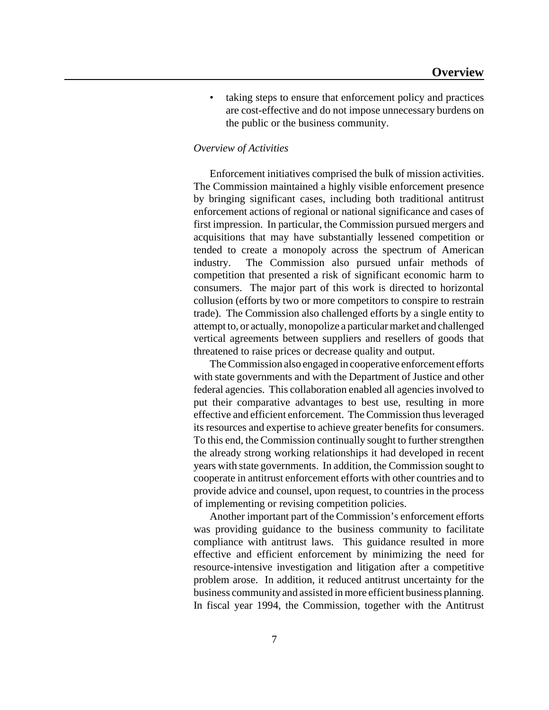taking steps to ensure that enforcement policy and practices are cost-effective and do not impose unnecessary burdens on the public or the business community.

#### *Overview of Activities*

Enforcement initiatives comprised the bulk of mission activities. The Commission maintained a highly visible enforcement presence by bringing significant cases, including both traditional antitrust enforcement actions of regional or national significance and cases of first impression. In particular, the Commission pursued mergers and acquisitions that may have substantially lessened competition or tended to create a monopoly across the spectrum of American industry. The Commission also pursued unfair methods of competition that presented a risk of significant economic harm to consumers. The major part of this work is directed to horizontal collusion (efforts by two or more competitors to conspire to restrain trade). The Commission also challenged efforts by a single entity to attempt to, or actually, monopolize a particular market and challenged vertical agreements between suppliers and resellers of goods that threatened to raise prices or decrease quality and output.

The Commission also engaged in cooperative enforcement efforts with state governments and with the Department of Justice and other federal agencies. This collaboration enabled all agencies involved to put their comparative advantages to best use, resulting in more effective and efficient enforcement. The Commission thus leveraged its resources and expertise to achieve greater benefits for consumers. To this end, the Commission continually sought to further strengthen the already strong working relationships it had developed in recent years with state governments. In addition, the Commission sought to cooperate in antitrust enforcement efforts with other countries and to provide advice and counsel, upon request, to countries in the process of implementing or revising competition policies.

Another important part of the Commission's enforcement efforts was providing guidance to the business community to facilitate compliance with antitrust laws. This guidance resulted in more effective and efficient enforcement by minimizing the need for resource-intensive investigation and litigation after a competitive problem arose. In addition, it reduced antitrust uncertainty for the business community and assisted in more efficient business planning. In fiscal year 1994, the Commission, together with the Antitrust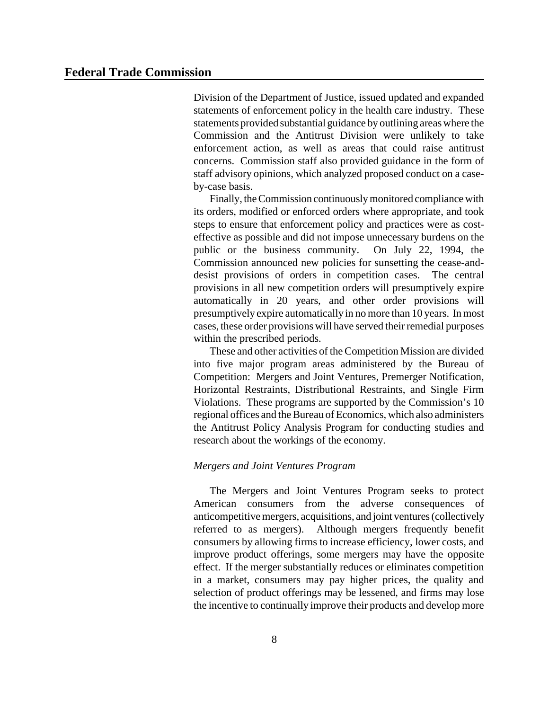Division of the Department of Justice, issued updated and expanded statements of enforcement policy in the health care industry. These statements provided substantial guidance by outlining areas where the Commission and the Antitrust Division were unlikely to take enforcement action, as well as areas that could raise antitrust concerns. Commission staff also provided guidance in the form of staff advisory opinions, which analyzed proposed conduct on a caseby-case basis.

Finally, the Commission continuously monitored compliance with its orders, modified or enforced orders where appropriate, and took steps to ensure that enforcement policy and practices were as costeffective as possible and did not impose unnecessary burdens on the public or the business community. On July 22, 1994, the Commission announced new policies for sunsetting the cease-anddesist provisions of orders in competition cases. The central provisions in all new competition orders will presumptively expire automatically in 20 years, and other order provisions will presumptively expire automatically in no more than 10 years. In most cases, these order provisions will have served their remedial purposes within the prescribed periods.

These and other activities of theCompetition Mission are divided into five major program areas administered by the Bureau of Competition: Mergers and Joint Ventures, Premerger Notification, Horizontal Restraints, Distributional Restraints, and Single Firm Violations. These programs are supported by the Commission's 10 regional offices and the Bureau of Economics, which also administers the Antitrust Policy Analysis Program for conducting studies and research about the workings of the economy.

#### *Mergers and Joint Ventures Program*

The Mergers and Joint Ventures Program seeks to protect American consumers from the adverse consequences of anticompetitive mergers, acquisitions, and joint ventures (collectively referred to as mergers). Although mergers frequently benefit consumers by allowing firms to increase efficiency, lower costs, and improve product offerings, some mergers may have the opposite effect. If the merger substantially reduces or eliminates competition in a market, consumers may pay higher prices, the quality and selection of product offerings may be lessened, and firms may lose the incentive to continually improve their products and develop more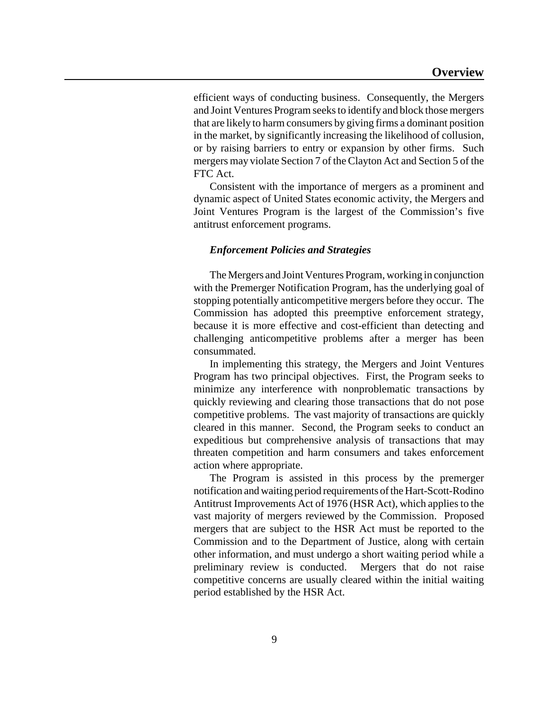efficient ways of conducting business. Consequently, the Mergers and Joint Ventures Program seeks to identify and block those mergers that are likely to harm consumers by giving firms a dominant position in the market, by significantly increasing the likelihood of collusion, or by raising barriers to entry or expansion by other firms. Such mergers may violate Section 7 of the Clayton Act and Section 5 of the FTC Act.

Consistent with the importance of mergers as a prominent and dynamic aspect of United States economic activity, the Mergers and Joint Ventures Program is the largest of the Commission's five antitrust enforcement programs.

#### *Enforcement Policies and Strategies*

The Mergers and Joint Ventures Program, working in conjunction with the Premerger Notification Program, has the underlying goal of stopping potentially anticompetitive mergers before they occur. The Commission has adopted this preemptive enforcement strategy, because it is more effective and cost-efficient than detecting and challenging anticompetitive problems after a merger has been consummated.

In implementing this strategy, the Mergers and Joint Ventures Program has two principal objectives. First, the Program seeks to minimize any interference with nonproblematic transactions by quickly reviewing and clearing those transactions that do not pose competitive problems. The vast majority of transactions are quickly cleared in this manner. Second, the Program seeks to conduct an expeditious but comprehensive analysis of transactions that may threaten competition and harm consumers and takes enforcement action where appropriate.

The Program is assisted in this process by the premerger notification and waiting period requirements of the Hart-Scott-Rodino Antitrust Improvements Act of 1976 (HSR Act), which appliesto the vast majority of mergers reviewed by the Commission. Proposed mergers that are subject to the HSR Act must be reported to the Commission and to the Department of Justice, along with certain other information, and must undergo a short waiting period while a preliminary review is conducted. Mergers that do not raise competitive concerns are usually cleared within the initial waiting period established by the HSR Act.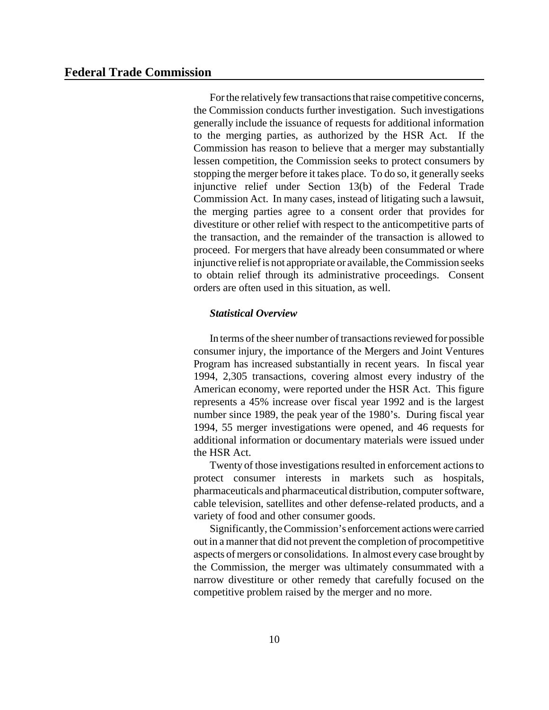For the relatively few transactions that raise competitive concerns, the Commission conducts further investigation. Such investigations generally include the issuance of requests for additional information to the merging parties, as authorized by the HSR Act. If the Commission has reason to believe that a merger may substantially lessen competition, the Commission seeks to protect consumers by stopping the merger before it takes place. To do so, it generally seeks injunctive relief under Section 13(b) of the Federal Trade Commission Act. In many cases, instead of litigating such a lawsuit, the merging parties agree to a consent order that provides for divestiture or other relief with respect to the anticompetitive parts of the transaction, and the remainder of the transaction is allowed to proceed. For mergers that have already been consummated or where injunctive relief is not appropriate or available, the Commission seeks to obtain relief through its administrative proceedings. Consent orders are often used in this situation, as well.

#### *Statistical Overview*

In terms of the sheer number of transactions reviewed for possible consumer injury, the importance of the Mergers and Joint Ventures Program has increased substantially in recent years. In fiscal year 1994, 2,305 transactions, covering almost every industry of the American economy, were reported under the HSR Act. This figure represents a 45% increase over fiscal year 1992 and is the largest number since 1989, the peak year of the 1980's. During fiscal year 1994, 55 merger investigations were opened, and 46 requests for additional information or documentary materials were issued under the HSR Act.

Twenty of those investigations resulted in enforcement actions to protect consumer interests in markets such as hospitals, pharmaceuticals and pharmaceutical distribution, computer software, cable television, satellites and other defense-related products, and a variety of food and other consumer goods.

Significantly, theCommission's enforcement actions were carried out in a manner that did not prevent the completion of procompetitive aspects of mergers or consolidations. In almost every case brought by the Commission, the merger was ultimately consummated with a narrow divestiture or other remedy that carefully focused on the competitive problem raised by the merger and no more.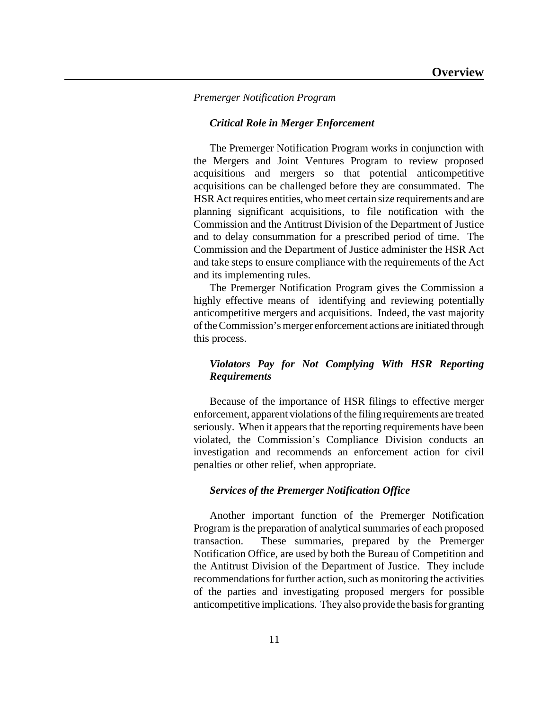#### *Premerger Notification Program*

### *Critical Role in Merger Enforcement*

The Premerger Notification Program works in conjunction with the Mergers and Joint Ventures Program to review proposed acquisitions and mergers so that potential anticompetitive acquisitions can be challenged before they are consummated. The HSR Act requires entities, who meet certain size requirements and are planning significant acquisitions, to file notification with the Commission and the Antitrust Division of the Department of Justice and to delay consummation for a prescribed period of time. The Commission and the Department of Justice administer the HSR Act and take steps to ensure compliance with the requirements of the Act and its implementing rules.

The Premerger Notification Program gives the Commission a highly effective means of identifying and reviewing potentially anticompetitive mergers and acquisitions. Indeed, the vast majority of the Commission's merger enforcement actions are initiated through this process.

### *Violators Pay for Not Complying With HSR Reporting Requirements*

Because of the importance of HSR filings to effective merger enforcement, apparent violations of the filing requirements are treated seriously. When it appears that the reporting requirements have been violated, the Commission's Compliance Division conducts an investigation and recommends an enforcement action for civil penalties or other relief, when appropriate.

### *Services of the Premerger Notification Office*

Another important function of the Premerger Notification Program is the preparation of analytical summaries of each proposed transaction. These summaries, prepared by the Premerger Notification Office, are used by both the Bureau of Competition and the Antitrust Division of the Department of Justice. They include recommendations for further action, such as monitoring the activities of the parties and investigating proposed mergers for possible anticompetitive implications. They also provide the basis for granting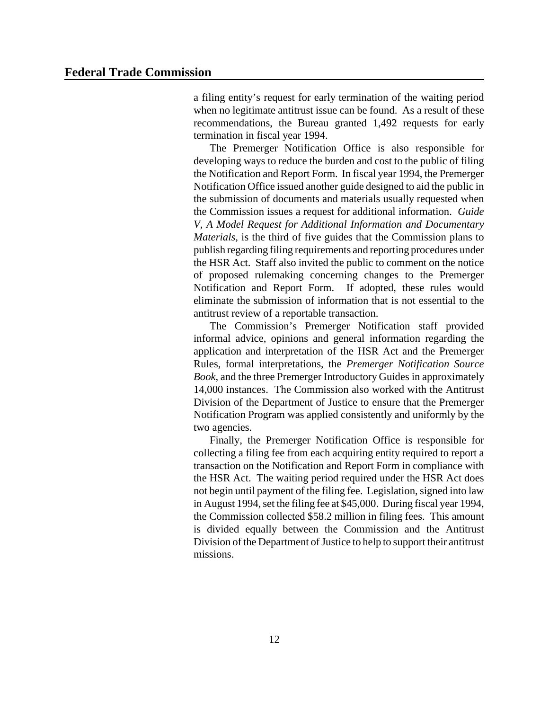a filing entity's request for early termination of the waiting period when no legitimate antitrust issue can be found. As a result of these recommendations, the Bureau granted 1,492 requests for early termination in fiscal year 1994.

The Premerger Notification Office is also responsible for developing ways to reduce the burden and cost to the public of filing the Notification and Report Form. In fiscal year 1994, the Premerger Notification Office issued another guide designed to aid the public in the submission of documents and materials usually requested when the Commission issues a request for additional information. *Guide V, A Model Request for Additional Information and Documentary Materials*, is the third of five guides that the Commission plans to publish regarding filing requirements and reporting procedures under the HSR Act. Staff also invited the public to comment on the notice of proposed rulemaking concerning changes to the Premerger Notification and Report Form. If adopted, these rules would eliminate the submission of information that is not essential to the antitrust review of a reportable transaction.

The Commission's Premerger Notification staff provided informal advice, opinions and general information regarding the application and interpretation of the HSR Act and the Premerger Rules, formal interpretations, the *Premerger Notification Source Book*, and the three Premerger Introductory Guides in approximately 14,000 instances. The Commission also worked with the Antitrust Division of the Department of Justice to ensure that the Premerger Notification Program was applied consistently and uniformly by the two agencies.

Finally, the Premerger Notification Office is responsible for collecting a filing fee from each acquiring entity required to report a transaction on the Notification and Report Form in compliance with the HSR Act. The waiting period required under the HSR Act does not begin until payment of the filing fee. Legislation, signed into law in August 1994, set the filing fee at \$45,000. During fiscal year 1994, the Commission collected \$58.2 million in filing fees. This amount is divided equally between the Commission and the Antitrust Division of the Department of Justice to help to support their antitrust missions.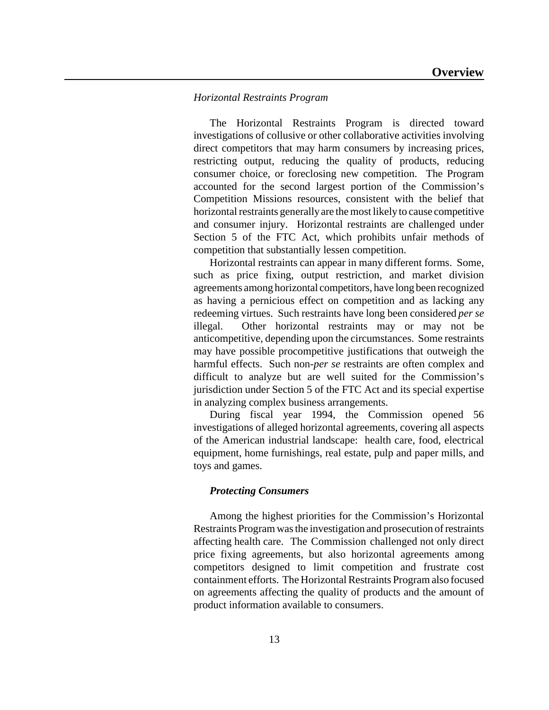#### *Horizontal Restraints Program*

The Horizontal Restraints Program is directed toward investigations of collusive or other collaborative activities involving direct competitors that may harm consumers by increasing prices, restricting output, reducing the quality of products, reducing consumer choice, or foreclosing new competition. The Program accounted for the second largest portion of the Commission's Competition Missions resources, consistent with the belief that horizontal restraints generally are the most likely to cause competitive and consumer injury. Horizontal restraints are challenged under Section 5 of the FTC Act, which prohibits unfair methods of competition that substantially lessen competition.

Horizontal restraints can appear in many different forms. Some, such as price fixing, output restriction, and market division agreements among horizontal competitors, have long been recognized as having a pernicious effect on competition and as lacking any redeeming virtues. Such restraints have long been considered *per se* illegal. Other horizontal restraints may or may not be anticompetitive, depending upon the circumstances. Some restraints may have possible procompetitive justifications that outweigh the harmful effects. Such non-*per se* restraints are often complex and difficult to analyze but are well suited for the Commission's jurisdiction under Section 5 of the FTC Act and its special expertise in analyzing complex business arrangements.

During fiscal year 1994, the Commission opened 56 investigations of alleged horizontal agreements, covering all aspects of the American industrial landscape: health care, food, electrical equipment, home furnishings, real estate, pulp and paper mills, and toys and games.

#### *Protecting Consumers*

Among the highest priorities for the Commission's Horizontal Restraints Program wasthe investigation and prosecution of restraints affecting health care. The Commission challenged not only direct price fixing agreements, but also horizontal agreements among competitors designed to limit competition and frustrate cost containment efforts. The Horizontal Restraints Program also focused on agreements affecting the quality of products and the amount of product information available to consumers.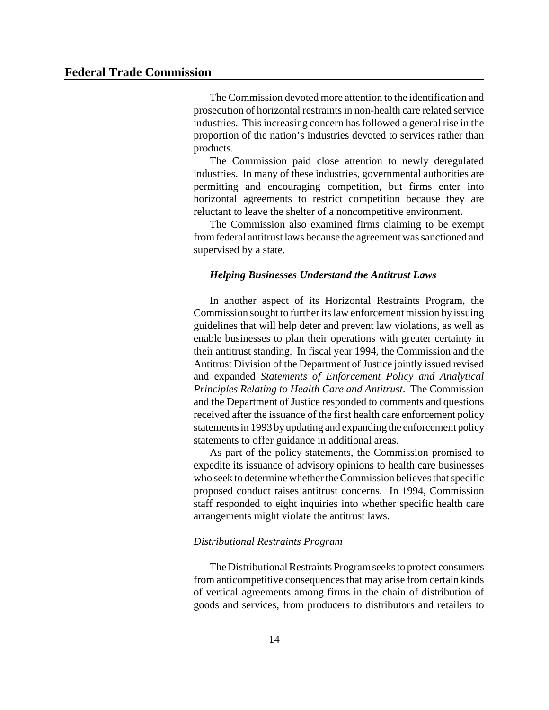The Commission devoted more attention to the identification and prosecution of horizontal restraints in non-health care related service industries. This increasing concern has followed a general rise in the proportion of the nation's industries devoted to services rather than products.

The Commission paid close attention to newly deregulated industries. In many of these industries, governmental authorities are permitting and encouraging competition, but firms enter into horizontal agreements to restrict competition because they are reluctant to leave the shelter of a noncompetitive environment.

The Commission also examined firms claiming to be exempt from federal antitrust laws because the agreement was sanctioned and supervised by a state.

#### *Helping Businesses Understand the Antitrust Laws*

In another aspect of its Horizontal Restraints Program, the Commission sought to further its law enforcement mission by issuing guidelines that will help deter and prevent law violations, as well as enable businesses to plan their operations with greater certainty in their antitrust standing. In fiscal year 1994, the Commission and the Antitrust Division of the Department of Justice jointly issued revised and expanded *Statements of Enforcement Policy and Analytical Principles Relating to Health Care and Antitrust*. The Commission and the Department of Justice responded to comments and questions received after the issuance of the first health care enforcement policy statements in 1993 by updating and expanding the enforcement policy statements to offer guidance in additional areas.

As part of the policy statements, the Commission promised to expedite its issuance of advisory opinions to health care businesses who seek to determine whether the Commission believes that specific proposed conduct raises antitrust concerns. In 1994, Commission staff responded to eight inquiries into whether specific health care arrangements might violate the antitrust laws.

#### *Distributional Restraints Program*

The Distributional Restraints Program seeks to protect consumers from anticompetitive consequences that may arise from certain kinds of vertical agreements among firms in the chain of distribution of goods and services, from producers to distributors and retailers to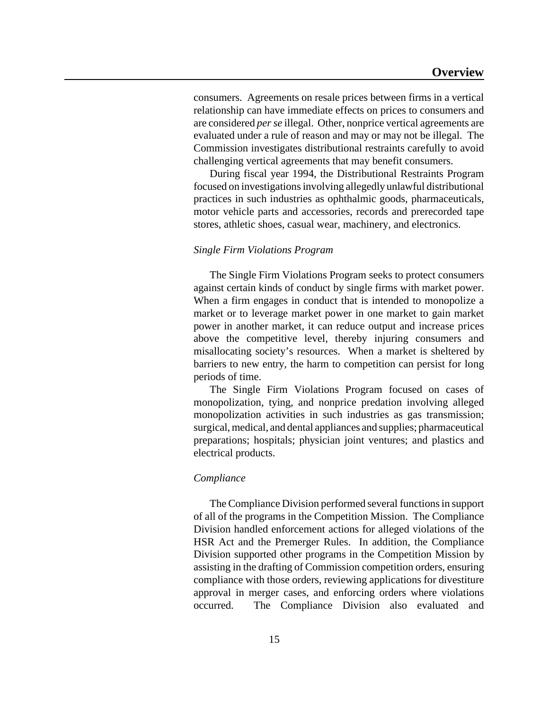consumers. Agreements on resale prices between firms in a vertical relationship can have immediate effects on prices to consumers and are considered *perse* illegal. Other, nonprice vertical agreements are evaluated under a rule of reason and may or may not be illegal. The Commission investigates distributional restraints carefully to avoid challenging vertical agreements that may benefit consumers.

During fiscal year 1994, the Distributional Restraints Program focused on investigationsinvolving allegedly unlawful distributional practices in such industries as ophthalmic goods, pharmaceuticals, motor vehicle parts and accessories, records and prerecorded tape stores, athletic shoes, casual wear, machinery, and electronics.

#### *Single Firm Violations Program*

The Single Firm Violations Program seeks to protect consumers against certain kinds of conduct by single firms with market power. When a firm engages in conduct that is intended to monopolize a market or to leverage market power in one market to gain market power in another market, it can reduce output and increase prices above the competitive level, thereby injuring consumers and misallocating society's resources. When a market is sheltered by barriers to new entry, the harm to competition can persist for long periods of time.

The Single Firm Violations Program focused on cases of monopolization, tying, and nonprice predation involving alleged monopolization activities in such industries as gas transmission; surgical, medical, and dental appliances and supplies; pharmaceutical preparations; hospitals; physician joint ventures; and plastics and electrical products.

#### *Compliance*

The Compliance Division performed several functions in support of all of the programs in the Competition Mission. The Compliance Division handled enforcement actions for alleged violations of the HSR Act and the Premerger Rules. In addition, the Compliance Division supported other programs in the Competition Mission by assisting in the drafting of Commission competition orders, ensuring compliance with those orders, reviewing applications for divestiture approval in merger cases, and enforcing orders where violations occurred. The Compliance Division also evaluated and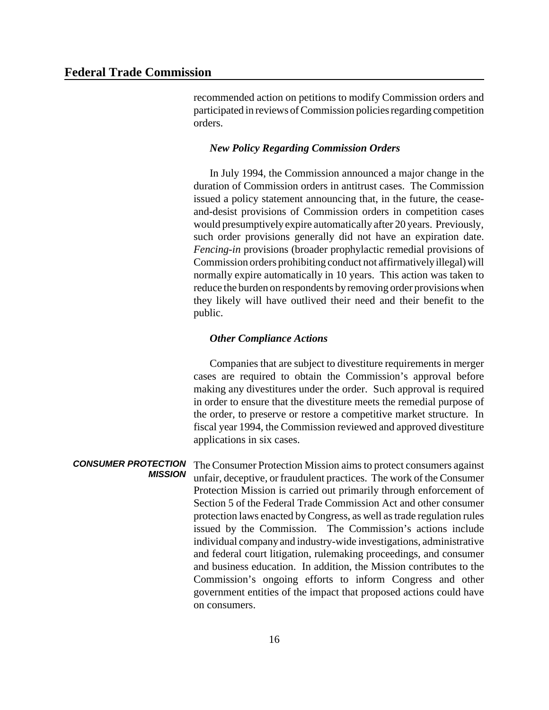recommended action on petitions to modify Commission orders and participated in reviews of Commission policies regarding competition orders.

#### *New Policy Regarding Commission Orders*

In July 1994, the Commission announced a major change in the duration of Commission orders in antitrust cases. The Commission issued a policy statement announcing that, in the future, the ceaseand-desist provisions of Commission orders in competition cases would presumptively expire automatically after 20 years. Previously, such order provisions generally did not have an expiration date. *Fencing-in* provisions (broader prophylactic remedial provisions of Commission orders prohibiting conduct not affirmativelyillegal) will normally expire automatically in 10 years. This action was taken to reduce the burden on respondents by removing order provisions when they likely will have outlived their need and their benefit to the public.

#### *Other Compliance Actions*

Companies that are subject to divestiture requirements in merger cases are required to obtain the Commission's approval before making any divestitures under the order. Such approval is required in order to ensure that the divestiture meets the remedial purpose of the order, to preserve or restore a competitive market structure. In fiscal year 1994, the Commission reviewed and approved divestiture applications in six cases.

*CONSUMER PROTECTION MISSION* The Consumer Protection Mission aimsto protect consumers against unfair, deceptive, or fraudulent practices. The work of the Consumer Protection Mission is carried out primarily through enforcement of Section 5 of the Federal Trade Commission Act and other consumer protection laws enacted byCongress, as well astrade regulation rules issued by the Commission. The Commission's actions include individual company and industry-wide investigations, administrative and federal court litigation, rulemaking proceedings, and consumer and business education. In addition, the Mission contributes to the Commission's ongoing efforts to inform Congress and other government entities of the impact that proposed actions could have on consumers.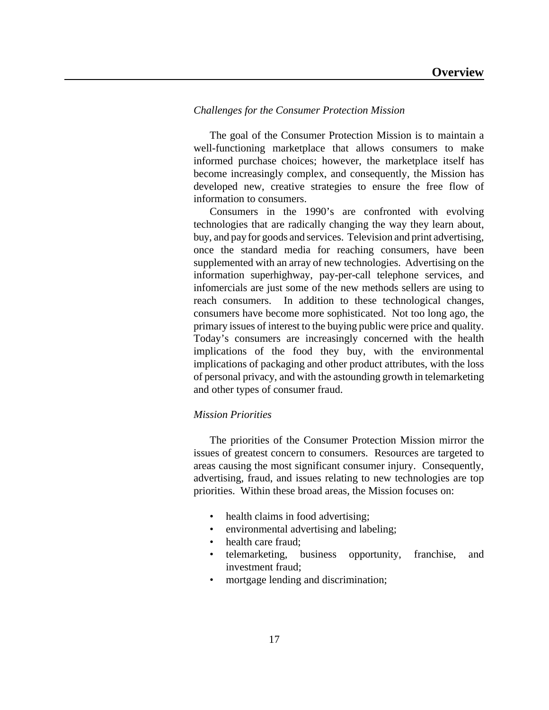#### *Challenges for the Consumer Protection Mission*

The goal of the Consumer Protection Mission is to maintain a well-functioning marketplace that allows consumers to make informed purchase choices; however, the marketplace itself has become increasingly complex, and consequently, the Mission has developed new, creative strategies to ensure the free flow of information to consumers.

Consumers in the 1990's are confronted with evolving technologies that are radically changing the way they learn about, buy, and pay for goods and services. Television and print advertising, once the standard media for reaching consumers, have been supplemented with an array of new technologies. Advertising on the information superhighway, pay-per-call telephone services, and infomercials are just some of the new methods sellers are using to reach consumers. In addition to these technological changes, consumers have become more sophisticated. Not too long ago, the primary issues of interest to the buying public were price and quality. Today's consumers are increasingly concerned with the health implications of the food they buy, with the environmental implications of packaging and other product attributes, with the loss of personal privacy, and with the astounding growth in telemarketing and other types of consumer fraud.

### *Mission Priorities*

The priorities of the Consumer Protection Mission mirror the issues of greatest concern to consumers. Resources are targeted to areas causing the most significant consumer injury. Consequently, advertising, fraud, and issues relating to new technologies are top priorities. Within these broad areas, the Mission focuses on:

- health claims in food advertising;
- environmental advertising and labeling;
- health care fraud;
- telemarketing, business opportunity, franchise, and investment fraud;
- mortgage lending and discrimination;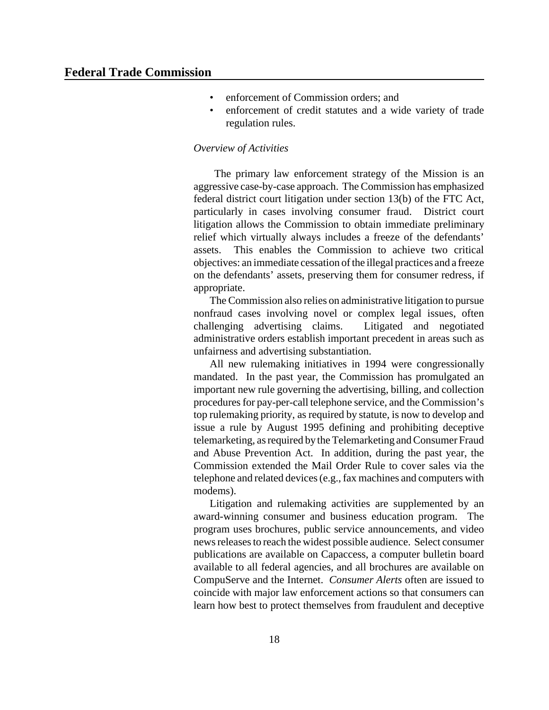- enforcement of Commission orders; and
- enforcement of credit statutes and a wide variety of trade regulation rules.

#### *Overview of Activities*

The primary law enforcement strategy of the Mission is an aggressive case-by-case approach. The Commission has emphasized federal district court litigation under section 13(b) of the FTC Act, particularly in cases involving consumer fraud. District court litigation allows the Commission to obtain immediate preliminary relief which virtually always includes a freeze of the defendants' assets. This enables the Commission to achieve two critical objectives: an immediate cessation of the illegal practices and a freeze on the defendants' assets, preserving them for consumer redress, if appropriate.

The Commission also relies on administrative litigation to pursue nonfraud cases involving novel or complex legal issues, often challenging advertising claims. Litigated and negotiated administrative orders establish important precedent in areas such as unfairness and advertising substantiation.

All new rulemaking initiatives in 1994 were congressionally mandated. In the past year, the Commission has promulgated an important new rule governing the advertising, billing, and collection procedures for pay-per-call telephone service, and the Commission's top rulemaking priority, as required by statute, is now to develop and issue a rule by August 1995 defining and prohibiting deceptive telemarketing, as required by the Telemarketing and Consumer Fraud and Abuse Prevention Act. In addition, during the past year, the Commission extended the Mail Order Rule to cover sales via the telephone and related devices(e.g., fax machines and computers with modems).

Litigation and rulemaking activities are supplemented by an award-winning consumer and business education program. The program uses brochures, public service announcements, and video news releases to reach the widest possible audience. Select consumer publications are available on Capaccess, a computer bulletin board available to all federal agencies, and all brochures are available on CompuServe and the Internet. *Consumer Alerts* often are issued to coincide with major law enforcement actions so that consumers can learn how best to protect themselves from fraudulent and deceptive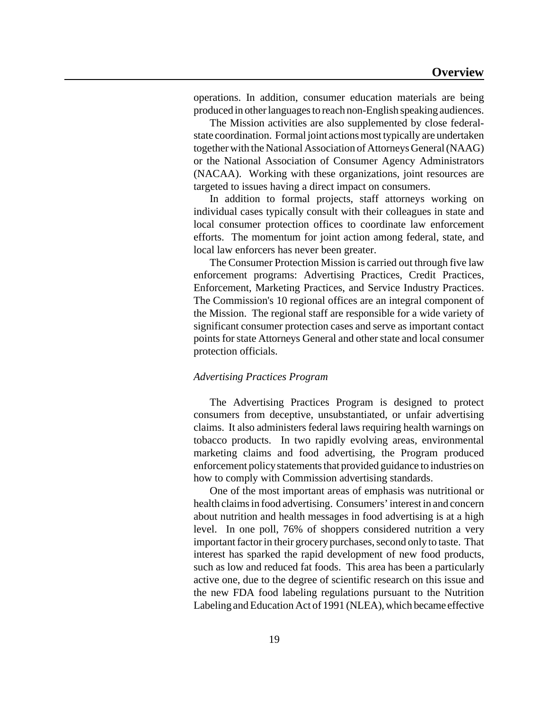operations. In addition, consumer education materials are being produced in other languages to reach non-English speaking audiences.

The Mission activities are also supplemented by close federalstate coordination. Formal joint actions most typically are undertaken together with the National Association of Attorneys General (NAAG) or the National Association of Consumer Agency Administrators (NACAA). Working with these organizations, joint resources are targeted to issues having a direct impact on consumers.

In addition to formal projects, staff attorneys working on individual cases typically consult with their colleagues in state and local consumer protection offices to coordinate law enforcement efforts. The momentum for joint action among federal, state, and local law enforcers has never been greater.

The Consumer Protection Mission is carried out through five law enforcement programs: Advertising Practices, Credit Practices, Enforcement, Marketing Practices, and Service Industry Practices. The Commission's 10 regional offices are an integral component of the Mission. The regional staff are responsible for a wide variety of significant consumer protection cases and serve as important contact points for state Attorneys General and other state and local consumer protection officials.

#### *Advertising Practices Program*

The Advertising Practices Program is designed to protect consumers from deceptive, unsubstantiated, or unfair advertising claims. It also administers federal laws requiring health warnings on tobacco products. In two rapidly evolving areas, environmental marketing claims and food advertising, the Program produced enforcement policystatements that provided guidance to industries on how to comply with Commission advertising standards.

One of the most important areas of emphasis was nutritional or health claims in food advertising. Consumers' interest in and concern about nutrition and health messages in food advertising is at a high level. In one poll, 76% of shoppers considered nutrition a very important factor in their grocery purchases, second only to taste. That interest has sparked the rapid development of new food products, such as low and reduced fat foods. This area has been a particularly active one, due to the degree of scientific research on this issue and the new FDA food labeling regulations pursuant to the Nutrition Labeling and Education Act of 1991 (NLEA), which became effective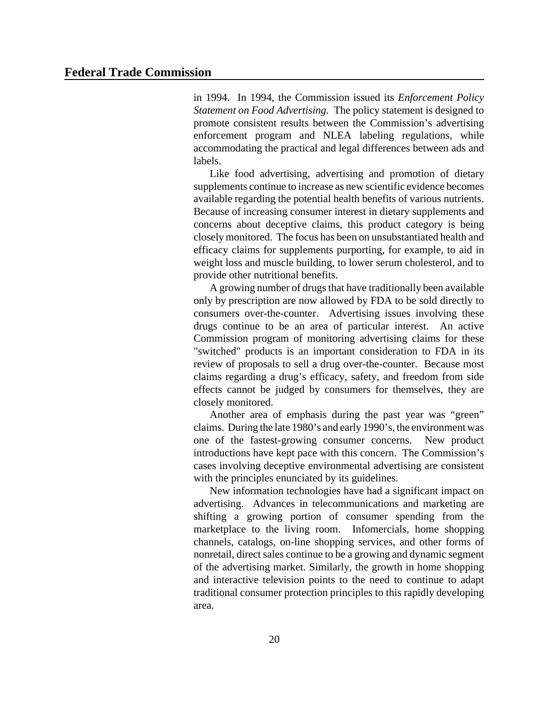in 1994. In 1994, the Commission issued its *Enforcement Policy Statement on Food Advertising.* The policy statement is designed to promote consistent results between the Commission's advertising enforcement program and NLEA labeling regulations, while accommodating the practical and legal differences between ads and labels.

Like food advertising, advertising and promotion of dietary supplements continue to increase as new scientific evidence becomes available regarding the potential health benefits of various nutrients. Because of increasing consumer interest in dietary supplements and concerns about deceptive claims, this product category is being closelymonitored. The focus has been on unsubstantiated health and efficacy claims for supplements purporting, for example, to aid in weight loss and muscle building, to lower serum cholesterol, and to provide other nutritional benefits.

A growing number of drugs that have traditionally been available only by prescription are now allowed by FDA to be sold directly to consumers over-the-counter. Advertising issues involving these drugs continue to be an area of particular interest. An active Commission program of monitoring advertising claims for these "switched" products is an important consideration to FDA in its review of proposals to sell a drug over-the-counter. Because most claims regarding a drug's efficacy, safety, and freedom from side effects cannot be judged by consumers for themselves, they are closely monitored.

Another area of emphasis during the past year was "green" claims. During the late 1980's and early 1990's, the environment was one of the fastest-growing consumer concerns. New product introductions have kept pace with this concern. The Commission's cases involving deceptive environmental advertising are consistent with the principles enunciated by its guidelines.

New information technologies have had a significant impact on advertising. Advances in telecommunications and marketing are shifting a growing portion of consumer spending from the marketplace to the living room. Infomercials, home shopping channels, catalogs, on-line shopping services, and other forms of nonretail, direct sales continue to be a growing and dynamic segment of the advertising market. Similarly, the growth in home shopping and interactive television points to the need to continue to adapt traditional consumer protection principles to this rapidly developing area.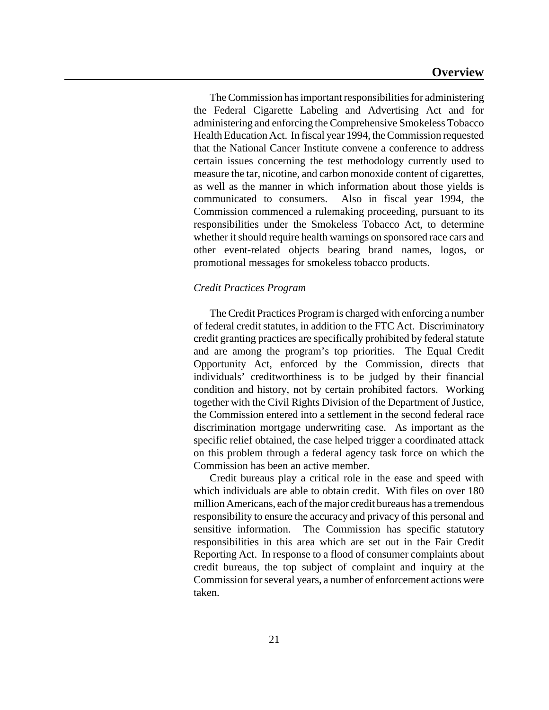The Commission has important responsibilities for administering the Federal Cigarette Labeling and Advertising Act and for administering and enforcing the Comprehensive Smokeless Tobacco Health Education Act. In fiscal year 1994, the Commission requested that the National Cancer Institute convene a conference to address certain issues concerning the test methodology currently used to measure the tar, nicotine, and carbon monoxide content of cigarettes, as well as the manner in which information about those yields is communicated to consumers. Also in fiscal year 1994, the Commission commenced a rulemaking proceeding, pursuant to its responsibilities under the Smokeless Tobacco Act, to determine whether it should require health warnings on sponsored race cars and other event-related objects bearing brand names, logos, or promotional messages for smokeless tobacco products.

#### *Credit Practices Program*

The Credit Practices Program is charged with enforcing a number of federal credit statutes, in addition to the FTC Act. Discriminatory credit granting practices are specifically prohibited by federal statute and are among the program's top priorities. The Equal Credit Opportunity Act, enforced by the Commission, directs that individuals' creditworthiness is to be judged by their financial condition and history, not by certain prohibited factors. Working together with the Civil Rights Division of the Department of Justice, the Commission entered into a settlement in the second federal race discrimination mortgage underwriting case. As important as the specific relief obtained, the case helped trigger a coordinated attack on this problem through a federal agency task force on which the Commission has been an active member.

Credit bureaus play a critical role in the ease and speed with which individuals are able to obtain credit. With files on over 180 million Americans, each of the major credit bureaus has a tremendous responsibility to ensure the accuracy and privacy of this personal and sensitive information. The Commission has specific statutory responsibilities in this area which are set out in the Fair Credit Reporting Act. In response to a flood of consumer complaints about credit bureaus, the top subject of complaint and inquiry at the Commission for several years, a number of enforcement actions were taken.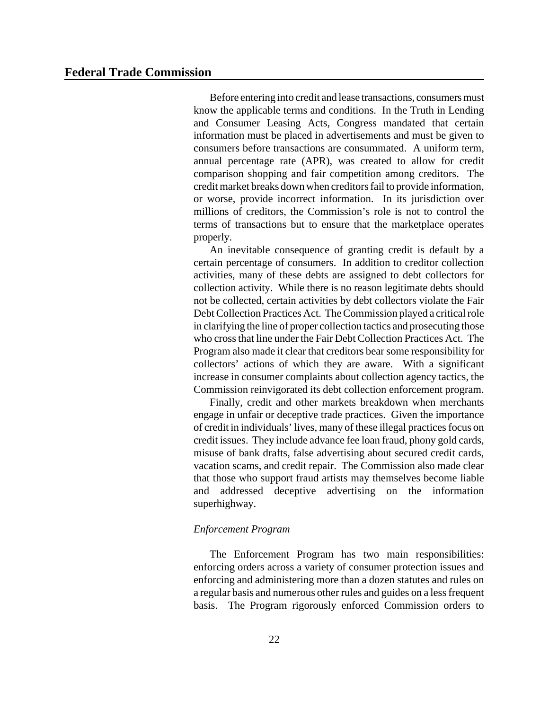Before entering into credit and lease transactions, consumers must know the applicable terms and conditions. In the Truth in Lending and Consumer Leasing Acts, Congress mandated that certain information must be placed in advertisements and must be given to consumers before transactions are consummated. A uniform term, annual percentage rate (APR), was created to allow for credit comparison shopping and fair competition among creditors. The credit market breaks down when creditorsfail to provide information, or worse, provide incorrect information. In its jurisdiction over millions of creditors, the Commission's role is not to control the terms of transactions but to ensure that the marketplace operates properly.

An inevitable consequence of granting credit is default by a certain percentage of consumers. In addition to creditor collection activities, many of these debts are assigned to debt collectors for collection activity. While there is no reason legitimate debts should not be collected, certain activities by debt collectors violate the Fair Debt Collection Practices Act. The Commission played a critical role in clarifying the line of proper collection tactics and prosecuting those who cross that line under the Fair Debt Collection Practices Act. The Program also made it clear that creditors bear some responsibility for collectors' actions of which they are aware. With a significant increase in consumer complaints about collection agency tactics, the Commission reinvigorated its debt collection enforcement program.

Finally, credit and other markets breakdown when merchants engage in unfair or deceptive trade practices. Given the importance of credit in individuals' lives, many of these illegal practicesfocus on credit issues. They include advance fee loan fraud, phony gold cards, misuse of bank drafts, false advertising about secured credit cards, vacation scams, and credit repair. The Commission also made clear that those who support fraud artists may themselves become liable and addressed deceptive advertising on the information superhighway.

#### *Enforcement Program*

The Enforcement Program has two main responsibilities: enforcing orders across a variety of consumer protection issues and enforcing and administering more than a dozen statutes and rules on a regular basis and numerous other rules and guides on a lessfrequent basis. The Program rigorously enforced Commission orders to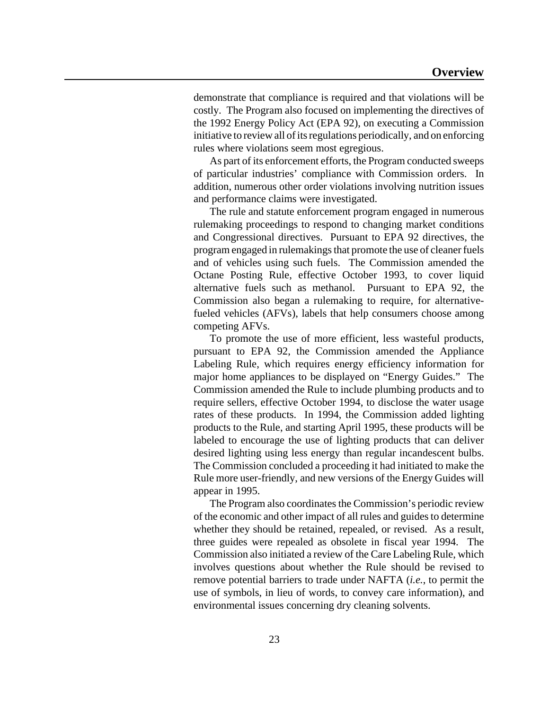demonstrate that compliance is required and that violations will be costly. The Program also focused on implementing the directives of the 1992 Energy Policy Act (EPA 92), on executing a Commission initiative to review all of its regulations periodically, and on enforcing rules where violations seem most egregious.

As part of its enforcement efforts, the Program conducted sweeps of particular industries' compliance with Commission orders. In addition, numerous other order violations involving nutrition issues and performance claims were investigated.

The rule and statute enforcement program engaged in numerous rulemaking proceedings to respond to changing market conditions and Congressional directives. Pursuant to EPA 92 directives, the program engaged in rulemakings that promote the use of cleaner fuels and of vehicles using such fuels. The Commission amended the Octane Posting Rule, effective October 1993, to cover liquid alternative fuels such as methanol. Pursuant to EPA 92, the Commission also began a rulemaking to require, for alternativefueled vehicles (AFVs), labels that help consumers choose among competing AFVs.

To promote the use of more efficient, less wasteful products, pursuant to EPA 92, the Commission amended the Appliance Labeling Rule, which requires energy efficiency information for major home appliances to be displayed on "Energy Guides." The Commission amended the Rule to include plumbing products and to require sellers, effective October 1994, to disclose the water usage rates of these products. In 1994, the Commission added lighting products to the Rule, and starting April 1995, these products will be labeled to encourage the use of lighting products that can deliver desired lighting using less energy than regular incandescent bulbs. The Commission concluded a proceeding it had initiated to make the Rule more user-friendly, and new versions of the Energy Guides will appear in 1995.

The Program also coordinates the Commission's periodic review of the economic and other impact of all rules and guides to determine whether they should be retained, repealed, or revised. As a result, three guides were repealed as obsolete in fiscal year 1994. The Commission also initiated a review of the Care Labeling Rule, which involves questions about whether the Rule should be revised to remove potential barriers to trade under NAFTA (*i.e.*, to permit the use of symbols, in lieu of words, to convey care information), and environmental issues concerning dry cleaning solvents.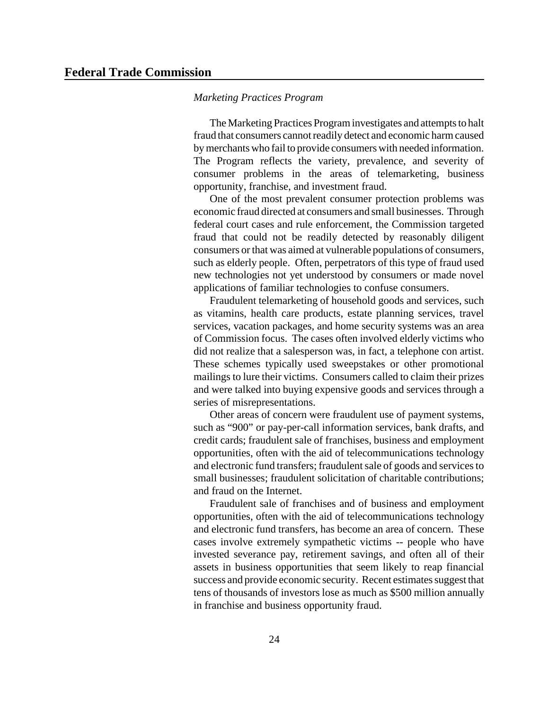#### *Marketing Practices Program*

The Marketing Practices Program investigates and attempts to halt fraud that consumers cannot readily detect and economic harm caused by merchants who fail to provide consumers with needed information. The Program reflects the variety, prevalence, and severity of consumer problems in the areas of telemarketing, business opportunity, franchise, and investment fraud.

One of the most prevalent consumer protection problems was economic fraud directed at consumers and small businesses. Through federal court cases and rule enforcement, the Commission targeted fraud that could not be readily detected by reasonably diligent consumers orthat was aimed at vulnerable populations of consumers, such as elderly people. Often, perpetrators of this type of fraud used new technologies not yet understood by consumers or made novel applications of familiar technologies to confuse consumers.

Fraudulent telemarketing of household goods and services, such as vitamins, health care products, estate planning services, travel services, vacation packages, and home security systems was an area of Commission focus. The cases often involved elderly victims who did not realize that a salesperson was, in fact, a telephone con artist. These schemes typically used sweepstakes or other promotional mailings to lure their victims. Consumers called to claim their prizes and were talked into buying expensive goods and services through a series of misrepresentations.

Other areas of concern were fraudulent use of payment systems, such as "900" or pay-per-call information services, bank drafts, and credit cards; fraudulent sale of franchises, business and employment opportunities, often with the aid of telecommunications technology and electronic fund transfers; fraudulent sale of goods and services to small businesses; fraudulent solicitation of charitable contributions; and fraud on the Internet.

Fraudulent sale of franchises and of business and employment opportunities, often with the aid of telecommunications technology and electronic fund transfers, has become an area of concern. These cases involve extremely sympathetic victims -- people who have invested severance pay, retirement savings, and often all of their assets in business opportunities that seem likely to reap financial success and provide economic security. Recent estimates suggest that tens of thousands of investors lose as much as \$500 million annually in franchise and business opportunity fraud.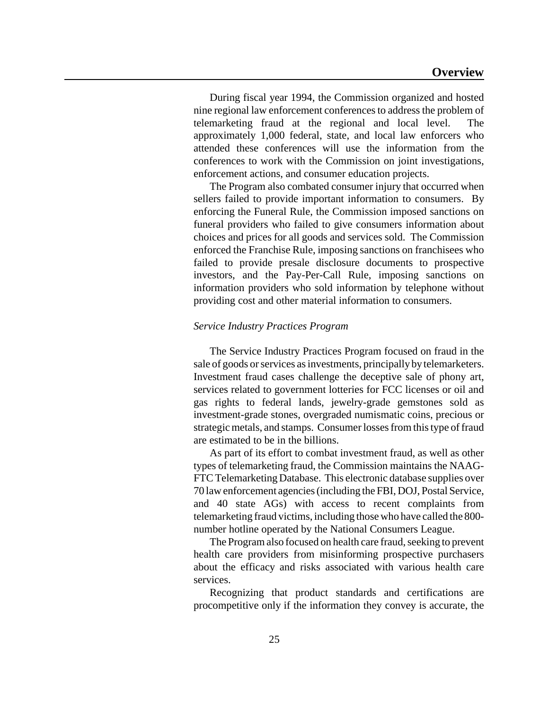During fiscal year 1994, the Commission organized and hosted nine regional law enforcement conferencesto addressthe problem of telemarketing fraud at the regional and local level. The approximately 1,000 federal, state, and local law enforcers who attended these conferences will use the information from the conferences to work with the Commission on joint investigations, enforcement actions, and consumer education projects.

The Program also combated consumer injury that occurred when sellers failed to provide important information to consumers. By enforcing the Funeral Rule, the Commission imposed sanctions on funeral providers who failed to give consumers information about choices and prices for all goods and services sold. The Commission enforced the Franchise Rule, imposing sanctions on franchisees who failed to provide presale disclosure documents to prospective investors, and the Pay-Per-Call Rule, imposing sanctions on information providers who sold information by telephone without providing cost and other material information to consumers.

#### *Service Industry Practices Program*

The Service Industry Practices Program focused on fraud in the sale of goods or services as investments, principally by telemarketers. Investment fraud cases challenge the deceptive sale of phony art, services related to government lotteries for FCC licenses or oil and gas rights to federal lands, jewelry-grade gemstones sold as investment-grade stones, overgraded numismatic coins, precious or strategic metals, and stamps. Consumer losses from this type of fraud are estimated to be in the billions.

As part of its effort to combat investment fraud, as well as other types of telemarketing fraud, the Commission maintains the NAAG-FTCTelemarketing Database. This electronic database supplies over 70 law enforcement agencies (including the FBI, DOJ, Postal Service, and 40 state AGs) with access to recent complaints from telemarketing fraud victims, including those who have called the 800 number hotline operated by the National Consumers League.

The Program also focused on health care fraud, seeking to prevent health care providers from misinforming prospective purchasers about the efficacy and risks associated with various health care services.

Recognizing that product standards and certifications are procompetitive only if the information they convey is accurate, the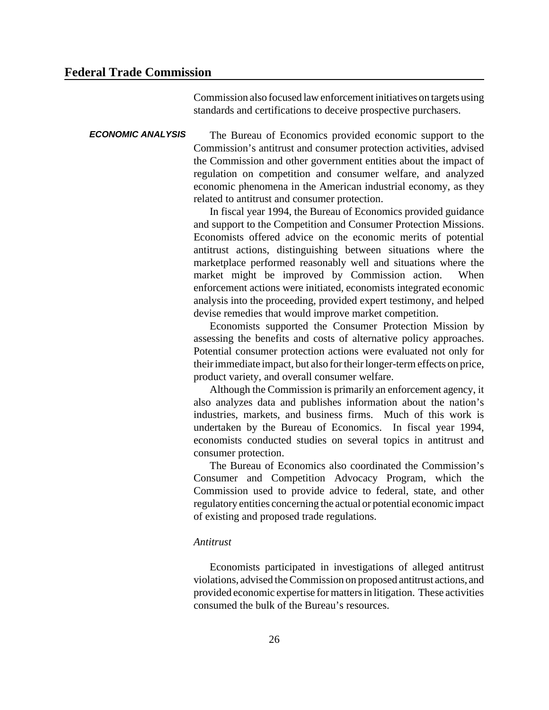Commission also focused law enforcement initiatives on targets using standards and certifications to deceive prospective purchasers.

*ECONOMIC ANALYSIS* The Bureau of Economics provided economic support to the Commission's antitrust and consumer protection activities, advised the Commission and other government entities about the impact of regulation on competition and consumer welfare, and analyzed economic phenomena in the American industrial economy, as they related to antitrust and consumer protection.

> In fiscal year 1994, the Bureau of Economics provided guidance and support to the Competition and Consumer Protection Missions. Economists offered advice on the economic merits of potential antitrust actions, distinguishing between situations where the marketplace performed reasonably well and situations where the market might be improved by Commission action. When enforcement actions were initiated, economists integrated economic analysis into the proceeding, provided expert testimony, and helped devise remedies that would improve market competition.

> Economists supported the Consumer Protection Mission by assessing the benefits and costs of alternative policy approaches. Potential consumer protection actions were evaluated not only for their immediate impact, but also for their longer-term effects on price, product variety, and overall consumer welfare.

> Although the Commission is primarily an enforcement agency, it also analyzes data and publishes information about the nation's industries, markets, and business firms. Much of this work is undertaken by the Bureau of Economics. In fiscal year 1994, economists conducted studies on several topics in antitrust and consumer protection.

> The Bureau of Economics also coordinated the Commission's Consumer and Competition Advocacy Program, which the Commission used to provide advice to federal, state, and other regulatory entities concerning the actual or potential economic impact of existing and proposed trade regulations.

#### *Antitrust*

Economists participated in investigations of alleged antitrust violations, advised theCommission on proposed antitrust actions, and provided economic expertise for matters in litigation. These activities consumed the bulk of the Bureau's resources.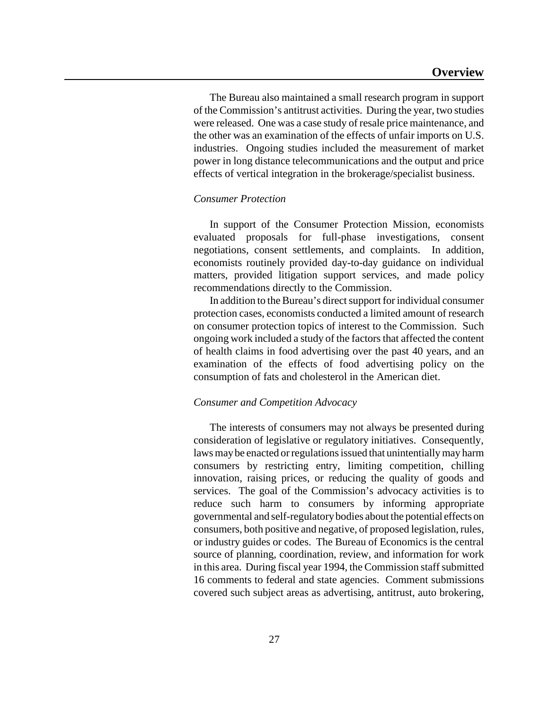The Bureau also maintained a small research program in support of the Commission's antitrust activities. During the year, two studies were released. One was a case study of resale price maintenance, and the other was an examination of the effects of unfair imports on U.S. industries. Ongoing studies included the measurement of market power in long distance telecommunications and the output and price effects of vertical integration in the brokerage/specialist business.

#### *Consumer Protection*

In support of the Consumer Protection Mission, economists evaluated proposals for full-phase investigations, consent negotiations, consent settlements, and complaints. In addition, economists routinely provided day-to-day guidance on individual matters, provided litigation support services, and made policy recommendations directly to the Commission.

In addition to the Bureau's direct support for individual consumer protection cases, economists conducted a limited amount of research on consumer protection topics of interest to the Commission. Such ongoing work included a study of the factors that affected the content of health claims in food advertising over the past 40 years, and an examination of the effects of food advertising policy on the consumption of fats and cholesterol in the American diet.

#### *Consumer and Competition Advocacy*

The interests of consumers may not always be presented during consideration of legislative or regulatory initiatives. Consequently, laws may be enacted or regulations issued that unintentially may harm consumers by restricting entry, limiting competition, chilling innovation, raising prices, or reducing the quality of goods and services. The goal of the Commission's advocacy activities is to reduce such harm to consumers by informing appropriate governmental and self-regulatorybodies about the potential effects on consumers, both positive and negative, of proposed legislation, rules, or industry guides or codes. The Bureau of Economics is the central source of planning, coordination, review, and information for work in this area. During fiscal year 1994, the Commission staff submitted 16 comments to federal and state agencies. Comment submissions covered such subject areas as advertising, antitrust, auto brokering,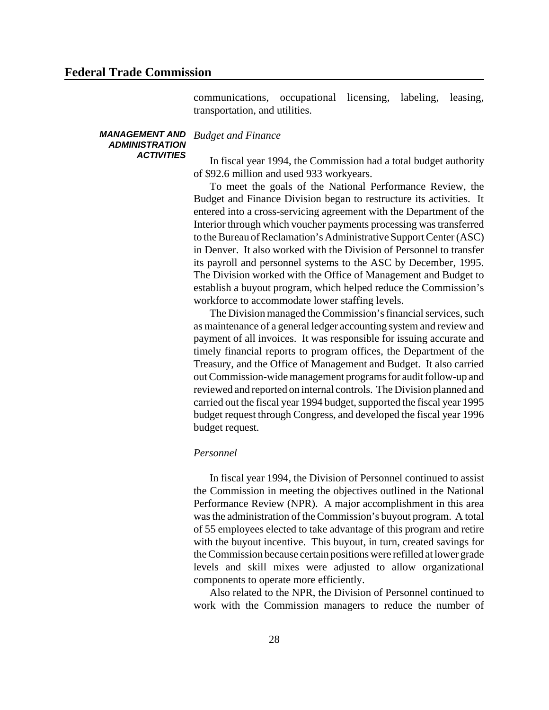communications, occupational licensing, labeling, leasing, transportation, and utilities.

#### *MANAGEMENT AND ADMINISTRATION ACTIVITIES*

#### *Budget and Finance*

In fiscal year 1994, the Commission had a total budget authority of \$92.6 million and used 933 workyears.

To meet the goals of the National Performance Review, the Budget and Finance Division began to restructure its activities. It entered into a cross-servicing agreement with the Department of the Interior through which voucher payments processing was transferred to the Bureau of Reclamation's Administrative Support Center (ASC) in Denver. It also worked with the Division of Personnel to transfer its payroll and personnel systems to the ASC by December, 1995. The Division worked with the Office of Management and Budget to establish a buyout program, which helped reduce the Commission's workforce to accommodate lower staffing levels.

The Division managed the Commission's financial services, such as maintenance of a general ledger accounting system and review and payment of all invoices. It was responsible for issuing accurate and timely financial reports to program offices, the Department of the Treasury, and the Office of Management and Budget. It also carried outCommission-widemanagement programsfor audit follow-up and reviewed and reported on internal controls. The Division planned and carried out the fiscal year 1994 budget, supported the fiscal year 1995 budget request through Congress, and developed the fiscal year 1996 budget request.

#### *Personnel*

In fiscal year 1994, the Division of Personnel continued to assist the Commission in meeting the objectives outlined in the National Performance Review (NPR). A major accomplishment in this area wasthe administration of the Commission's buyout program. A total of 55 employees elected to take advantage of this program and retire with the buyout incentive. This buyout, in turn, created savings for theCommission because certain positions were refilled at lower grade levels and skill mixes were adjusted to allow organizational components to operate more efficiently.

Also related to the NPR, the Division of Personnel continued to work with the Commission managers to reduce the number of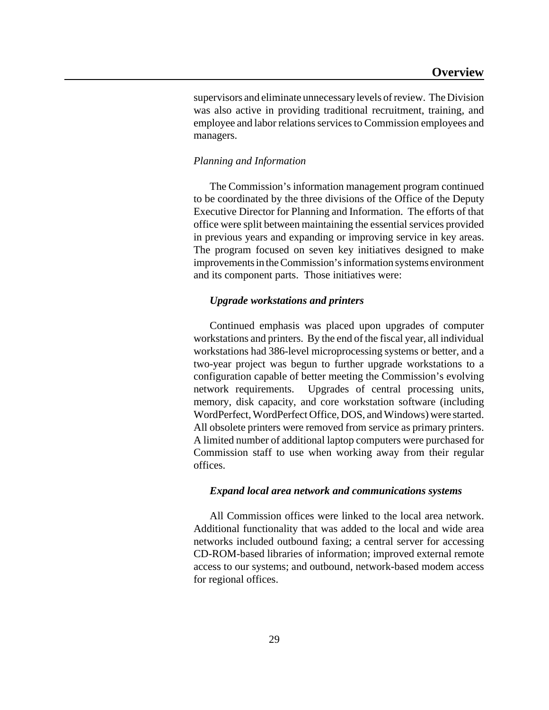supervisors and eliminate unnecessarylevels of review. The Division was also active in providing traditional recruitment, training, and employee and labor relations services to Commission employees and managers.

#### *Planning and Information*

The Commission's information management program continued to be coordinated by the three divisions of the Office of the Deputy Executive Director for Planning and Information. The efforts of that office were split between maintaining the essential services provided in previous years and expanding or improving service in key areas. The program focused on seven key initiatives designed to make improvements in the Commission's information systems environment and its component parts. Those initiatives were:

### *Upgrade workstations and printers*

Continued emphasis was placed upon upgrades of computer workstations and printers. By the end of the fiscal year, all individual workstations had 386-level microprocessing systems or better, and a two-year project was begun to further upgrade workstations to a configuration capable of better meeting the Commission's evolving network requirements. Upgrades of central processing units, memory, disk capacity, and core workstation software (including WordPerfect, WordPerfect Office, DOS, and Windows) were started. All obsolete printers were removed from service as primary printers. A limited number of additional laptop computers were purchased for Commission staff to use when working away from their regular offices.

#### *Expand local area network and communications systems*

All Commission offices were linked to the local area network. Additional functionality that was added to the local and wide area networks included outbound faxing; a central server for accessing CD-ROM-based libraries of information; improved external remote access to our systems; and outbound, network-based modem access for regional offices.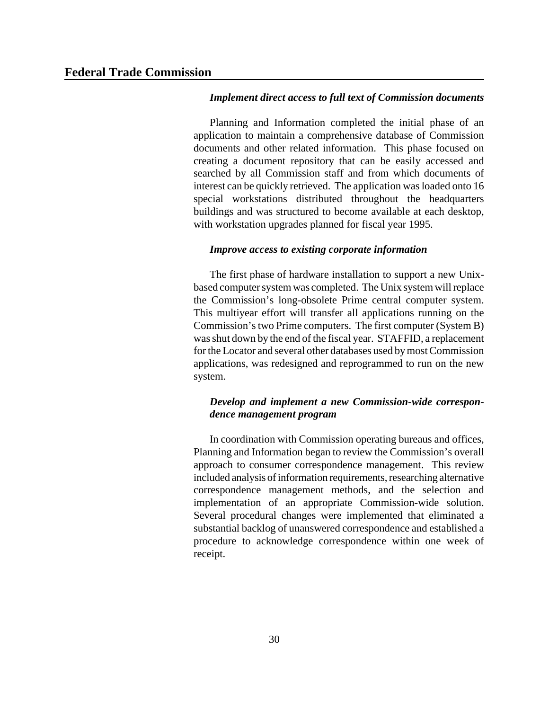#### *Implement direct access to full text of Commission documents*

Planning and Information completed the initial phase of an application to maintain a comprehensive database of Commission documents and other related information. This phase focused on creating a document repository that can be easily accessed and searched by all Commission staff and from which documents of interest can be quickly retrieved. The application was loaded onto 16 special workstations distributed throughout the headquarters buildings and was structured to become available at each desktop, with workstation upgrades planned for fiscal year 1995.

#### *Improve access to existing corporate information*

The first phase of hardware installation to support a new Unixbased computer system was completed. The Unix system will replace the Commission's long-obsolete Prime central computer system. This multiyear effort will transfer all applications running on the Commission'stwo Prime computers. The first computer (System B) wasshut down by the end of the fiscal year. STAFFID, a replacement forthe Locator and several other databases used bymostCommission applications, was redesigned and reprogrammed to run on the new system.

#### *Develop and implement a new Commission-wide correspondence management program*

In coordination with Commission operating bureaus and offices, Planning and Information began to review the Commission's overall approach to consumer correspondence management. This review included analysis of information requirements, researching alternative correspondence management methods, and the selection and implementation of an appropriate Commission-wide solution. Several procedural changes were implemented that eliminated a substantial backlog of unanswered correspondence and established a procedure to acknowledge correspondence within one week of receipt.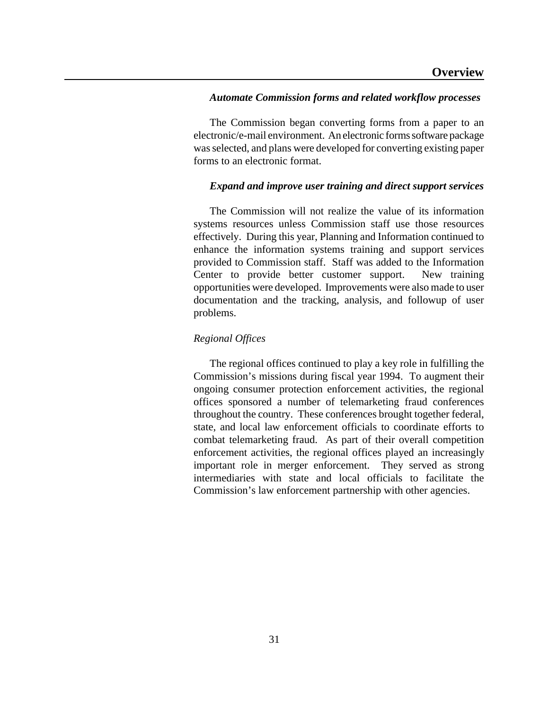#### *Automate Commission forms and related workflow processes*

The Commission began converting forms from a paper to an electronic/e-mail environment. An electronic forms software package was selected, and plans were developed for converting existing paper forms to an electronic format.

#### *Expand and improve user training and direct support services*

The Commission will not realize the value of its information systems resources unless Commission staff use those resources effectively. During this year, Planning and Information continued to enhance the information systems training and support services provided to Commission staff. Staff was added to the Information Center to provide better customer support. New training opportunities were developed. Improvements were also made to user documentation and the tracking, analysis, and followup of user problems.

#### *Regional Offices*

The regional offices continued to play a key role in fulfilling the Commission's missions during fiscal year 1994. To augment their ongoing consumer protection enforcement activities, the regional offices sponsored a number of telemarketing fraud conferences throughout the country. These conferences brought together federal, state, and local law enforcement officials to coordinate efforts to combat telemarketing fraud. As part of their overall competition enforcement activities, the regional offices played an increasingly important role in merger enforcement. They served as strong intermediaries with state and local officials to facilitate the Commission's law enforcement partnership with other agencies.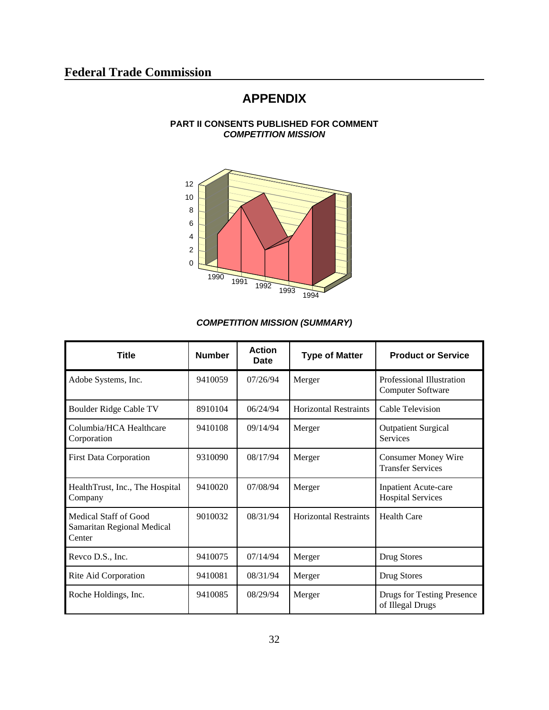# **Federal Trade Commission**

# **APPENDIX**

#### **PART II CONSENTS PUBLISHED FOR COMMENT** *COMPETITION MISSION*



### *COMPETITION MISSION (SUMMARY)*

| <b>Title</b>                                                  | <b>Number</b> | <b>Action</b><br>Date | <b>Type of Matter</b>        | <b>Product or Service</b>                               |
|---------------------------------------------------------------|---------------|-----------------------|------------------------------|---------------------------------------------------------|
| Adobe Systems, Inc.                                           | 9410059       | 07/26/94              | Merger                       | Professional Illustration<br>Computer Software          |
| <b>Boulder Ridge Cable TV</b>                                 | 8910104       | 06/24/94              | <b>Horizontal Restraints</b> | Cable Television                                        |
| Columbia/HCA Healthcare<br>Corporation                        | 9410108       | 09/14/94              | Merger                       | <b>Outpatient Surgical</b><br>Services                  |
| <b>First Data Corporation</b>                                 | 9310090       | 08/17/94              | Merger                       | <b>Consumer Money Wire</b><br><b>Transfer Services</b>  |
| HealthTrust, Inc., The Hospital<br>Company                    | 9410020       | 07/08/94              | Merger                       | <b>Inpatient Acute-care</b><br><b>Hospital Services</b> |
| Medical Staff of Good<br>Samaritan Regional Medical<br>Center | 9010032       | 08/31/94              | <b>Horizontal Restraints</b> | <b>Health Care</b>                                      |
| Revco D.S., Inc.                                              | 9410075       | 07/14/94              | Merger                       | Drug Stores                                             |
| Rite Aid Corporation                                          | 9410081       | 08/31/94              | Merger                       | Drug Stores                                             |
| Roche Holdings, Inc.                                          | 9410085       | 08/29/94              | Merger                       | <b>Drugs for Testing Presence</b><br>of Illegal Drugs   |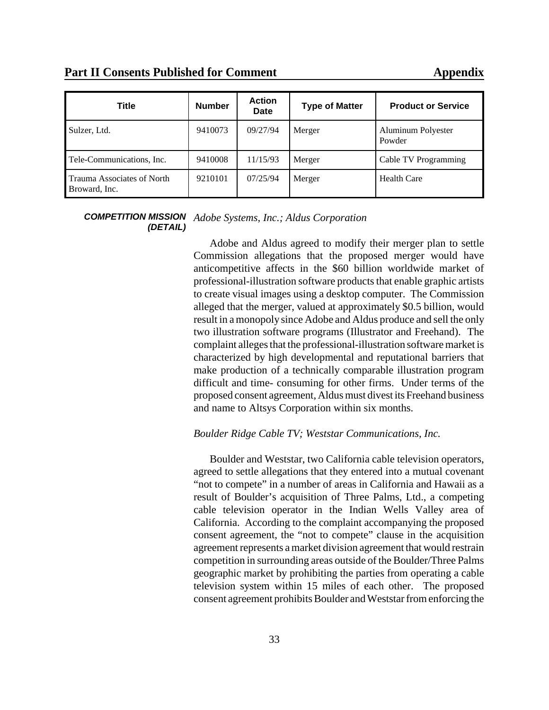**Part II Consents Published for Comment Appendix** 

| Title                                       | <b>Number</b> | <b>Action</b><br>Date | <b>Type of Matter</b> | <b>Product or Service</b>    |
|---------------------------------------------|---------------|-----------------------|-----------------------|------------------------------|
| Sulzer, Ltd.                                | 9410073       | 09/27/94              | Merger                | Aluminum Polyester<br>Powder |
| Tele-Communications, Inc.                   | 9410008       | 11/15/93              | Merger                | Cable TV Programming         |
| Trauma Associates of North<br>Broward, Inc. | 9210101       | 07/25/94              | Merger                | <b>Health Care</b>           |

*COMPETITION MISSION Adobe Systems, Inc.; Aldus Corporation (DETAIL)*

> Adobe and Aldus agreed to modify their merger plan to settle Commission allegations that the proposed merger would have anticompetitive affects in the \$60 billion worldwide market of professional-illustration software products that enable graphic artists to create visual images using a desktop computer. The Commission alleged that the merger, valued at approximately \$0.5 billion, would result in a monopoly since Adobe and Aldus produce and sell the only two illustration software programs (Illustrator and Freehand). The complaint alleges that the professional-illustration software market is characterized by high developmental and reputational barriers that make production of a technically comparable illustration program difficult and time- consuming for other firms. Under terms of the proposed consent agreement, Aldus must divest its Freehand business and name to Altsys Corporation within six months.

#### *Boulder Ridge Cable TV; Weststar Communications, Inc.*

Boulder and Weststar, two California cable television operators, agreed to settle allegations that they entered into a mutual covenant "not to compete" in a number of areas in California and Hawaii as a result of Boulder's acquisition of Three Palms, Ltd., a competing cable television operator in the Indian Wells Valley area of California. According to the complaint accompanying the proposed consent agreement, the "not to compete" clause in the acquisition agreement represents a market division agreement that would restrain competition in surrounding areas outside of the Boulder/Three Palms geographic market by prohibiting the parties from operating a cable television system within 15 miles of each other. The proposed consent agreement prohibits Boulder and Weststar from enforcing the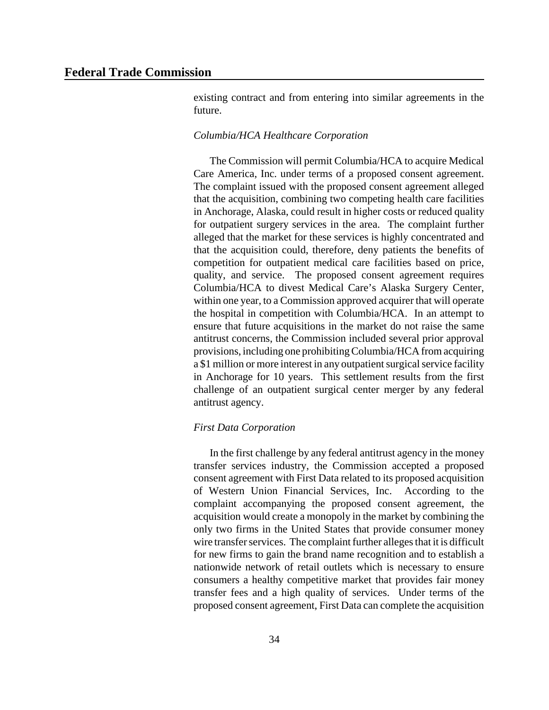existing contract and from entering into similar agreements in the future.

#### *Columbia/HCA Healthcare Corporation*

The Commission will permit Columbia/HCA to acquire Medical Care America, Inc. under terms of a proposed consent agreement. The complaint issued with the proposed consent agreement alleged that the acquisition, combining two competing health care facilities in Anchorage, Alaska, could result in higher costs or reduced quality for outpatient surgery services in the area. The complaint further alleged that the market for these services is highly concentrated and that the acquisition could, therefore, deny patients the benefits of competition for outpatient medical care facilities based on price, quality, and service. The proposed consent agreement requires Columbia/HCA to divest Medical Care's Alaska Surgery Center, within one year, to a Commission approved acquirer that will operate the hospital in competition with Columbia/HCA. In an attempt to ensure that future acquisitions in the market do not raise the same antitrust concerns, the Commission included several prior approval provisions, including one prohibitingColumbia/HCAfromacquiring a \$1 million or more interest in any outpatient surgical service facility in Anchorage for 10 years. This settlement results from the first challenge of an outpatient surgical center merger by any federal antitrust agency.

#### *First Data Corporation*

In the first challenge by any federal antitrust agency in the money transfer services industry, the Commission accepted a proposed consent agreement with First Data related to its proposed acquisition of Western Union Financial Services, Inc. According to the complaint accompanying the proposed consent agreement, the acquisition would create a monopoly in the market by combining the only two firms in the United States that provide consumer money wire transfer services. The complaint further alleges that it is difficult for new firms to gain the brand name recognition and to establish a nationwide network of retail outlets which is necessary to ensure consumers a healthy competitive market that provides fair money transfer fees and a high quality of services. Under terms of the proposed consent agreement, First Data can complete the acquisition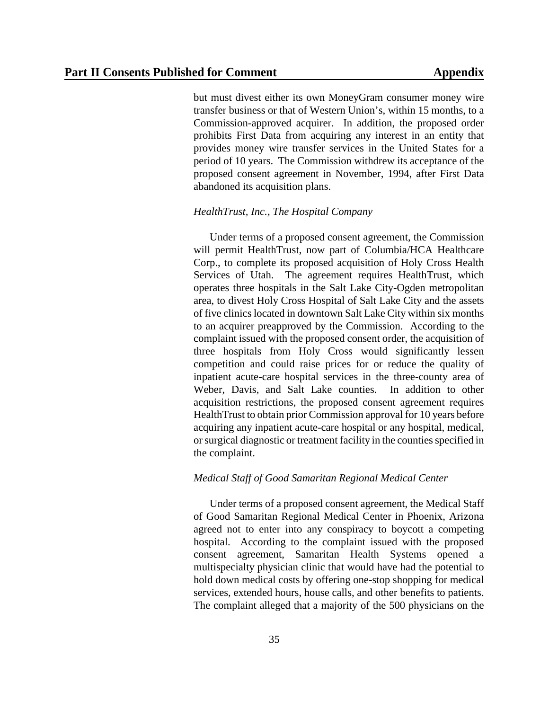but must divest either its own MoneyGram consumer money wire transfer business or that of Western Union's, within 15 months, to a Commission-approved acquirer. In addition, the proposed order prohibits First Data from acquiring any interest in an entity that provides money wire transfer services in the United States for a period of 10 years. The Commission withdrew its acceptance of the proposed consent agreement in November, 1994, after First Data abandoned its acquisition plans.

#### *HealthTrust, Inc., The Hospital Company*

Under terms of a proposed consent agreement, the Commission will permit HealthTrust, now part of Columbia/HCA Healthcare Corp., to complete its proposed acquisition of Holy Cross Health Services of Utah. The agreement requires HealthTrust, which operates three hospitals in the Salt Lake City-Ogden metropolitan area, to divest Holy Cross Hospital of Salt Lake City and the assets of five clinics located in downtown Salt Lake City within six months to an acquirer preapproved by the Commission. According to the complaint issued with the proposed consent order, the acquisition of three hospitals from Holy Cross would significantly lessen competition and could raise prices for or reduce the quality of inpatient acute-care hospital services in the three-county area of Weber, Davis, and Salt Lake counties. In addition to other acquisition restrictions, the proposed consent agreement requires HealthTrust to obtain prior Commission approval for 10 years before acquiring any inpatient acute-care hospital or any hospital, medical, or surgical diagnostic or treatment facility in the counties specified in the complaint.

#### *Medical Staff of Good Samaritan Regional Medical Center*

Under terms of a proposed consent agreement, the Medical Staff of Good Samaritan Regional Medical Center in Phoenix, Arizona agreed not to enter into any conspiracy to boycott a competing hospital. According to the complaint issued with the proposed consent agreement, Samaritan Health Systems opened a multispecialty physician clinic that would have had the potential to hold down medical costs by offering one-stop shopping for medical services, extended hours, house calls, and other benefits to patients. The complaint alleged that a majority of the 500 physicians on the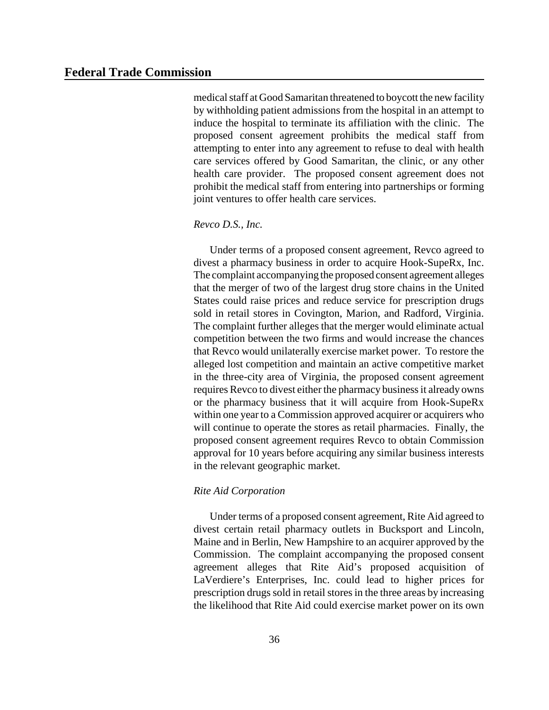medical staff at Good Samaritan threatened to boycott the new facility by withholding patient admissions from the hospital in an attempt to induce the hospital to terminate its affiliation with the clinic. The proposed consent agreement prohibits the medical staff from attempting to enter into any agreement to refuse to deal with health care services offered by Good Samaritan, the clinic, or any other health care provider. The proposed consent agreement does not prohibit the medical staff from entering into partnerships or forming joint ventures to offer health care services.

#### *Revco D.S., Inc.*

Under terms of a proposed consent agreement, Revco agreed to divest a pharmacy business in order to acquire Hook-SupeRx, Inc. The complaint accompanying the proposed consent agreement alleges that the merger of two of the largest drug store chains in the United States could raise prices and reduce service for prescription drugs sold in retail stores in Covington, Marion, and Radford, Virginia. The complaint further alleges that the merger would eliminate actual competition between the two firms and would increase the chances that Revco would unilaterally exercise market power. To restore the alleged lost competition and maintain an active competitive market in the three-city area of Virginia, the proposed consent agreement requires Revco to divest either the pharmacy businessit already owns or the pharmacy business that it will acquire from Hook-SupeRx within one year to a Commission approved acquirer or acquirers who will continue to operate the stores as retail pharmacies. Finally, the proposed consent agreement requires Revco to obtain Commission approval for 10 years before acquiring any similar business interests in the relevant geographic market.

#### *Rite Aid Corporation*

Under terms of a proposed consent agreement, Rite Aid agreed to divest certain retail pharmacy outlets in Bucksport and Lincoln, Maine and in Berlin, New Hampshire to an acquirer approved by the Commission. The complaint accompanying the proposed consent agreement alleges that Rite Aid's proposed acquisition of LaVerdiere's Enterprises, Inc. could lead to higher prices for prescription drugs sold in retail stores in the three areas by increasing the likelihood that Rite Aid could exercise market power on its own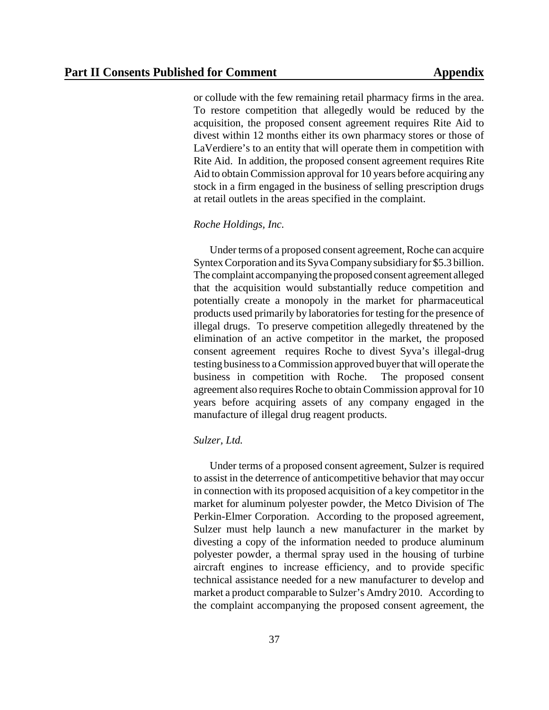or collude with the few remaining retail pharmacy firms in the area. To restore competition that allegedly would be reduced by the acquisition, the proposed consent agreement requires Rite Aid to divest within 12 months either its own pharmacy stores or those of LaVerdiere's to an entity that will operate them in competition with Rite Aid. In addition, the proposed consent agreement requires Rite Aid to obtain Commission approval for 10 years before acquiring any stock in a firm engaged in the business of selling prescription drugs at retail outlets in the areas specified in the complaint.

#### *Roche Holdings, Inc.*

Under terms of a proposed consent agreement, Roche can acquire Syntex Corporation and its Syva Company subsidiary for \$5.3 billion. The complaint accompanying the proposed consent agreement alleged that the acquisition would substantially reduce competition and potentially create a monopoly in the market for pharmaceutical products used primarily by laboratories for testing for the presence of illegal drugs. To preserve competition allegedly threatened by the elimination of an active competitor in the market, the proposed consent agreement requires Roche to divest Syva's illegal-drug testing businessto aCommission approved buyerthat will operate the business in competition with Roche. The proposed consent agreement also requires Roche to obtain Commission approval for 10 years before acquiring assets of any company engaged in the manufacture of illegal drug reagent products.

## *Sulzer, Ltd.*

Under terms of a proposed consent agreement, Sulzer is required to assist in the deterrence of anticompetitive behavior that may occur in connection with its proposed acquisition of a key competitor in the market for aluminum polyester powder, the Metco Division of The Perkin-Elmer Corporation. According to the proposed agreement, Sulzer must help launch a new manufacturer in the market by divesting a copy of the information needed to produce aluminum polyester powder, a thermal spray used in the housing of turbine aircraft engines to increase efficiency, and to provide specific technical assistance needed for a new manufacturer to develop and market a product comparable to Sulzer's Amdry 2010. According to the complaint accompanying the proposed consent agreement, the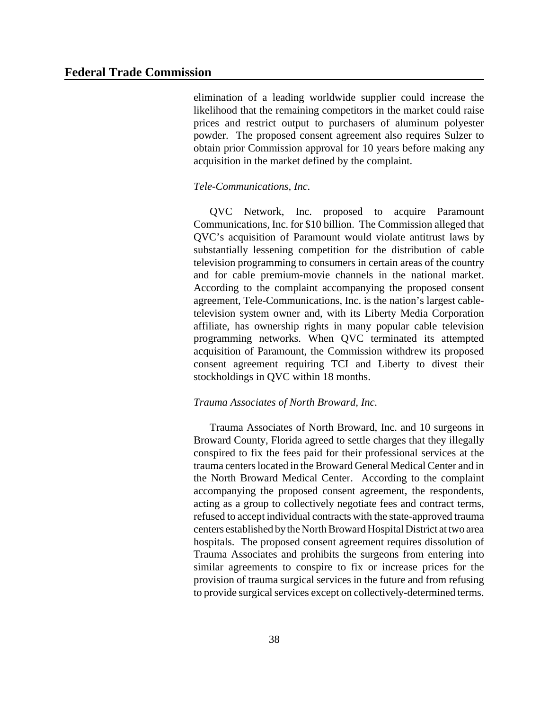elimination of a leading worldwide supplier could increase the likelihood that the remaining competitors in the market could raise prices and restrict output to purchasers of aluminum polyester powder. The proposed consent agreement also requires Sulzer to obtain prior Commission approval for 10 years before making any acquisition in the market defined by the complaint.

#### *Tele-Communications, Inc.*

QVC Network, Inc. proposed to acquire Paramount Communications, Inc. for \$10 billion. The Commission alleged that QVC's acquisition of Paramount would violate antitrust laws by substantially lessening competition for the distribution of cable television programming to consumers in certain areas of the country and for cable premium-movie channels in the national market. According to the complaint accompanying the proposed consent agreement, Tele-Communications, Inc. is the nation's largest cabletelevision system owner and, with its Liberty Media Corporation affiliate, has ownership rights in many popular cable television programming networks. When QVC terminated its attempted acquisition of Paramount, the Commission withdrew its proposed consent agreement requiring TCI and Liberty to divest their stockholdings in QVC within 18 months.

#### *Trauma Associates of North Broward, Inc.*

Trauma Associates of North Broward, Inc. and 10 surgeons in Broward County, Florida agreed to settle charges that they illegally conspired to fix the fees paid for their professional services at the trauma centers located in the Broward General Medical Center and in the North Broward Medical Center. According to the complaint accompanying the proposed consent agreement, the respondents, acting as a group to collectively negotiate fees and contract terms, refused to accept individual contracts with the state-approved trauma centers established bythe North Broward Hospital District at two area hospitals. The proposed consent agreement requires dissolution of Trauma Associates and prohibits the surgeons from entering into similar agreements to conspire to fix or increase prices for the provision of trauma surgical services in the future and from refusing to provide surgical services except on collectively-determined terms.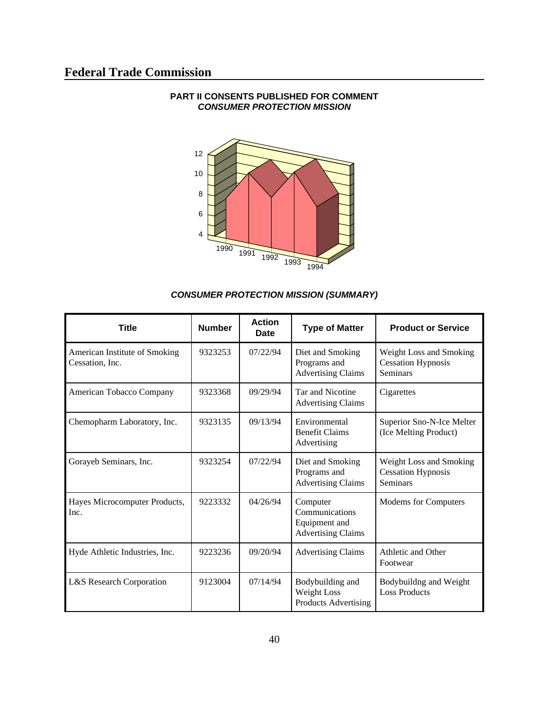## **Federal Trade Commission**



#### **PART II CONSENTS PUBLISHED FOR COMMENT** *CONSUMER PROTECTION MISSION*

## *CONSUMER PROTECTION MISSION (SUMMARY)*

| <b>Title</b>                                     | <b>Number</b> | <b>Action</b><br>Date | <b>Type of Matter</b>                                                    | <b>Product or Service</b>                                               |
|--------------------------------------------------|---------------|-----------------------|--------------------------------------------------------------------------|-------------------------------------------------------------------------|
| American Institute of Smoking<br>Cessation, Inc. | 9323253       | 07/22/94              | Diet and Smoking<br>Programs and<br><b>Advertising Claims</b>            | Weight Loss and Smoking<br><b>Cessation Hypnosis</b><br><b>Seminars</b> |
| American Tobacco Company                         | 9323368       | 09/29/94              | Tar and Nicotine<br><b>Advertising Claims</b>                            | Cigarettes                                                              |
| Chemopharm Laboratory, Inc.                      | 9323135       | 09/13/94              | Environmental<br><b>Benefit Claims</b><br>Advertising                    | Superior Sno-N-Ice Melter<br>(Ice Melting Product)                      |
| Gorayeb Seminars, Inc.                           | 9323254       | 07/22/94              | Diet and Smoking<br>Programs and<br><b>Advertising Claims</b>            | Weight Loss and Smoking<br><b>Cessation Hypnosis</b><br>Seminars        |
| Hayes Microcomputer Products,<br>Inc.            | 9223332       | 04/26/94              | Computer<br>Communications<br>Equipment and<br><b>Advertising Claims</b> | <b>Modems for Computers</b>                                             |
| Hyde Athletic Industries, Inc.                   | 9223236       | 09/20/94              | <b>Advertising Claims</b>                                                | Athletic and Other<br>Footwear                                          |
| L&S Research Corporation                         | 9123004       | 07/14/94              | Bodybuilding and<br>Weight Loss<br><b>Products Advertising</b>           | Bodybuildng and Weight<br><b>Loss Products</b>                          |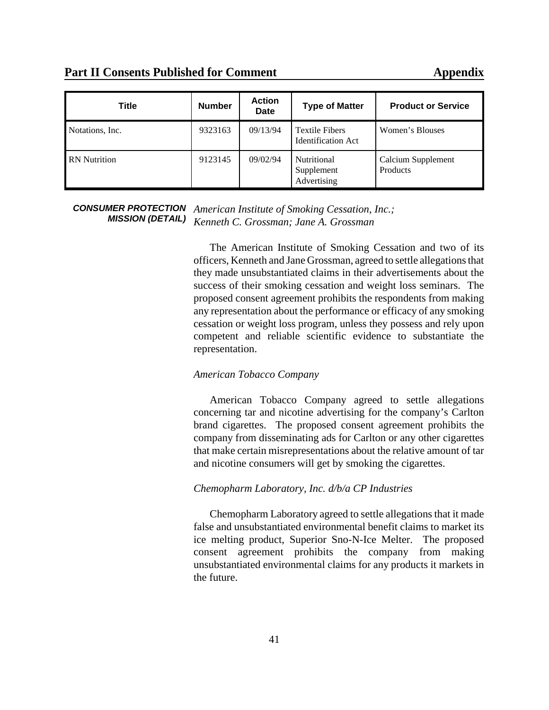| Title               | <b>Number</b> | <b>Action</b><br><b>Date</b> | <b>Type of Matter</b>                              | <b>Product or Service</b>      |
|---------------------|---------------|------------------------------|----------------------------------------------------|--------------------------------|
| Notations, Inc.     | 9323163       | 09/13/94                     | <b>Textile Fibers</b><br><b>Identification Act</b> | Women's Blouses                |
| <b>RN</b> Nutrition | 9123145       | 09/02/94                     | Nutritional<br>Supplement<br>Advertising           | Calcium Supplement<br>Products |

*CONSUMER PROTECTION American Institute of Smoking Cessation, Inc.; MISSION (DETAIL) Kenneth C. Grossman; Jane A. Grossman*

> The American Institute of Smoking Cessation and two of its officers, Kenneth and Jane Grossman, agreed to settle allegations that they made unsubstantiated claims in their advertisements about the success of their smoking cessation and weight loss seminars. The proposed consent agreement prohibits the respondents from making any representation about the performance or efficacy of any smoking cessation or weight loss program, unless they possess and rely upon competent and reliable scientific evidence to substantiate the representation.

#### *American Tobacco Company*

American Tobacco Company agreed to settle allegations concerning tar and nicotine advertising for the company's Carlton brand cigarettes. The proposed consent agreement prohibits the company from disseminating ads for Carlton or any other cigarettes that make certain misrepresentations about the relative amount of tar and nicotine consumers will get by smoking the cigarettes.

#### *Chemopharm Laboratory, Inc. d/b/a CP Industries*

Chemopharm Laboratory agreed to settle allegations that it made false and unsubstantiated environmental benefit claims to market its ice melting product, Superior Sno-N-Ice Melter. The proposed consent agreement prohibits the company from making unsubstantiated environmental claims for any products it markets in the future.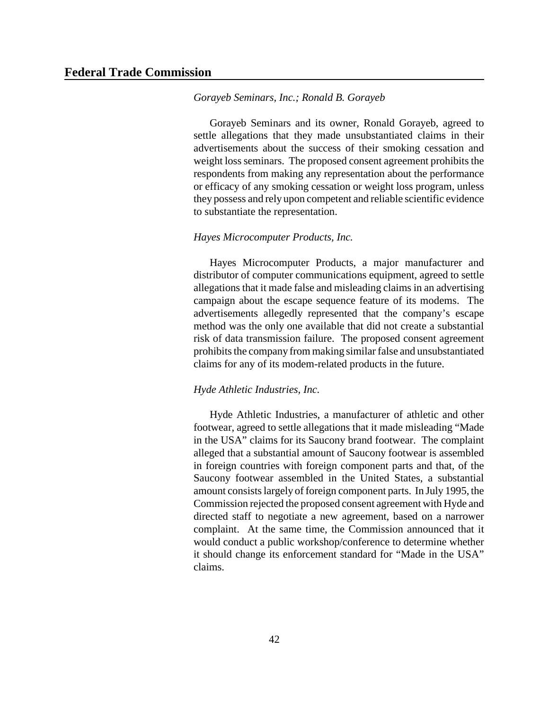#### *Gorayeb Seminars, Inc.; Ronald B. Gorayeb*

Gorayeb Seminars and its owner, Ronald Gorayeb, agreed to settle allegations that they made unsubstantiated claims in their advertisements about the success of their smoking cessation and weight loss seminars. The proposed consent agreement prohibits the respondents from making any representation about the performance or efficacy of any smoking cessation or weight loss program, unless they possess and rely upon competent and reliable scientific evidence to substantiate the representation.

#### *Hayes Microcomputer Products, Inc.*

Hayes Microcomputer Products, a major manufacturer and distributor of computer communications equipment, agreed to settle allegations that it made false and misleading claims in an advertising campaign about the escape sequence feature of its modems. The advertisements allegedly represented that the company's escape method was the only one available that did not create a substantial risk of data transmission failure. The proposed consent agreement prohibits the company from making similar false and unsubstantiated claims for any of its modem-related products in the future.

#### *Hyde Athletic Industries, Inc.*

Hyde Athletic Industries, a manufacturer of athletic and other footwear, agreed to settle allegations that it made misleading "Made in the USA" claims for its Saucony brand footwear. The complaint alleged that a substantial amount of Saucony footwear is assembled in foreign countries with foreign component parts and that, of the Saucony footwear assembled in the United States, a substantial amount consistslargely of foreign component parts. In July 1995, the Commission rejected the proposed consent agreement with Hyde and directed staff to negotiate a new agreement, based on a narrower complaint. At the same time, the Commission announced that it would conduct a public workshop/conference to determine whether it should change its enforcement standard for "Made in the USA" claims.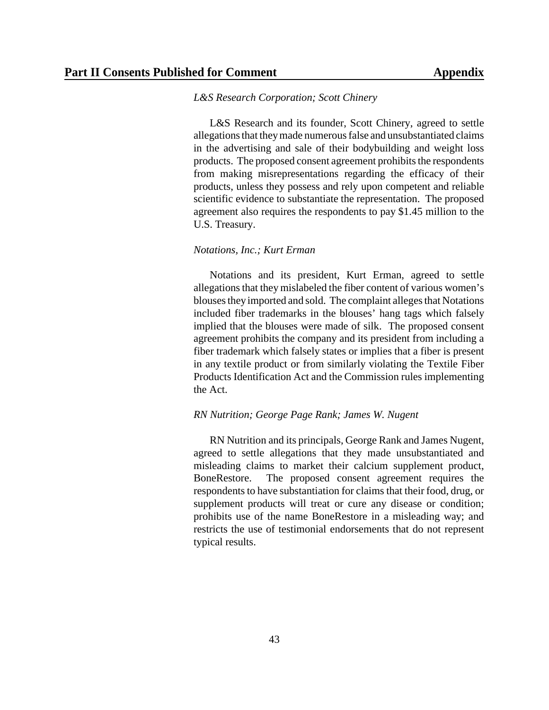#### *L&S Research Corporation; Scott Chinery*

L&S Research and its founder, Scott Chinery, agreed to settle allegations that they made numerous false and unsubstantiated claims in the advertising and sale of their bodybuilding and weight loss products. The proposed consent agreement prohibits the respondents from making misrepresentations regarding the efficacy of their products, unless they possess and rely upon competent and reliable scientific evidence to substantiate the representation. The proposed agreement also requires the respondents to pay \$1.45 million to the U.S. Treasury.

#### *Notations, Inc.; Kurt Erman*

Notations and its president, Kurt Erman, agreed to settle allegations that they mislabeled the fiber content of various women's blousesthey imported and sold. The complaint alleges that Notations included fiber trademarks in the blouses' hang tags which falsely implied that the blouses were made of silk. The proposed consent agreement prohibits the company and its president from including a fiber trademark which falsely states or implies that a fiber is present in any textile product or from similarly violating the Textile Fiber Products Identification Act and the Commission rules implementing the Act.

#### *RN Nutrition; George Page Rank; James W. Nugent*

RN Nutrition and its principals, George Rank and James Nugent, agreed to settle allegations that they made unsubstantiated and misleading claims to market their calcium supplement product, BoneRestore. The proposed consent agreement requires the respondents to have substantiation for claims that their food, drug, or supplement products will treat or cure any disease or condition; prohibits use of the name BoneRestore in a misleading way; and restricts the use of testimonial endorsements that do not represent typical results.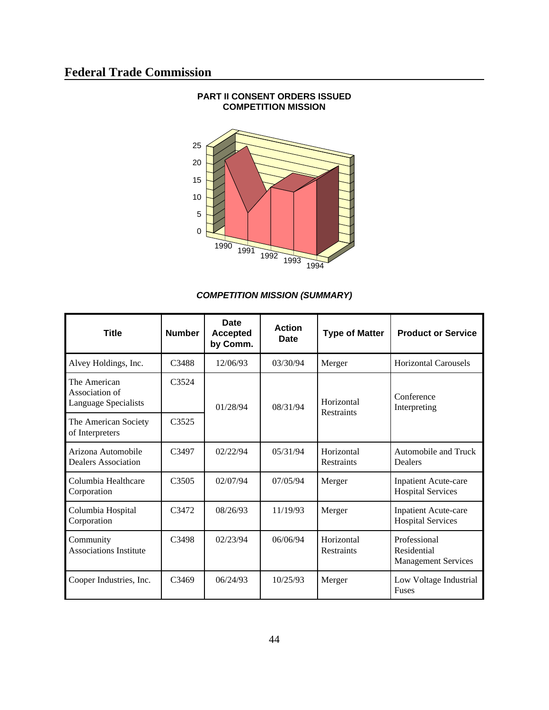## **Federal Trade Commission**



#### **PART II CONSENT ORDERS ISSUED COMPETITION MISSION**

## *COMPETITION MISSION (SUMMARY)*

| <b>Title</b>                                           | <b>Number</b>     | <b>Date</b><br><b>Accepted</b><br>by Comm. | <b>Action</b><br>Date | <b>Type of Matter</b>           | <b>Product or Service</b>                                 |
|--------------------------------------------------------|-------------------|--------------------------------------------|-----------------------|---------------------------------|-----------------------------------------------------------|
| Alvey Holdings, Inc.                                   | C3488             | 12/06/93                                   | 03/30/94              | Merger                          | <b>Horizontal Carousels</b>                               |
| The American<br>Association of<br>Language Specialists | C <sub>3524</sub> | 01/28/94                                   | 08/31/94              | Horizontal<br><b>Restraints</b> | Conference<br>Interpreting                                |
| The American Society<br>of Interpreters                | C <sub>3525</sub> |                                            |                       |                                 |                                                           |
| Arizona Automobile<br>Dealers Association              | C3497             | 02/22/94                                   | 05/31/94              | Horizontal<br><b>Restraints</b> | Automobile and Truck<br>Dealers                           |
| Columbia Healthcare<br>Corporation                     | C3505             | 02/07/94                                   | 07/05/94              | Merger                          | <b>Inpatient Acute-care</b><br><b>Hospital Services</b>   |
| Columbia Hospital<br>Corporation                       | C3472             | 08/26/93                                   | 11/19/93              | Merger                          | <b>Inpatient Acute-care</b><br><b>Hospital Services</b>   |
| Community<br><b>Associations Institute</b>             | C3498             | 02/23/94                                   | 06/06/94              | Horizontal<br><b>Restraints</b> | Professional<br>Residential<br><b>Management Services</b> |
| Cooper Industries, Inc.                                | C3469             | 06/24/93                                   | 10/25/93              | Merger                          | Low Voltage Industrial<br>Fuses                           |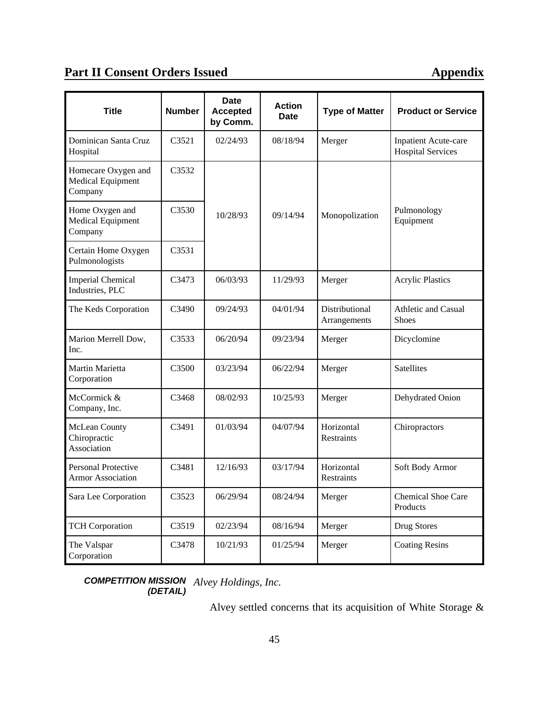# **Part II Consent Orders Issued Appendix**

| <b>Title</b>                                           | <b>Number</b> | <b>Date</b><br><b>Accepted</b><br>by Comm. | <b>Action</b><br><b>Date</b> | <b>Type of Matter</b>          | <b>Product or Service</b>                               |
|--------------------------------------------------------|---------------|--------------------------------------------|------------------------------|--------------------------------|---------------------------------------------------------|
| Dominican Santa Cruz<br>Hospital                       | C3521         | 02/24/93                                   | 08/18/94                     | Merger                         | <b>Inpatient Acute-care</b><br><b>Hospital Services</b> |
| Homecare Oxygen and<br>Medical Equipment<br>Company    | C3532         |                                            |                              |                                |                                                         |
| Home Oxygen and<br><b>Medical Equipment</b><br>Company | C3530         | 10/28/93                                   | 09/14/94                     | Monopolization                 | Pulmonology<br>Equipment                                |
| Certain Home Oxygen<br>Pulmonologists                  | C3531         |                                            |                              |                                |                                                         |
| <b>Imperial Chemical</b><br>Industries, PLC            | C3473         | 06/03/93                                   | 11/29/93                     | Merger                         | <b>Acrylic Plastics</b>                                 |
| The Keds Corporation                                   | C3490         | 09/24/93                                   | 04/01/94                     | Distributional<br>Arrangements | Athletic and Casual<br><b>Shoes</b>                     |
| Marion Merrell Dow,<br>Inc.                            | C3533         | 06/20/94                                   | 09/23/94                     | Merger                         | Dicyclomine                                             |
| Martin Marietta<br>Corporation                         | C3500         | 03/23/94                                   | 06/22/94                     | Merger                         | <b>Satellites</b>                                       |
| McCormick &<br>Company, Inc.                           | C3468         | 08/02/93                                   | 10/25/93                     | Merger                         | Dehydrated Onion                                        |
| McLean County<br>Chiropractic<br>Association           | C3491         | 01/03/94                                   | 04/07/94                     | Horizontal<br>Restraints       | Chiropractors                                           |
| <b>Personal Protective</b><br><b>Armor Association</b> | C3481         | 12/16/93                                   | 03/17/94                     | Horizontal<br>Restraints       | Soft Body Armor                                         |
| Sara Lee Corporation                                   | C3523         | 06/29/94                                   | 08/24/94                     | Merger                         | <b>Chemical Shoe Care</b><br>Products                   |
| <b>TCH Corporation</b>                                 | C3519         | 02/23/94                                   | 08/16/94                     | Merger                         | Drug Stores                                             |
| The Valspar<br>Corporation                             | C3478         | 10/21/93                                   | 01/25/94                     | Merger                         | <b>Coating Resins</b>                                   |

#### *COMPETITION MISSION (DETAIL) Alvey Holdings, Inc.*

Alvey settled concerns that its acquisition of White Storage &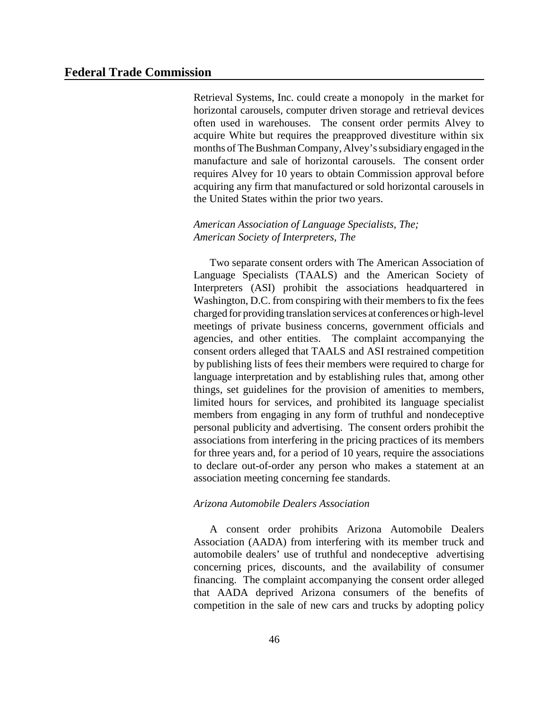Retrieval Systems, Inc. could create a monopoly in the market for horizontal carousels, computer driven storage and retrieval devices often used in warehouses. The consent order permits Alvey to acquire White but requires the preapproved divestiture within six months ofThe Bushman Company, Alvey's subsidiary engaged in the manufacture and sale of horizontal carousels. The consent order requires Alvey for 10 years to obtain Commission approval before acquiring any firm that manufactured or sold horizontal carousels in the United States within the prior two years.

### *American Association of Language Specialists, The; American Society of Interpreters, The*

Two separate consent orders with The American Association of Language Specialists (TAALS) and the American Society of Interpreters (ASI) prohibit the associations headquartered in Washington, D.C. from conspiring with their members to fix the fees charged for providing translation services at conferences or high-level meetings of private business concerns, government officials and agencies, and other entities. The complaint accompanying the consent orders alleged that TAALS and ASI restrained competition by publishing lists of fees their members were required to charge for language interpretation and by establishing rules that, among other things, set guidelines for the provision of amenities to members, limited hours for services, and prohibited its language specialist members from engaging in any form of truthful and nondeceptive personal publicity and advertising. The consent orders prohibit the associations from interfering in the pricing practices of its members for three years and, for a period of 10 years, require the associations to declare out-of-order any person who makes a statement at an association meeting concerning fee standards.

#### *Arizona Automobile Dealers Association*

A consent order prohibits Arizona Automobile Dealers Association (AADA) from interfering with its member truck and automobile dealers' use of truthful and nondeceptive advertising concerning prices, discounts, and the availability of consumer financing. The complaint accompanying the consent order alleged that AADA deprived Arizona consumers of the benefits of competition in the sale of new cars and trucks by adopting policy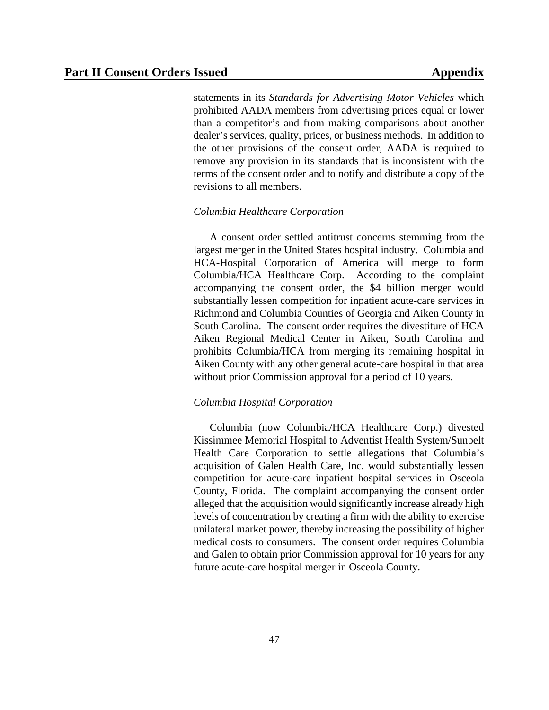statements in its *Standards for Advertising Motor Vehicles* which prohibited AADA members from advertising prices equal or lower than a competitor's and from making comparisons about another dealer's services, quality, prices, or business methods. In addition to the other provisions of the consent order, AADA is required to remove any provision in its standards that is inconsistent with the terms of the consent order and to notify and distribute a copy of the revisions to all members.

#### *Columbia Healthcare Corporation*

A consent order settled antitrust concerns stemming from the largest merger in the United States hospital industry. Columbia and HCA-Hospital Corporation of America will merge to form Columbia/HCA Healthcare Corp. According to the complaint accompanying the consent order, the \$4 billion merger would substantially lessen competition for inpatient acute-care services in Richmond and Columbia Counties of Georgia and Aiken County in South Carolina. The consent order requires the divestiture of HCA Aiken Regional Medical Center in Aiken, South Carolina and prohibits Columbia/HCA from merging its remaining hospital in Aiken County with any other general acute-care hospital in that area without prior Commission approval for a period of 10 years.

#### *Columbia Hospital Corporation*

Columbia (now Columbia/HCA Healthcare Corp.) divested Kissimmee Memorial Hospital to Adventist Health System/Sunbelt Health Care Corporation to settle allegations that Columbia's acquisition of Galen Health Care, Inc. would substantially lessen competition for acute-care inpatient hospital services in Osceola County, Florida. The complaint accompanying the consent order alleged that the acquisition would significantly increase already high levels of concentration by creating a firm with the ability to exercise unilateral market power, thereby increasing the possibility of higher medical costs to consumers. The consent order requires Columbia and Galen to obtain prior Commission approval for 10 years for any future acute-care hospital merger in Osceola County.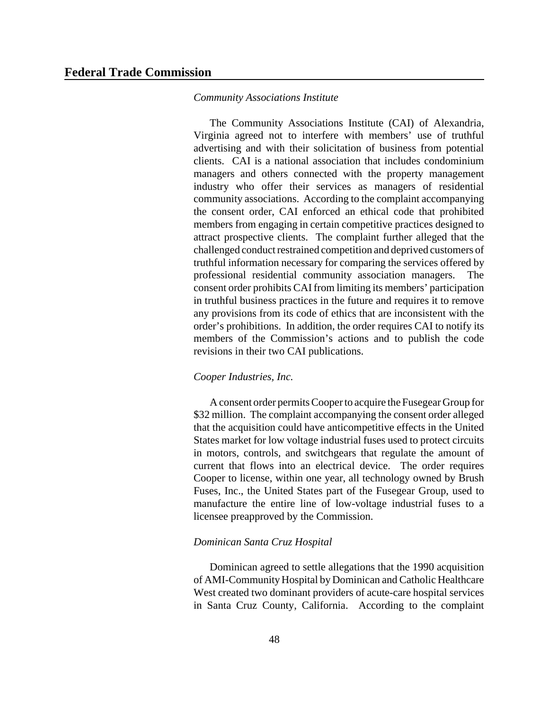## **Federal Trade Commission**

#### *Community Associations Institute*

The Community Associations Institute (CAI) of Alexandria, Virginia agreed not to interfere with members' use of truthful advertising and with their solicitation of business from potential clients. CAI is a national association that includes condominium managers and others connected with the property management industry who offer their services as managers of residential community associations. According to the complaint accompanying the consent order, CAI enforced an ethical code that prohibited members from engaging in certain competitive practices designed to attract prospective clients. The complaint further alleged that the challenged conduct restrained competition and deprived customers of truthful information necessary for comparing the services offered by professional residential community association managers. The consent order prohibits CAI from limiting its members' participation in truthful business practices in the future and requires it to remove any provisions from its code of ethics that are inconsistent with the order's prohibitions. In addition, the order requires CAI to notify its members of the Commission's actions and to publish the code revisions in their two CAI publications.

#### *Cooper Industries, Inc.*

A consent order permits Cooper to acquire the Fusegear Group for \$32 million. The complaint accompanying the consent order alleged that the acquisition could have anticompetitive effects in the United States market for low voltage industrial fuses used to protect circuits in motors, controls, and switchgears that regulate the amount of current that flows into an electrical device. The order requires Cooper to license, within one year, all technology owned by Brush Fuses, Inc., the United States part of the Fusegear Group, used to manufacture the entire line of low-voltage industrial fuses to a licensee preapproved by the Commission.

#### *Dominican Santa Cruz Hospital*

Dominican agreed to settle allegations that the 1990 acquisition of AMI-Community Hospital by Dominican and Catholic Healthcare West created two dominant providers of acute-care hospital services in Santa Cruz County, California. According to the complaint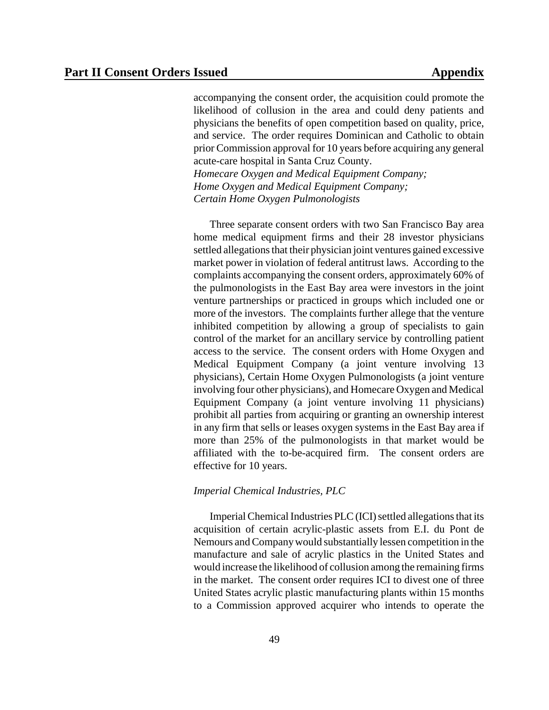accompanying the consent order, the acquisition could promote the likelihood of collusion in the area and could deny patients and physicians the benefits of open competition based on quality, price, and service. The order requires Dominican and Catholic to obtain prior Commission approval for 10 years before acquiring any general acute-care hospital in Santa Cruz County.

*Homecare Oxygen and Medical Equipment Company; Home Oxygen and Medical Equipment Company; Certain Home Oxygen Pulmonologists*

Three separate consent orders with two San Francisco Bay area home medical equipment firms and their 28 investor physicians settled allegations that their physician joint ventures gained excessive market power in violation of federal antitrust laws. According to the complaints accompanying the consent orders, approximately 60% of the pulmonologists in the East Bay area were investors in the joint venture partnerships or practiced in groups which included one or more of the investors. The complaints further allege that the venture inhibited competition by allowing a group of specialists to gain control of the market for an ancillary service by controlling patient access to the service. The consent orders with Home Oxygen and Medical Equipment Company (a joint venture involving 13 physicians), Certain Home Oxygen Pulmonologists (a joint venture involving four other physicians), and Homecare Oxygen and Medical Equipment Company (a joint venture involving 11 physicians) prohibit all parties from acquiring or granting an ownership interest in any firm that sells or leases oxygen systems in the East Bay area if more than 25% of the pulmonologists in that market would be affiliated with the to-be-acquired firm. The consent orders are effective for 10 years.

#### *Imperial Chemical Industries, PLC*

Imperial Chemical Industries PLC (ICI) settled allegations that its acquisition of certain acrylic-plastic assets from E.I. du Pont de Nemours and Company would substantially lessen competition in the manufacture and sale of acrylic plastics in the United States and would increase the likelihood of collusion among the remaining firms in the market. The consent order requires ICI to divest one of three United States acrylic plastic manufacturing plants within 15 months to a Commission approved acquirer who intends to operate the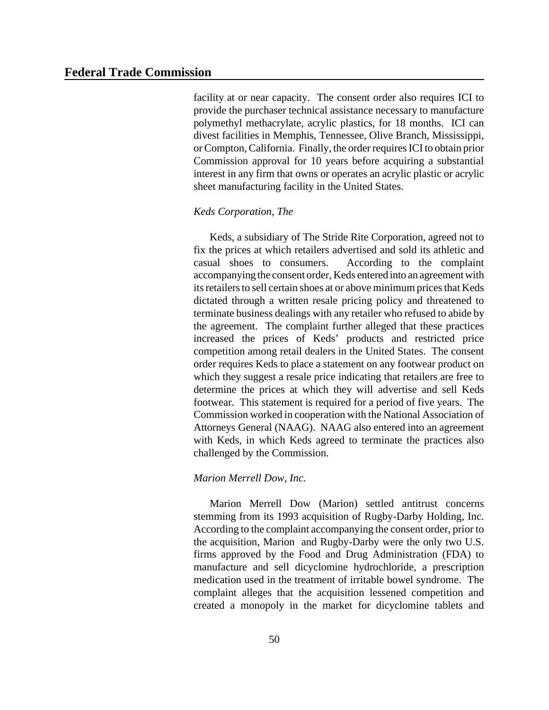facility at or near capacity. The consent order also requires ICI to provide the purchaser technical assistance necessary to manufacture polymethyl methacrylate, acrylic plastics, for 18 months. ICI can divest facilities in Memphis, Tennessee, Olive Branch, Mississippi, orCompton,California. Finally, the order requires ICI to obtain prior Commission approval for 10 years before acquiring a substantial interest in any firm that owns or operates an acrylic plastic or acrylic sheet manufacturing facility in the United States.

#### *Keds Corporation, The*

Keds, a subsidiary of The Stride Rite Corporation, agreed not to fix the prices at which retailers advertised and sold its athletic and casual shoes to consumers. According to the complaint accompanying the consent order, Keds entered into an agreement with its retailers to sell certain shoes at or above minimum prices that Keds dictated through a written resale pricing policy and threatened to terminate business dealings with any retailer who refused to abide by the agreement. The complaint further alleged that these practices increased the prices of Keds' products and restricted price competition among retail dealers in the United States. The consent order requires Keds to place a statement on any footwear product on which they suggest a resale price indicating that retailers are free to determine the prices at which they will advertise and sell Keds footwear. This statement is required for a period of five years. The Commission worked in cooperation with the National Association of Attorneys General (NAAG). NAAG also entered into an agreement with Keds, in which Keds agreed to terminate the practices also challenged by the Commission.

#### *Marion Merrell Dow, Inc.*

Marion Merrell Dow (Marion) settled antitrust concerns stemming from its 1993 acquisition of Rugby-Darby Holding, Inc. According to the complaint accompanying the consent order, prior to the acquisition, Marion and Rugby-Darby were the only two U.S. firms approved by the Food and Drug Administration (FDA) to manufacture and sell dicyclomine hydrochloride, a prescription medication used in the treatment of irritable bowel syndrome. The complaint alleges that the acquisition lessened competition and created a monopoly in the market for dicyclomine tablets and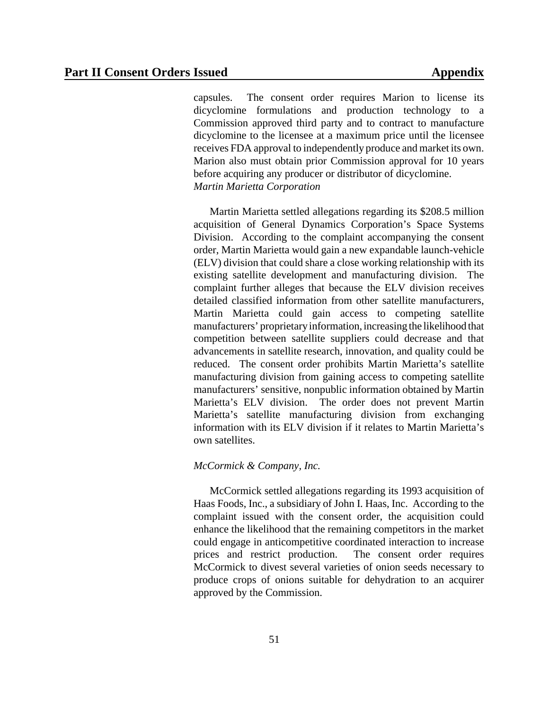capsules. The consent order requires Marion to license its dicyclomine formulations and production technology to a Commission approved third party and to contract to manufacture dicyclomine to the licensee at a maximum price until the licensee receives FDA approval to independently produce and market its own. Marion also must obtain prior Commission approval for 10 years before acquiring any producer or distributor of dicyclomine. *Martin Marietta Corporation*

Martin Marietta settled allegations regarding its \$208.5 million acquisition of General Dynamics Corporation's Space Systems Division. According to the complaint accompanying the consent order, Martin Marietta would gain a new expandable launch-vehicle (ELV) division that could share a close working relationship with its existing satellite development and manufacturing division. The complaint further alleges that because the ELV division receives detailed classified information from other satellite manufacturers, Martin Marietta could gain access to competing satellite manufacturers' proprietaryinformation, increasing the likelihood that competition between satellite suppliers could decrease and that advancements in satellite research, innovation, and quality could be reduced. The consent order prohibits Martin Marietta's satellite manufacturing division from gaining access to competing satellite manufacturers' sensitive, nonpublic information obtained by Martin Marietta's ELV division. The order does not prevent Martin Marietta's satellite manufacturing division from exchanging information with its ELV division if it relates to Martin Marietta's own satellites.

#### *McCormick & Company, Inc.*

McCormick settled allegations regarding its 1993 acquisition of Haas Foods, Inc., a subsidiary of John I. Haas, Inc. According to the complaint issued with the consent order, the acquisition could enhance the likelihood that the remaining competitors in the market could engage in anticompetitive coordinated interaction to increase prices and restrict production. The consent order requires McCormick to divest several varieties of onion seeds necessary to produce crops of onions suitable for dehydration to an acquirer approved by the Commission.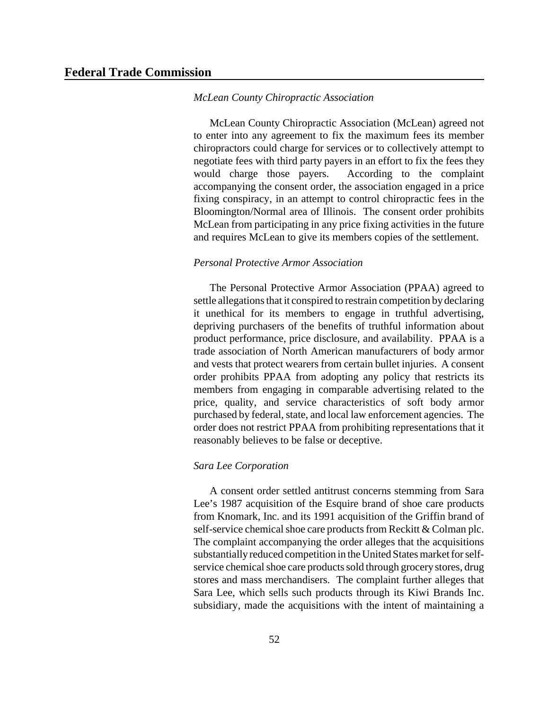#### *McLean County Chiropractic Association*

McLean County Chiropractic Association (McLean) agreed not to enter into any agreement to fix the maximum fees its member chiropractors could charge for services or to collectively attempt to negotiate fees with third party payers in an effort to fix the fees they would charge those payers. According to the complaint accompanying the consent order, the association engaged in a price fixing conspiracy, in an attempt to control chiropractic fees in the Bloomington/Normal area of Illinois. The consent order prohibits McLean from participating in any price fixing activities in the future and requires McLean to give its members copies of the settlement.

#### *Personal Protective Armor Association*

The Personal Protective Armor Association (PPAA) agreed to settle allegations that it conspired to restrain competition by declaring it unethical for its members to engage in truthful advertising, depriving purchasers of the benefits of truthful information about product performance, price disclosure, and availability. PPAA is a trade association of North American manufacturers of body armor and vests that protect wearers from certain bullet injuries. A consent order prohibits PPAA from adopting any policy that restricts its members from engaging in comparable advertising related to the price, quality, and service characteristics of soft body armor purchased by federal, state, and local law enforcement agencies. The order does not restrict PPAA from prohibiting representations that it reasonably believes to be false or deceptive.

#### *Sara Lee Corporation*

A consent order settled antitrust concerns stemming from Sara Lee's 1987 acquisition of the Esquire brand of shoe care products from Knomark, Inc. and its 1991 acquisition of the Griffin brand of self-service chemical shoe care products from Reckitt  $&$  Colman plc. The complaint accompanying the order alleges that the acquisitions substantially reduced competition in the United States market for selfservice chemical shoe care products sold through grocery stores, drug stores and mass merchandisers. The complaint further alleges that Sara Lee, which sells such products through its Kiwi Brands Inc. subsidiary, made the acquisitions with the intent of maintaining a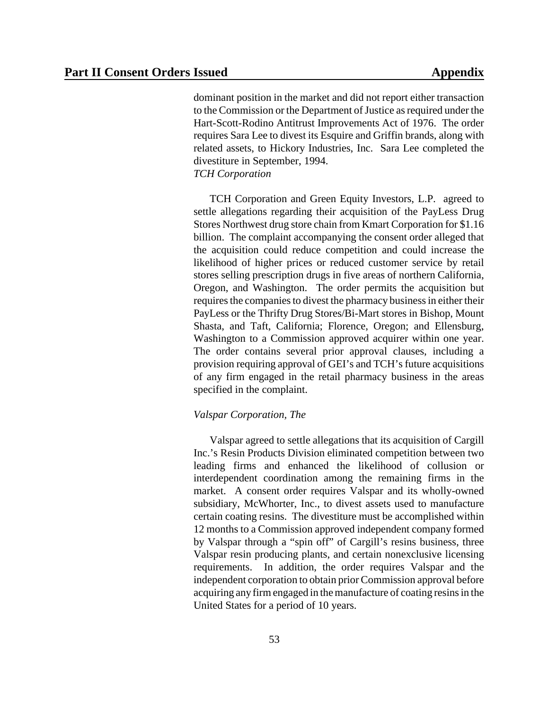dominant position in the market and did not report either transaction to the Commission or the Department of Justice as required under the Hart-Scott-Rodino Antitrust Improvements Act of 1976. The order requires Sara Lee to divest its Esquire and Griffin brands, along with related assets, to Hickory Industries, Inc. Sara Lee completed the divestiture in September, 1994. *TCH Corporation*

TCH Corporation and Green Equity Investors, L.P. agreed to settle allegations regarding their acquisition of the PayLess Drug Stores Northwest drug store chain from Kmart Corporation for \$1.16 billion. The complaint accompanying the consent order alleged that the acquisition could reduce competition and could increase the likelihood of higher prices or reduced customer service by retail stores selling prescription drugs in five areas of northern California, Oregon, and Washington. The order permits the acquisition but requires the companies to divest the pharmacy business in either their PayLess or the Thrifty Drug Stores/Bi-Mart stores in Bishop, Mount Shasta, and Taft, California; Florence, Oregon; and Ellensburg, Washington to a Commission approved acquirer within one year. The order contains several prior approval clauses, including a provision requiring approval of GEI's and TCH's future acquisitions of any firm engaged in the retail pharmacy business in the areas specified in the complaint.

#### *Valspar Corporation, The*

Valspar agreed to settle allegations that its acquisition of Cargill Inc.'s Resin Products Division eliminated competition between two leading firms and enhanced the likelihood of collusion or interdependent coordination among the remaining firms in the market. A consent order requires Valspar and its wholly-owned subsidiary, McWhorter, Inc., to divest assets used to manufacture certain coating resins. The divestiture must be accomplished within 12 months to a Commission approved independent company formed by Valspar through a "spin off" of Cargill's resins business, three Valspar resin producing plants, and certain nonexclusive licensing requirements. In addition, the order requires Valspar and the independent corporation to obtain prior Commission approval before acquiring any firm engaged in the manufacture of coating resins in the United States for a period of 10 years.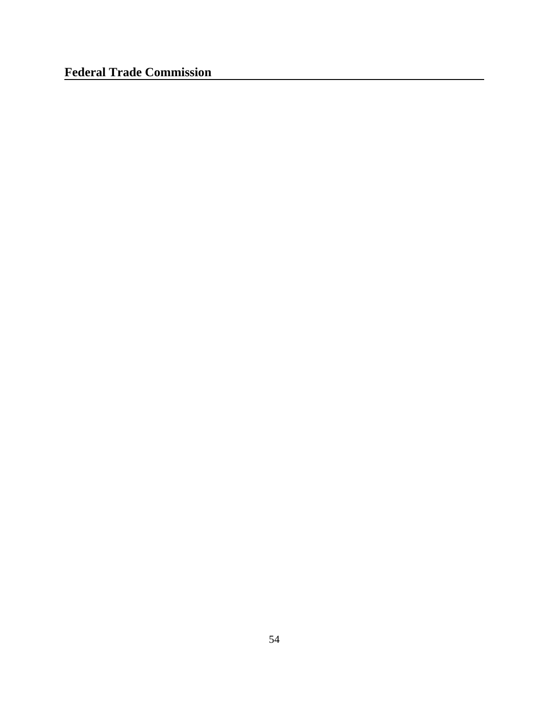**Federal Trade Commission**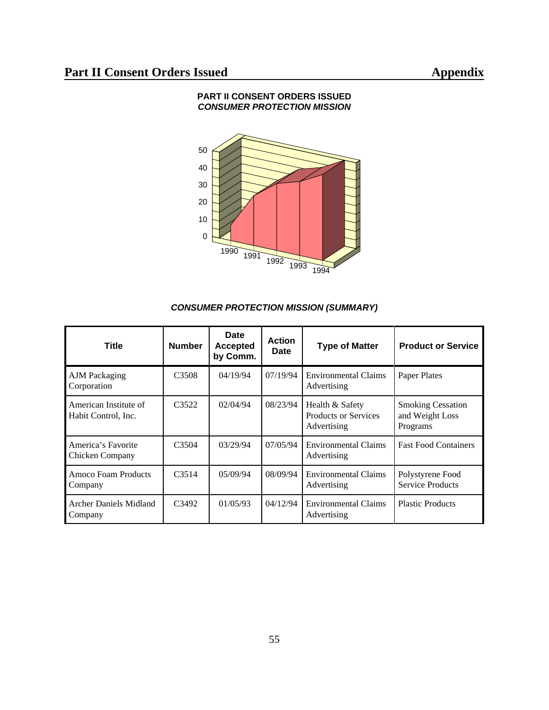

#### **PART II CONSENT ORDERS ISSUED** *CONSUMER PROTECTION MISSION*

## *CONSUMER PROTECTION MISSION (SUMMARY)*

| <b>Title</b>                                 | <b>Number</b>     | Date<br><b>Accepted</b><br>by Comm. | <b>Action</b><br><b>Date</b> | <b>Type of Matter</b>                                         | <b>Product or Service</b>                               |
|----------------------------------------------|-------------------|-------------------------------------|------------------------------|---------------------------------------------------------------|---------------------------------------------------------|
| <b>AJM</b> Packaging<br>Corporation          | C <sub>3508</sub> | 04/19/94                            | 07/19/94                     | <b>Environmental Claims</b><br>Advertising                    | Paper Plates                                            |
| American Institute of<br>Habit Control, Inc. | C <sub>3522</sub> | 02/04/94                            | 08/23/94                     | Health & Safety<br><b>Products or Services</b><br>Advertising | <b>Smoking Cessation</b><br>and Weight Loss<br>Programs |
| America's Favorite<br>Chicken Company        | C <sub>3504</sub> | 03/29/94                            | 07/05/94                     | <b>Environmental Claims</b><br>Advertising                    | <b>Fast Food Containers</b>                             |
| Amoco Foam Products<br>Company               | C <sub>3514</sub> | 05/09/94                            | 08/09/94                     | <b>Environmental Claims</b><br>Advertising                    | Polystyrene Food<br><b>Service Products</b>             |
| <b>Archer Daniels Midland</b><br>Company     | C <sub>3492</sub> | 01/05/93                            | 04/12/94                     | Environmental Claims<br>Advertising                           | <b>Plastic Products</b>                                 |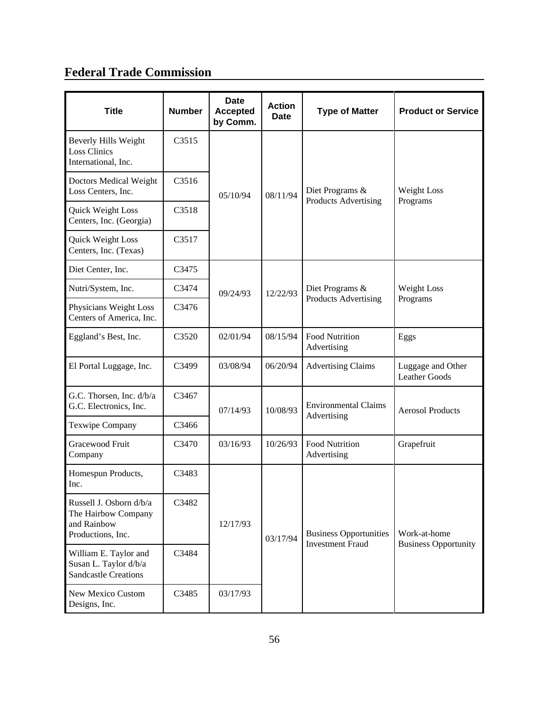## **Federal Trade Commission**

| <b>Title</b>                                                                       | <b>Number</b> | <b>Date</b><br><b>Accepted</b><br>by Comm. | <b>Action</b><br><b>Date</b> | <b>Type of Matter</b>                          | <b>Product or Service</b>                   |
|------------------------------------------------------------------------------------|---------------|--------------------------------------------|------------------------------|------------------------------------------------|---------------------------------------------|
| <b>Beverly Hills Weight</b><br><b>Loss Clinics</b><br>International, Inc.          | C3515         |                                            |                              |                                                | Weight Loss<br>Programs                     |
| Doctors Medical Weight<br>Loss Centers, Inc.                                       | C3516         | 05/10/94                                   | 08/11/94                     | Diet Programs &<br><b>Products Advertising</b> |                                             |
| Quick Weight Loss<br>Centers, Inc. (Georgia)                                       | C3518         |                                            |                              |                                                |                                             |
| Quick Weight Loss<br>Centers, Inc. (Texas)                                         | C3517         |                                            |                              |                                                |                                             |
| Diet Center, Inc.                                                                  | C3475         |                                            |                              |                                                |                                             |
| Nutri/System, Inc.                                                                 | C3474         | 09/24/93                                   | 12/22/93                     | Diet Programs &                                | Weight Loss<br>Programs                     |
| Physicians Weight Loss<br>Centers of America, Inc.                                 | C3476         |                                            |                              | Products Advertising                           |                                             |
| Eggland's Best, Inc.                                                               | C3520         | 02/01/94                                   | 08/15/94                     | <b>Food Nutrition</b><br>Advertising           | Eggs                                        |
| El Portal Luggage, Inc.                                                            | C3499         | 03/08/94                                   | 06/20/94                     | <b>Advertising Claims</b>                      | Luggage and Other<br><b>Leather Goods</b>   |
| G.C. Thorsen, Inc. d/b/a<br>G.C. Electronics, Inc.                                 | C3467         | 07/14/93                                   | 10/08/93                     | <b>Environmental Claims</b><br>Advertising     | <b>Aerosol Products</b>                     |
| Texwipe Company                                                                    | C3466         |                                            |                              |                                                |                                             |
| Gracewood Fruit<br>Company                                                         | C3470         | 03/16/93                                   | 10/26/93                     | <b>Food Nutrition</b><br>Advertising           | Grapefruit                                  |
| Homespun Products,<br>Inc.                                                         | C3483         |                                            |                              |                                                | Work-at-home<br><b>Business Opportunity</b> |
| Russell J. Osborn d/b/a<br>The Hairbow Company<br>and Rainbow<br>Productions, Inc. | C3482         | 12/17/93                                   | 03/17/94                     | <b>Business Opportunities</b>                  |                                             |
| William E. Taylor and<br>Susan L. Taylor d/b/a<br><b>Sandcastle Creations</b>      | C3484         |                                            |                              | <b>Investment Fraud</b>                        |                                             |
| New Mexico Custom<br>Designs, Inc.                                                 | C3485         | 03/17/93                                   |                              |                                                |                                             |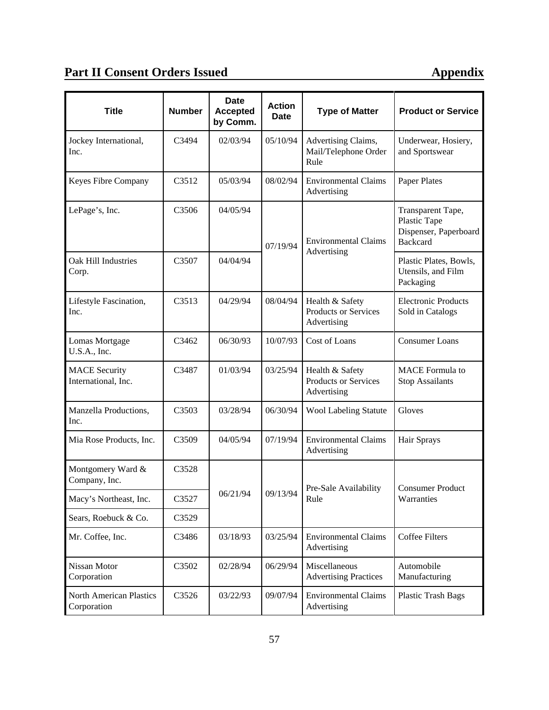**Part II Consent Orders Issued Appendix** 

| <b>Title</b>                                  | <b>Number</b> | <b>Date</b><br><b>Accepted</b><br>by Comm. | <b>Action</b><br><b>Date</b> | <b>Type of Matter</b>                                         | <b>Product or Service</b>                                                     |
|-----------------------------------------------|---------------|--------------------------------------------|------------------------------|---------------------------------------------------------------|-------------------------------------------------------------------------------|
| Jockey International,<br>Inc.                 | C3494         | 02/03/94                                   | 05/10/94                     | Advertising Claims,<br>Mail/Telephone Order<br>Rule           | Underwear, Hosiery,<br>and Sportswear                                         |
| <b>Keyes Fibre Company</b>                    | C3512         | 05/03/94                                   | 08/02/94                     | <b>Environmental Claims</b><br>Advertising                    | Paper Plates                                                                  |
| LePage's, Inc.                                | C3506         | 04/05/94                                   | 07/19/94                     | <b>Environmental Claims</b>                                   | Transparent Tape,<br>Plastic Tape<br>Dispenser, Paperboard<br><b>Backcard</b> |
| Oak Hill Industries<br>Corp.                  | C3507         | 04/04/94                                   |                              | Advertising                                                   | Plastic Plates, Bowls,<br>Utensils, and Film<br>Packaging                     |
| Lifestyle Fascination,<br>Inc.                | C3513         | 04/29/94                                   | 08/04/94                     | Health & Safety<br>Products or Services<br>Advertising        | <b>Electronic Products</b><br>Sold in Catalogs                                |
| Lomas Mortgage<br>U.S.A., Inc.                | C3462         | 06/30/93                                   | 10/07/93                     | Cost of Loans                                                 | <b>Consumer Loans</b>                                                         |
| <b>MACE</b> Security<br>International, Inc.   | C3487         | 01/03/94                                   | 03/25/94                     | Health & Safety<br><b>Products or Services</b><br>Advertising | <b>MACE</b> Formula to<br><b>Stop Assailants</b>                              |
| Manzella Productions,<br>Inc.                 | C3503         | 03/28/94                                   | 06/30/94                     | <b>Wool Labeling Statute</b>                                  | Gloves                                                                        |
| Mia Rose Products, Inc.                       | C3509         | 04/05/94                                   | 07/19/94                     | <b>Environmental Claims</b><br>Advertising                    | Hair Sprays                                                                   |
| Montgomery Ward &<br>Company, Inc.            | C3528         |                                            |                              | Pre-Sale Availability                                         | <b>Consumer Product</b>                                                       |
| Macy's Northeast, Inc.                        | C3527         | 06/21/94                                   | 09/13/94                     | Rule                                                          | Warranties                                                                    |
| Sears, Roebuck & Co.                          | C3529         |                                            |                              |                                                               |                                                                               |
| Mr. Coffee, Inc.                              | C3486         | 03/18/93                                   | 03/25/94                     | <b>Environmental Claims</b><br>Advertising                    | <b>Coffee Filters</b>                                                         |
| Nissan Motor<br>Corporation                   | C3502         | 02/28/94                                   | 06/29/94                     | Miscellaneous<br><b>Advertising Practices</b>                 | Automobile<br>Manufacturing                                                   |
| <b>North American Plastics</b><br>Corporation | C3526         | 03/22/93                                   | 09/07/94                     | <b>Environmental Claims</b><br>Advertising                    | Plastic Trash Bags                                                            |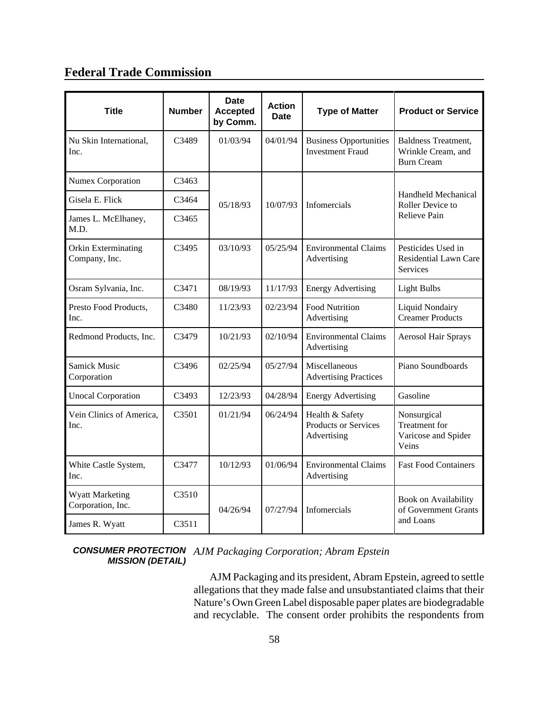## **Federal Trade Commission**

| <b>Title</b>                                | <b>Number</b>     | <b>Date</b><br><b>Accepted</b><br>by Comm. | <b>Action</b><br><b>Date</b> | <b>Type of Matter</b>                                    | <b>Product or Service</b>                                             |
|---------------------------------------------|-------------------|--------------------------------------------|------------------------------|----------------------------------------------------------|-----------------------------------------------------------------------|
| Nu Skin International,<br>Inc.              | C3489             | 01/03/94                                   | 04/01/94                     | <b>Business Opportunities</b><br><b>Investment Fraud</b> | <b>Baldness Treatment,</b><br>Wrinkle Cream, and<br><b>Burn Cream</b> |
| Numex Corporation                           | C3463             |                                            |                              |                                                          |                                                                       |
| Gisela E. Flick                             | C3464             | 05/18/93                                   | 10/07/93                     | Infomercials                                             | Handheld Mechanical<br>Roller Device to                               |
| James L. McElhaney,<br>M.D.                 | C3465             |                                            |                              |                                                          | <b>Relieve Pain</b>                                                   |
| <b>Orkin Exterminating</b><br>Company, Inc. | C3495             | 03/10/93                                   | 05/25/94                     | <b>Environmental Claims</b><br>Advertising               | Pesticides Used in<br>Residential Lawn Care<br><b>Services</b>        |
| Osram Sylvania, Inc.                        | C3471             | 08/19/93                                   | 11/17/93                     | <b>Energy Advertising</b>                                | <b>Light Bulbs</b>                                                    |
| Presto Food Products,<br>Inc.               | C <sub>3480</sub> | 11/23/93                                   | 02/23/94                     | <b>Food Nutrition</b><br>Advertising                     | Liquid Nondairy<br><b>Creamer Products</b>                            |
| Redmond Products, Inc.                      | C3479             | 10/21/93                                   | 02/10/94                     | <b>Environmental Claims</b><br>Advertising               | <b>Aerosol Hair Sprays</b>                                            |
| Samick Music<br>Corporation                 | C3496             | 02/25/94                                   | 05/27/94                     | Miscellaneous<br><b>Advertising Practices</b>            | Piano Soundboards                                                     |
| <b>Unocal Corporation</b>                   | C3493             | 12/23/93                                   | 04/28/94                     | <b>Energy Advertising</b>                                | Gasoline                                                              |
| Vein Clinics of America,<br>Inc.            | C <sub>3501</sub> | 01/21/94                                   | 06/24/94                     | Health & Safety<br>Products or Services<br>Advertising   | Nonsurgical<br>Treatment for<br>Varicose and Spider<br>Veins          |
| White Castle System,<br>Inc.                | C3477             | 10/12/93                                   | 01/06/94                     | <b>Environmental Claims</b><br>Advertising               | <b>Fast Food Containers</b>                                           |
| <b>Wyatt Marketing</b><br>Corporation, Inc. | C3510             | 04/26/94                                   | 07/27/94                     | Infomercials                                             | <b>Book on Availability</b><br>of Government Grants                   |
| James R. Wyatt                              | C3511             |                                            |                              |                                                          | and Loans                                                             |

#### *CONSUMER PROTECTION AJM Packaging Corporation; Abram Epstein MISSION (DETAIL)*

AJM Packaging and its president, Abram Epstein, agreed to settle allegations that they made false and unsubstantiated claims that their Nature's Own Green Label disposable paper plates are biodegradable and recyclable. The consent order prohibits the respondents from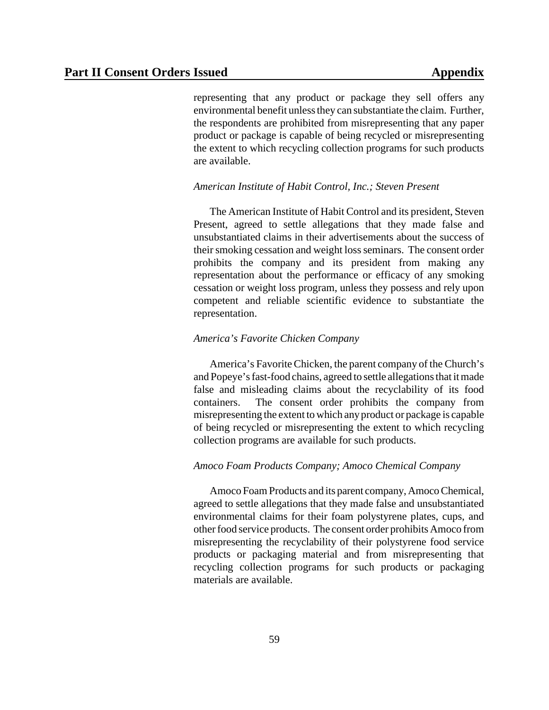representing that any product or package they sell offers any environmental benefit unless they can substantiate the claim. Further, the respondents are prohibited from misrepresenting that any paper product or package is capable of being recycled or misrepresenting the extent to which recycling collection programs for such products are available.

#### *American Institute of Habit Control, Inc.; Steven Present*

The American Institute of Habit Control and its president, Steven Present, agreed to settle allegations that they made false and unsubstantiated claims in their advertisements about the success of their smoking cessation and weight loss seminars. The consent order prohibits the company and its president from making any representation about the performance or efficacy of any smoking cessation or weight loss program, unless they possess and rely upon competent and reliable scientific evidence to substantiate the representation.

#### *America's Favorite Chicken Company*

America's Favorite Chicken, the parent company of the Church's and Popeye's fast-food chains, agreed to settle allegations that it made false and misleading claims about the recyclability of its food containers. The consent order prohibits the company from misrepresenting the extent to which anyproduct or package is capable of being recycled or misrepresenting the extent to which recycling collection programs are available for such products.

#### *Amoco Foam Products Company; Amoco Chemical Company*

Amoco FoamProducts and its parent company, Amoco Chemical, agreed to settle allegations that they made false and unsubstantiated environmental claims for their foam polystyrene plates, cups, and other food service products. The consent order prohibits Amoco from misrepresenting the recyclability of their polystyrene food service products or packaging material and from misrepresenting that recycling collection programs for such products or packaging materials are available.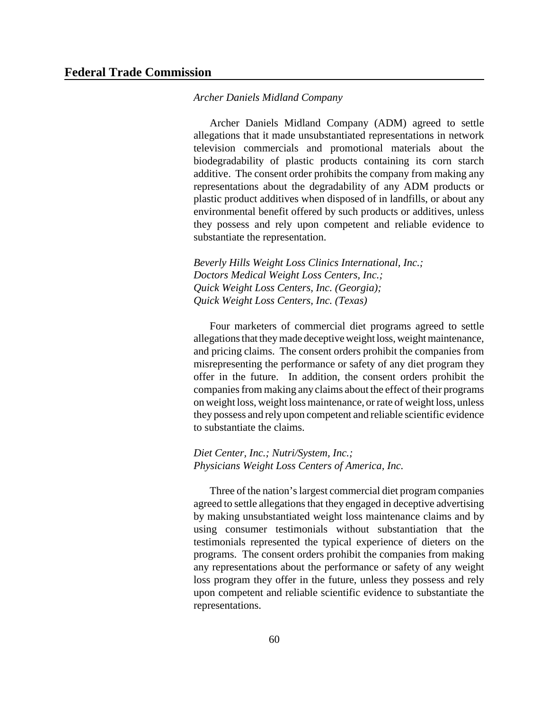#### *Archer Daniels Midland Company*

Archer Daniels Midland Company (ADM) agreed to settle allegations that it made unsubstantiated representations in network television commercials and promotional materials about the biodegradability of plastic products containing its corn starch additive. The consent order prohibits the company from making any representations about the degradability of any ADM products or plastic product additives when disposed of in landfills, or about any environmental benefit offered by such products or additives, unless they possess and rely upon competent and reliable evidence to substantiate the representation.

*Beverly Hills Weight Loss Clinics International, Inc.; Doctors Medical Weight Loss Centers, Inc.; Quick Weight Loss Centers, Inc. (Georgia); Quick Weight Loss Centers, Inc. (Texas)*

Four marketers of commercial diet programs agreed to settle allegations that they made deceptive weight loss, weight maintenance, and pricing claims. The consent orders prohibit the companies from misrepresenting the performance or safety of any diet program they offer in the future. In addition, the consent orders prohibit the companies from making any claims about the effect of their programs on weight loss, weight loss maintenance, orrate of weight loss, unless they possess and rely upon competent and reliable scientific evidence to substantiate the claims.

### *Diet Center, Inc.; Nutri/System, Inc.; Physicians Weight Loss Centers of America, Inc.*

Three of the nation's largest commercial diet program companies agreed to settle allegations that they engaged in deceptive advertising by making unsubstantiated weight loss maintenance claims and by using consumer testimonials without substantiation that the testimonials represented the typical experience of dieters on the programs. The consent orders prohibit the companies from making any representations about the performance or safety of any weight loss program they offer in the future, unless they possess and rely upon competent and reliable scientific evidence to substantiate the representations.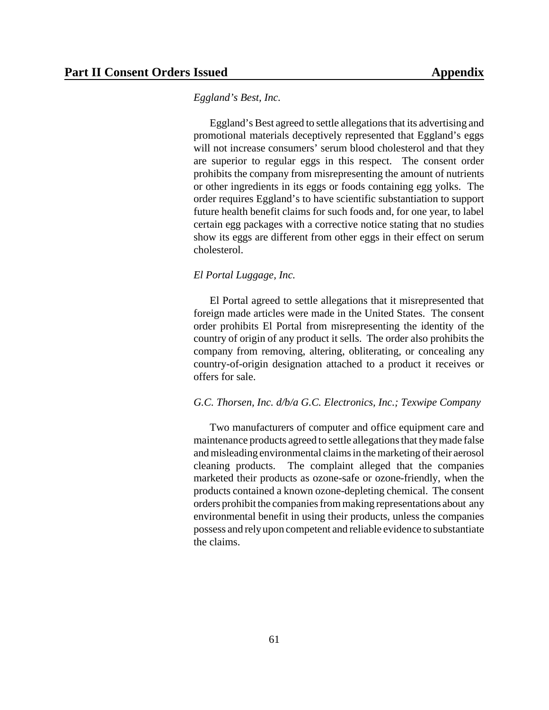#### *Eggland's Best, Inc.*

Eggland's Best agreed to settle allegations that its advertising and promotional materials deceptively represented that Eggland's eggs will not increase consumers' serum blood cholesterol and that they are superior to regular eggs in this respect. The consent order prohibits the company from misrepresenting the amount of nutrients or other ingredients in its eggs or foods containing egg yolks. The order requires Eggland's to have scientific substantiation to support future health benefit claims for such foods and, for one year, to label certain egg packages with a corrective notice stating that no studies show its eggs are different from other eggs in their effect on serum cholesterol.

#### *El Portal Luggage, Inc.*

El Portal agreed to settle allegations that it misrepresented that foreign made articles were made in the United States. The consent order prohibits El Portal from misrepresenting the identity of the country of origin of any product it sells. The order also prohibits the company from removing, altering, obliterating, or concealing any country-of-origin designation attached to a product it receives or offers for sale.

#### *G.C. Thorsen, Inc. d/b/a G.C. Electronics, Inc.; Texwipe Company*

Two manufacturers of computer and office equipment care and maintenance products agreed to settle allegations that they made false and misleading environmental claims in the marketing of their aerosol cleaning products. The complaint alleged that the companies marketed their products as ozone-safe or ozone-friendly, when the products contained a known ozone-depleting chemical. The consent orders prohibit the companiesfrommaking representations about any environmental benefit in using their products, unless the companies possess and relyupon competent and reliable evidence to substantiate the claims.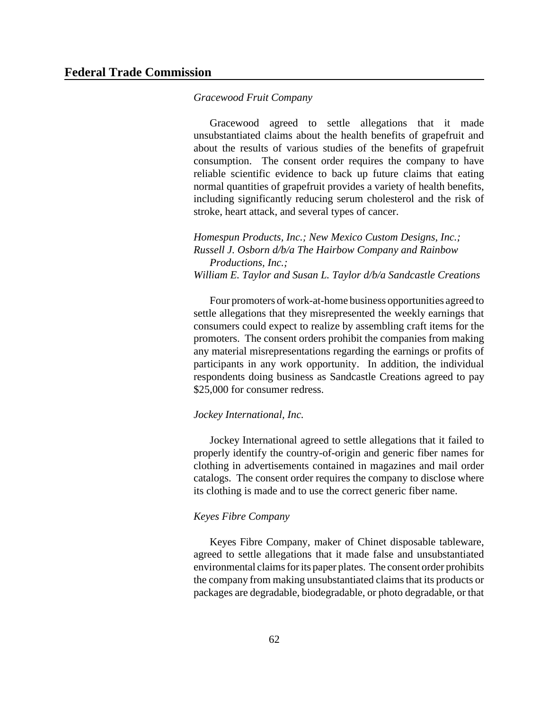#### *Gracewood Fruit Company*

Gracewood agreed to settle allegations that it made unsubstantiated claims about the health benefits of grapefruit and about the results of various studies of the benefits of grapefruit consumption. The consent order requires the company to have reliable scientific evidence to back up future claims that eating normal quantities of grapefruit provides a variety of health benefits, including significantly reducing serum cholesterol and the risk of stroke, heart attack, and several types of cancer.

*Homespun Products, Inc.; New Mexico Custom Designs, Inc.; Russell J. Osborn d/b/a The Hairbow Company and Rainbow Productions, Inc.; William E. Taylor and Susan L. Taylor d/b/a Sandcastle Creations*

Four promoters of work-at-home business opportunities agreed to settle allegations that they misrepresented the weekly earnings that consumers could expect to realize by assembling craft items for the promoters. The consent orders prohibit the companies from making any material misrepresentations regarding the earnings or profits of participants in any work opportunity. In addition, the individual respondents doing business as Sandcastle Creations agreed to pay \$25,000 for consumer redress.

#### *Jockey International, Inc.*

Jockey International agreed to settle allegations that it failed to properly identify the country-of-origin and generic fiber names for clothing in advertisements contained in magazines and mail order catalogs. The consent order requires the company to disclose where its clothing is made and to use the correct generic fiber name.

#### *Keyes Fibre Company*

Keyes Fibre Company, maker of Chinet disposable tableware, agreed to settle allegations that it made false and unsubstantiated environmental claims for its paper plates. The consent order prohibits the company from making unsubstantiated claims that its products or packages are degradable, biodegradable, or photo degradable, or that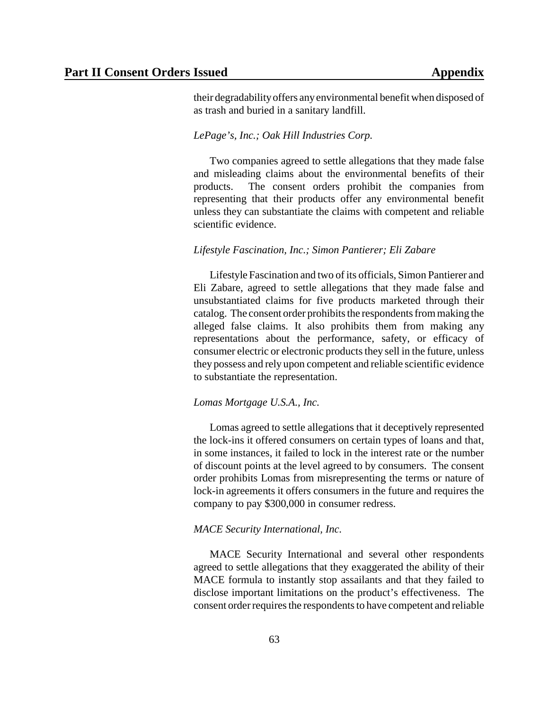their degradabilityoffers anyenvironmental benefit when disposed of as trash and buried in a sanitary landfill.

### *LePage's, Inc.; Oak Hill Industries Corp.*

Two companies agreed to settle allegations that they made false and misleading claims about the environmental benefits of their products. The consent orders prohibit the companies from representing that their products offer any environmental benefit unless they can substantiate the claims with competent and reliable scientific evidence.

#### *Lifestyle Fascination, Inc.; Simon Pantierer; Eli Zabare*

Lifestyle Fascination and two of its officials, Simon Pantierer and Eli Zabare, agreed to settle allegations that they made false and unsubstantiated claims for five products marketed through their catalog. The consent order prohibits the respondents from making the alleged false claims. It also prohibits them from making any representations about the performance, safety, or efficacy of consumer electric or electronic products they sell in the future, unless they possess and rely upon competent and reliable scientific evidence to substantiate the representation.

#### *Lomas Mortgage U.S.A., Inc.*

Lomas agreed to settle allegations that it deceptively represented the lock-ins it offered consumers on certain types of loans and that, in some instances, it failed to lock in the interest rate or the number of discount points at the level agreed to by consumers. The consent order prohibits Lomas from misrepresenting the terms or nature of lock-in agreements it offers consumers in the future and requires the company to pay \$300,000 in consumer redress.

#### *MACE Security International, Inc.*

MACE Security International and several other respondents agreed to settle allegations that they exaggerated the ability of their MACE formula to instantly stop assailants and that they failed to disclose important limitations on the product's effectiveness. The consent order requires the respondents to have competent and reliable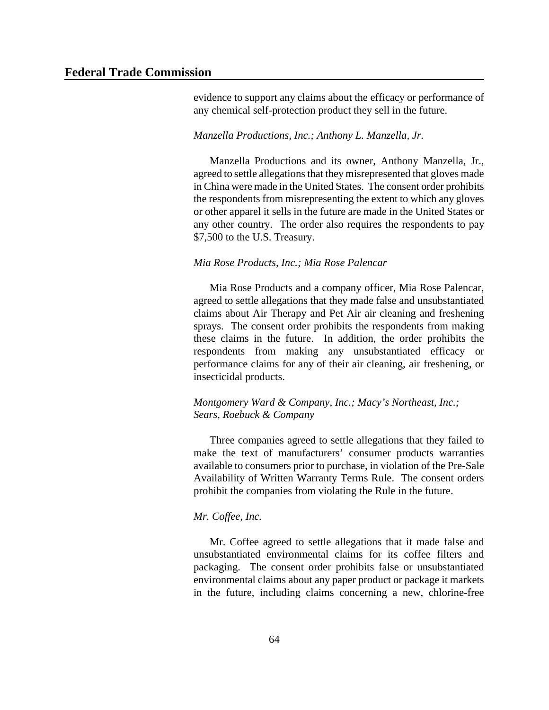evidence to support any claims about the efficacy or performance of any chemical self-protection product they sell in the future.

#### *Manzella Productions, Inc.; Anthony L. Manzella, Jr.*

Manzella Productions and its owner, Anthony Manzella, Jr., agreed to settle allegations that they misrepresented that gloves made in China were made in the United States. The consent order prohibits the respondents from misrepresenting the extent to which any gloves or other apparel it sells in the future are made in the United States or any other country. The order also requires the respondents to pay \$7,500 to the U.S. Treasury.

#### *Mia Rose Products, Inc.; Mia Rose Palencar*

Mia Rose Products and a company officer, Mia Rose Palencar, agreed to settle allegations that they made false and unsubstantiated claims about Air Therapy and Pet Air air cleaning and freshening sprays. The consent order prohibits the respondents from making these claims in the future. In addition, the order prohibits the respondents from making any unsubstantiated efficacy or performance claims for any of their air cleaning, air freshening, or insecticidal products.

### *Montgomery Ward & Company, Inc.; Macy's Northeast, Inc.; Sears, Roebuck & Company*

Three companies agreed to settle allegations that they failed to make the text of manufacturers' consumer products warranties available to consumers prior to purchase, in violation of the Pre-Sale Availability of Written Warranty Terms Rule. The consent orders prohibit the companies from violating the Rule in the future.

#### *Mr. Coffee, Inc.*

Mr. Coffee agreed to settle allegations that it made false and unsubstantiated environmental claims for its coffee filters and packaging. The consent order prohibits false or unsubstantiated environmental claims about any paper product or package it markets in the future, including claims concerning a new, chlorine-free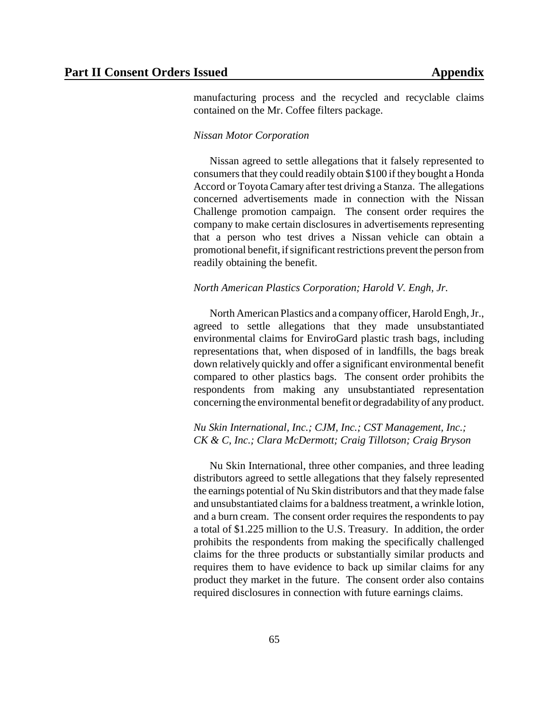manufacturing process and the recycled and recyclable claims contained on the Mr. Coffee filters package.

#### *Nissan Motor Corporation*

Nissan agreed to settle allegations that it falsely represented to consumers that they could readily obtain \$100 if they bought a Honda Accord or ToyotaCamary after test driving a Stanza. The allegations concerned advertisements made in connection with the Nissan Challenge promotion campaign. The consent order requires the company to make certain disclosures in advertisements representing that a person who test drives a Nissan vehicle can obtain a promotional benefit, if significant restrictions prevent the person from readily obtaining the benefit.

#### *North American Plastics Corporation; Harold V. Engh, Jr.*

North American Plastics and a company officer, Harold Engh, Jr., agreed to settle allegations that they made unsubstantiated environmental claims for EnviroGard plastic trash bags, including representations that, when disposed of in landfills, the bags break down relatively quickly and offer a significant environmental benefit compared to other plastics bags. The consent order prohibits the respondents from making any unsubstantiated representation concerning the environmental benefit or degradabilityof anyproduct.

*Nu Skin International, Inc.; CJM, Inc.; CST Management, Inc.; CK & C, Inc.; Clara McDermott; Craig Tillotson; Craig Bryson*

Nu Skin International, three other companies, and three leading distributors agreed to settle allegations that they falsely represented the earnings potential of Nu Skin distributors and that theymade false and unsubstantiated claims for a baldness treatment, a wrinkle lotion, and a burn cream. The consent order requires the respondents to pay a total of \$1.225 million to the U.S. Treasury. In addition, the order prohibits the respondents from making the specifically challenged claims for the three products or substantially similar products and requires them to have evidence to back up similar claims for any product they market in the future. The consent order also contains required disclosures in connection with future earnings claims.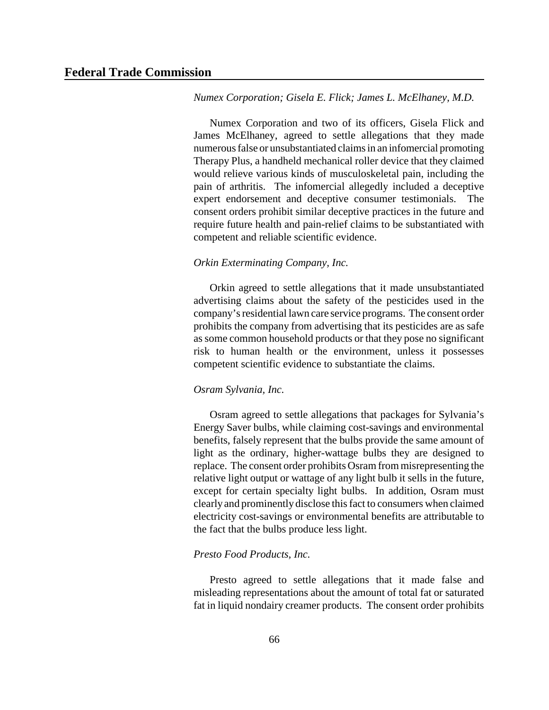#### *Numex Corporation; Gisela E. Flick; James L. McElhaney, M.D.*

Numex Corporation and two of its officers, Gisela Flick and James McElhaney, agreed to settle allegations that they made numerousfalse or unsubstantiated claims in an infomercial promoting Therapy Plus, a handheld mechanical roller device that they claimed would relieve various kinds of musculoskeletal pain, including the pain of arthritis. The infomercial allegedly included a deceptive expert endorsement and deceptive consumer testimonials. The consent orders prohibit similar deceptive practices in the future and require future health and pain-relief claims to be substantiated with competent and reliable scientific evidence.

#### *Orkin Exterminating Company, Inc.*

Orkin agreed to settle allegations that it made unsubstantiated advertising claims about the safety of the pesticides used in the company's residential lawn care service programs. The consent order prohibits the company from advertising that its pesticides are as safe as some common household products or that they pose no significant risk to human health or the environment, unless it possesses competent scientific evidence to substantiate the claims.

#### *Osram Sylvania, Inc.*

Osram agreed to settle allegations that packages for Sylvania's Energy Saver bulbs, while claiming cost-savings and environmental benefits, falsely represent that the bulbs provide the same amount of light as the ordinary, higher-wattage bulbs they are designed to replace. The consent order prohibits Osram from misrepresenting the relative light output or wattage of any light bulb it sells in the future, except for certain specialty light bulbs. In addition, Osram must clearly and prominently disclose thisfact to consumers when claimed electricity cost-savings or environmental benefits are attributable to the fact that the bulbs produce less light.

#### *Presto Food Products, Inc.*

Presto agreed to settle allegations that it made false and misleading representations about the amount of total fat or saturated fat in liquid nondairy creamer products. The consent order prohibits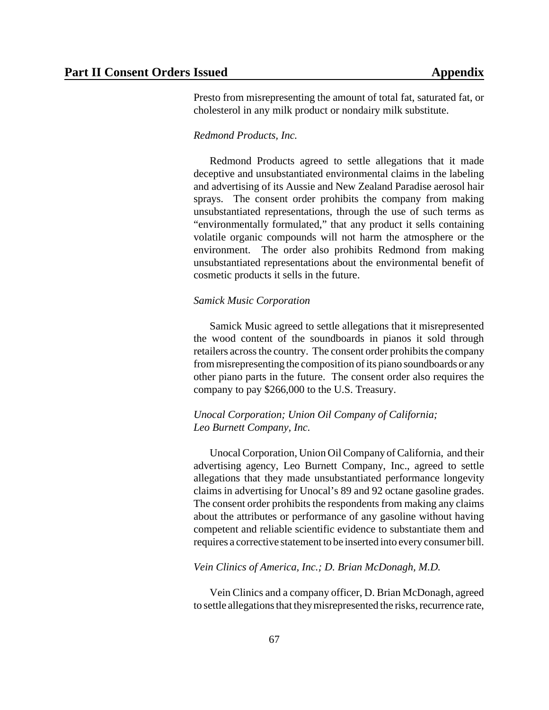Presto from misrepresenting the amount of total fat, saturated fat, or cholesterol in any milk product or nondairy milk substitute.

#### *Redmond Products, Inc.*

Redmond Products agreed to settle allegations that it made deceptive and unsubstantiated environmental claims in the labeling and advertising of its Aussie and New Zealand Paradise aerosol hair sprays. The consent order prohibits the company from making unsubstantiated representations, through the use of such terms as "environmentally formulated," that any product it sells containing volatile organic compounds will not harm the atmosphere or the environment. The order also prohibits Redmond from making unsubstantiated representations about the environmental benefit of cosmetic products it sells in the future.

#### *Samick Music Corporation*

Samick Music agreed to settle allegations that it misrepresented the wood content of the soundboards in pianos it sold through retailers acrossthe country. The consent order prohibits the company from misrepresenting the composition of its piano soundboards or any other piano parts in the future. The consent order also requires the company to pay \$266,000 to the U.S. Treasury.

### *Unocal Corporation; Union Oil Company of California; Leo Burnett Company, Inc.*

Unocal Corporation, Union Oil Company of California, and their advertising agency, Leo Burnett Company, Inc., agreed to settle allegations that they made unsubstantiated performance longevity claims in advertising for Unocal's 89 and 92 octane gasoline grades. The consent order prohibits the respondents from making any claims about the attributes or performance of any gasoline without having competent and reliable scientific evidence to substantiate them and requires a corrective statement to be inserted into every consumer bill.

#### *Vein Clinics of America, Inc.; D. Brian McDonagh, M.D.*

Vein Clinics and a company officer, D. Brian McDonagh, agreed to settle allegations that they misrepresented the risks, recurrence rate,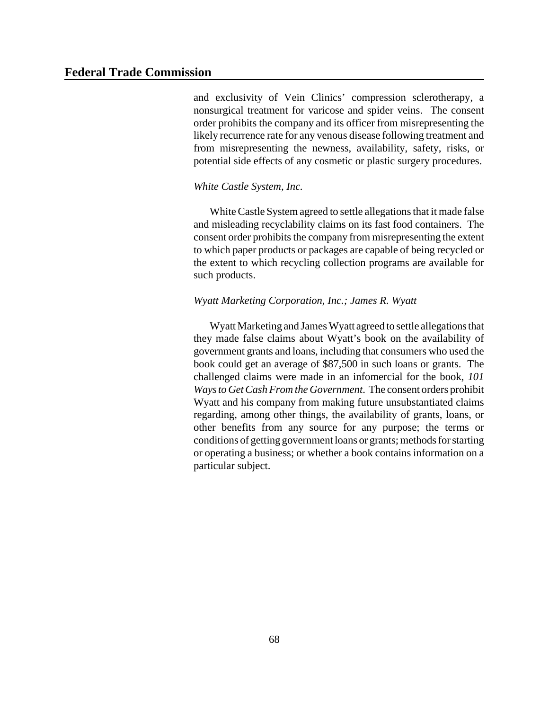and exclusivity of Vein Clinics' compression sclerotherapy, a nonsurgical treatment for varicose and spider veins. The consent order prohibits the company and its officer from misrepresenting the likely recurrence rate for any venous disease following treatment and from misrepresenting the newness, availability, safety, risks, or potential side effects of any cosmetic or plastic surgery procedures.

#### *White Castle System, Inc.*

White Castle System agreed to settle allegations that it made false and misleading recyclability claims on its fast food containers. The consent order prohibits the company from misrepresenting the extent to which paper products or packages are capable of being recycled or the extent to which recycling collection programs are available for such products.

#### *Wyatt Marketing Corporation, Inc.; James R. Wyatt*

Wyatt Marketing and James Wyatt agreed to settle allegations that they made false claims about Wyatt's book on the availability of government grants and loans, including that consumers who used the book could get an average of \$87,500 in such loans or grants. The challenged claims were made in an infomercial for the book, *101 Waysto GetCash From the Government*. The consent orders prohibit Wyatt and his company from making future unsubstantiated claims regarding, among other things, the availability of grants, loans, or other benefits from any source for any purpose; the terms or conditions of getting government loans or grants; methods for starting or operating a business; or whether a book contains information on a particular subject.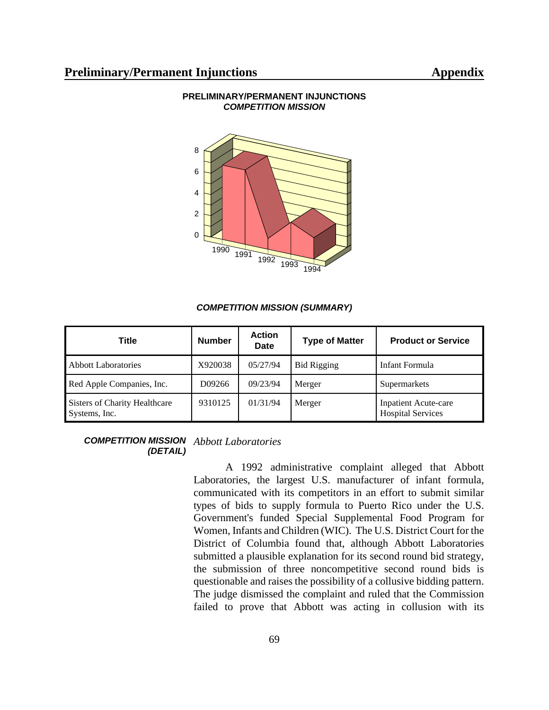

#### **PRELIMINARY/PERMANENT INJUNCTIONS** *COMPETITION MISSION*

#### *COMPETITION MISSION (SUMMARY)*

| Title                                                 | <b>Number</b> | <b>Action</b><br>Date | <b>Type of Matter</b> | <b>Product or Service</b>                               |
|-------------------------------------------------------|---------------|-----------------------|-----------------------|---------------------------------------------------------|
| <b>Abbott Laboratories</b>                            | X920038       | 05/27/94              | <b>Bid Rigging</b>    | Infant Formula                                          |
| Red Apple Companies, Inc.                             | D09266        | 09/23/94              | Merger                | Supermarkets                                            |
| <b>Sisters of Charity Healthcare</b><br>Systems, Inc. | 9310125       | 01/31/94              | Merger                | <b>Inpatient Acute-care</b><br><b>Hospital Services</b> |

#### *COMPETITION MISSION Abbott Laboratories (DETAIL)*

 A 1992 administrative complaint alleged that Abbott Laboratories, the largest U.S. manufacturer of infant formula, communicated with its competitors in an effort to submit similar types of bids to supply formula to Puerto Rico under the U.S. Government's funded Special Supplemental Food Program for Women, Infants and Children (WIC). The U.S. District Court for the District of Columbia found that, although Abbott Laboratories submitted a plausible explanation for its second round bid strategy, the submission of three noncompetitive second round bids is questionable and raises the possibility of a collusive bidding pattern. The judge dismissed the complaint and ruled that the Commission failed to prove that Abbott was acting in collusion with its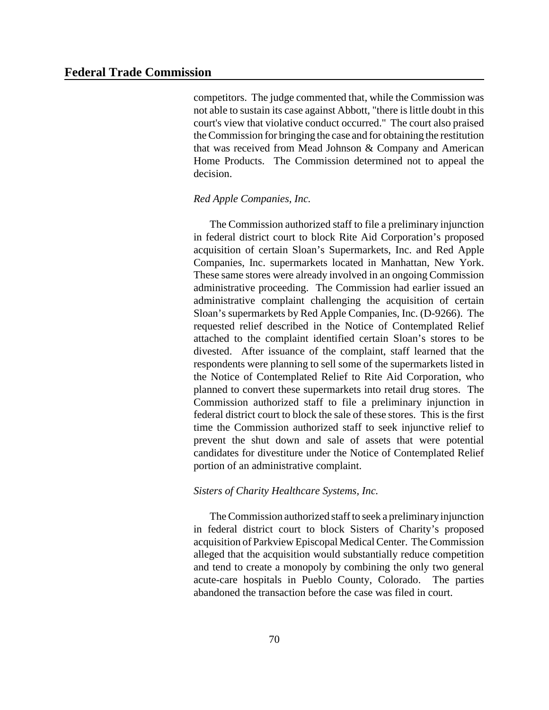competitors. The judge commented that, while the Commission was not able to sustain its case against Abbott, "there is little doubt in this court's view that violative conduct occurred." The court also praised theCommission for bringing the case and for obtaining the restitution that was received from Mead Johnson & Company and American Home Products. The Commission determined not to appeal the decision.

#### *Red Apple Companies, Inc.*

The Commission authorized staff to file a preliminary injunction in federal district court to block Rite Aid Corporation's proposed acquisition of certain Sloan's Supermarkets, Inc. and Red Apple Companies, Inc. supermarkets located in Manhattan, New York. These same stores were already involved in an ongoing Commission administrative proceeding. The Commission had earlier issued an administrative complaint challenging the acquisition of certain Sloan's supermarkets by Red Apple Companies, Inc. (D-9266). The requested relief described in the Notice of Contemplated Relief attached to the complaint identified certain Sloan's stores to be divested. After issuance of the complaint, staff learned that the respondents were planning to sell some of the supermarkets listed in the Notice of Contemplated Relief to Rite Aid Corporation, who planned to convert these supermarkets into retail drug stores. The Commission authorized staff to file a preliminary injunction in federal district court to block the sale of these stores. This is the first time the Commission authorized staff to seek injunctive relief to prevent the shut down and sale of assets that were potential candidates for divestiture under the Notice of Contemplated Relief portion of an administrative complaint.

# *Sisters of Charity Healthcare Systems, Inc.*

The Commission authorized staff to seek a preliminary injunction in federal district court to block Sisters of Charity's proposed acquisition of Parkview Episcopal Medical Center. The Commission alleged that the acquisition would substantially reduce competition and tend to create a monopoly by combining the only two general acute-care hospitals in Pueblo County, Colorado. The parties abandoned the transaction before the case was filed in court.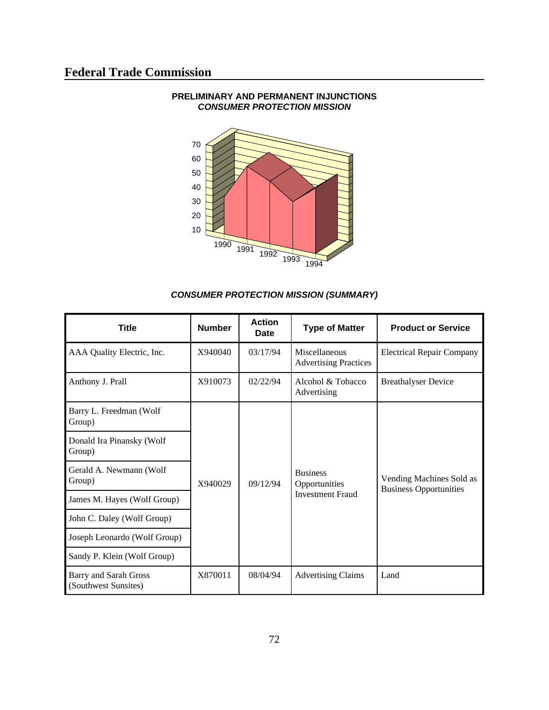

# **PRELIMINARY AND PERMANENT INJUNCTIONS** *CONSUMER PROTECTION MISSION*

# *CONSUMER PROTECTION MISSION (SUMMARY)*

| <b>Title</b>                                         | <b>Number</b> | <b>Action</b><br>Date | <b>Type of Matter</b>                                       | <b>Product or Service</b>                                 |
|------------------------------------------------------|---------------|-----------------------|-------------------------------------------------------------|-----------------------------------------------------------|
| AAA Quality Electric, Inc.                           | X940040       | 03/17/94              | Miscellaneous<br><b>Advertising Practices</b>               | <b>Electrical Repair Company</b>                          |
| Anthony J. Prall                                     | X910073       | 02/22/94              | Alcohol & Tobacco<br>Advertising                            | <b>Breathalyser Device</b>                                |
| Barry L. Freedman (Wolf<br>Group)                    |               |                       |                                                             |                                                           |
| Donald Ira Pinansky (Wolf<br>Group)                  |               |                       |                                                             |                                                           |
| Gerald A. Newmann (Wolf<br>Group)                    | X940029       | 09/12/94              | <b>Business</b><br>Opportunities<br><b>Investment Fraud</b> | Vending Machines Sold as<br><b>Business Opportunities</b> |
| James M. Hayes (Wolf Group)                          |               |                       |                                                             |                                                           |
| John C. Daley (Wolf Group)                           |               |                       |                                                             |                                                           |
| Joseph Leonardo (Wolf Group)                         |               |                       |                                                             |                                                           |
| Sandy P. Klein (Wolf Group)                          |               |                       |                                                             |                                                           |
| <b>Barry and Sarah Gross</b><br>(Southwest Sunsites) | X870011       | 08/04/94              | <b>Advertising Claims</b>                                   | Land                                                      |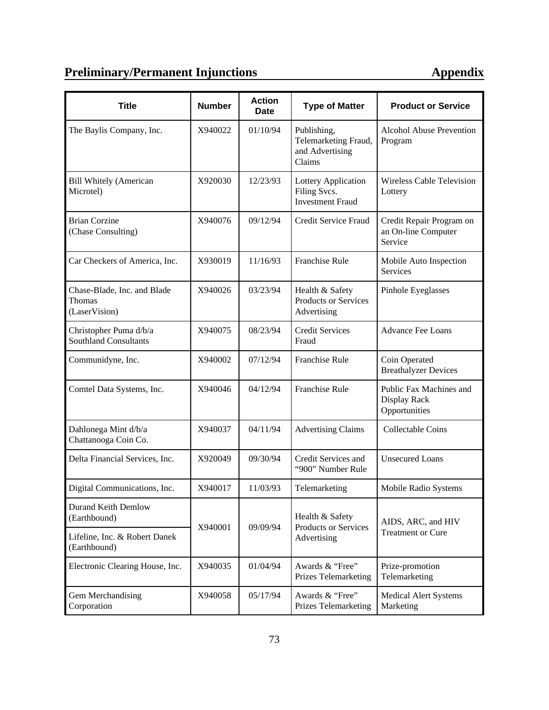# **Preliminary/Permanent Injunctions Appendix**

| <b>Title</b>                                           | <b>Number</b> | <b>Action</b><br>Date | <b>Type of Matter</b>                                            | <b>Product or Service</b>                                  |
|--------------------------------------------------------|---------------|-----------------------|------------------------------------------------------------------|------------------------------------------------------------|
| The Baylis Company, Inc.                               | X940022       | 01/10/94              | Publishing,<br>Telemarketing Fraud,<br>and Advertising<br>Claims | <b>Alcohol Abuse Prevention</b><br>Program                 |
| <b>Bill Whitely (American</b><br>Microtel)             | X920030       | 12/23/93              | Lottery Application<br>Filing Svcs.<br><b>Investment Fraud</b>   | <b>Wireless Cable Television</b><br>Lottery                |
| <b>Brian Corzine</b><br>(Chase Consulting)             | X940076       | 09/12/94              | Credit Service Fraud                                             | Credit Repair Program on<br>an On-line Computer<br>Service |
| Car Checkers of America, Inc.                          | X930019       | 11/16/93              | Franchise Rule                                                   | Mobile Auto Inspection<br>Services                         |
| Chase-Blade, Inc. and Blade<br>Thomas<br>(LaserVision) | X940026       | 03/23/94              | Health & Safety<br>Products or Services<br>Advertising           | Pinhole Eyeglasses                                         |
| Christopher Puma d/b/a<br><b>Southland Consultants</b> | X940075       | 08/23/94              | <b>Credit Services</b><br>Fraud                                  | <b>Advance Fee Loans</b>                                   |
| Communidyne, Inc.                                      | X940002       | 07/12/94              | <b>Franchise Rule</b>                                            | Coin Operated<br><b>Breathalyzer Devices</b>               |
| Comtel Data Systems, Inc.                              | X940046       | 04/12/94              | Franchise Rule                                                   | Public Fax Machines and<br>Display Rack<br>Opportunities   |
| Dahlonega Mint d/b/a<br>Chattanooga Coin Co.           | X940037       | 04/11/94              | <b>Advertising Claims</b>                                        | Collectable Coins                                          |
| Delta Financial Services, Inc.                         | X920049       | 09/30/94              | Credit Services and<br>"900" Number Rule                         | <b>Unsecured Loans</b>                                     |
| Digital Communications, Inc.                           | X940017       | 11/03/93              | Telemarketing                                                    | Mobile Radio Systems                                       |
| Durand Keith Demlow<br>(Earthbound)                    |               | 09/09/94              | Health & Safety<br>Products or Services                          | AIDS, ARC, and HIV                                         |
| Lifeline, Inc. & Robert Danek<br>(Earthbound)          | X940001       |                       | Advertising                                                      | <b>Treatment or Cure</b>                                   |
| Electronic Clearing House, Inc.                        | X940035       | 01/04/94              | Awards & "Free"<br>Prizes Telemarketing                          | Prize-promotion<br>Telemarketing                           |
| Gem Merchandising<br>Corporation                       | X940058       | 05/17/94              | Awards & "Free"<br>Prizes Telemarketing                          | <b>Medical Alert Systems</b><br>Marketing                  |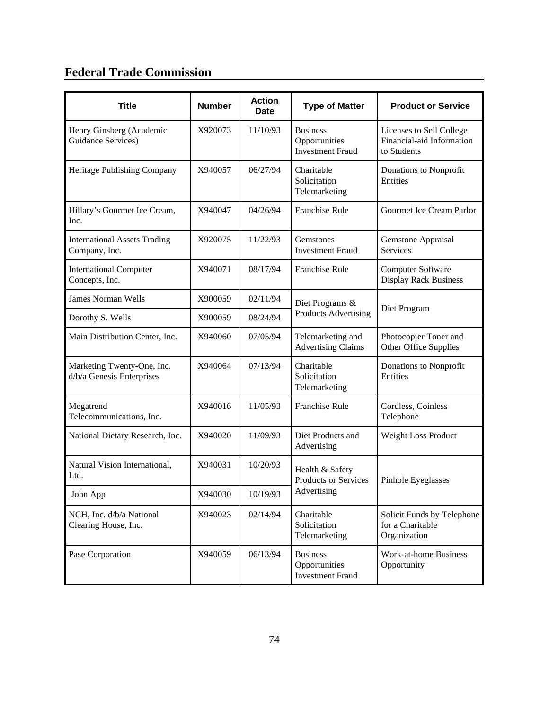| <b>Title</b>                                            | <b>Number</b> | <b>Action</b><br>Date | <b>Type of Matter</b>                                       | <b>Product or Service</b>                                            |
|---------------------------------------------------------|---------------|-----------------------|-------------------------------------------------------------|----------------------------------------------------------------------|
| Henry Ginsberg (Academic<br><b>Guidance Services</b> )  | X920073       | 11/10/93              | <b>Business</b><br>Opportunities<br><b>Investment Fraud</b> | Licenses to Sell College<br>Financial-aid Information<br>to Students |
| Heritage Publishing Company                             | X940057       | 06/27/94              | Charitable<br>Solicitation<br>Telemarketing                 | Donations to Nonprofit<br>Entities                                   |
| Hillary's Gourmet Ice Cream,<br>Inc.                    | X940047       | 04/26/94              | <b>Franchise Rule</b>                                       | Gourmet Ice Cream Parlor                                             |
| <b>International Assets Trading</b><br>Company, Inc.    | X920075       | 11/22/93              | Gemstones<br><b>Investment Fraud</b>                        | Gemstone Appraisal<br><b>Services</b>                                |
| <b>International Computer</b><br>Concepts, Inc.         | X940071       | 08/17/94              | <b>Franchise Rule</b>                                       | Computer Software<br><b>Display Rack Business</b>                    |
| <b>James Norman Wells</b>                               | X900059       | 02/11/94              | Diet Programs &                                             | Diet Program                                                         |
| Dorothy S. Wells                                        | X900059       | 08/24/94              | <b>Products Advertising</b>                                 |                                                                      |
| Main Distribution Center, Inc.                          | X940060       | 07/05/94              | Telemarketing and<br><b>Advertising Claims</b>              | Photocopier Toner and<br>Other Office Supplies                       |
| Marketing Twenty-One, Inc.<br>d/b/a Genesis Enterprises | X940064       | 07/13/94              | Charitable<br>Solicitation<br>Telemarketing                 | Donations to Nonprofit<br>Entities                                   |
| Megatrend<br>Telecommunications, Inc.                   | X940016       | 11/05/93              | Franchise Rule                                              | Cordless, Coinless<br>Telephone                                      |
| National Dietary Research, Inc.                         | X940020       | 11/09/93              | Diet Products and<br>Advertising                            | Weight Loss Product                                                  |
| Natural Vision International,<br>Ltd.                   | X940031       | 10/20/93              | Health & Safety<br>Products or Services                     | Pinhole Eyeglasses                                                   |
| John App                                                | X940030       | 10/19/93              | Advertising                                                 |                                                                      |
| NCH, Inc. d/b/a National<br>Clearing House, Inc.        | X940023       | 02/14/94              | Charitable<br>Solicitation<br>Telemarketing                 | Solicit Funds by Telephone<br>for a Charitable<br>Organization       |
| Pase Corporation                                        | X940059       | 06/13/94              | <b>Business</b><br>Opportunities<br><b>Investment Fraud</b> | <b>Work-at-home Business</b><br>Opportunity                          |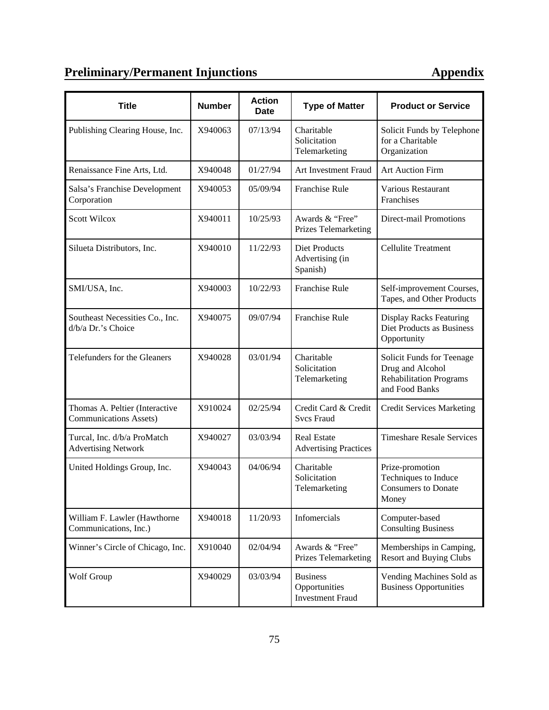# **Preliminary/Permanent Injunctions Appendix**

| <b>Title</b>                                                    | <b>Number</b> | <b>Action</b><br>Date | <b>Type of Matter</b>                                       | <b>Product or Service</b>                                                                         |
|-----------------------------------------------------------------|---------------|-----------------------|-------------------------------------------------------------|---------------------------------------------------------------------------------------------------|
| Publishing Clearing House, Inc.                                 | X940063       | 07/13/94              | Charitable<br>Solicitation<br>Telemarketing                 | Solicit Funds by Telephone<br>for a Charitable<br>Organization                                    |
| Renaissance Fine Arts, Ltd.                                     | X940048       | 01/27/94              | Art Investment Fraud                                        | <b>Art Auction Firm</b>                                                                           |
| Salsa's Franchise Development<br>Corporation                    | X940053       | 05/09/94              | <b>Franchise Rule</b>                                       | Various Restaurant<br>Franchises                                                                  |
| <b>Scott Wilcox</b>                                             | X940011       | 10/25/93              | Awards & "Free"<br>Prizes Telemarketing                     | Direct-mail Promotions                                                                            |
| Silueta Distributors, Inc.                                      | X940010       | 11/22/93              | Diet Products<br>Advertising (in<br>Spanish)                | <b>Cellulite Treatment</b>                                                                        |
| SMI/USA, Inc.                                                   | X940003       | 10/22/93              | Franchise Rule                                              | Self-improvement Courses,<br>Tapes, and Other Products                                            |
| Southeast Necessities Co., Inc.<br>d/b/a Dr.'s Choice           | X940075       | 09/07/94              | <b>Franchise Rule</b>                                       | <b>Display Racks Featuring</b><br>Diet Products as Business<br>Opportunity                        |
| Telefunders for the Gleaners                                    | X940028       | 03/01/94              | Charitable<br>Solicitation<br>Telemarketing                 | Solicit Funds for Teenage<br>Drug and Alcohol<br><b>Rehabilitation Programs</b><br>and Food Banks |
| Thomas A. Peltier (Interactive<br><b>Communications Assets)</b> | X910024       | 02/25/94              | Credit Card & Credit<br><b>Svcs Fraud</b>                   | <b>Credit Services Marketing</b>                                                                  |
| Turcal, Inc. d/b/a ProMatch<br><b>Advertising Network</b>       | X940027       | 03/03/94              | <b>Real Estate</b><br><b>Advertising Practices</b>          | <b>Timeshare Resale Services</b>                                                                  |
| United Holdings Group, Inc.                                     | X940043       | 04/06/94              | Charitable<br>Solicitation<br>Telemarketing                 | Prize-promotion<br>Techniques to Induce<br><b>Consumers</b> to Donate<br>Money                    |
| William F. Lawler (Hawthorne<br>Communications, Inc.)           | X940018       | 11/20/93              | Infomercials                                                | Computer-based<br><b>Consulting Business</b>                                                      |
| Winner's Circle of Chicago, Inc.                                | X910040       | 02/04/94              | Awards & "Free"<br><b>Prizes Telemarketing</b>              | Memberships in Camping,<br><b>Resort and Buying Clubs</b>                                         |
| Wolf Group                                                      | X940029       | 03/03/94              | <b>Business</b><br>Opportunities<br><b>Investment Fraud</b> | Vending Machines Sold as<br><b>Business Opportunities</b>                                         |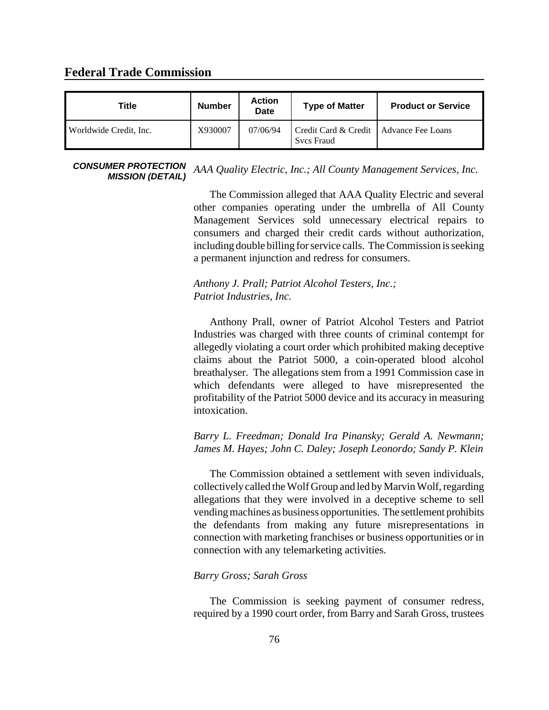| Title                  | <b>Number</b> | <b>Action</b><br>Date | <b>Type of Matter</b>                                         | <b>Product or Service</b> |
|------------------------|---------------|-----------------------|---------------------------------------------------------------|---------------------------|
| Worldwide Credit, Inc. | X930007       | 07/06/94              | Credit Card & Credit   Advance Fee Loans<br><b>Svcs Fraud</b> |                           |

*CONSUMER PROTECTION MISSION (DETAIL) AAA Quality Electric, Inc.; All County Management Services, Inc.*

> The Commission alleged that AAA Quality Electric and several other companies operating under the umbrella of All County Management Services sold unnecessary electrical repairs to consumers and charged their credit cards without authorization, including double billing for service calls. The Commission is seeking a permanent injunction and redress for consumers.

*Anthony J. Prall; Patriot Alcohol Testers, Inc.; Patriot Industries, Inc.*

Anthony Prall, owner of Patriot Alcohol Testers and Patriot Industries was charged with three counts of criminal contempt for allegedly violating a court order which prohibited making deceptive claims about the Patriot 5000, a coin-operated blood alcohol breathalyser. The allegations stem from a 1991 Commission case in which defendants were alleged to have misrepresented the profitability of the Patriot 5000 device and its accuracy in measuring intoxication.

*Barry L. Freedman; Donald Ira Pinansky; Gerald A. Newmann; James M. Hayes; John C. Daley; Joseph Leonordo; Sandy P. Klein*

The Commission obtained a settlement with seven individuals, collectivelycalled theWolfGroup and led by Marvin Wolf, regarding allegations that they were involved in a deceptive scheme to sell vending machines as business opportunities. The settlement prohibits the defendants from making any future misrepresentations in connection with marketing franchises or business opportunities or in connection with any telemarketing activities.

#### *Barry Gross; Sarah Gross*

The Commission is seeking payment of consumer redress, required by a 1990 court order, from Barry and Sarah Gross, trustees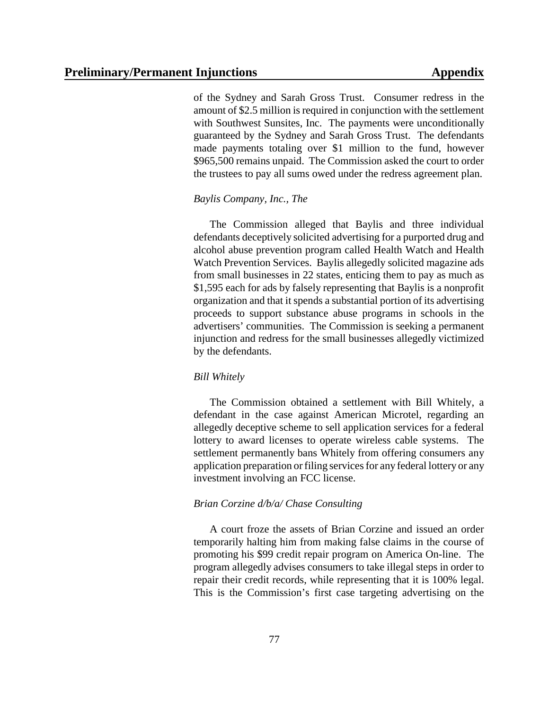of the Sydney and Sarah Gross Trust. Consumer redress in the amount of \$2.5 million is required in conjunction with the settlement with Southwest Sunsites, Inc. The payments were unconditionally guaranteed by the Sydney and Sarah Gross Trust. The defendants made payments totaling over \$1 million to the fund, however \$965,500 remains unpaid. The Commission asked the court to order the trustees to pay all sums owed under the redress agreement plan.

# *Baylis Company, Inc., The*

The Commission alleged that Baylis and three individual defendants deceptively solicited advertising for a purported drug and alcohol abuse prevention program called Health Watch and Health Watch Prevention Services. Baylis allegedly solicited magazine ads from small businesses in 22 states, enticing them to pay as much as \$1,595 each for ads by falsely representing that Baylis is a nonprofit organization and that it spends a substantial portion of its advertising proceeds to support substance abuse programs in schools in the advertisers' communities. The Commission is seeking a permanent injunction and redress for the small businesses allegedly victimized by the defendants.

#### *Bill Whitely*

The Commission obtained a settlement with Bill Whitely, a defendant in the case against American Microtel, regarding an allegedly deceptive scheme to sell application services for a federal lottery to award licenses to operate wireless cable systems. The settlement permanently bans Whitely from offering consumers any application preparation or filing services for any federal lottery or any investment involving an FCC license.

### *Brian Corzine d/b/a/ Chase Consulting*

A court froze the assets of Brian Corzine and issued an order temporarily halting him from making false claims in the course of promoting his \$99 credit repair program on America On-line. The program allegedly advises consumers to take illegal steps in order to repair their credit records, while representing that it is 100% legal. This is the Commission's first case targeting advertising on the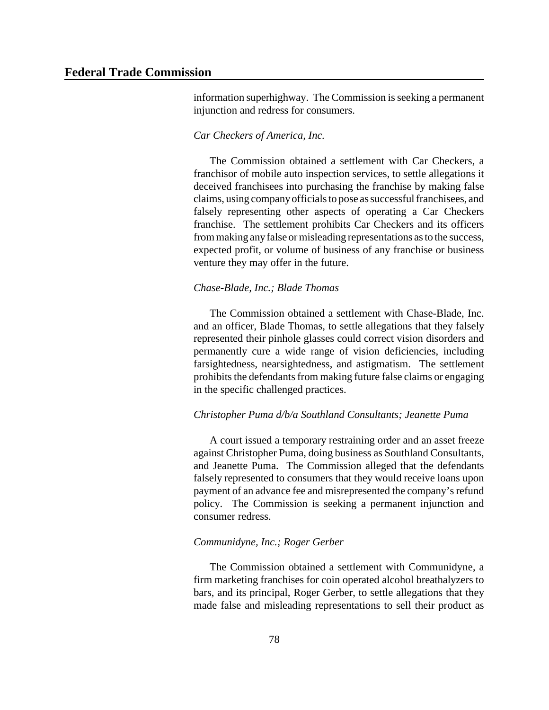information superhighway. The Commission is seeking a permanent injunction and redress for consumers.

#### *Car Checkers of America, Inc.*

The Commission obtained a settlement with Car Checkers, a franchisor of mobile auto inspection services, to settle allegations it deceived franchisees into purchasing the franchise by making false claims, using companyofficialsto pose assuccessfulfranchisees, and falsely representing other aspects of operating a Car Checkers franchise. The settlement prohibits Car Checkers and its officers from making any false or misleading representations as to the success, expected profit, or volume of business of any franchise or business venture they may offer in the future.

# *Chase-Blade, Inc.; Blade Thomas*

The Commission obtained a settlement with Chase-Blade, Inc. and an officer, Blade Thomas, to settle allegations that they falsely represented their pinhole glasses could correct vision disorders and permanently cure a wide range of vision deficiencies, including farsightedness, nearsightedness, and astigmatism. The settlement prohibits the defendants from making future false claims or engaging in the specific challenged practices.

# *Christopher Puma d/b/a Southland Consultants; Jeanette Puma*

A court issued a temporary restraining order and an asset freeze against Christopher Puma, doing business as Southland Consultants, and Jeanette Puma. The Commission alleged that the defendants falsely represented to consumers that they would receive loans upon payment of an advance fee and misrepresented the company's refund policy. The Commission is seeking a permanent injunction and consumer redress.

#### *Communidyne, Inc.; Roger Gerber*

The Commission obtained a settlement with Communidyne, a firm marketing franchises for coin operated alcohol breathalyzers to bars, and its principal, Roger Gerber, to settle allegations that they made false and misleading representations to sell their product as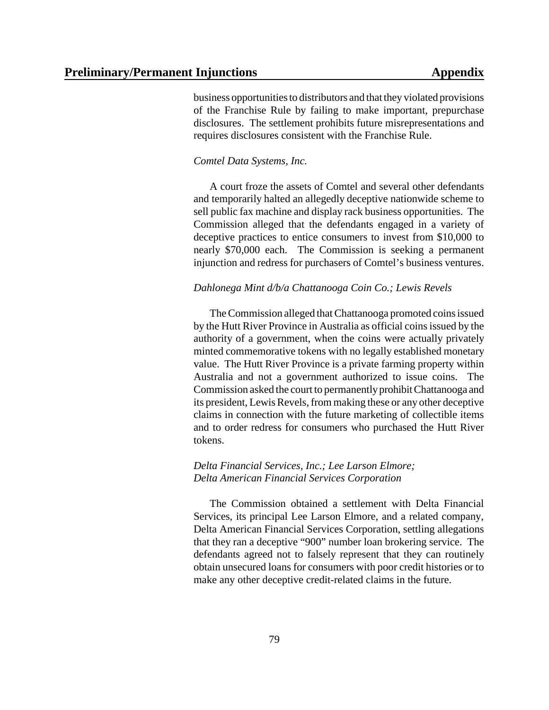business opportunities to distributors and that they violated provisions of the Franchise Rule by failing to make important, prepurchase disclosures. The settlement prohibits future misrepresentations and requires disclosures consistent with the Franchise Rule.

#### *Comtel Data Systems, Inc.*

A court froze the assets of Comtel and several other defendants and temporarily halted an allegedly deceptive nationwide scheme to sell public fax machine and display rack business opportunities. The Commission alleged that the defendants engaged in a variety of deceptive practices to entice consumers to invest from \$10,000 to nearly \$70,000 each. The Commission is seeking a permanent injunction and redress for purchasers of Comtel's business ventures.

### *Dahlonega Mint d/b/a Chattanooga Coin Co.; Lewis Revels*

TheCommission alleged thatChattanooga promoted coins issued by the Hutt River Province in Australia as official coins issued by the authority of a government, when the coins were actually privately minted commemorative tokens with no legally established monetary value. The Hutt River Province is a private farming property within Australia and not a government authorized to issue coins. The Commission asked the court to permanently prohibit Chattanooga and its president, Lewis Revels, from making these or any other deceptive claims in connection with the future marketing of collectible items and to order redress for consumers who purchased the Hutt River tokens.

# *Delta Financial Services, Inc.; Lee Larson Elmore; Delta American Financial Services Corporation*

The Commission obtained a settlement with Delta Financial Services, its principal Lee Larson Elmore, and a related company, Delta American Financial Services Corporation, settling allegations that they ran a deceptive "900" number loan brokering service. The defendants agreed not to falsely represent that they can routinely obtain unsecured loans for consumers with poor credit histories or to make any other deceptive credit-related claims in the future.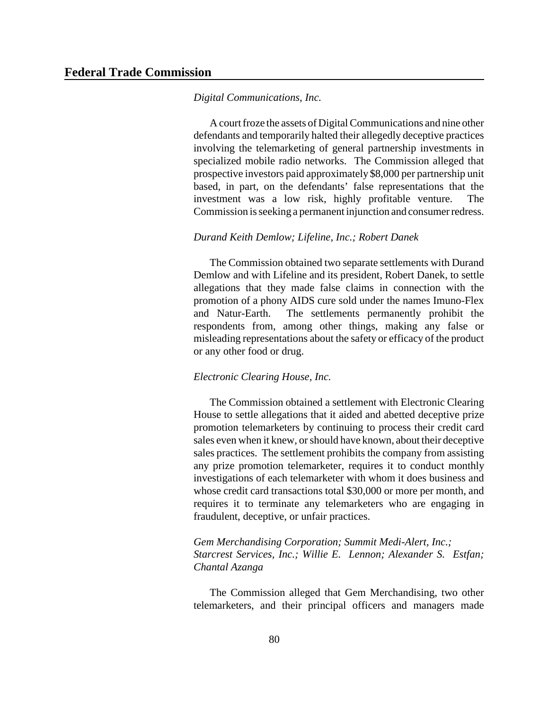#### *Digital Communications, Inc.*

A court froze the assets of Digital Communications and nine other defendants and temporarily halted their allegedly deceptive practices involving the telemarketing of general partnership investments in specialized mobile radio networks. The Commission alleged that prospective investors paid approximately \$8,000 per partnership unit based, in part, on the defendants' false representations that the investment was a low risk, highly profitable venture. The Commission isseeking a permanent injunction and consumer redress.

# *Durand Keith Demlow; Lifeline, Inc.; Robert Danek*

The Commission obtained two separate settlements with Durand Demlow and with Lifeline and its president, Robert Danek, to settle allegations that they made false claims in connection with the promotion of a phony AIDS cure sold under the names Imuno-Flex and Natur-Earth. The settlements permanently prohibit the respondents from, among other things, making any false or misleading representations about the safety or efficacy of the product or any other food or drug.

#### *Electronic Clearing House, Inc.*

The Commission obtained a settlement with Electronic Clearing House to settle allegations that it aided and abetted deceptive prize promotion telemarketers by continuing to process their credit card sales even when it knew, or should have known, about their deceptive sales practices. The settlement prohibits the company from assisting any prize promotion telemarketer, requires it to conduct monthly investigations of each telemarketer with whom it does business and whose credit card transactions total \$30,000 or more per month, and requires it to terminate any telemarketers who are engaging in fraudulent, deceptive, or unfair practices.

# *Gem Merchandising Corporation; Summit Medi-Alert, Inc.; Starcrest Services, Inc.; Willie E. Lennon; Alexander S. Estfan; Chantal Azanga*

The Commission alleged that Gem Merchandising, two other telemarketers, and their principal officers and managers made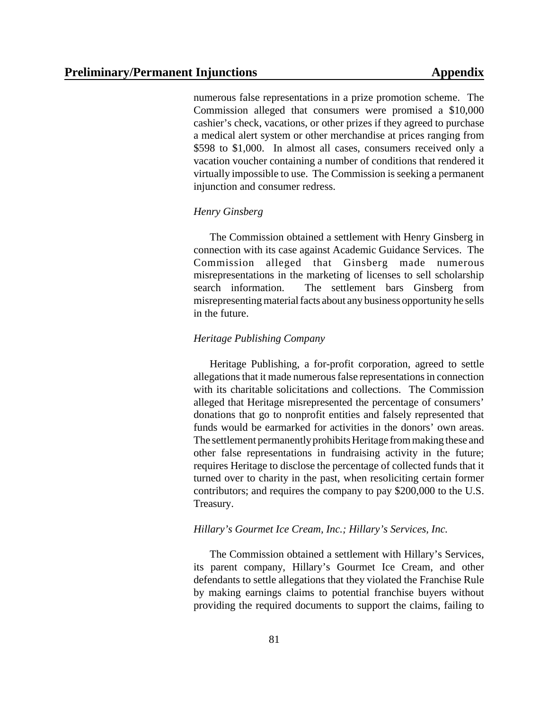numerous false representations in a prize promotion scheme. The Commission alleged that consumers were promised a \$10,000 cashier's check, vacations, or other prizes if they agreed to purchase a medical alert system or other merchandise at prices ranging from \$598 to \$1,000. In almost all cases, consumers received only a vacation voucher containing a number of conditions that rendered it virtually impossible to use. The Commission is seeking a permanent injunction and consumer redress.

# *Henry Ginsberg*

The Commission obtained a settlement with Henry Ginsberg in connection with its case against Academic Guidance Services. The Commission alleged that Ginsberg made numerous misrepresentations in the marketing of licenses to sell scholarship search information. The settlement bars Ginsberg from misrepresenting material facts about any business opportunity he sells in the future.

#### *Heritage Publishing Company*

Heritage Publishing, a for-profit corporation, agreed to settle allegations that it made numerous false representations in connection with its charitable solicitations and collections. The Commission alleged that Heritage misrepresented the percentage of consumers' donations that go to nonprofit entities and falsely represented that funds would be earmarked for activities in the donors' own areas. The settlement permanently prohibits Heritage from making these and other false representations in fundraising activity in the future; requires Heritage to disclose the percentage of collected funds that it turned over to charity in the past, when resoliciting certain former contributors; and requires the company to pay \$200,000 to the U.S. Treasury.

#### *Hillary's Gourmet Ice Cream, Inc.; Hillary's Services, Inc.*

The Commission obtained a settlement with Hillary's Services, its parent company, Hillary's Gourmet Ice Cream, and other defendants to settle allegations that they violated the Franchise Rule by making earnings claims to potential franchise buyers without providing the required documents to support the claims, failing to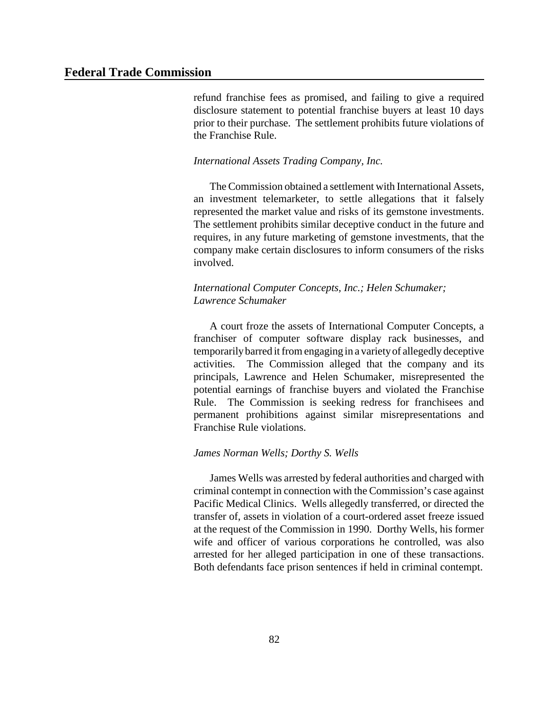refund franchise fees as promised, and failing to give a required disclosure statement to potential franchise buyers at least 10 days prior to their purchase. The settlement prohibits future violations of the Franchise Rule.

#### *International Assets Trading Company, Inc.*

The Commission obtained a settlement with International Assets, an investment telemarketer, to settle allegations that it falsely represented the market value and risks of its gemstone investments. The settlement prohibits similar deceptive conduct in the future and requires, in any future marketing of gemstone investments, that the company make certain disclosures to inform consumers of the risks involved.

# *International Computer Concepts, Inc.; Helen Schumaker; Lawrence Schumaker*

A court froze the assets of International Computer Concepts, a franchiser of computer software display rack businesses, and temporarilybarred itfromengaging in a varietyof allegedly deceptive activities. The Commission alleged that the company and its principals, Lawrence and Helen Schumaker, misrepresented the potential earnings of franchise buyers and violated the Franchise Rule. The Commission is seeking redress for franchisees and permanent prohibitions against similar misrepresentations and Franchise Rule violations.

# *James Norman Wells; Dorthy S. Wells*

James Wells was arrested by federal authorities and charged with criminal contempt in connection with the Commission's case against Pacific Medical Clinics. Wells allegedly transferred, or directed the transfer of, assets in violation of a court-ordered asset freeze issued at the request of the Commission in 1990. Dorthy Wells, his former wife and officer of various corporations he controlled, was also arrested for her alleged participation in one of these transactions. Both defendants face prison sentences if held in criminal contempt.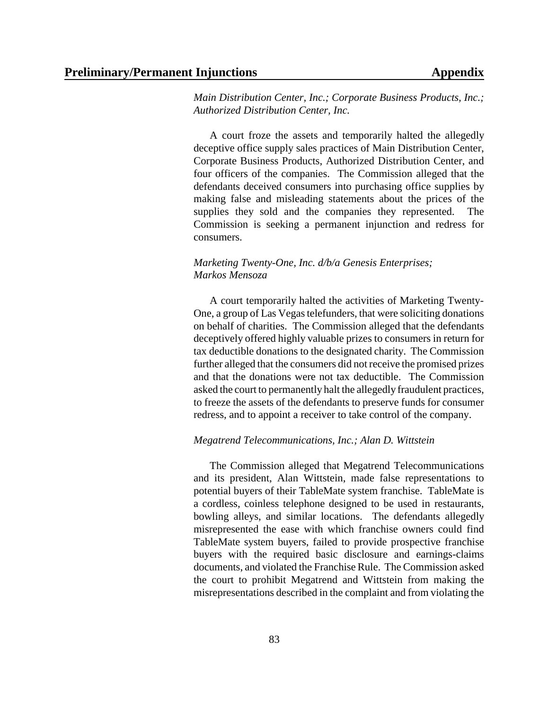*Main Distribution Center, Inc.; Corporate Business Products, Inc.; Authorized Distribution Center, Inc.*

A court froze the assets and temporarily halted the allegedly deceptive office supply sales practices of Main Distribution Center, Corporate Business Products, Authorized Distribution Center, and four officers of the companies. The Commission alleged that the defendants deceived consumers into purchasing office supplies by making false and misleading statements about the prices of the supplies they sold and the companies they represented. The Commission is seeking a permanent injunction and redress for consumers.

# *Marketing Twenty-One, Inc. d/b/a Genesis Enterprises; Markos Mensoza*

A court temporarily halted the activities of Marketing Twenty-One, a group of Las Vegas telefunders, that were soliciting donations on behalf of charities. The Commission alleged that the defendants deceptively offered highly valuable prizes to consumers in return for tax deductible donations to the designated charity. The Commission further alleged that the consumers did not receive the promised prizes and that the donations were not tax deductible. The Commission asked the court to permanently halt the allegedly fraudulent practices, to freeze the assets of the defendants to preserve funds for consumer redress, and to appoint a receiver to take control of the company.

# *Megatrend Telecommunications, Inc.; Alan D. Wittstein*

The Commission alleged that Megatrend Telecommunications and its president, Alan Wittstein, made false representations to potential buyers of their TableMate system franchise. TableMate is a cordless, coinless telephone designed to be used in restaurants, bowling alleys, and similar locations. The defendants allegedly misrepresented the ease with which franchise owners could find TableMate system buyers, failed to provide prospective franchise buyers with the required basic disclosure and earnings-claims documents, and violated the Franchise Rule. The Commission asked the court to prohibit Megatrend and Wittstein from making the misrepresentations described in the complaint and from violating the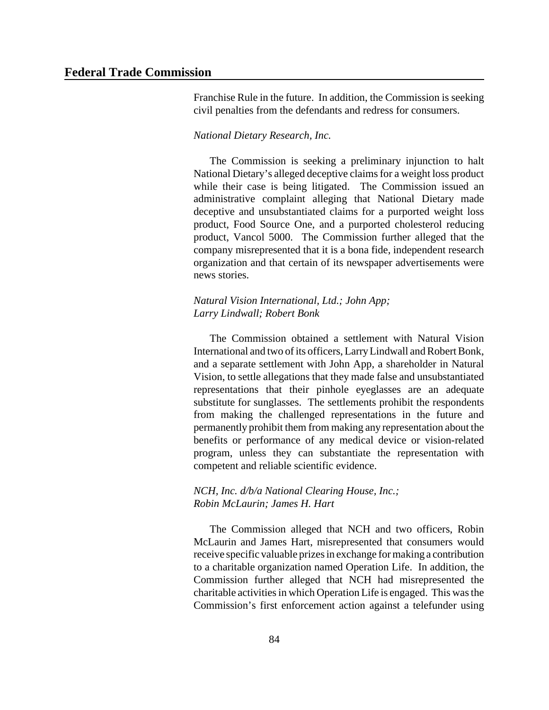Franchise Rule in the future. In addition, the Commission is seeking civil penalties from the defendants and redress for consumers.

#### *National Dietary Research, Inc.*

The Commission is seeking a preliminary injunction to halt National Dietary's alleged deceptive claims for a weight loss product while their case is being litigated. The Commission issued an administrative complaint alleging that National Dietary made deceptive and unsubstantiated claims for a purported weight loss product, Food Source One, and a purported cholesterol reducing product, Vancol 5000. The Commission further alleged that the company misrepresented that it is a bona fide, independent research organization and that certain of its newspaper advertisements were news stories.

# *Natural Vision International, Ltd.; John App; Larry Lindwall; Robert Bonk*

The Commission obtained a settlement with Natural Vision International and two of its officers, Larry Lindwall and Robert Bonk, and a separate settlement with John App, a shareholder in Natural Vision, to settle allegations that they made false and unsubstantiated representations that their pinhole eyeglasses are an adequate substitute for sunglasses. The settlements prohibit the respondents from making the challenged representations in the future and permanently prohibit them from making any representation about the benefits or performance of any medical device or vision-related program, unless they can substantiate the representation with competent and reliable scientific evidence.

# *NCH, Inc. d/b/a National Clearing House, Inc.; Robin McLaurin; James H. Hart*

The Commission alleged that NCH and two officers, Robin McLaurin and James Hart, misrepresented that consumers would receive specific valuable prizes in exchange for making a contribution to a charitable organization named Operation Life. In addition, the Commission further alleged that NCH had misrepresented the charitable activities in which Operation Life is engaged. This was the Commission's first enforcement action against a telefunder using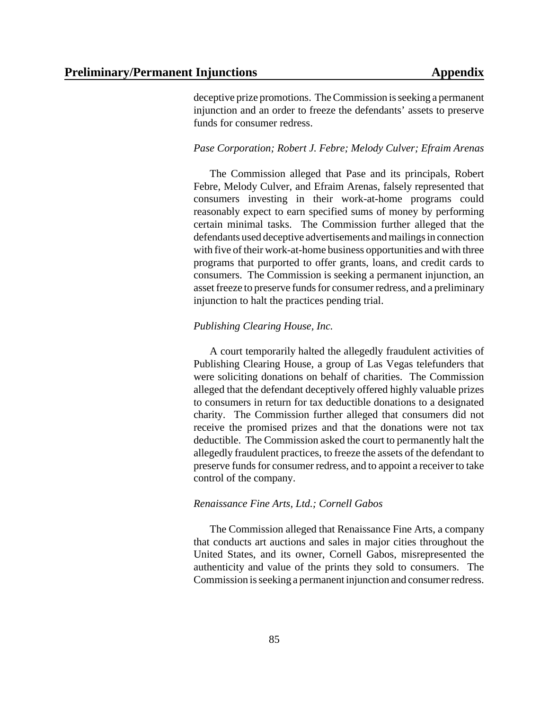deceptive prize promotions. The Commission is seeking a permanent injunction and an order to freeze the defendants' assets to preserve funds for consumer redress.

# *Pase Corporation; Robert J. Febre; Melody Culver; Efraim Arenas*

The Commission alleged that Pase and its principals, Robert Febre, Melody Culver, and Efraim Arenas, falsely represented that consumers investing in their work-at-home programs could reasonably expect to earn specified sums of money by performing certain minimal tasks. The Commission further alleged that the defendants used deceptive advertisements and mailings in connection with five of their work-at-home business opportunities and with three programs that purported to offer grants, loans, and credit cards to consumers. The Commission is seeking a permanent injunction, an asset freeze to preserve funds for consumer redress, and a preliminary injunction to halt the practices pending trial.

#### *Publishing Clearing House, Inc.*

A court temporarily halted the allegedly fraudulent activities of Publishing Clearing House, a group of Las Vegas telefunders that were soliciting donations on behalf of charities. The Commission alleged that the defendant deceptively offered highly valuable prizes to consumers in return for tax deductible donations to a designated charity. The Commission further alleged that consumers did not receive the promised prizes and that the donations were not tax deductible. The Commission asked the court to permanently halt the allegedly fraudulent practices, to freeze the assets of the defendant to preserve funds for consumer redress, and to appoint a receiver to take control of the company.

# *Renaissance Fine Arts, Ltd.; Cornell Gabos*

The Commission alleged that Renaissance Fine Arts, a company that conducts art auctions and sales in major cities throughout the United States, and its owner, Cornell Gabos, misrepresented the authenticity and value of the prints they sold to consumers. The Commission isseeking a permanent injunction and consumer redress.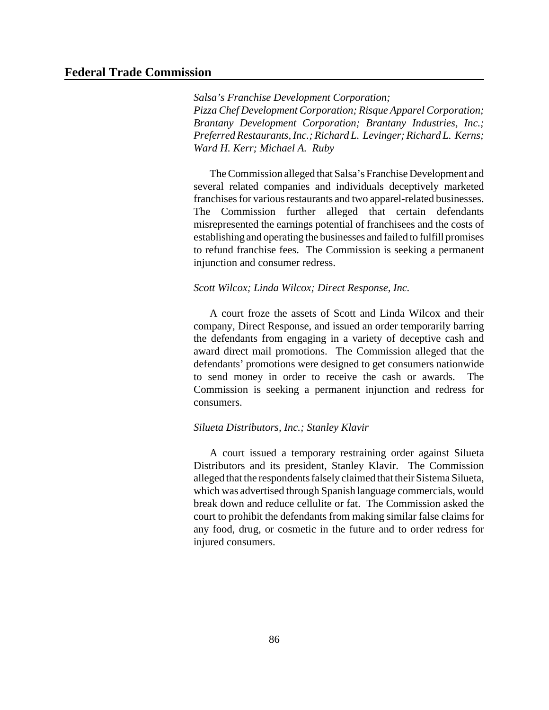*Salsa's Franchise Development Corporation; Pizza Chef Development Corporation; Risque Apparel Corporation; Brantany Development Corporation; Brantany Industries, Inc.; Preferred Restaurants,Inc.; Richard L. Levinger; Richard L. Kerns; Ward H. Kerr; Michael A. Ruby*

TheCommission alleged that Salsa's Franchise Development and several related companies and individuals deceptively marketed franchises for various restaurants and two apparel-related businesses. The Commission further alleged that certain defendants misrepresented the earnings potential of franchisees and the costs of establishing and operating the businesses and failed to fulfill promises to refund franchise fees. The Commission is seeking a permanent injunction and consumer redress.

# *Scott Wilcox; Linda Wilcox; Direct Response, Inc.*

A court froze the assets of Scott and Linda Wilcox and their company, Direct Response, and issued an order temporarily barring the defendants from engaging in a variety of deceptive cash and award direct mail promotions. The Commission alleged that the defendants' promotions were designed to get consumers nationwide to send money in order to receive the cash or awards. The Commission is seeking a permanent injunction and redress for consumers.

#### *Silueta Distributors, Inc.; Stanley Klavir*

A court issued a temporary restraining order against Silueta Distributors and its president, Stanley Klavir. The Commission alleged that the respondents falsely claimed that their Sistema Silueta, which was advertised through Spanish language commercials, would break down and reduce cellulite or fat. The Commission asked the court to prohibit the defendants from making similar false claims for any food, drug, or cosmetic in the future and to order redress for injured consumers.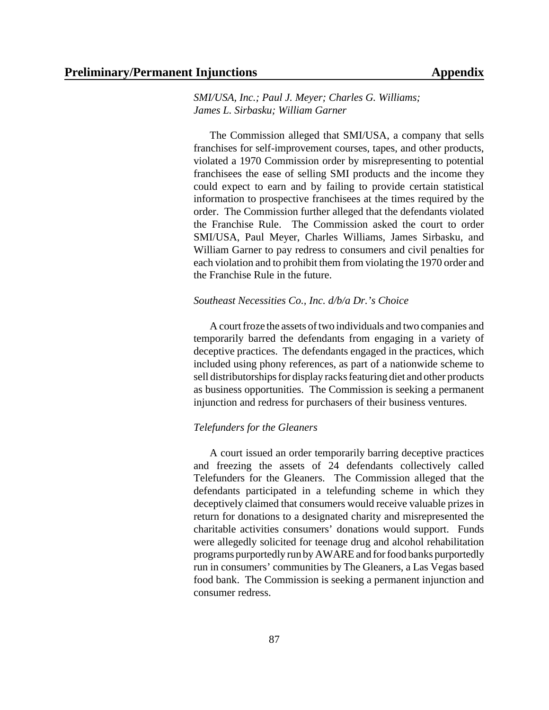*SMI/USA, Inc.; Paul J. Meyer; Charles G. Williams; James L. Sirbasku; William Garner*

The Commission alleged that SMI/USA, a company that sells franchises for self-improvement courses, tapes, and other products, violated a 1970 Commission order by misrepresenting to potential franchisees the ease of selling SMI products and the income they could expect to earn and by failing to provide certain statistical information to prospective franchisees at the times required by the order. The Commission further alleged that the defendants violated the Franchise Rule. The Commission asked the court to order SMI/USA, Paul Meyer, Charles Williams, James Sirbasku, and William Garner to pay redress to consumers and civil penalties for each violation and to prohibit them from violating the 1970 order and the Franchise Rule in the future.

# *Southeast Necessities Co., Inc. d/b/a Dr.'s Choice*

A court froze the assets of two individuals and two companies and temporarily barred the defendants from engaging in a variety of deceptive practices. The defendants engaged in the practices, which included using phony references, as part of a nationwide scheme to sell distributorships for display racks featuring diet and other products as business opportunities. The Commission is seeking a permanent injunction and redress for purchasers of their business ventures.

#### *Telefunders for the Gleaners*

A court issued an order temporarily barring deceptive practices and freezing the assets of 24 defendants collectively called Telefunders for the Gleaners. The Commission alleged that the defendants participated in a telefunding scheme in which they deceptively claimed that consumers would receive valuable prizes in return for donations to a designated charity and misrepresented the charitable activities consumers' donations would support. Funds were allegedly solicited for teenage drug and alcohol rehabilitation programs purportedly run by AWARE and for food banks purportedly run in consumers' communities by The Gleaners, a Las Vegas based food bank. The Commission is seeking a permanent injunction and consumer redress.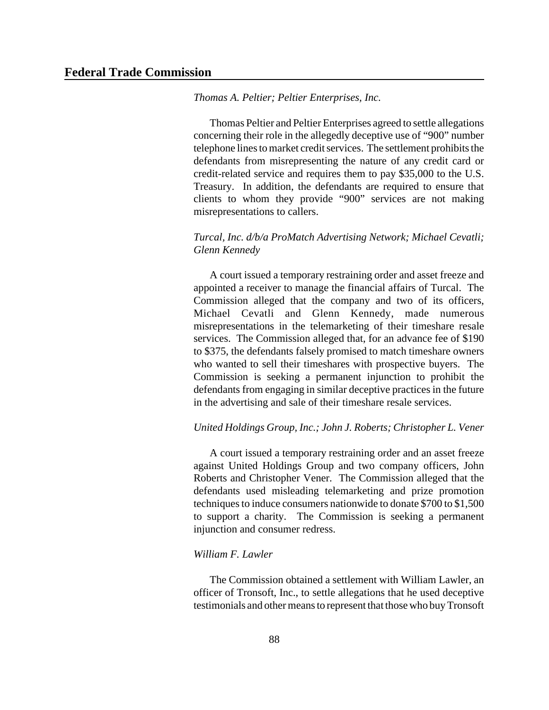*Thomas A. Peltier; Peltier Enterprises, Inc.*

Thomas Peltier and Peltier Enterprises agreed to settle allegations concerning their role in the allegedly deceptive use of "900" number telephone lines to market credit services. The settlement prohibits the defendants from misrepresenting the nature of any credit card or credit-related service and requires them to pay \$35,000 to the U.S. Treasury. In addition, the defendants are required to ensure that clients to whom they provide "900" services are not making misrepresentations to callers.

# *Turcal, Inc. d/b/a ProMatch Advertising Network; Michael Cevatli; Glenn Kennedy*

A court issued a temporary restraining order and asset freeze and appointed a receiver to manage the financial affairs of Turcal. The Commission alleged that the company and two of its officers, Michael Cevatli and Glenn Kennedy, made numerous misrepresentations in the telemarketing of their timeshare resale services. The Commission alleged that, for an advance fee of \$190 to \$375, the defendants falsely promised to match timeshare owners who wanted to sell their timeshares with prospective buyers. The Commission is seeking a permanent injunction to prohibit the defendants from engaging in similar deceptive practices in the future in the advertising and sale of their timeshare resale services.

#### *United Holdings Group, Inc.; John J. Roberts; Christopher L. Vener*

A court issued a temporary restraining order and an asset freeze against United Holdings Group and two company officers, John Roberts and Christopher Vener. The Commission alleged that the defendants used misleading telemarketing and prize promotion techniques to induce consumers nationwide to donate \$700 to \$1,500 to support a charity. The Commission is seeking a permanent injunction and consumer redress.

# *William F. Lawler*

The Commission obtained a settlement with William Lawler, an officer of Tronsoft, Inc., to settle allegations that he used deceptive testimonials and other means to represent that those who buy Tronsoft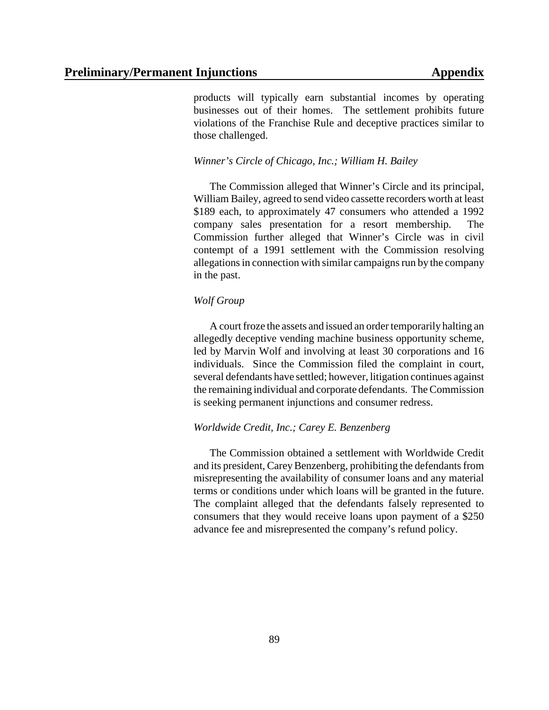products will typically earn substantial incomes by operating businesses out of their homes. The settlement prohibits future violations of the Franchise Rule and deceptive practices similar to those challenged.

#### *Winner's Circle of Chicago, Inc.; William H. Bailey*

The Commission alleged that Winner's Circle and its principal, William Bailey, agreed to send video cassette recorders worth at least \$189 each, to approximately 47 consumers who attended a 1992 company sales presentation for a resort membership. The Commission further alleged that Winner's Circle was in civil contempt of a 1991 settlement with the Commission resolving allegations in connection with similar campaigns run by the company in the past.

# *Wolf Group*

A court froze the assets and issued an order temporarily halting an allegedly deceptive vending machine business opportunity scheme, led by Marvin Wolf and involving at least 30 corporations and 16 individuals. Since the Commission filed the complaint in court, several defendants have settled; however, litigation continues against the remaining individual and corporate defendants. The Commission is seeking permanent injunctions and consumer redress.

#### *Worldwide Credit, Inc.; Carey E. Benzenberg*

The Commission obtained a settlement with Worldwide Credit and its president, Carey Benzenberg, prohibiting the defendants from misrepresenting the availability of consumer loans and any material terms or conditions under which loans will be granted in the future. The complaint alleged that the defendants falsely represented to consumers that they would receive loans upon payment of a \$250 advance fee and misrepresented the company's refund policy.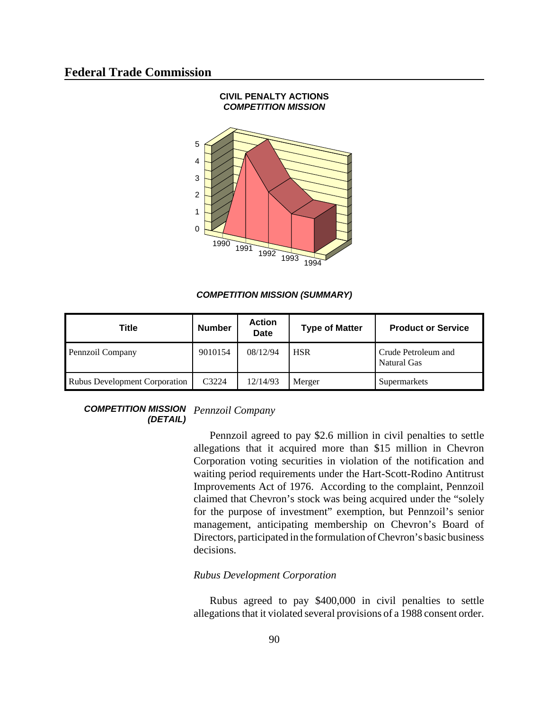

#### *COMPETITION MISSION (SUMMARY)*

| Title                                | <b>Number</b> | <b>Action</b><br><b>Date</b> | <b>Type of Matter</b> | <b>Product or Service</b>          |
|--------------------------------------|---------------|------------------------------|-----------------------|------------------------------------|
| Pennzoil Company                     | 9010154       | 08/12/94                     | <b>HSR</b>            | Crude Petroleum and<br>Natural Gas |
| <b>Rubus Development Corporation</b> | C3224         | 12/14/93                     | Merger                | Supermarkets                       |

# *COMPETITION MISSION Pennzoil Company (DETAIL)*

Pennzoil agreed to pay \$2.6 million in civil penalties to settle allegations that it acquired more than \$15 million in Chevron Corporation voting securities in violation of the notification and waiting period requirements under the Hart-Scott-Rodino Antitrust Improvements Act of 1976. According to the complaint, Pennzoil claimed that Chevron's stock was being acquired under the "solely for the purpose of investment" exemption, but Pennzoil's senior management, anticipating membership on Chevron's Board of Directors, participated in the formulation of Chevron's basic business decisions.

#### *Rubus Development Corporation*

Rubus agreed to pay \$400,000 in civil penalties to settle allegations that it violated several provisions of a 1988 consent order.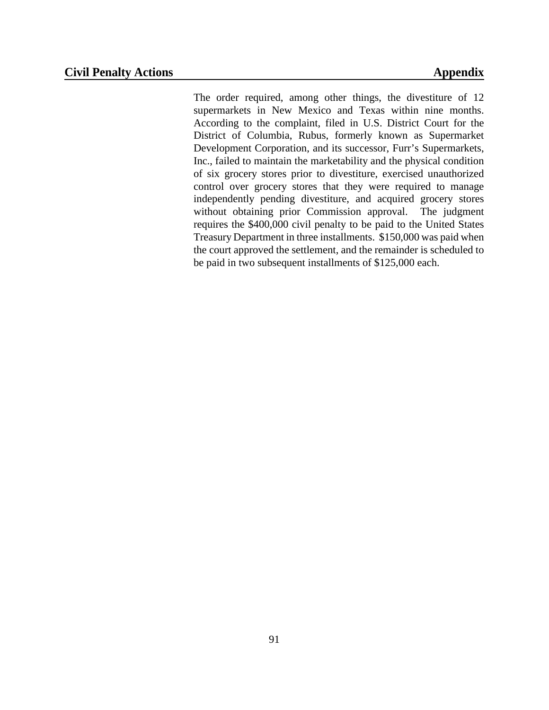The order required, among other things, the divestiture of 12 supermarkets in New Mexico and Texas within nine months. According to the complaint, filed in U.S. District Court for the District of Columbia, Rubus, formerly known as Supermarket Development Corporation, and its successor, Furr's Supermarkets, Inc., failed to maintain the marketability and the physical condition of six grocery stores prior to divestiture, exercised unauthorized control over grocery stores that they were required to manage independently pending divestiture, and acquired grocery stores without obtaining prior Commission approval. The judgment requires the \$400,000 civil penalty to be paid to the United States Treasury Department in three installments. \$150,000 was paid when the court approved the settlement, and the remainder is scheduled to be paid in two subsequent installments of \$125,000 each.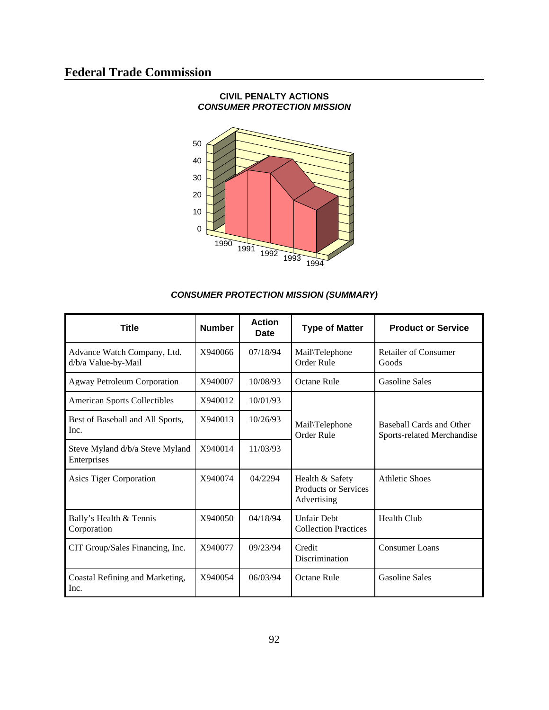

# **CIVIL PENALTY ACTIONS** *CONSUMER PROTECTION MISSION*

# *CONSUMER PROTECTION MISSION (SUMMARY)*

| <b>Title</b>                                       | <b>Number</b> | <b>Action</b><br>Date | <b>Type of Matter</b>                                  | <b>Product or Service</b>                              |
|----------------------------------------------------|---------------|-----------------------|--------------------------------------------------------|--------------------------------------------------------|
| Advance Watch Company, Ltd.<br>d/b/a Value-by-Mail | X940066       | 07/18/94              | Mail\Telephone<br>Order Rule                           | <b>Retailer of Consumer</b><br>Goods                   |
| <b>Agway Petroleum Corporation</b>                 | X940007       | 10/08/93              | Octane Rule                                            | <b>Gasoline Sales</b>                                  |
| <b>American Sports Collectibles</b>                | X940012       | 10/01/93              |                                                        |                                                        |
| Best of Baseball and All Sports,<br>Inc.           | X940013       | 10/26/93              | Mail\Telephone<br>Order Rule                           | Baseball Cards and Other<br>Sports-related Merchandise |
| Steve Myland d/b/a Steve Myland<br>Enterprises     | X940014       | 11/03/93              |                                                        |                                                        |
| <b>Asics Tiger Corporation</b>                     | X940074       | 04/2294               | Health & Safety<br>Products or Services<br>Advertising | <b>Athletic Shoes</b>                                  |
| Bally's Health & Tennis<br>Corporation             | X940050       | 04/18/94              | <b>Unfair Debt</b><br><b>Collection Practices</b>      | <b>Health Club</b>                                     |
| CIT Group/Sales Financing, Inc.                    | X940077       | 09/23/94              | Credit<br>Discrimination                               | <b>Consumer Loans</b>                                  |
| Coastal Refining and Marketing,<br>Inc.            | X940054       | 06/03/94              | Octane Rule                                            | <b>Gasoline Sales</b>                                  |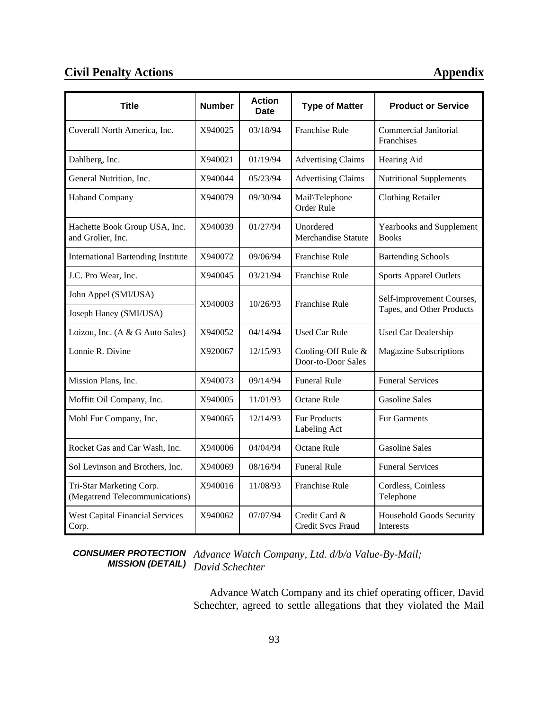# **Civil Penalty Actions Appendix**

| <b>Title</b>                                               | <b>Number</b> | Action<br>Date | <b>Type of Matter</b>                     | <b>Product or Service</b>                              |
|------------------------------------------------------------|---------------|----------------|-------------------------------------------|--------------------------------------------------------|
| Coverall North America, Inc.                               | X940025       | 03/18/94       | Franchise Rule                            | Commercial Janitorial<br>Franchises                    |
| Dahlberg, Inc.                                             | X940021       | 01/19/94       | <b>Advertising Claims</b>                 | Hearing Aid                                            |
| General Nutrition, Inc.                                    | X940044       | 05/23/94       | <b>Advertising Claims</b>                 | <b>Nutritional Supplements</b>                         |
| <b>Haband Company</b>                                      | X940079       | 09/30/94       | Mail\Telephone<br>Order Rule              | <b>Clothing Retailer</b>                               |
| Hachette Book Group USA, Inc.<br>and Grolier, Inc.         | X940039       | 01/27/94       | Unordered<br>Merchandise Statute          | Yearbooks and Supplement<br><b>Books</b>               |
| <b>International Bartending Institute</b>                  | X940072       | 09/06/94       | <b>Franchise Rule</b>                     | <b>Bartending Schools</b>                              |
| J.C. Pro Wear, Inc.                                        | X940045       | 03/21/94       | Franchise Rule                            | <b>Sports Apparel Outlets</b>                          |
| John Appel (SMI/USA)                                       |               | 10/26/93       | <b>Franchise Rule</b>                     | Self-improvement Courses,<br>Tapes, and Other Products |
| Joseph Haney (SMI/USA)                                     | X940003       |                |                                           |                                                        |
| Loizou, Inc. (A & G Auto Sales)                            | X940052       | 04/14/94       | <b>Used Car Rule</b>                      | Used Car Dealership                                    |
| Lonnie R. Divine                                           | X920067       | 12/15/93       | Cooling-Off Rule &<br>Door-to-Door Sales  | <b>Magazine Subscriptions</b>                          |
| Mission Plans, Inc.                                        | X940073       | 09/14/94       | <b>Funeral Rule</b>                       | <b>Funeral Services</b>                                |
| Moffitt Oil Company, Inc.                                  | X940005       | 11/01/93       | <b>Octane Rule</b>                        | <b>Gasoline Sales</b>                                  |
| Mohl Fur Company, Inc.                                     | X940065       | 12/14/93       | <b>Fur Products</b><br>Labeling Act       | <b>Fur Garments</b>                                    |
| Rocket Gas and Car Wash, Inc.                              | X940006       | 04/04/94       | <b>Octane Rule</b>                        | <b>Gasoline Sales</b>                                  |
| Sol Levinson and Brothers, Inc.                            | X940069       | 08/16/94       | <b>Funeral Rule</b>                       | <b>Funeral Services</b>                                |
| Tri-Star Marketing Corp.<br>(Megatrend Telecommunications) | X940016       | 11/08/93       | <b>Franchise Rule</b>                     | Cordless, Coinless<br>Telephone                        |
| <b>West Capital Financial Services</b><br>Corp.            | X940062       | 07/07/94       | Credit Card &<br><b>Credit Svcs Fraud</b> | <b>Household Goods Security</b><br>Interests           |

#### *CONSUMER PROTECTION MISSION (DETAIL) Advance Watch Company, Ltd. d/b/a Value-By-Mail; David Schechter*

Advance Watch Company and its chief operating officer, David Schechter, agreed to settle allegations that they violated the Mail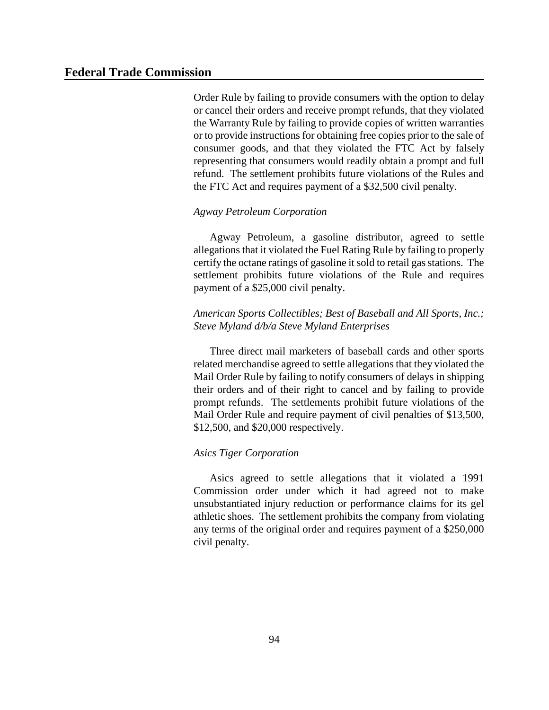Order Rule by failing to provide consumers with the option to delay or cancel their orders and receive prompt refunds, that they violated the Warranty Rule by failing to provide copies of written warranties or to provide instructionsfor obtaining free copies prior to the sale of consumer goods, and that they violated the FTC Act by falsely representing that consumers would readily obtain a prompt and full refund. The settlement prohibits future violations of the Rules and the FTC Act and requires payment of a \$32,500 civil penalty.

# *Agway Petroleum Corporation*

Agway Petroleum, a gasoline distributor, agreed to settle allegationsthat it violated the Fuel Rating Rule by failing to properly certify the octane ratings of gasoline it sold to retail gas stations. The settlement prohibits future violations of the Rule and requires payment of a \$25,000 civil penalty.

# *American Sports Collectibles; Best of Baseball and All Sports, Inc.; Steve Myland d/b/a Steve Myland Enterprises*

Three direct mail marketers of baseball cards and other sports related merchandise agreed to settle allegations that they violated the Mail Order Rule by failing to notify consumers of delays in shipping their orders and of their right to cancel and by failing to provide prompt refunds. The settlements prohibit future violations of the Mail Order Rule and require payment of civil penalties of \$13,500, \$12,500, and \$20,000 respectively.

# *Asics Tiger Corporation*

Asics agreed to settle allegations that it violated a 1991 Commission order under which it had agreed not to make unsubstantiated injury reduction or performance claims for its gel athletic shoes. The settlement prohibits the company from violating any terms of the original order and requires payment of a \$250,000 civil penalty.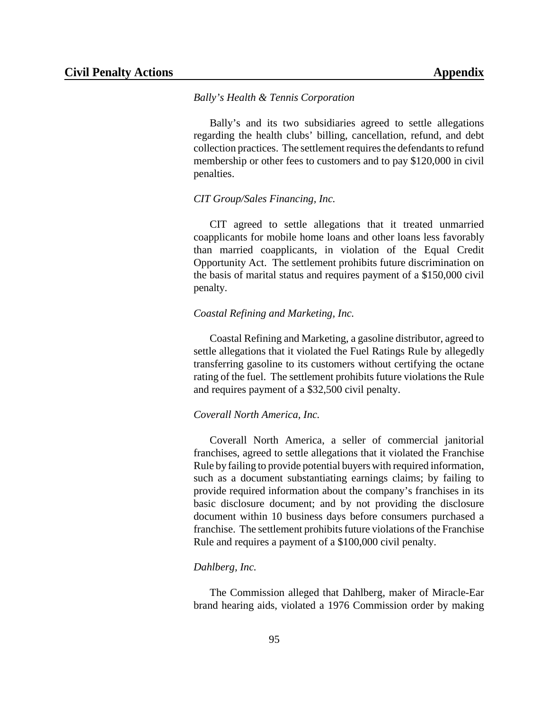#### *Bally's Health & Tennis Corporation*

Bally's and its two subsidiaries agreed to settle allegations regarding the health clubs' billing, cancellation, refund, and debt collection practices. The settlement requires the defendants to refund membership or other fees to customers and to pay \$120,000 in civil penalties.

#### *CIT Group/Sales Financing, Inc.*

CIT agreed to settle allegations that it treated unmarried coapplicants for mobile home loans and other loans less favorably than married coapplicants, in violation of the Equal Credit Opportunity Act. The settlement prohibits future discrimination on the basis of marital status and requires payment of a \$150,000 civil penalty.

### *Coastal Refining and Marketing, Inc.*

Coastal Refining and Marketing, a gasoline distributor, agreed to settle allegations that it violated the Fuel Ratings Rule by allegedly transferring gasoline to its customers without certifying the octane rating of the fuel. The settlement prohibits future violations the Rule and requires payment of a \$32,500 civil penalty.

# *Coverall North America, Inc.*

Coverall North America, a seller of commercial janitorial franchises, agreed to settle allegations that it violated the Franchise Rule by failing to provide potential buyers with required information, such as a document substantiating earnings claims; by failing to provide required information about the company's franchises in its basic disclosure document; and by not providing the disclosure document within 10 business days before consumers purchased a franchise. The settlement prohibits future violations of the Franchise Rule and requires a payment of a \$100,000 civil penalty.

### *Dahlberg, Inc.*

The Commission alleged that Dahlberg, maker of Miracle-Ear brand hearing aids, violated a 1976 Commission order by making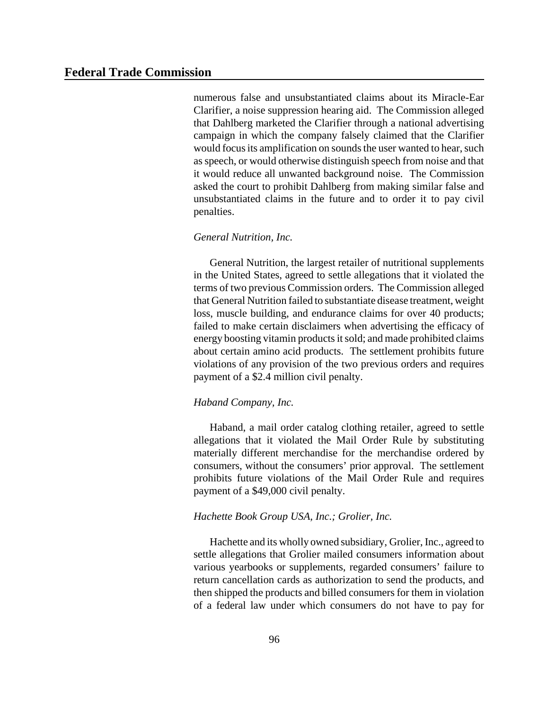numerous false and unsubstantiated claims about its Miracle-Ear Clarifier, a noise suppression hearing aid. The Commission alleged that Dahlberg marketed the Clarifier through a national advertising campaign in which the company falsely claimed that the Clarifier would focus its amplification on sounds the user wanted to hear, such asspeech, or would otherwise distinguish speech from noise and that it would reduce all unwanted background noise. The Commission asked the court to prohibit Dahlberg from making similar false and unsubstantiated claims in the future and to order it to pay civil penalties.

### *General Nutrition, Inc.*

General Nutrition, the largest retailer of nutritional supplements in the United States, agreed to settle allegations that it violated the terms of two previous Commission orders. The Commission alleged that General Nutrition failed to substantiate disease treatment, weight loss, muscle building, and endurance claims for over 40 products; failed to make certain disclaimers when advertising the efficacy of energy boosting vitamin products it sold; and made prohibited claims about certain amino acid products. The settlement prohibits future violations of any provision of the two previous orders and requires payment of a \$2.4 million civil penalty.

# *Haband Company, Inc.*

Haband, a mail order catalog clothing retailer, agreed to settle allegations that it violated the Mail Order Rule by substituting materially different merchandise for the merchandise ordered by consumers, without the consumers' prior approval. The settlement prohibits future violations of the Mail Order Rule and requires payment of a \$49,000 civil penalty.

#### *Hachette Book Group USA, Inc.; Grolier, Inc.*

Hachette and its wholly owned subsidiary, Grolier, Inc., agreed to settle allegations that Grolier mailed consumers information about various yearbooks or supplements, regarded consumers' failure to return cancellation cards as authorization to send the products, and then shipped the products and billed consumers for them in violation of a federal law under which consumers do not have to pay for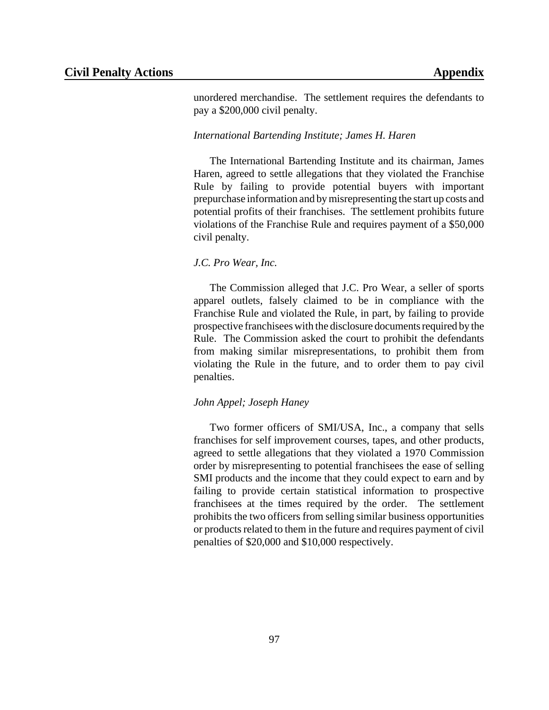unordered merchandise. The settlement requires the defendants to pay a \$200,000 civil penalty.

#### *International Bartending Institute; James H. Haren*

The International Bartending Institute and its chairman, James Haren, agreed to settle allegations that they violated the Franchise Rule by failing to provide potential buyers with important prepurchase information and by misrepresenting the start up costs and potential profits of their franchises. The settlement prohibits future violations of the Franchise Rule and requires payment of a \$50,000 civil penalty.

#### *J.C. Pro Wear, Inc.*

The Commission alleged that J.C. Pro Wear, a seller of sports apparel outlets, falsely claimed to be in compliance with the Franchise Rule and violated the Rule, in part, by failing to provide prospective franchisees with the disclosure documents required by the Rule. The Commission asked the court to prohibit the defendants from making similar misrepresentations, to prohibit them from violating the Rule in the future, and to order them to pay civil penalties.

# *John Appel; Joseph Haney*

Two former officers of SMI/USA, Inc., a company that sells franchises for self improvement courses, tapes, and other products, agreed to settle allegations that they violated a 1970 Commission order by misrepresenting to potential franchisees the ease of selling SMI products and the income that they could expect to earn and by failing to provide certain statistical information to prospective franchisees at the times required by the order. The settlement prohibits the two officers from selling similar business opportunities or products related to them in the future and requires payment of civil penalties of \$20,000 and \$10,000 respectively.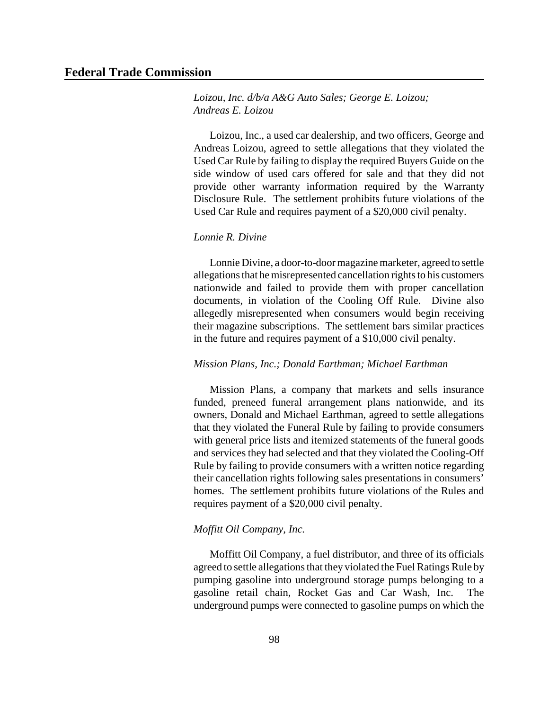*Loizou, Inc. d/b/a A&G Auto Sales; George E. Loizou; Andreas E. Loizou*

Loizou, Inc., a used car dealership, and two officers, George and Andreas Loizou, agreed to settle allegations that they violated the Used Car Rule by failing to display the required Buyers Guide on the side window of used cars offered for sale and that they did not provide other warranty information required by the Warranty Disclosure Rule. The settlement prohibits future violations of the Used Car Rule and requires payment of a \$20,000 civil penalty.

### *Lonnie R. Divine*

Lonnie Divine, a door-to-door magazine marketer, agreed to settle allegations that he misrepresented cancellation rights to his customers nationwide and failed to provide them with proper cancellation documents, in violation of the Cooling Off Rule. Divine also allegedly misrepresented when consumers would begin receiving their magazine subscriptions. The settlement bars similar practices in the future and requires payment of a \$10,000 civil penalty.

# *Mission Plans, Inc.; Donald Earthman; Michael Earthman*

Mission Plans, a company that markets and sells insurance funded, preneed funeral arrangement plans nationwide, and its owners, Donald and Michael Earthman, agreed to settle allegations that they violated the Funeral Rule by failing to provide consumers with general price lists and itemized statements of the funeral goods and services they had selected and that they violated the Cooling-Off Rule by failing to provide consumers with a written notice regarding their cancellation rights following sales presentations in consumers' homes. The settlement prohibits future violations of the Rules and requires payment of a \$20,000 civil penalty.

# *Moffitt Oil Company, Inc.*

Moffitt Oil Company, a fuel distributor, and three of its officials agreed to settle allegations that they violated the Fuel Ratings Rule by pumping gasoline into underground storage pumps belonging to a gasoline retail chain, Rocket Gas and Car Wash, Inc. The underground pumps were connected to gasoline pumps on which the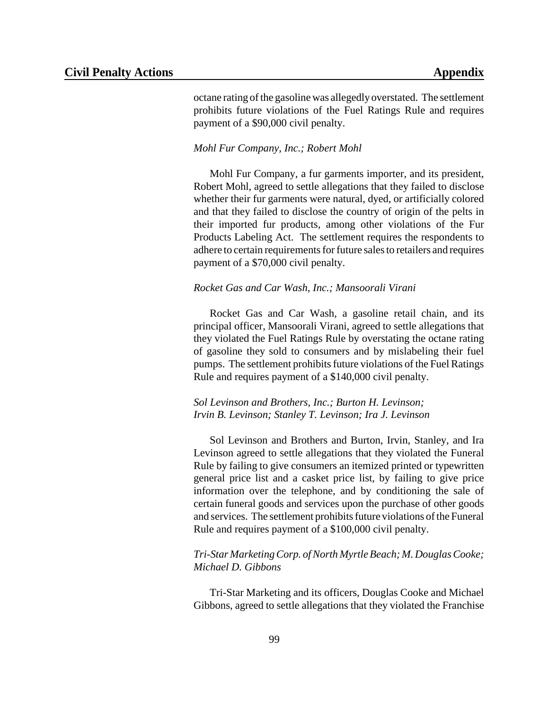octane rating of the gasoline was allegedly overstated. The settlement prohibits future violations of the Fuel Ratings Rule and requires payment of a \$90,000 civil penalty.

### *Mohl Fur Company, Inc.; Robert Mohl*

Mohl Fur Company, a fur garments importer, and its president, Robert Mohl, agreed to settle allegations that they failed to disclose whether their fur garments were natural, dyed, or artificially colored and that they failed to disclose the country of origin of the pelts in their imported fur products, among other violations of the Fur Products Labeling Act. The settlement requires the respondents to adhere to certain requirements for future sales to retailers and requires payment of a \$70,000 civil penalty.

# *Rocket Gas and Car Wash, Inc.; Mansoorali Virani*

Rocket Gas and Car Wash, a gasoline retail chain, and its principal officer, Mansoorali Virani, agreed to settle allegations that they violated the Fuel Ratings Rule by overstating the octane rating of gasoline they sold to consumers and by mislabeling their fuel pumps. The settlement prohibits future violations of the Fuel Ratings Rule and requires payment of a \$140,000 civil penalty.

*Sol Levinson and Brothers, Inc.; Burton H. Levinson; Irvin B. Levinson; Stanley T. Levinson; Ira J. Levinson*

Sol Levinson and Brothers and Burton, Irvin, Stanley, and Ira Levinson agreed to settle allegations that they violated the Funeral Rule by failing to give consumers an itemized printed or typewritten general price list and a casket price list, by failing to give price information over the telephone, and by conditioning the sale of certain funeral goods and services upon the purchase of other goods and services. The settlement prohibits future violations of the Funeral Rule and requires payment of a \$100,000 civil penalty.

# *Tri-Star MarketingCorp. ofNorth MyrtleBeach; M. DouglasCooke; Michael D. Gibbons*

Tri-Star Marketing and its officers, Douglas Cooke and Michael Gibbons, agreed to settle allegations that they violated the Franchise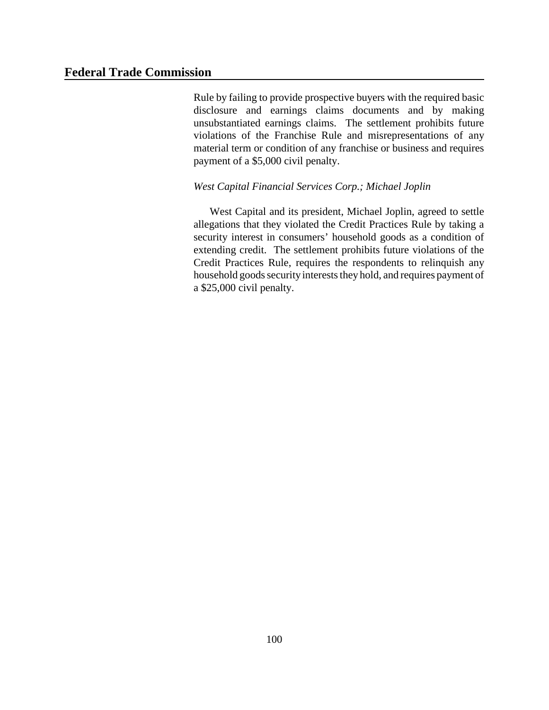Rule by failing to provide prospective buyers with the required basic disclosure and earnings claims documents and by making unsubstantiated earnings claims. The settlement prohibits future violations of the Franchise Rule and misrepresentations of any material term or condition of any franchise or business and requires payment of a \$5,000 civil penalty.

# *West Capital Financial Services Corp.; Michael Joplin*

West Capital and its president, Michael Joplin, agreed to settle allegations that they violated the Credit Practices Rule by taking a security interest in consumers' household goods as a condition of extending credit. The settlement prohibits future violations of the Credit Practices Rule, requires the respondents to relinquish any household goods security interests they hold, and requires payment of a \$25,000 civil penalty.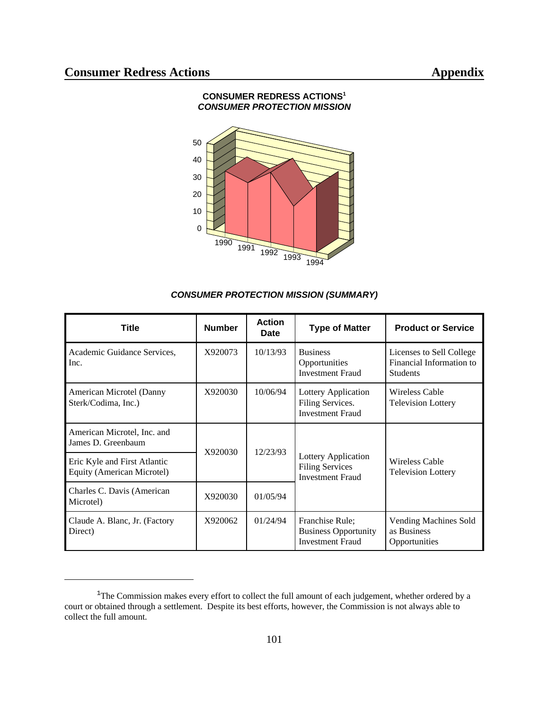

#### **CONSUMER REDRESS ACTIONS<sup>1</sup>** *CONSUMER PROTECTION MISSION*

# *CONSUMER PROTECTION MISSION (SUMMARY)*

| <b>Title</b>                                               | <b>Number</b> | <b>Action</b><br><b>Date</b> | <b>Type of Matter</b>                                                     | <b>Product or Service</b>                                               |
|------------------------------------------------------------|---------------|------------------------------|---------------------------------------------------------------------------|-------------------------------------------------------------------------|
| Academic Guidance Services,<br>Inc.                        | X920073       | 10/13/93                     | <b>Business</b><br>Opportunities<br><b>Investment Fraud</b>               | Licenses to Sell College<br>Financial Information to<br><b>Students</b> |
| American Microtel (Danny<br>Sterk/Codima, Inc.)            | X920030       | 10/06/94                     | Lottery Application<br>Filing Services.<br><b>Investment Fraud</b>        | Wireless Cable<br><b>Television Lottery</b>                             |
| American Microtel, Inc. and<br>James D. Greenbaum          | X920030       | 12/23/93                     | Lottery Application<br><b>Filing Services</b><br><b>Investment Fraud</b>  | Wireless Cable<br><b>Television Lottery</b>                             |
| Eric Kyle and First Atlantic<br>Equity (American Microtel) |               |                              |                                                                           |                                                                         |
| Charles C. Davis (American<br>Microtel)                    | X920030       | 01/05/94                     |                                                                           |                                                                         |
| Claude A. Blanc, Jr. (Factory<br>Direct)                   | X920062       | 01/24/94                     | Franchise Rule;<br><b>Business Opportunity</b><br><b>Investment Fraud</b> | Vending Machines Sold<br>as Business<br>Opportunities                   |

 $1$ The Commission makes every effort to collect the full amount of each judgement, whether ordered by a court or obtained through a settlement. Despite its best efforts, however, the Commission is not always able to collect the full amount.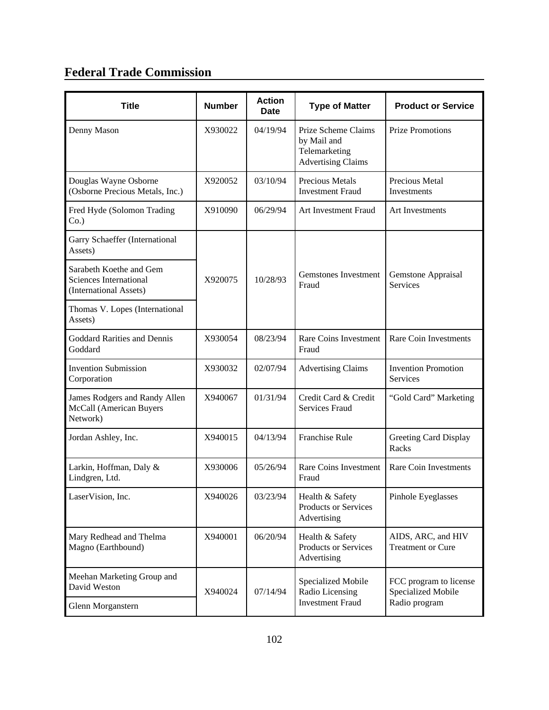| <b>Title</b>                                                                | <b>Number</b> | <b>Action</b><br><b>Date</b> | <b>Type of Matter</b>                                                            | <b>Product or Service</b>                           |
|-----------------------------------------------------------------------------|---------------|------------------------------|----------------------------------------------------------------------------------|-----------------------------------------------------|
| Denny Mason                                                                 | X930022       | 04/19/94                     | Prize Scheme Claims<br>by Mail and<br>Telemarketing<br><b>Advertising Claims</b> | <b>Prize Promotions</b>                             |
| Douglas Wayne Osborne<br>(Osborne Precious Metals, Inc.)                    | X920052       | 03/10/94                     | <b>Precious Metals</b><br><b>Investment Fraud</b>                                | Precious Metal<br>Investments                       |
| Fred Hyde (Solomon Trading<br>$Co.$ )                                       | X910090       | 06/29/94                     | Art Investment Fraud                                                             | <b>Art Investments</b>                              |
| Garry Schaeffer (International<br>Assets)                                   |               |                              |                                                                                  |                                                     |
| Sarabeth Koethe and Gem<br>Sciences International<br>(International Assets) | X920075       | 10/28/93                     | Gemstones Investment<br>Fraud                                                    | Gemstone Appraisal<br><b>Services</b>               |
| Thomas V. Lopes (International<br>Assets)                                   |               |                              |                                                                                  |                                                     |
| <b>Goddard Rarities and Dennis</b><br>Goddard                               | X930054       | 08/23/94                     | Rare Coins Investment<br>Fraud                                                   | <b>Rare Coin Investments</b>                        |
| <b>Invention Submission</b><br>Corporation                                  | X930032       | 02/07/94                     | <b>Advertising Claims</b>                                                        | <b>Invention Promotion</b><br>Services              |
| James Rodgers and Randy Allen<br>McCall (American Buyers<br>Network)        | X940067       | 01/31/94                     | Credit Card & Credit<br>Services Fraud                                           | "Gold Card" Marketing                               |
| Jordan Ashley, Inc.                                                         | X940015       | 04/13/94                     | <b>Franchise Rule</b>                                                            | <b>Greeting Card Display</b><br>Racks               |
| Larkin, Hoffman, Daly &<br>Lindgren, Ltd.                                   | X930006       | 05/26/94                     | <b>Rare Coins Investment</b><br>Fraud                                            | <b>Rare Coin Investments</b>                        |
| LaserVision, Inc.                                                           | X940026       | 03/23/94                     | Health & Safety<br>Products or Services<br>Advertising                           | Pinhole Eyeglasses                                  |
| Mary Redhead and Thelma<br>Magno (Earthbound)                               | X940001       | 06/20/94                     | Health & Safety<br><b>Products or Services</b><br>Advertising                    | AIDS, ARC, and HIV<br><b>Treatment or Cure</b>      |
| Meehan Marketing Group and<br>David Weston                                  | X940024       | 07/14/94                     | Specialized Mobile<br>Radio Licensing                                            | FCC program to license<br><b>Specialized Mobile</b> |
| Glenn Morganstern                                                           |               |                              | <b>Investment Fraud</b>                                                          | Radio program                                       |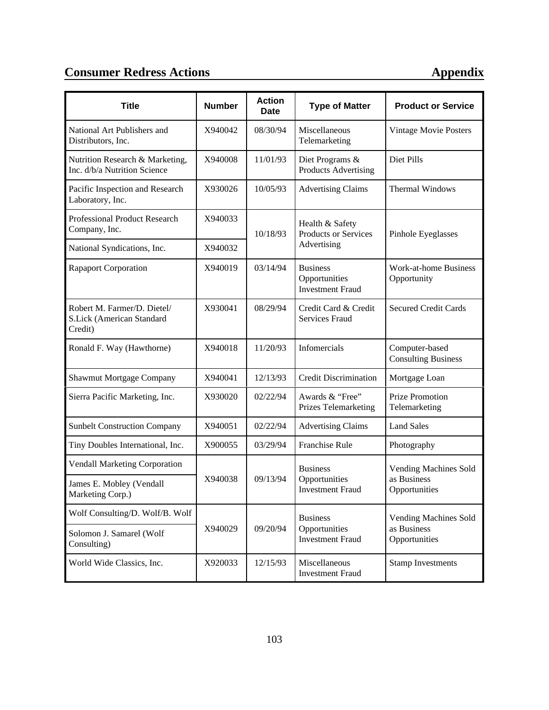# **Consumer Redress Actions Appendix**

| <b>Title</b>                                                        | <b>Number</b> | <b>Action</b><br><b>Date</b> | <b>Type of Matter</b>                                       | <b>Product or Service</b>                    |
|---------------------------------------------------------------------|---------------|------------------------------|-------------------------------------------------------------|----------------------------------------------|
| National Art Publishers and<br>Distributors, Inc.                   | X940042       | 08/30/94                     | Miscellaneous<br>Telemarketing                              | <b>Vintage Movie Posters</b>                 |
| Nutrition Research & Marketing,<br>Inc. d/b/a Nutrition Science     | X940008       | 11/01/93                     | Diet Programs &<br><b>Products Advertising</b>              | Diet Pills                                   |
| Pacific Inspection and Research<br>Laboratory, Inc.                 | X930026       | 10/05/93                     | <b>Advertising Claims</b>                                   | <b>Thermal Windows</b>                       |
| <b>Professional Product Research</b><br>Company, Inc.               | X940033       | 10/18/93                     | Health & Safety<br>Products or Services                     | Pinhole Eyeglasses                           |
| National Syndications, Inc.                                         | X940032       |                              | Advertising                                                 |                                              |
| <b>Rapaport Corporation</b>                                         | X940019       | 03/14/94                     | <b>Business</b><br>Opportunities<br><b>Investment Fraud</b> | <b>Work-at-home Business</b><br>Opportunity  |
| Robert M. Farmer/D. Dietel/<br>S.Lick (American Standard<br>Credit) | X930041       | 08/29/94                     | Credit Card & Credit<br><b>Services Fraud</b>               | <b>Secured Credit Cards</b>                  |
| Ronald F. Way (Hawthorne)                                           | X940018       | 11/20/93                     | Infomercials                                                | Computer-based<br><b>Consulting Business</b> |
| <b>Shawmut Mortgage Company</b>                                     | X940041       | 12/13/93                     | <b>Credit Discrimination</b>                                | Mortgage Loan                                |
| Sierra Pacific Marketing, Inc.                                      | X930020       | 02/22/94                     | Awards & "Free"<br>Prizes Telemarketing                     | Prize Promotion<br>Telemarketing             |
| <b>Sunbelt Construction Company</b>                                 | X940051       | 02/22/94                     | <b>Advertising Claims</b>                                   | <b>Land Sales</b>                            |
| Tiny Doubles International, Inc.                                    | X900055       | 03/29/94                     | Franchise Rule                                              | Photography                                  |
| <b>Vendall Marketing Corporation</b>                                |               |                              | <b>Business</b>                                             | <b>Vending Machines Sold</b>                 |
| James E. Mobley (Vendall<br>Marketing Corp.)                        | X940038       | 09/13/94                     | Opportunities<br><b>Investment Fraud</b>                    | as Business<br>Opportunities                 |
| Wolf Consulting/D. Wolf/B. Wolf                                     |               |                              | <b>Business</b>                                             | <b>Vending Machines Sold</b>                 |
| Solomon J. Samarel (Wolf<br>Consulting)                             | X940029       | 09/20/94                     | Opportunities<br><b>Investment Fraud</b>                    | as Business<br>Opportunities                 |
| World Wide Classics, Inc.                                           | X920033       | 12/15/93                     | Miscellaneous<br><b>Investment Fraud</b>                    | <b>Stamp Investments</b>                     |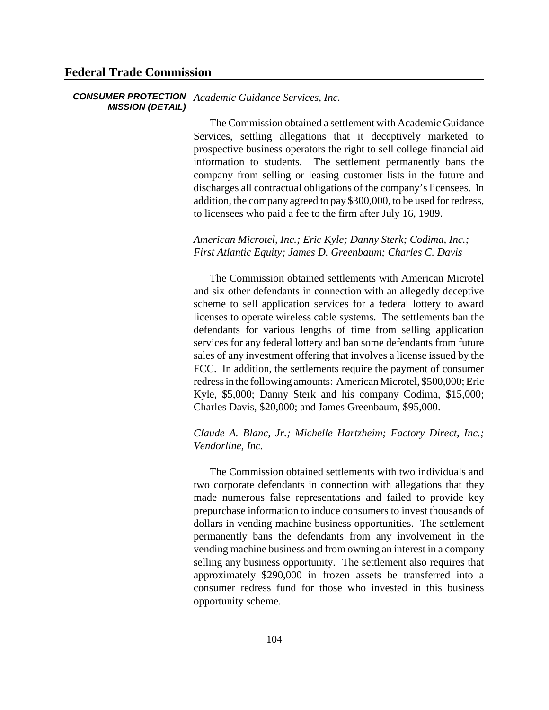#### *CONSUMER PROTECTION Academic Guidance Services, Inc. MISSION (DETAIL)*

The Commission obtained a settlement with Academic Guidance Services, settling allegations that it deceptively marketed to prospective business operators the right to sell college financial aid information to students. The settlement permanently bans the company from selling or leasing customer lists in the future and discharges all contractual obligations of the company's licensees. In addition, the company agreed to pay \$300,000, to be used for redress, to licensees who paid a fee to the firm after July 16, 1989.

# *American Microtel, Inc.; Eric Kyle; Danny Sterk; Codima, Inc.; First Atlantic Equity; James D. Greenbaum; Charles C. Davis*

The Commission obtained settlements with American Microtel and six other defendants in connection with an allegedly deceptive scheme to sell application services for a federal lottery to award licenses to operate wireless cable systems. The settlements ban the defendants for various lengths of time from selling application services for any federal lottery and ban some defendants from future sales of any investment offering that involves a license issued by the FCC. In addition, the settlements require the payment of consumer redress in the following amounts: American Microtel, \$500,000; Eric Kyle, \$5,000; Danny Sterk and his company Codima, \$15,000; Charles Davis, \$20,000; and James Greenbaum, \$95,000.

# *Claude A. Blanc, Jr.; Michelle Hartzheim; Factory Direct, Inc.; Vendorline, Inc.*

The Commission obtained settlements with two individuals and two corporate defendants in connection with allegations that they made numerous false representations and failed to provide key prepurchase information to induce consumers to invest thousands of dollars in vending machine business opportunities. The settlement permanently bans the defendants from any involvement in the vending machine business and from owning an interest in a company selling any business opportunity. The settlement also requires that approximately \$290,000 in frozen assets be transferred into a consumer redress fund for those who invested in this business opportunity scheme.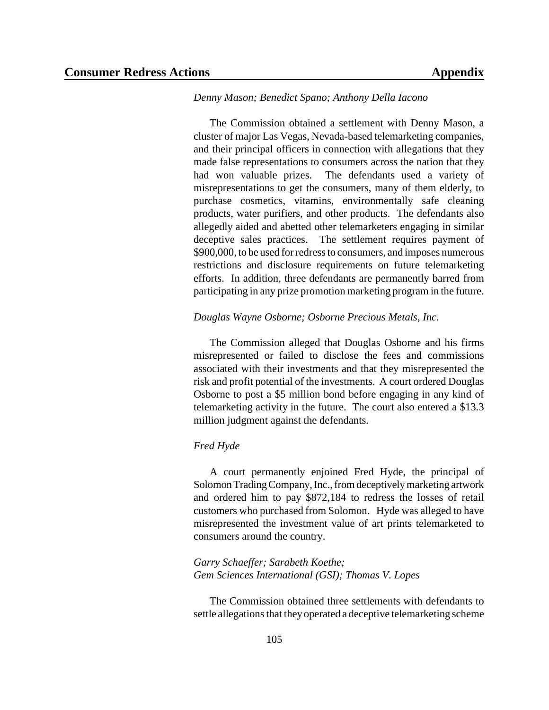#### *Denny Mason; Benedict Spano; Anthony Della Iacono*

The Commission obtained a settlement with Denny Mason, a cluster of major Las Vegas, Nevada-based telemarketing companies, and their principal officers in connection with allegations that they made false representations to consumers across the nation that they had won valuable prizes. The defendants used a variety of misrepresentations to get the consumers, many of them elderly, to purchase cosmetics, vitamins, environmentally safe cleaning products, water purifiers, and other products. The defendants also allegedly aided and abetted other telemarketers engaging in similar deceptive sales practices. The settlement requires payment of \$900,000, to be used for redress to consumers, and imposes numerous restrictions and disclosure requirements on future telemarketing efforts. In addition, three defendants are permanently barred from participating in any prize promotion marketing program in the future.

#### *Douglas Wayne Osborne; Osborne Precious Metals, Inc.*

The Commission alleged that Douglas Osborne and his firms misrepresented or failed to disclose the fees and commissions associated with their investments and that they misrepresented the risk and profit potential of the investments. A court ordered Douglas Osborne to post a \$5 million bond before engaging in any kind of telemarketing activity in the future. The court also entered a \$13.3 million judgment against the defendants.

#### *Fred Hyde*

A court permanently enjoined Fred Hyde, the principal of Solomon Trading Company, Inc., from deceptively marketing artwork and ordered him to pay \$872,184 to redress the losses of retail customers who purchased from Solomon. Hyde was alleged to have misrepresented the investment value of art prints telemarketed to consumers around the country.

# *Garry Schaeffer; Sarabeth Koethe; Gem Sciences International (GSI); Thomas V. Lopes*

The Commission obtained three settlements with defendants to settle allegations that they operated a deceptive telemarketing scheme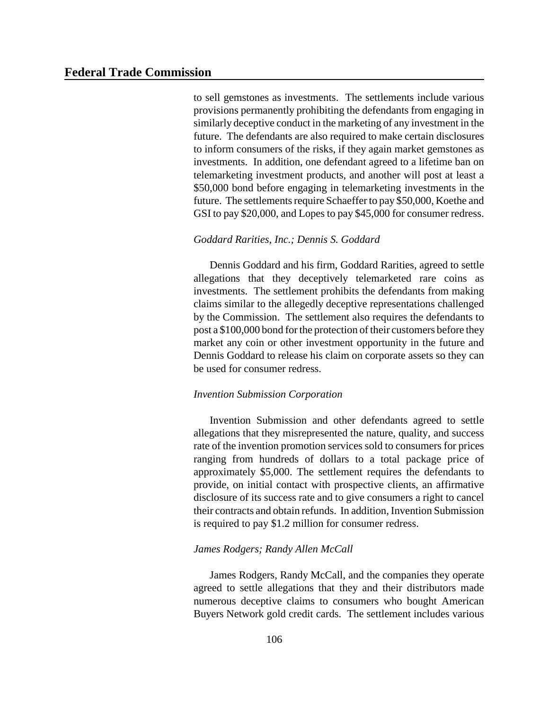to sell gemstones as investments. The settlements include various provisions permanently prohibiting the defendants from engaging in similarly deceptive conduct in the marketing of any investment in the future. The defendants are also required to make certain disclosures to inform consumers of the risks, if they again market gemstones as investments. In addition, one defendant agreed to a lifetime ban on telemarketing investment products, and another will post at least a \$50,000 bond before engaging in telemarketing investments in the future. The settlements require Schaeffer to pay \$50,000, Koethe and GSI to pay \$20,000, and Lopes to pay \$45,000 for consumer redress.

#### *Goddard Rarities, Inc.; Dennis S. Goddard*

Dennis Goddard and his firm, Goddard Rarities, agreed to settle allegations that they deceptively telemarketed rare coins as investments. The settlement prohibits the defendants from making claims similar to the allegedly deceptive representations challenged by the Commission. The settlement also requires the defendants to post a \$100,000 bond for the protection of their customers before they market any coin or other investment opportunity in the future and Dennis Goddard to release his claim on corporate assets so they can be used for consumer redress.

# *Invention Submission Corporation*

Invention Submission and other defendants agreed to settle allegations that they misrepresented the nature, quality, and success rate of the invention promotion services sold to consumers for prices ranging from hundreds of dollars to a total package price of approximately \$5,000. The settlement requires the defendants to provide, on initial contact with prospective clients, an affirmative disclosure of its success rate and to give consumers a right to cancel their contracts and obtain refunds. In addition, Invention Submission is required to pay \$1.2 million for consumer redress.

## *James Rodgers; Randy Allen McCall*

James Rodgers, Randy McCall, and the companies they operate agreed to settle allegations that they and their distributors made numerous deceptive claims to consumers who bought American Buyers Network gold credit cards. The settlement includes various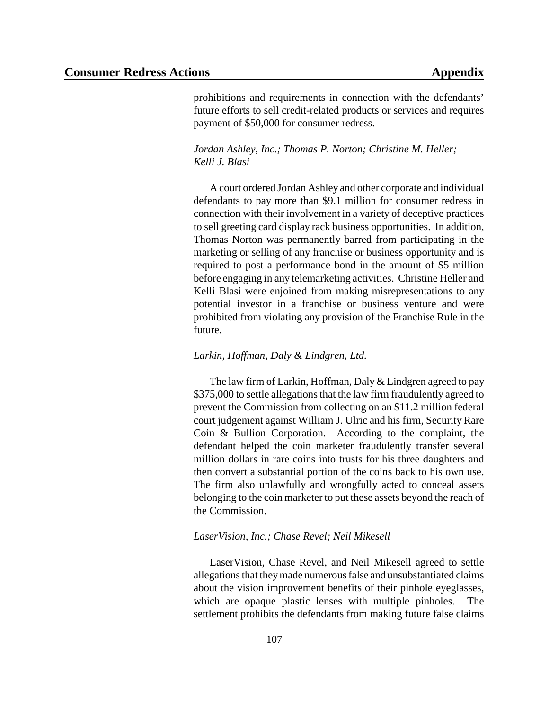prohibitions and requirements in connection with the defendants' future efforts to sell credit-related products or services and requires payment of \$50,000 for consumer redress.

# *Jordan Ashley, Inc.; Thomas P. Norton; Christine M. Heller; Kelli J. Blasi*

A court ordered Jordan Ashley and other corporate and individual defendants to pay more than \$9.1 million for consumer redress in connection with their involvement in a variety of deceptive practices to sell greeting card display rack business opportunities. In addition, Thomas Norton was permanently barred from participating in the marketing or selling of any franchise or business opportunity and is required to post a performance bond in the amount of \$5 million before engaging in any telemarketing activities. Christine Heller and Kelli Blasi were enjoined from making misrepresentations to any potential investor in a franchise or business venture and were prohibited from violating any provision of the Franchise Rule in the future.

# *Larkin, Hoffman, Daly & Lindgren, Ltd.*

The law firm of Larkin, Hoffman, Daly & Lindgren agreed to pay \$375,000 to settle allegations that the law firm fraudulently agreed to prevent the Commission from collecting on an \$11.2 million federal court judgement against William J. Ulric and his firm, Security Rare Coin & Bullion Corporation. According to the complaint, the defendant helped the coin marketer fraudulently transfer several million dollars in rare coins into trusts for his three daughters and then convert a substantial portion of the coins back to his own use. The firm also unlawfully and wrongfully acted to conceal assets belonging to the coin marketer to put these assets beyond the reach of the Commission.

#### *LaserVision, Inc.; Chase Revel; Neil Mikesell*

LaserVision, Chase Revel, and Neil Mikesell agreed to settle allegations that they made numerous false and unsubstantiated claims about the vision improvement benefits of their pinhole eyeglasses, which are opaque plastic lenses with multiple pinholes. The settlement prohibits the defendants from making future false claims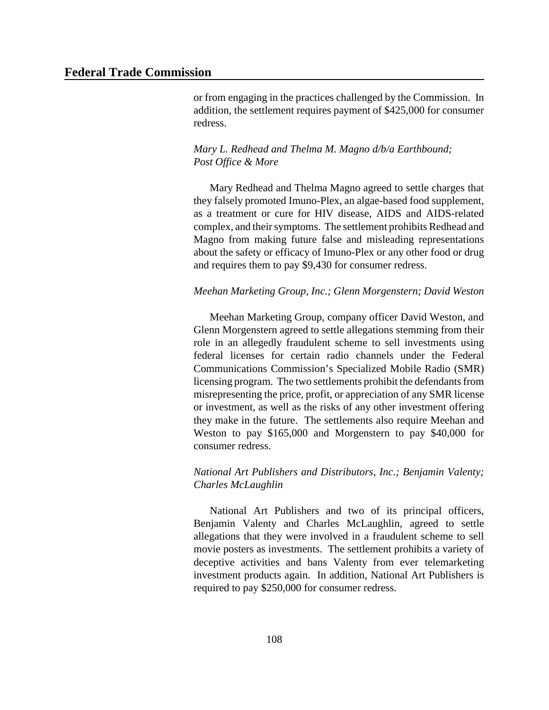or from engaging in the practices challenged by the Commission. In addition, the settlement requires payment of \$425,000 for consumer redress.

# *Mary L. Redhead and Thelma M. Magno d/b/a Earthbound; Post Office & More*

Mary Redhead and Thelma Magno agreed to settle charges that they falsely promoted Imuno-Plex, an algae-based food supplement, as a treatment or cure for HIV disease, AIDS and AIDS-related complex, and their symptoms. The settlement prohibits Redhead and Magno from making future false and misleading representations about the safety or efficacy of Imuno-Plex or any other food or drug and requires them to pay \$9,430 for consumer redress.

## *Meehan Marketing Group, Inc.; Glenn Morgenstern; David Weston*

Meehan Marketing Group, company officer David Weston, and Glenn Morgenstern agreed to settle allegations stemming from their role in an allegedly fraudulent scheme to sell investments using federal licenses for certain radio channels under the Federal Communications Commission's Specialized Mobile Radio (SMR) licensing program. The two settlements prohibit the defendants from misrepresenting the price, profit, or appreciation of any SMR license or investment, as well as the risks of any other investment offering they make in the future. The settlements also require Meehan and Weston to pay \$165,000 and Morgenstern to pay \$40,000 for consumer redress.

# *National Art Publishers and Distributors, Inc.; Benjamin Valenty; Charles McLaughlin*

National Art Publishers and two of its principal officers, Benjamin Valenty and Charles McLaughlin, agreed to settle allegations that they were involved in a fraudulent scheme to sell movie posters as investments. The settlement prohibits a variety of deceptive activities and bans Valenty from ever telemarketing investment products again. In addition, National Art Publishers is required to pay \$250,000 for consumer redress.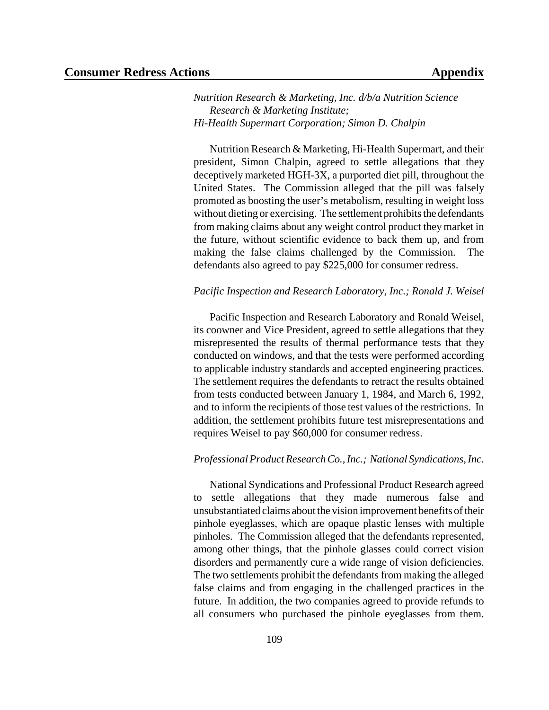*Nutrition Research & Marketing, Inc. d/b/a Nutrition Science Research & Marketing Institute; Hi-Health Supermart Corporation; Simon D. Chalpin*

Nutrition Research & Marketing, Hi-Health Supermart, and their president, Simon Chalpin, agreed to settle allegations that they deceptively marketed HGH-3X, a purported diet pill, throughout the United States. The Commission alleged that the pill was falsely promoted as boosting the user's metabolism, resulting in weight loss without dieting or exercising. The settlement prohibits the defendants from making claims about any weight control product they market in the future, without scientific evidence to back them up, and from making the false claims challenged by the Commission. The defendants also agreed to pay \$225,000 for consumer redress.

# *Pacific Inspection and Research Laboratory, Inc.; Ronald J. Weisel*

Pacific Inspection and Research Laboratory and Ronald Weisel, its coowner and Vice President, agreed to settle allegations that they misrepresented the results of thermal performance tests that they conducted on windows, and that the tests were performed according to applicable industry standards and accepted engineering practices. The settlement requires the defendants to retract the results obtained from tests conducted between January 1, 1984, and March 6, 1992, and to inform the recipients of those test values of the restrictions. In addition, the settlement prohibits future test misrepresentations and requires Weisel to pay \$60,000 for consumer redress.

# *ProfessionalProduct Research Co., Inc.; National Syndications, Inc.*

National Syndications and Professional Product Research agreed to settle allegations that they made numerous false and unsubstantiated claims about the vision improvement benefits of their pinhole eyeglasses, which are opaque plastic lenses with multiple pinholes. The Commission alleged that the defendants represented, among other things, that the pinhole glasses could correct vision disorders and permanently cure a wide range of vision deficiencies. The two settlements prohibit the defendants from making the alleged false claims and from engaging in the challenged practices in the future. In addition, the two companies agreed to provide refunds to all consumers who purchased the pinhole eyeglasses from them.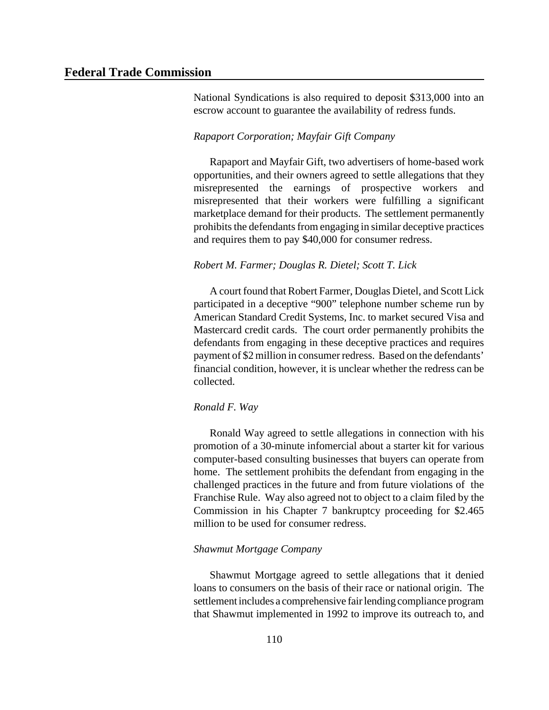National Syndications is also required to deposit \$313,000 into an escrow account to guarantee the availability of redress funds.

# *Rapaport Corporation; Mayfair Gift Company*

Rapaport and Mayfair Gift, two advertisers of home-based work opportunities, and their owners agreed to settle allegations that they misrepresented the earnings of prospective workers and misrepresented that their workers were fulfilling a significant marketplace demand for their products. The settlement permanently prohibits the defendants from engaging in similar deceptive practices and requires them to pay \$40,000 for consumer redress.

# *Robert M. Farmer; Douglas R. Dietel; Scott T. Lick*

A court found that Robert Farmer, Douglas Dietel, and Scott Lick participated in a deceptive "900" telephone number scheme run by American Standard Credit Systems, Inc. to market secured Visa and Mastercard credit cards. The court order permanently prohibits the defendants from engaging in these deceptive practices and requires payment of \$2 million in consumer redress. Based on the defendants' financial condition, however, it is unclear whether the redress can be collected.

#### *Ronald F. Way*

Ronald Way agreed to settle allegations in connection with his promotion of a 30-minute infomercial about a starter kit for various computer-based consulting businesses that buyers can operate from home. The settlement prohibits the defendant from engaging in the challenged practices in the future and from future violations of the Franchise Rule. Way also agreed not to object to a claim filed by the Commission in his Chapter 7 bankruptcy proceeding for \$2.465 million to be used for consumer redress.

## *Shawmut Mortgage Company*

Shawmut Mortgage agreed to settle allegations that it denied loans to consumers on the basis of their race or national origin. The settlement includes a comprehensive fair lending compliance program that Shawmut implemented in 1992 to improve its outreach to, and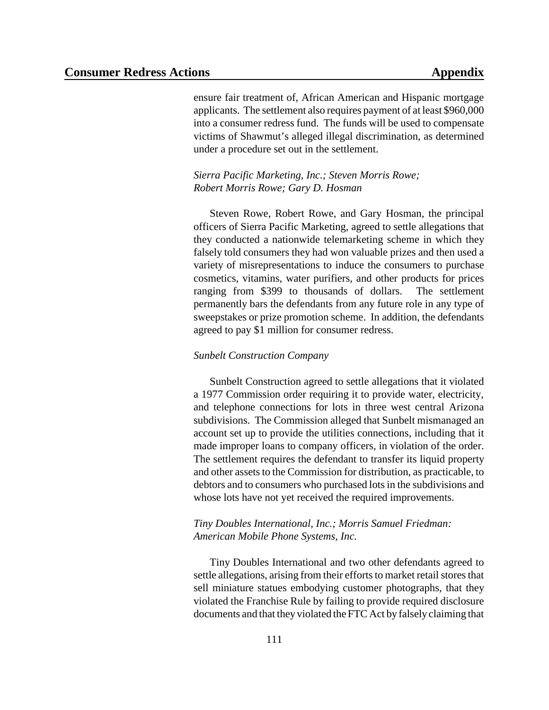ensure fair treatment of, African American and Hispanic mortgage applicants. The settlement also requires payment of at least \$960,000 into a consumer redress fund. The funds will be used to compensate victims of Shawmut's alleged illegal discrimination, as determined under a procedure set out in the settlement.

# *Sierra Pacific Marketing, Inc.; Steven Morris Rowe; Robert Morris Rowe; Gary D. Hosman*

Steven Rowe, Robert Rowe, and Gary Hosman, the principal officers of Sierra Pacific Marketing, agreed to settle allegations that they conducted a nationwide telemarketing scheme in which they falsely told consumers they had won valuable prizes and then used a variety of misrepresentations to induce the consumers to purchase cosmetics, vitamins, water purifiers, and other products for prices ranging from \$399 to thousands of dollars. The settlement permanently bars the defendants from any future role in any type of sweepstakes or prize promotion scheme. In addition, the defendants agreed to pay \$1 million for consumer redress.

# *Sunbelt Construction Company*

Sunbelt Construction agreed to settle allegations that it violated a 1977 Commission order requiring it to provide water, electricity, and telephone connections for lots in three west central Arizona subdivisions. The Commission alleged that Sunbelt mismanaged an account set up to provide the utilities connections, including that it made improper loans to company officers, in violation of the order. The settlement requires the defendant to transfer its liquid property and other assets to the Commission for distribution, as practicable, to debtors and to consumers who purchased lots in the subdivisions and whose lots have not yet received the required improvements.

# *Tiny Doubles International, Inc.; Morris Samuel Friedman: American Mobile Phone Systems, Inc.*

Tiny Doubles International and two other defendants agreed to settle allegations, arising from their efforts to market retail stores that sell miniature statues embodying customer photographs, that they violated the Franchise Rule by failing to provide required disclosure documents and that they violated the FTC Act by falsely claiming that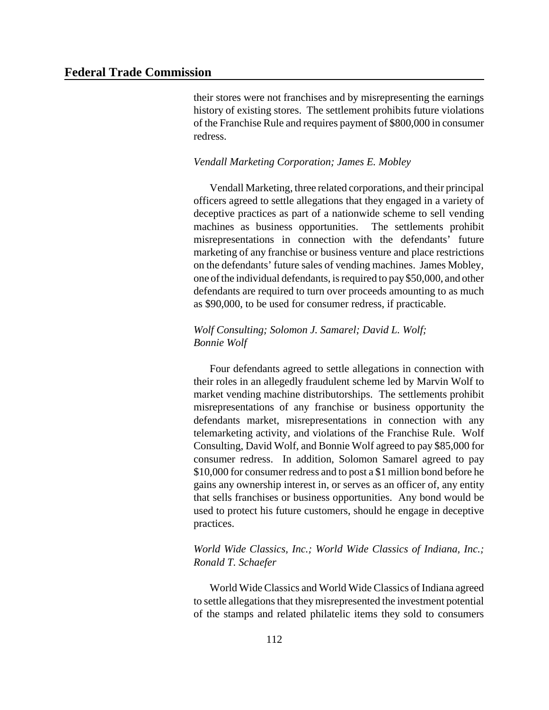their stores were not franchises and by misrepresenting the earnings history of existing stores. The settlement prohibits future violations of the Franchise Rule and requires payment of \$800,000 in consumer redress.

# *Vendall Marketing Corporation; James E. Mobley*

Vendall Marketing, three related corporations, and their principal officers agreed to settle allegations that they engaged in a variety of deceptive practices as part of a nationwide scheme to sell vending machines as business opportunities. The settlements prohibit misrepresentations in connection with the defendants' future marketing of any franchise or business venture and place restrictions on the defendants' future sales of vending machines. James Mobley, one ofthe individual defendants, isrequired to pay\$50,000, and other defendants are required to turn over proceeds amounting to as much as \$90,000, to be used for consumer redress, if practicable.

# *Wolf Consulting; Solomon J. Samarel; David L. Wolf; Bonnie Wolf*

Four defendants agreed to settle allegations in connection with their roles in an allegedly fraudulent scheme led by Marvin Wolf to market vending machine distributorships. The settlements prohibit misrepresentations of any franchise or business opportunity the defendants market, misrepresentations in connection with any telemarketing activity, and violations of the Franchise Rule. Wolf Consulting, David Wolf, and Bonnie Wolf agreed to pay \$85,000 for consumer redress. In addition, Solomon Samarel agreed to pay \$10,000 for consumer redress and to post a \$1 million bond before he gains any ownership interest in, or serves as an officer of, any entity that sells franchises or business opportunities. Any bond would be used to protect his future customers, should he engage in deceptive practices.

# *World Wide Classics, Inc.; World Wide Classics of Indiana, Inc.; Ronald T. Schaefer*

World Wide Classics and World Wide Classics of Indiana agreed to settle allegations that they misrepresented the investment potential of the stamps and related philatelic items they sold to consumers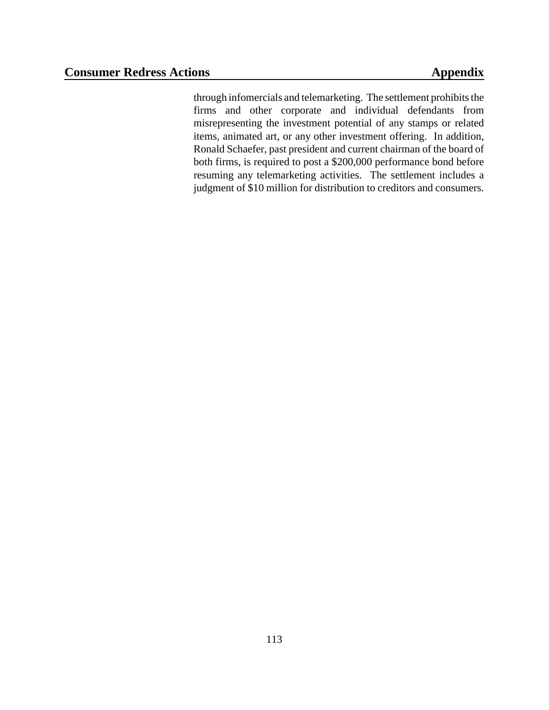through infomercials and telemarketing. The settlement prohibits the firms and other corporate and individual defendants from misrepresenting the investment potential of any stamps or related items, animated art, or any other investment offering. In addition, Ronald Schaefer, past president and current chairman of the board of both firms, is required to post a \$200,000 performance bond before resuming any telemarketing activities. The settlement includes a judgment of \$10 million for distribution to creditors and consumers.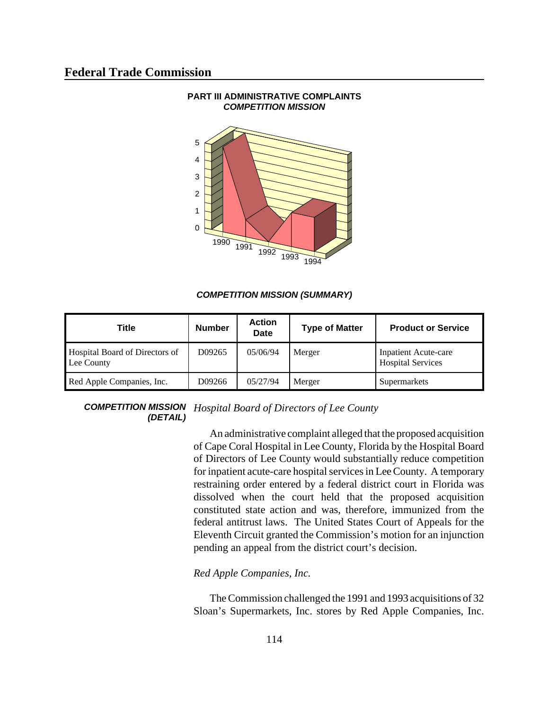# **Federal Trade Commission**



#### **PART III ADMINISTRATIVE COMPLAINTS** *COMPETITION MISSION*

# *COMPETITION MISSION (SUMMARY)*

| Title                                        | <b>Number</b> | <b>Action</b><br>Date | <b>Type of Matter</b> | <b>Product or Service</b>                               |
|----------------------------------------------|---------------|-----------------------|-----------------------|---------------------------------------------------------|
| Hospital Board of Directors of<br>Lee County | D09265        | 05/06/94              | Merger                | <b>Inpatient Acute-care</b><br><b>Hospital Services</b> |
| Red Apple Companies, Inc.                    | D09266        | 05/27/94              | Merger                | Supermarkets                                            |

## *COMPETITION MISSION Hospital Board of Directors of Lee County (DETAIL)*

An administrative complaint alleged that the proposed acquisition of Cape Coral Hospital in Lee County, Florida by the Hospital Board of Directors of Lee County would substantially reduce competition for inpatient acute-care hospital services in Lee County. A temporary restraining order entered by a federal district court in Florida was dissolved when the court held that the proposed acquisition constituted state action and was, therefore, immunized from the federal antitrust laws. The United States Court of Appeals for the Eleventh Circuit granted the Commission's motion for an injunction pending an appeal from the district court's decision.

# *Red Apple Companies, Inc.*

The Commission challenged the 1991 and 1993 acquisitions of 32 Sloan's Supermarkets, Inc. stores by Red Apple Companies, Inc.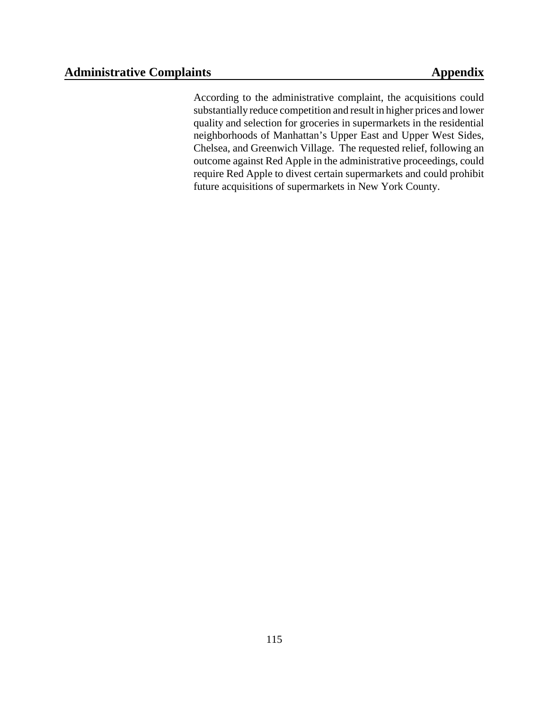According to the administrative complaint, the acquisitions could substantially reduce competition and result in higher prices and lower quality and selection for groceries in supermarkets in the residential neighborhoods of Manhattan's Upper East and Upper West Sides, Chelsea, and Greenwich Village. The requested relief, following an outcome against Red Apple in the administrative proceedings, could require Red Apple to divest certain supermarkets and could prohibit future acquisitions of supermarkets in New York County.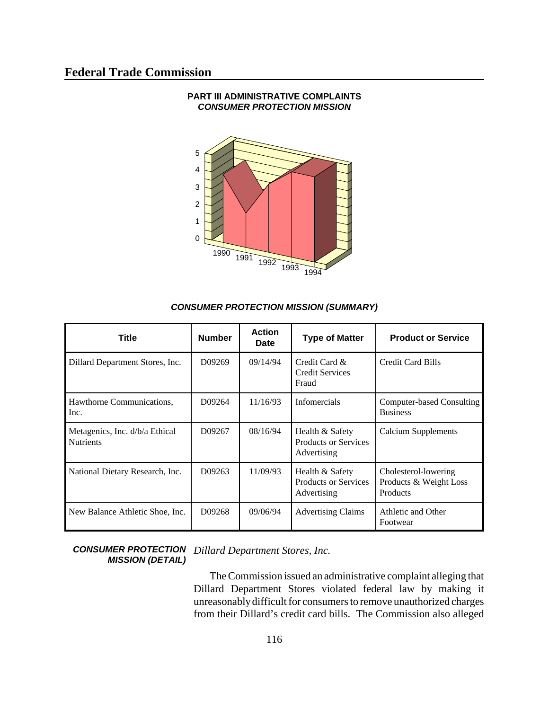# **Federal Trade Commission**



## **PART III ADMINISTRATIVE COMPLAINTS** *CONSUMER PROTECTION MISSION*

#### *CONSUMER PROTECTION MISSION (SUMMARY)*

| Title                                              | <b>Number</b> | <b>Action</b><br><b>Date</b> | <b>Type of Matter</b>                                         | <b>Product or Service</b>                                  |
|----------------------------------------------------|---------------|------------------------------|---------------------------------------------------------------|------------------------------------------------------------|
| Dillard Department Stores, Inc.                    | D09269        | 09/14/94                     | Credit Card &<br><b>Credit Services</b><br>Fraud              | Credit Card Bills                                          |
| Hawthorne Communications,<br>Inc.                  | D09264        | 11/16/93                     | <b>Infomercials</b>                                           | Computer-based Consulting<br><b>Business</b>               |
| Metagenics, Inc. d/b/a Ethical<br><b>Nutrients</b> | D09267        | 08/16/94                     | Health & Safety<br>Products or Services<br>Advertising        | Calcium Supplements                                        |
| National Dietary Research, Inc.                    | D09263        | 11/09/93                     | Health & Safety<br><b>Products or Services</b><br>Advertising | Cholesterol-lowering<br>Products & Weight Loss<br>Products |
| New Balance Athletic Shoe, Inc.                    | D09268        | 09/06/94                     | <b>Advertising Claims</b>                                     | Athletic and Other<br>Footwear                             |

# *MISSION (DETAIL)*

*CONSUMER PROTECTION Dillard Department Stores, Inc.*

TheCommission issued an administrative complaint alleging that Dillard Department Stores violated federal law by making it unreasonably difficult for consumers to remove unauthorized charges from their Dillard's credit card bills. The Commission also alleged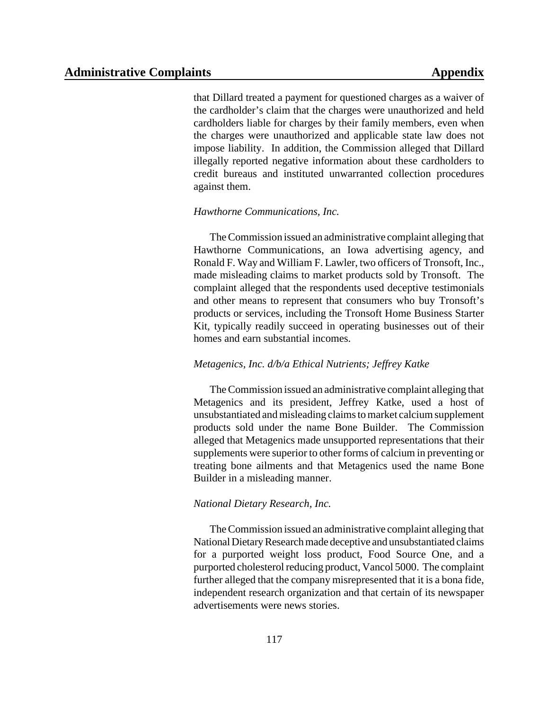that Dillard treated a payment for questioned charges as a waiver of the cardholder's claim that the charges were unauthorized and held cardholders liable for charges by their family members, even when the charges were unauthorized and applicable state law does not impose liability. In addition, the Commission alleged that Dillard illegally reported negative information about these cardholders to credit bureaus and instituted unwarranted collection procedures against them.

# *Hawthorne Communications, Inc.*

TheCommission issued an administrative complaint alleging that Hawthorne Communications, an Iowa advertising agency, and Ronald F. Way and William F. Lawler, two officers of Tronsoft, Inc., made misleading claims to market products sold by Tronsoft. The complaint alleged that the respondents used deceptive testimonials and other means to represent that consumers who buy Tronsoft's products or services, including the Tronsoft Home Business Starter Kit, typically readily succeed in operating businesses out of their homes and earn substantial incomes.

#### *Metagenics, Inc. d/b/a Ethical Nutrients; Jeffrey Katke*

TheCommission issued an administrative complaint alleging that Metagenics and its president, Jeffrey Katke, used a host of unsubstantiated and misleading claims to market calcium supplement products sold under the name Bone Builder. The Commission alleged that Metagenics made unsupported representations that their supplements were superior to other forms of calcium in preventing or treating bone ailments and that Metagenics used the name Bone Builder in a misleading manner.

#### *National Dietary Research, Inc.*

TheCommission issued an administrative complaint alleging that National Dietary Research made deceptive and unsubstantiated claims for a purported weight loss product, Food Source One, and a purported cholesterol reducing product, Vancol 5000. The complaint further alleged that the company misrepresented that it is a bona fide, independent research organization and that certain of its newspaper advertisements were news stories.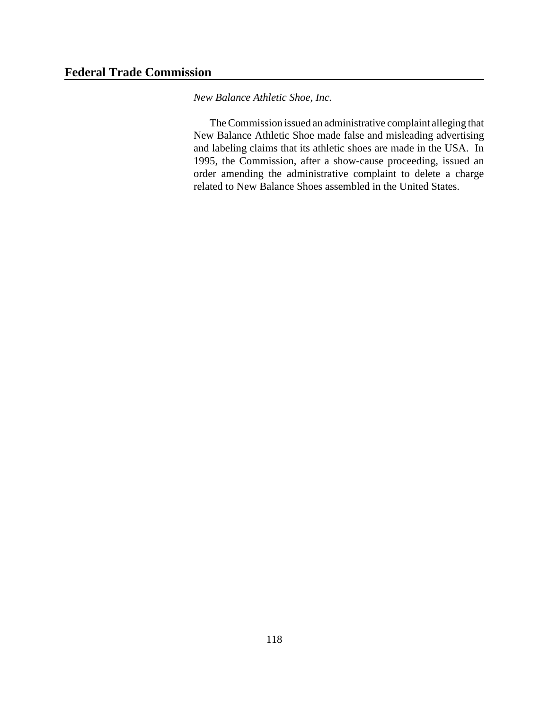*New Balance Athletic Shoe, Inc.*

TheCommission issued an administrative complaint alleging that New Balance Athletic Shoe made false and misleading advertising and labeling claims that its athletic shoes are made in the USA. In 1995, the Commission, after a show-cause proceeding, issued an order amending the administrative complaint to delete a charge related to New Balance Shoes assembled in the United States.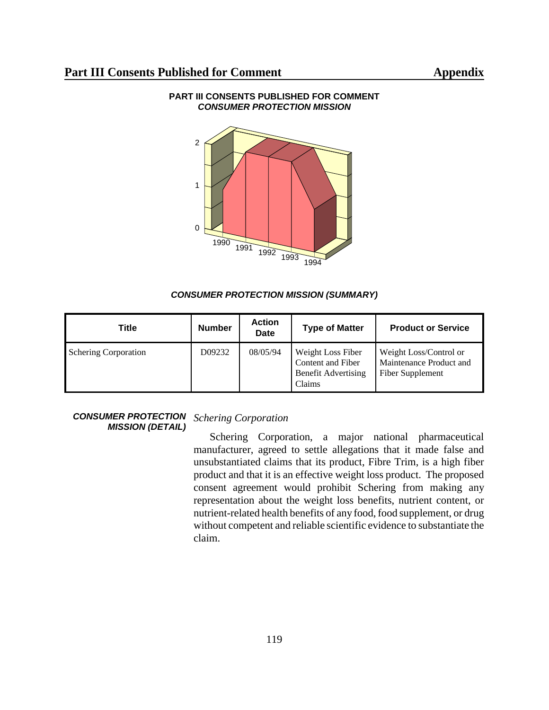# Part III Consents Published for Comment **Appendix**



#### **PART III CONSENTS PUBLISHED FOR COMMENT** *CONSUMER PROTECTION MISSION*

## *CONSUMER PROTECTION MISSION (SUMMARY)*

| Title                       | <b>Number</b> | <b>Action</b><br><b>Date</b> | <b>Type of Matter</b>                                                          | <b>Product or Service</b>                                             |
|-----------------------------|---------------|------------------------------|--------------------------------------------------------------------------------|-----------------------------------------------------------------------|
| <b>Schering Corporation</b> | D09232        | 08/05/94                     | Weight Loss Fiber<br>Content and Fiber<br><b>Benefit Advertising</b><br>Claims | Weight Loss/Control or<br>Maintenance Product and<br>Fiber Supplement |

#### *CONSUMER PROTECTION Schering Corporation MISSION (DETAIL)*

Schering Corporation, a major national pharmaceutical manufacturer, agreed to settle allegations that it made false and unsubstantiated claims that its product, Fibre Trim, is a high fiber product and that it is an effective weight loss product. The proposed consent agreement would prohibit Schering from making any representation about the weight loss benefits, nutrient content, or nutrient-related health benefits of any food, food supplement, or drug without competent and reliable scientific evidence to substantiate the claim.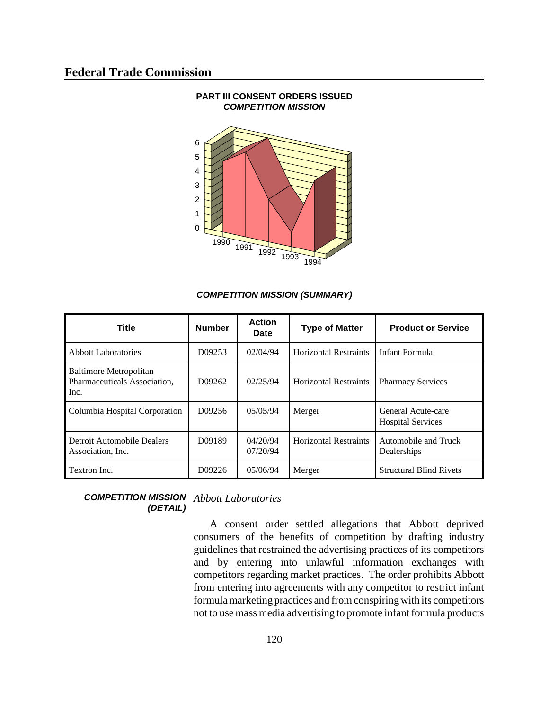# **Federal Trade Commission**



#### **PART III CONSENT ORDERS ISSUED** *COMPETITION MISSION*

## *COMPETITION MISSION (SUMMARY)*

| <b>Title</b>                                                          | <b>Number</b>      | <b>Action</b><br>Date | <b>Type of Matter</b>        | <b>Product or Service</b>                      |
|-----------------------------------------------------------------------|--------------------|-----------------------|------------------------------|------------------------------------------------|
| <b>Abbott Laboratories</b>                                            | D09253             | 02/04/94              | <b>Horizontal Restraints</b> | Infant Formula                                 |
| <b>Baltimore Metropolitan</b><br>Pharmaceuticals Association,<br>Inc. | D09262             | 02/25/94              | <b>Horizontal Restraints</b> | <b>Pharmacy Services</b>                       |
| Columbia Hospital Corporation                                         | D09256             | 05/05/94              | Merger                       | General Acute-care<br><b>Hospital Services</b> |
| Detroit Automobile Dealers<br>Association, Inc.                       | D <sub>09189</sub> | 04/20/94<br>07/20/94  | <b>Horizontal Restraints</b> | Automobile and Truck<br>Dealerships            |
| Textron Inc.                                                          | D09226             | 05/06/94              | Merger                       | <b>Structural Blind Rivets</b>                 |

#### *COMPETITION MISSION Abbott Laboratories (DETAIL)*

A consent order settled allegations that Abbott deprived consumers of the benefits of competition by drafting industry guidelines that restrained the advertising practices of its competitors and by entering into unlawful information exchanges with competitors regarding market practices. The order prohibits Abbott from entering into agreements with any competitor to restrict infant formulamarketing practices and fromconspiringwith its competitors not to use mass media advertising to promote infant formula products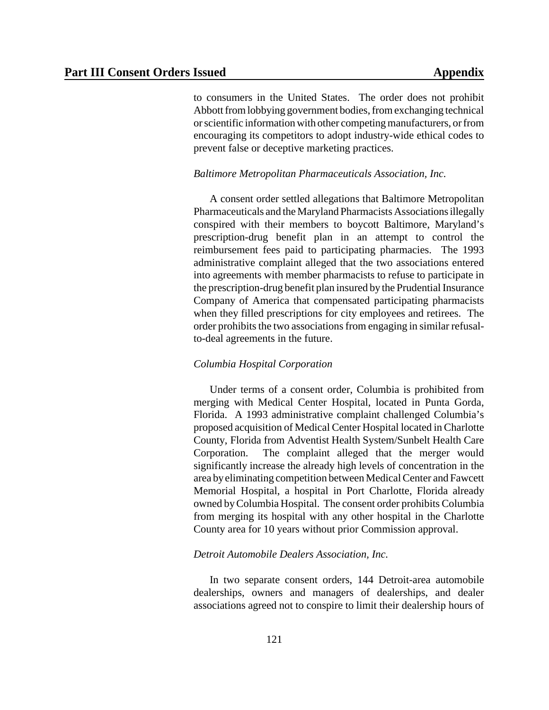to consumers in the United States. The order does not prohibit Abbott from lobbying government bodies, from exchanging technical orscientific information with other competing manufacturers, or from encouraging its competitors to adopt industry-wide ethical codes to prevent false or deceptive marketing practices.

#### *Baltimore Metropolitan Pharmaceuticals Association, Inc.*

A consent order settled allegations that Baltimore Metropolitan Pharmaceuticals and the Maryland Pharmacists Associations illegally conspired with their members to boycott Baltimore, Maryland's prescription-drug benefit plan in an attempt to control the reimbursement fees paid to participating pharmacies. The 1993 administrative complaint alleged that the two associations entered into agreements with member pharmacists to refuse to participate in the prescription-drug benefit plan insured by the Prudential Insurance Company of America that compensated participating pharmacists when they filled prescriptions for city employees and retirees. The order prohibits the two associations from engaging in similar refusalto-deal agreements in the future.

#### *Columbia Hospital Corporation*

Under terms of a consent order, Columbia is prohibited from merging with Medical Center Hospital, located in Punta Gorda, Florida. A 1993 administrative complaint challenged Columbia's proposed acquisition of Medical Center Hospital located in Charlotte County, Florida from Adventist Health System/Sunbelt Health Care Corporation. The complaint alleged that the merger would significantly increase the already high levels of concentration in the area byeliminating competition between MedicalCenter and Fawcett Memorial Hospital, a hospital in Port Charlotte, Florida already owned byColumbia Hospital. The consent order prohibits Columbia from merging its hospital with any other hospital in the Charlotte County area for 10 years without prior Commission approval.

#### *Detroit Automobile Dealers Association, Inc.*

In two separate consent orders, 144 Detroit-area automobile dealerships, owners and managers of dealerships, and dealer associations agreed not to conspire to limit their dealership hours of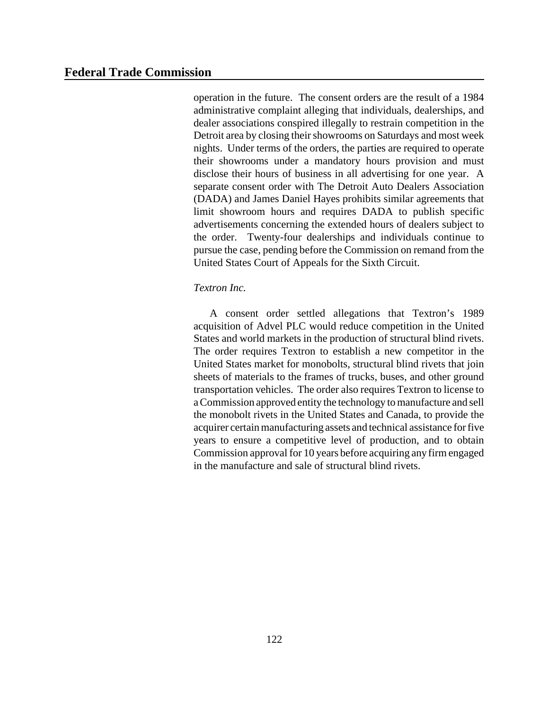operation in the future. The consent orders are the result of a 1984 administrative complaint alleging that individuals, dealerships, and dealer associations conspired illegally to restrain competition in the Detroit area by closing their showrooms on Saturdays and most week nights. Under terms of the orders, the parties are required to operate their showrooms under a mandatory hours provision and must disclose their hours of business in all advertising for one year. A separate consent order with The Detroit Auto Dealers Association (DADA) and James Daniel Hayes prohibits similar agreements that limit showroom hours and requires DADA to publish specific advertisements concerning the extended hours of dealers subject to the order. Twenty-four dealerships and individuals continue to pursue the case, pending before the Commission on remand from the United States Court of Appeals for the Sixth Circuit.

# *Textron Inc.*

A consent order settled allegations that Textron's 1989 acquisition of Advel PLC would reduce competition in the United States and world markets in the production of structural blind rivets. The order requires Textron to establish a new competitor in the United States market for monobolts, structural blind rivets that join sheets of materials to the frames of trucks, buses, and other ground transportation vehicles. The order also requires Textron to license to aCommission approved entity the technology to manufacture and sell the monobolt rivets in the United States and Canada, to provide the acquirer certain manufacturing assets and technical assistance for five years to ensure a competitive level of production, and to obtain Commission approval for 10 years before acquiring any firm engaged in the manufacture and sale of structural blind rivets.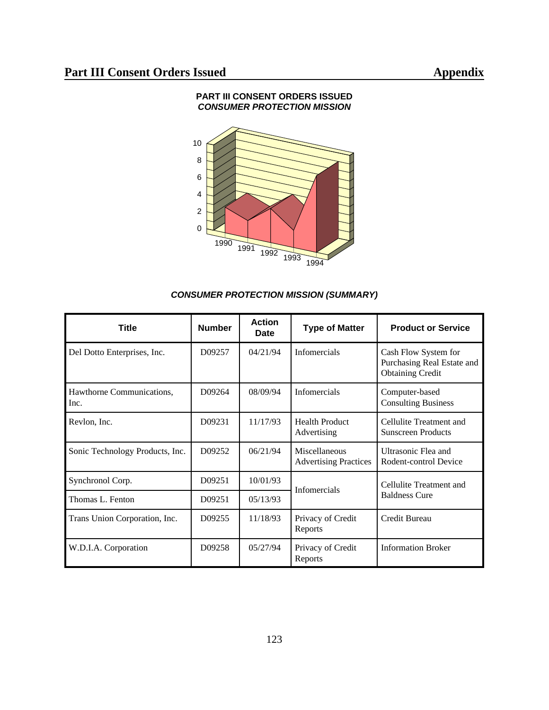

## **PART III CONSENT ORDERS ISSUED** *CONSUMER PROTECTION MISSION*

# *CONSUMER PROTECTION MISSION (SUMMARY)*

| <b>Title</b>                      | <b>Number</b> | <b>Action</b><br>Date | <b>Type of Matter</b>                         | <b>Product or Service</b>                                                     |
|-----------------------------------|---------------|-----------------------|-----------------------------------------------|-------------------------------------------------------------------------------|
| Del Dotto Enterprises, Inc.       | D09257        | 04/21/94              | Infomercials                                  | Cash Flow System for<br>Purchasing Real Estate and<br><b>Obtaining Credit</b> |
| Hawthorne Communications,<br>Inc. | D09264        | 08/09/94              | <b>Infomercials</b>                           | Computer-based<br><b>Consulting Business</b>                                  |
| Revlon, Inc.                      | D09231        | 11/17/93              | <b>Health Product</b><br>Advertising          | Cellulite Treatment and<br><b>Sunscreen Products</b>                          |
| Sonic Technology Products, Inc.   | D09252        | 06/21/94              | Miscellaneous<br><b>Advertising Practices</b> | <b>Ultrasonic Flea and</b><br>Rodent-control Device                           |
| Synchronol Corp.                  | D09251        | 10/01/93              | <b>Infomercials</b>                           | Cellulite Treatment and<br><b>Baldness Cure</b>                               |
| Thomas L. Fenton                  | D09251        | 05/13/93              |                                               |                                                                               |
| Trans Union Corporation, Inc.     | D09255        | 11/18/93              | Privacy of Credit<br>Reports                  | Credit Bureau                                                                 |
| W.D.I.A. Corporation              | D09258        | 05/27/94              | Privacy of Credit<br>Reports                  | <b>Information Broker</b>                                                     |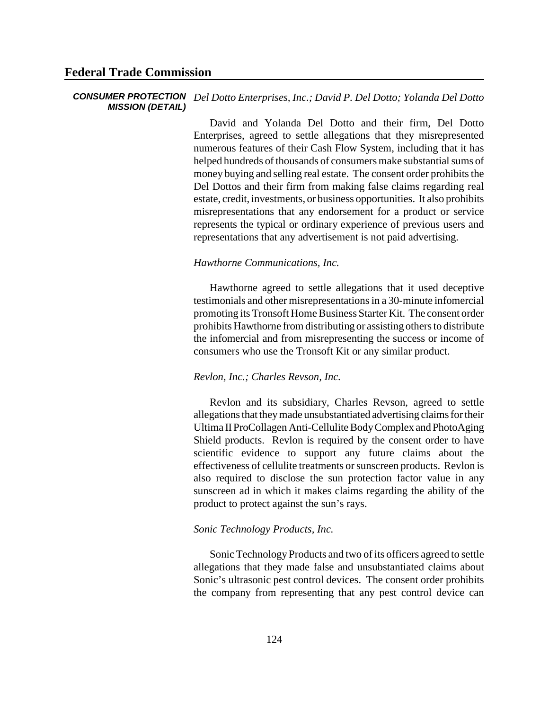#### *CONSUMER PROTECTION Del Dotto Enterprises, Inc.; David P. Del Dotto; Yolanda Del Dotto MISSION (DETAIL)*

David and Yolanda Del Dotto and their firm, Del Dotto Enterprises, agreed to settle allegations that they misrepresented numerous features of their Cash Flow System, including that it has helped hundreds of thousands of consumers make substantial sums of money buying and selling real estate. The consent order prohibits the Del Dottos and their firm from making false claims regarding real estate, credit, investments, or business opportunities. It also prohibits misrepresentations that any endorsement for a product or service represents the typical or ordinary experience of previous users and representations that any advertisement is not paid advertising.

#### *Hawthorne Communications, Inc.*

Hawthorne agreed to settle allegations that it used deceptive testimonials and other misrepresentations in a 30-minute infomercial promoting its Tronsoft Home Business Starter Kit. The consent order prohibits Hawthorne fromdistributing or assisting othersto distribute the infomercial and from misrepresenting the success or income of consumers who use the Tronsoft Kit or any similar product.

#### *Revlon, Inc.; Charles Revson, Inc.*

Revlon and its subsidiary, Charles Revson, agreed to settle allegations that they made unsubstantiated advertising claims for their Ultima II ProCollagen Anti-Cellulite Body Complex and PhotoAging Shield products. Revlon is required by the consent order to have scientific evidence to support any future claims about the effectiveness of cellulite treatments or sunscreen products. Revlon is also required to disclose the sun protection factor value in any sunscreen ad in which it makes claims regarding the ability of the product to protect against the sun's rays.

#### *Sonic Technology Products, Inc.*

Sonic Technology Products and two of its officers agreed to settle allegations that they made false and unsubstantiated claims about Sonic's ultrasonic pest control devices. The consent order prohibits the company from representing that any pest control device can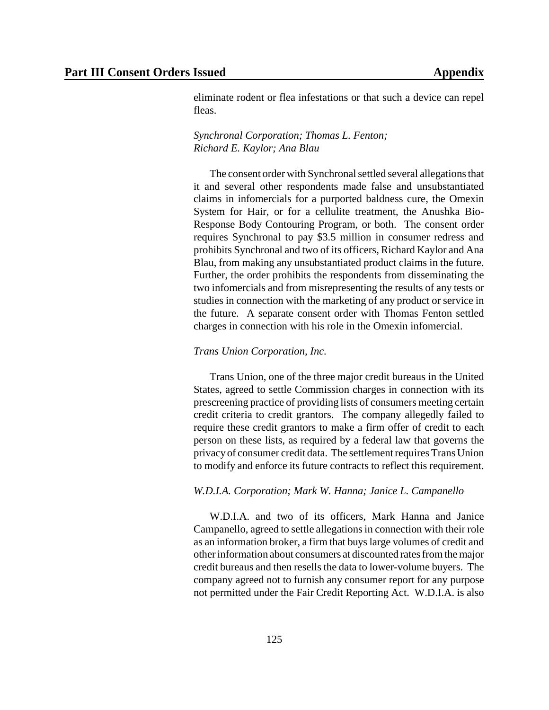eliminate rodent or flea infestations or that such a device can repel fleas.

# *Synchronal Corporation; Thomas L. Fenton; Richard E. Kaylor; Ana Blau*

The consent order with Synchronal settled several allegations that it and several other respondents made false and unsubstantiated claims in infomercials for a purported baldness cure, the Omexin System for Hair, or for a cellulite treatment, the Anushka Bio-Response Body Contouring Program, or both. The consent order requires Synchronal to pay \$3.5 million in consumer redress and prohibits Synchronal and two of its officers, Richard Kaylor and Ana Blau, from making any unsubstantiated product claims in the future. Further, the order prohibits the respondents from disseminating the two infomercials and from misrepresenting the results of any tests or studies in connection with the marketing of any product or service in the future. A separate consent order with Thomas Fenton settled charges in connection with his role in the Omexin infomercial.

#### *Trans Union Corporation, Inc.*

Trans Union, one of the three major credit bureaus in the United States, agreed to settle Commission charges in connection with its prescreening practice of providing lists of consumers meeting certain credit criteria to credit grantors. The company allegedly failed to require these credit grantors to make a firm offer of credit to each person on these lists, as required by a federal law that governs the privacyof consumer credit data. The settlement requires Trans Union to modify and enforce its future contracts to reflect this requirement.

#### *W.D.I.A. Corporation; Mark W. Hanna; Janice L. Campanello*

W.D.I.A. and two of its officers, Mark Hanna and Janice Campanello, agreed to settle allegationsin connection with their role as an information broker, a firm that buys large volumes of credit and otherinformation about consumers at discounted rates from the major credit bureaus and then resells the data to lower-volume buyers. The company agreed not to furnish any consumer report for any purpose not permitted under the Fair Credit Reporting Act. W.D.I.A. is also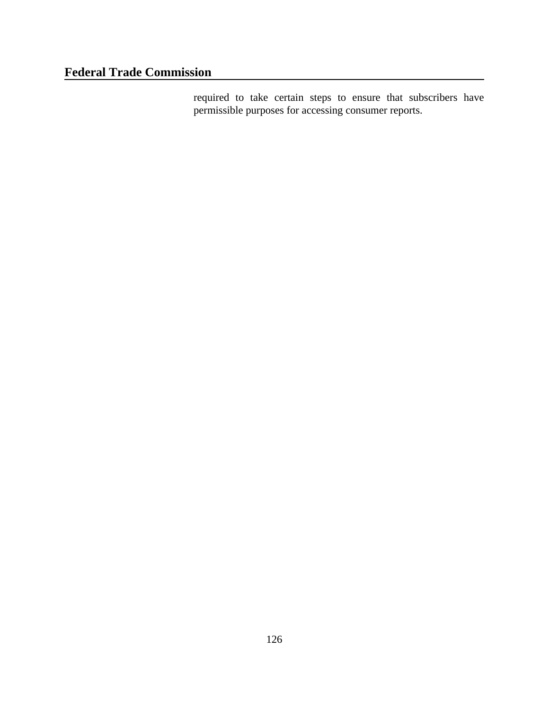required to take certain steps to ensure that subscribers have permissible purposes for accessing consumer reports.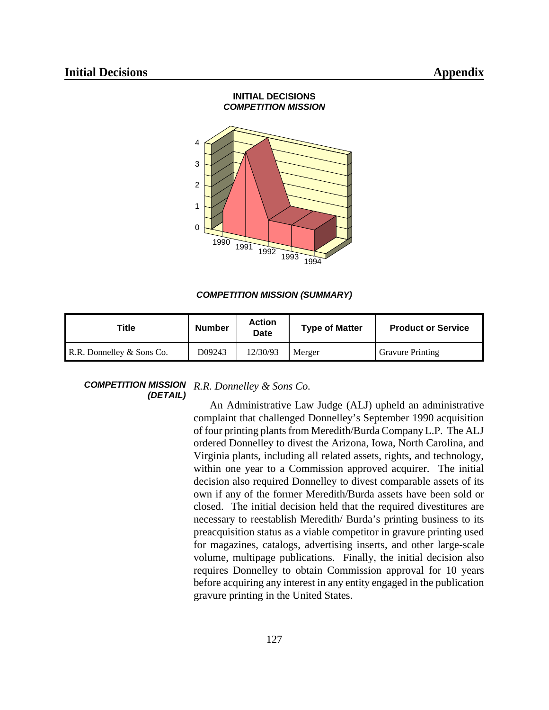

**INITIAL DECISIONS**

#### *COMPETITION MISSION (SUMMARY)*

| Title                     | <b>Number</b> | <b>Action</b><br>Date | <b>Type of Matter</b> | <b>Product or Service</b> |
|---------------------------|---------------|-----------------------|-----------------------|---------------------------|
| R.R. Donnelley & Sons Co. | D09243        | 12/30/93              | Merger                | <b>Gravure Printing</b>   |

#### *COMPETITION MISSION R.R. Donnelley & Sons Co. (DETAIL)*

An Administrative Law Judge (ALJ) upheld an administrative complaint that challenged Donnelley's September 1990 acquisition of four printing plants from Meredith/Burda Company L.P. The ALJ ordered Donnelley to divest the Arizona, Iowa, North Carolina, and Virginia plants, including all related assets, rights, and technology, within one year to a Commission approved acquirer. The initial decision also required Donnelley to divest comparable assets of its own if any of the former Meredith/Burda assets have been sold or closed. The initial decision held that the required divestitures are necessary to reestablish Meredith/ Burda's printing business to its preacquisition status as a viable competitor in gravure printing used for magazines, catalogs, advertising inserts, and other large-scale volume, multipage publications. Finally, the initial decision also requires Donnelley to obtain Commission approval for 10 years before acquiring any interest in any entity engaged in the publication gravure printing in the United States.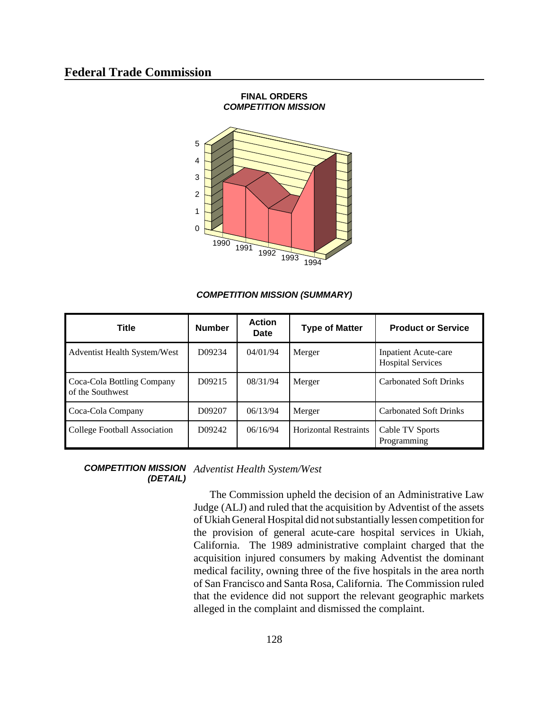

**FINAL ORDERS** *COMPETITION MISSION*

## *COMPETITION MISSION (SUMMARY)*

| Title                                          | <b>Number</b> | <b>Action</b><br><b>Date</b> | <b>Type of Matter</b>        | <b>Product or Service</b>                               |
|------------------------------------------------|---------------|------------------------------|------------------------------|---------------------------------------------------------|
| <b>Adventist Health System/West</b>            | D09234        | 04/01/94                     | Merger                       | <b>Inpatient Acute-care</b><br><b>Hospital Services</b> |
| Coca-Cola Bottling Company<br>of the Southwest | D09215        | 08/31/94                     | Merger                       | <b>Carbonated Soft Drinks</b>                           |
| Coca-Cola Company                              | D09207        | 06/13/94                     | Merger                       | <b>Carbonated Soft Drinks</b>                           |
| College Football Association                   | D09242        | 06/16/94                     | <b>Horizontal Restraints</b> | Cable TV Sports<br>Programming                          |

#### *COMPETITION MISSION Adventist Health System/West (DETAIL)*

The Commission upheld the decision of an Administrative Law Judge (ALJ) and ruled that the acquisition by Adventist of the assets of Ukiah General Hospital did not substantially lessen competition for the provision of general acute-care hospital services in Ukiah, California. The 1989 administrative complaint charged that the acquisition injured consumers by making Adventist the dominant medical facility, owning three of the five hospitals in the area north of San Francisco and Santa Rosa, California. The Commission ruled that the evidence did not support the relevant geographic markets alleged in the complaint and dismissed the complaint.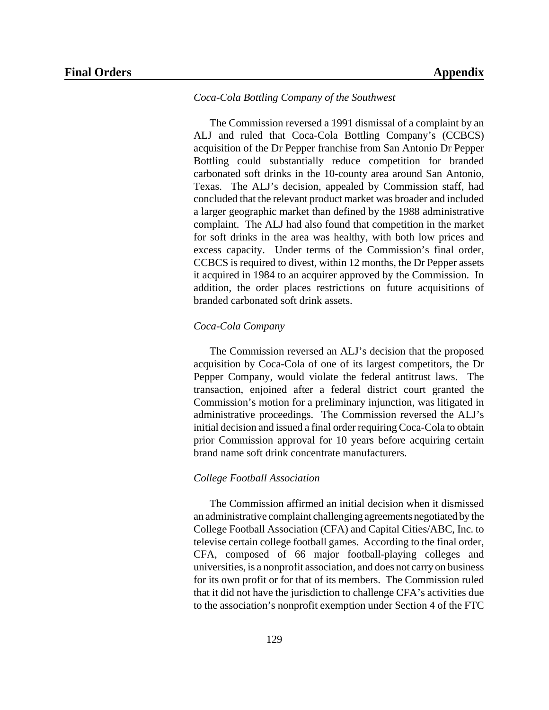#### *Coca-Cola Bottling Company of the Southwest*

The Commission reversed a 1991 dismissal of a complaint by an ALJ and ruled that Coca-Cola Bottling Company's (CCBCS) acquisition of the Dr Pepper franchise from San Antonio Dr Pepper Bottling could substantially reduce competition for branded carbonated soft drinks in the 10-county area around San Antonio, Texas. The ALJ's decision, appealed by Commission staff, had concluded that the relevant product market was broader and included a larger geographic market than defined by the 1988 administrative complaint. The ALJ had also found that competition in the market for soft drinks in the area was healthy, with both low prices and excess capacity. Under terms of the Commission's final order, CCBCS is required to divest, within 12 months, the Dr Pepper assets it acquired in 1984 to an acquirer approved by the Commission. In addition, the order places restrictions on future acquisitions of branded carbonated soft drink assets.

#### *Coca-Cola Company*

The Commission reversed an ALJ's decision that the proposed acquisition by Coca-Cola of one of its largest competitors, the Dr Pepper Company, would violate the federal antitrust laws. The transaction, enjoined after a federal district court granted the Commission's motion for a preliminary injunction, was litigated in administrative proceedings. The Commission reversed the ALJ's initial decision and issued a final order requiring Coca-Cola to obtain prior Commission approval for 10 years before acquiring certain brand name soft drink concentrate manufacturers.

# *College Football Association*

The Commission affirmed an initial decision when it dismissed an administrative complaint challenging agreements negotiated by the College Football Association (CFA) and Capital Cities/ABC, Inc. to televise certain college football games. According to the final order, CFA, composed of 66 major football-playing colleges and universities, is a nonprofit association, and does not carry on business for its own profit or for that of its members. The Commission ruled that it did not have the jurisdiction to challenge CFA's activities due to the association's nonprofit exemption under Section 4 of the FTC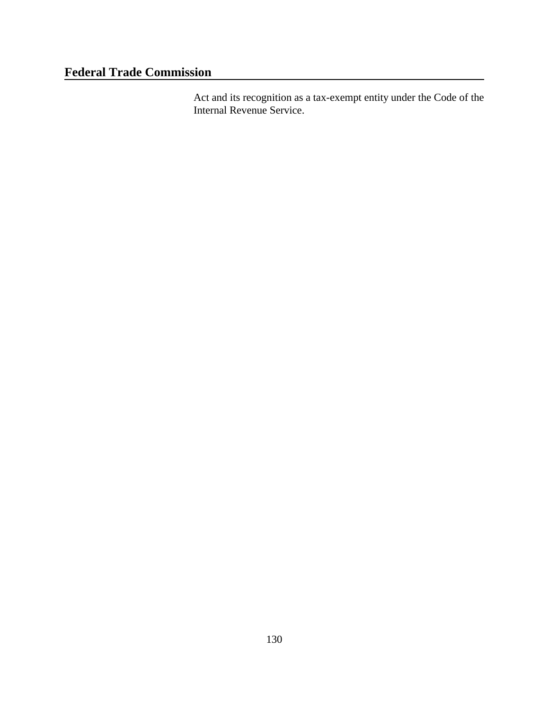Act and its recognition as a tax-exempt entity under the Code of the Internal Revenue Service.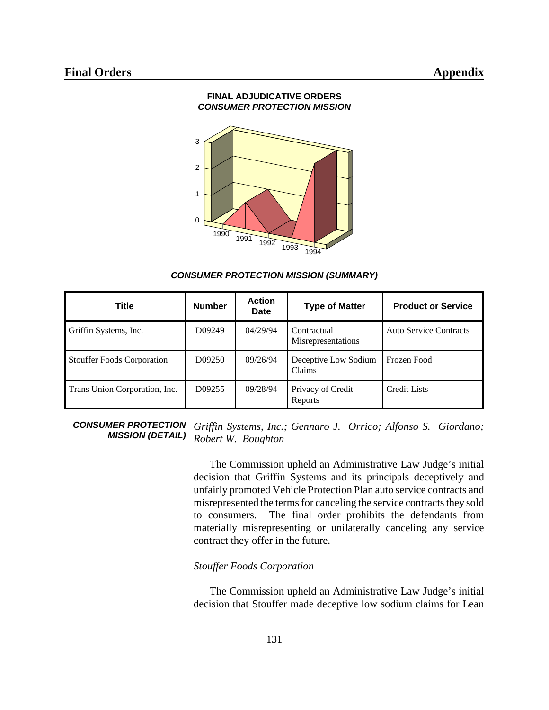

# **FINAL ADJUDICATIVE ORDERS** *CONSUMER PROTECTION MISSION*

#### *CONSUMER PROTECTION MISSION (SUMMARY)*

| <b>Title</b>                      | <b>Number</b> | <b>Action</b><br><b>Date</b> | <b>Type of Matter</b>             | <b>Product or Service</b>     |
|-----------------------------------|---------------|------------------------------|-----------------------------------|-------------------------------|
| Griffin Systems, Inc.             | D09249        | 04/29/94                     | Contractual<br>Misrepresentations | <b>Auto Service Contracts</b> |
| <b>Stouffer Foods Corporation</b> | D09250        | 09/26/94                     | Deceptive Low Sodium<br>Claims    | Frozen Food                   |
| Trans Union Corporation, Inc.     | D09255        | 09/28/94                     | Privacy of Credit<br>Reports      | Credit Lists                  |

*CONSUMER PROTECTION Griffin Systems, Inc.; Gennaro J. Orrico; Alfonso S. Giordano; MISSION (DETAIL) Robert W. Boughton*

> The Commission upheld an Administrative Law Judge's initial decision that Griffin Systems and its principals deceptively and unfairly promoted Vehicle Protection Plan auto service contracts and misrepresented the terms for canceling the service contracts they sold to consumers. The final order prohibits the defendants from materially misrepresenting or unilaterally canceling any service contract they offer in the future.

#### *Stouffer Foods Corporation*

The Commission upheld an Administrative Law Judge's initial decision that Stouffer made deceptive low sodium claims for Lean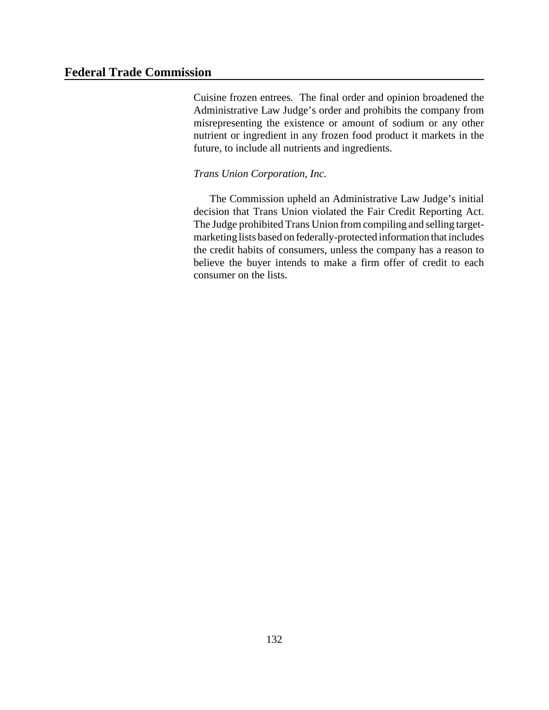Cuisine frozen entrees. The final order and opinion broadened the Administrative Law Judge's order and prohibits the company from misrepresenting the existence or amount of sodium or any other nutrient or ingredient in any frozen food product it markets in the future, to include all nutrients and ingredients.

# *Trans Union Corporation, Inc.*

The Commission upheld an Administrative Law Judge's initial decision that Trans Union violated the Fair Credit Reporting Act. The Judge prohibited Trans Union from compiling and selling targetmarketing lists based on federally-protected information that includes the credit habits of consumers, unless the company has a reason to believe the buyer intends to make a firm offer of credit to each consumer on the lists.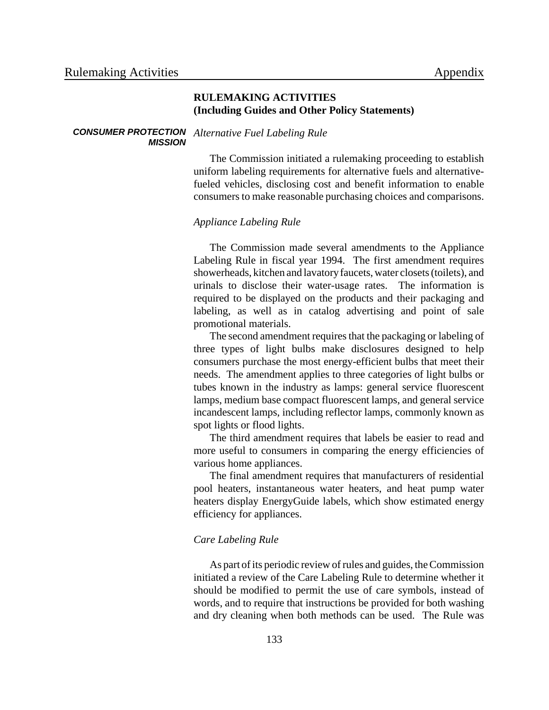# **RULEMAKING ACTIVITIES (Including Guides and Other Policy Statements)**

#### *CONSUMER PROTECTION MISSION Alternative Fuel Labeling Rule*

The Commission initiated a rulemaking proceeding to establish uniform labeling requirements for alternative fuels and alternativefueled vehicles, disclosing cost and benefit information to enable consumers to make reasonable purchasing choices and comparisons.

## *Appliance Labeling Rule*

The Commission made several amendments to the Appliance Labeling Rule in fiscal year 1994. The first amendment requires showerheads, kitchen and lavatoryfaucets, water closets (toilets), and urinals to disclose their water-usage rates. The information is required to be displayed on the products and their packaging and labeling, as well as in catalog advertising and point of sale promotional materials.

The second amendment requires that the packaging or labeling of three types of light bulbs make disclosures designed to help consumers purchase the most energy-efficient bulbs that meet their needs. The amendment applies to three categories of light bulbs or tubes known in the industry as lamps: general service fluorescent lamps, medium base compact fluorescent lamps, and general service incandescent lamps, including reflector lamps, commonly known as spot lights or flood lights.

The third amendment requires that labels be easier to read and more useful to consumers in comparing the energy efficiencies of various home appliances.

The final amendment requires that manufacturers of residential pool heaters, instantaneous water heaters, and heat pump water heaters display EnergyGuide labels, which show estimated energy efficiency for appliances.

#### *Care Labeling Rule*

As part of its periodic review of rules and guides, the Commission initiated a review of the Care Labeling Rule to determine whether it should be modified to permit the use of care symbols, instead of words, and to require that instructions be provided for both washing and dry cleaning when both methods can be used. The Rule was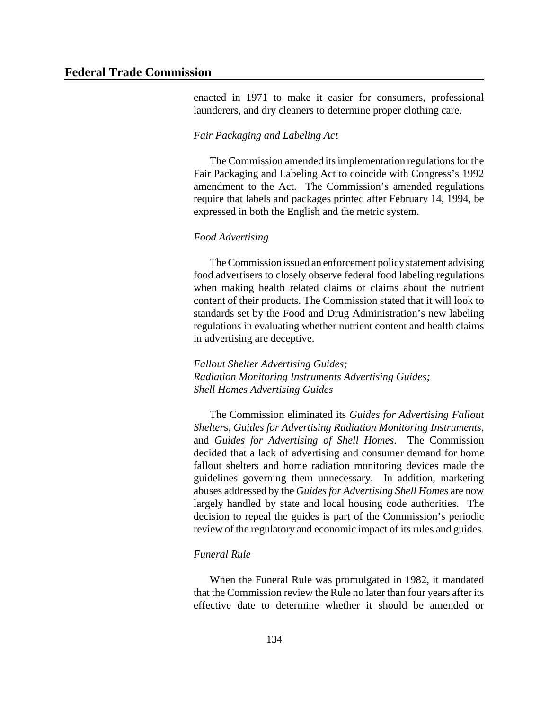enacted in 1971 to make it easier for consumers, professional launderers, and dry cleaners to determine proper clothing care.

# *Fair Packaging and Labeling Act*

The Commission amended its implementation regulations for the Fair Packaging and Labeling Act to coincide with Congress's 1992 amendment to the Act. The Commission's amended regulations require that labels and packages printed after February 14, 1994, be expressed in both the English and the metric system.

## *Food Advertising*

The Commission issued an enforcement policy statement advising food advertisers to closely observe federal food labeling regulations when making health related claims or claims about the nutrient content of their products. The Commission stated that it will look to standards set by the Food and Drug Administration's new labeling regulations in evaluating whether nutrient content and health claims in advertising are deceptive.

*Fallout Shelter Advertising Guides; Radiation Monitoring Instruments Advertising Guides; Shell Homes Advertising Guides*

The Commission eliminated its *Guides for Advertising Fallout Shelter*s, *Guides for Advertising Radiation Monitoring Instruments*, and *Guides for Advertising of Shell Homes*. The Commission decided that a lack of advertising and consumer demand for home fallout shelters and home radiation monitoring devices made the guidelines governing them unnecessary. In addition, marketing abuses addressed by the *Guidesfor Advertising Shell Homes* are now largely handled by state and local housing code authorities. The decision to repeal the guides is part of the Commission's periodic review of the regulatory and economic impact of its rules and guides.

# *Funeral Rule*

When the Funeral Rule was promulgated in 1982, it mandated that the Commission review the Rule no later than four years after its effective date to determine whether it should be amended or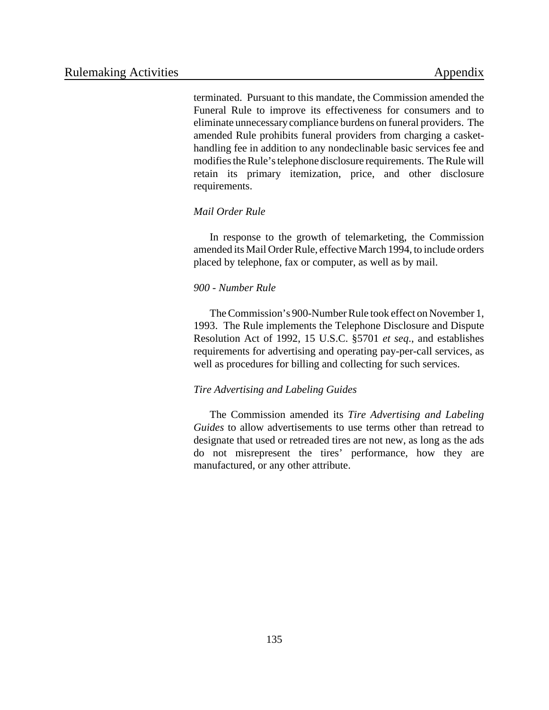terminated. Pursuant to this mandate, the Commission amended the Funeral Rule to improve its effectiveness for consumers and to eliminate unnecessary compliance burdens on funeral providers. The amended Rule prohibits funeral providers from charging a caskethandling fee in addition to any nondeclinable basic services fee and modifies the Rule's telephone disclosure requirements. The Rule will retain its primary itemization, price, and other disclosure requirements.

# *Mail Order Rule*

In response to the growth of telemarketing, the Commission amended its Mail Order Rule, effective March 1994, to include orders placed by telephone, fax or computer, as well as by mail.

# *900 - Number Rule*

The Commission's 900-Number Rule took effect on November 1, 1993. The Rule implements the Telephone Disclosure and Dispute Resolution Act of 1992, 15 U.S.C. §5701 *et seq*., and establishes requirements for advertising and operating pay-per-call services, as well as procedures for billing and collecting for such services.

# *Tire Advertising and Labeling Guides*

The Commission amended its *Tire Advertising and Labeling Guides* to allow advertisements to use terms other than retread to designate that used or retreaded tires are not new, as long as the ads do not misrepresent the tires' performance, how they are manufactured, or any other attribute.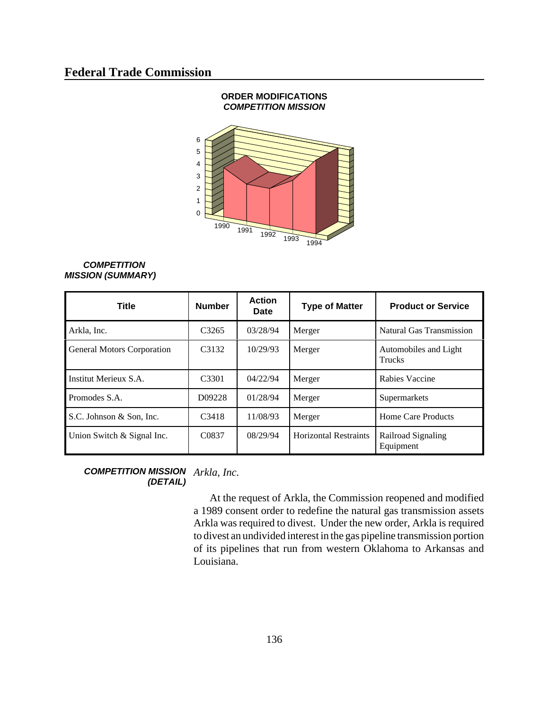## **ORDER MODIFICATIONS** *COMPETITION MISSION*



## *COMPETITION MISSION (SUMMARY)*

| <b>Title</b>                      | <b>Number</b>                  | <b>Action</b><br>Date | <b>Type of Matter</b>        | <b>Product or Service</b>              |
|-----------------------------------|--------------------------------|-----------------------|------------------------------|----------------------------------------|
| Arkla, Inc.                       | C <sub>3265</sub>              | 03/28/94              | Merger                       | Natural Gas Transmission               |
| <b>General Motors Corporation</b> | C <sub>3</sub> 13 <sub>2</sub> | 10/29/93              | Merger                       | Automobiles and Light<br><b>Trucks</b> |
| Institut Merieux S.A.             | C <sub>3301</sub>              | 04/22/94              | Merger                       | Rabies Vaccine                         |
| Promodes S.A.                     | D09228                         | 01/28/94              | Merger                       | Supermarkets                           |
| S.C. Johnson & Son, Inc.          | C <sub>3418</sub>              | 11/08/93              | Merger                       | Home Care Products                     |
| Union Switch & Signal Inc.        | C <sub>0837</sub>              | 08/29/94              | <b>Horizontal Restraints</b> | Railroad Signaling<br>Equipment        |

## *COMPETITION MISSION Arkla, Inc. (DETAIL)*

At the request of Arkla, the Commission reopened and modified a 1989 consent order to redefine the natural gas transmission assets Arkla was required to divest. Under the new order, Arkla is required to divest an undivided interest in the gas pipeline transmission portion of its pipelines that run from western Oklahoma to Arkansas and Louisiana.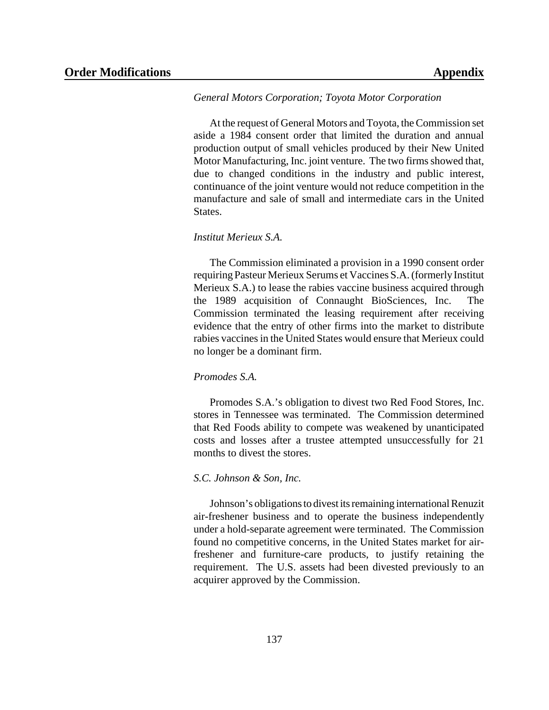#### *General Motors Corporation; Toyota Motor Corporation*

At the request of General Motors and Toyota, the Commission set aside a 1984 consent order that limited the duration and annual production output of small vehicles produced by their New United Motor Manufacturing, Inc. joint venture. The two firms showed that, due to changed conditions in the industry and public interest, continuance of the joint venture would not reduce competition in the manufacture and sale of small and intermediate cars in the United States.

#### *Institut Merieux S.A.*

The Commission eliminated a provision in a 1990 consent order requiring Pasteur Merieux Serums et Vaccines S.A. (formerly Institut) Merieux S.A.) to lease the rabies vaccine business acquired through the 1989 acquisition of Connaught BioSciences, Inc. The Commission terminated the leasing requirement after receiving evidence that the entry of other firms into the market to distribute rabies vaccinesin the United States would ensure that Merieux could no longer be a dominant firm.

#### *Promodes S.A.*

Promodes S.A.'s obligation to divest two Red Food Stores, Inc. stores in Tennessee was terminated. The Commission determined that Red Foods ability to compete was weakened by unanticipated costs and losses after a trustee attempted unsuccessfully for 21 months to divest the stores.

# *S.C. Johnson & Son, Inc.*

Johnson's obligations to divest its remaining international Renuzit air-freshener business and to operate the business independently under a hold-separate agreement were terminated. The Commission found no competitive concerns, in the United States market for airfreshener and furniture-care products, to justify retaining the requirement. The U.S. assets had been divested previously to an acquirer approved by the Commission.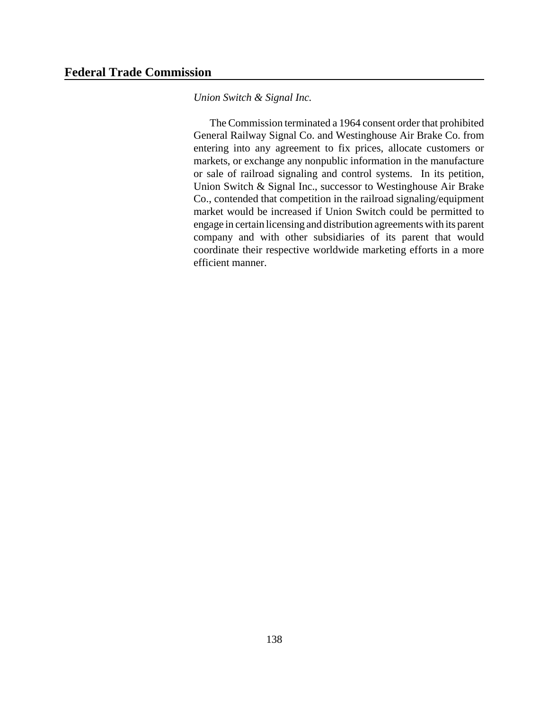*Union Switch & Signal Inc.*

The Commission terminated a 1964 consent order that prohibited General Railway Signal Co. and Westinghouse Air Brake Co. from entering into any agreement to fix prices, allocate customers or markets, or exchange any nonpublic information in the manufacture or sale of railroad signaling and control systems. In its petition, Union Switch & Signal Inc., successor to Westinghouse Air Brake Co., contended that competition in the railroad signaling/equipment market would be increased if Union Switch could be permitted to engage in certain licensing and distribution agreements with its parent company and with other subsidiaries of its parent that would coordinate their respective worldwide marketing efforts in a more efficient manner.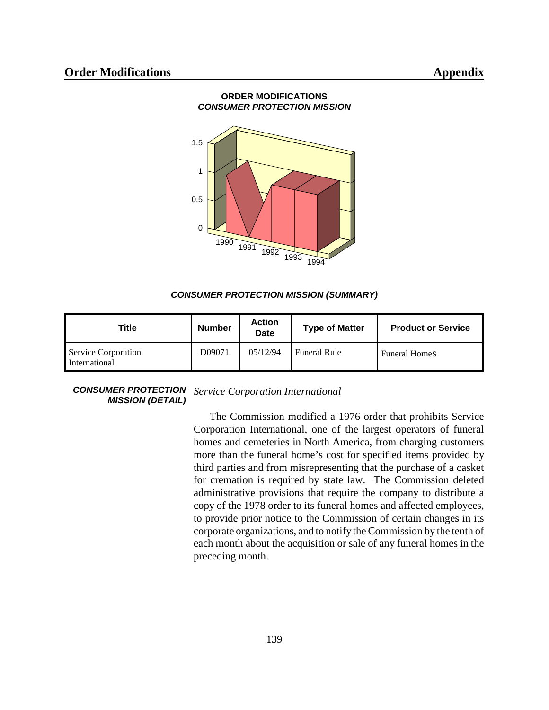

# **ORDER MODIFICATIONS** *CONSUMER PROTECTION MISSION*

#### *CONSUMER PROTECTION MISSION (SUMMARY)*

| Title                                       | <b>Number</b> | <b>Action</b><br>Date | <b>Type of Matter</b> | <b>Product or Service</b> |
|---------------------------------------------|---------------|-----------------------|-----------------------|---------------------------|
| <b>Service Corporation</b><br>International | D09071        | 05/12/94              | <b>Funeral Rule</b>   | <b>Funeral Homes</b>      |

*CONSUMER PROTECTION Service Corporation International MISSION (DETAIL)*

> The Commission modified a 1976 order that prohibits Service Corporation International, one of the largest operators of funeral homes and cemeteries in North America, from charging customers more than the funeral home's cost for specified items provided by third parties and from misrepresenting that the purchase of a casket for cremation is required by state law. The Commission deleted administrative provisions that require the company to distribute a copy of the 1978 order to its funeral homes and affected employees, to provide prior notice to the Commission of certain changes in its corporate organizations, and to notify the Commission by the tenth of each month about the acquisition or sale of any funeral homes in the preceding month.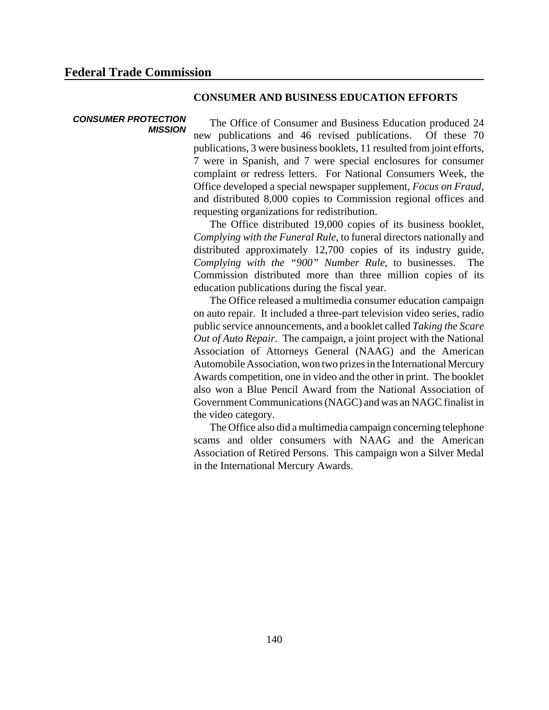# **CONSUMER AND BUSINESS EDUCATION EFFORTS**

# *CONSUMER PROTECTION*

**MISSION** The Office of Consumer and Business Education produced 24 **MISSION** new publications and 46 revised publications. Of these 70 new publications and 46 revised publications. publications, 3 were business booklets, 11 resulted from joint efforts, 7 were in Spanish, and 7 were special enclosures for consumer complaint or redress letters. For National Consumers Week, the Office developed a special newspaper supplement, *Focus on Fraud*, and distributed 8,000 copies to Commission regional offices and requesting organizations for redistribution.

> The Office distributed 19,000 copies of its business booklet, *Complying with the Funeral Rule*, to funeral directors nationally and distributed approximately 12,700 copies of its industry guide, *Complying with the "900" Number Rule*, to businesses. The Commission distributed more than three million copies of its education publications during the fiscal year.

> The Office released a multimedia consumer education campaign on auto repair. It included a three-part television video series, radio public service announcements, and a booklet called *Taking the Scare Out of Auto Repair*. The campaign, a joint project with the National Association of Attorneys General (NAAG) and the American Automobile Association, won two prizes in the International Mercury Awards competition, one in video and the other in print. The booklet also won a Blue Pencil Award from the National Association of Government Communications(NAGC) and was an NAGC finalist in the video category.

> The Office also did a multimedia campaign concerning telephone scams and older consumers with NAAG and the American Association of Retired Persons. This campaign won a Silver Medal in the International Mercury Awards.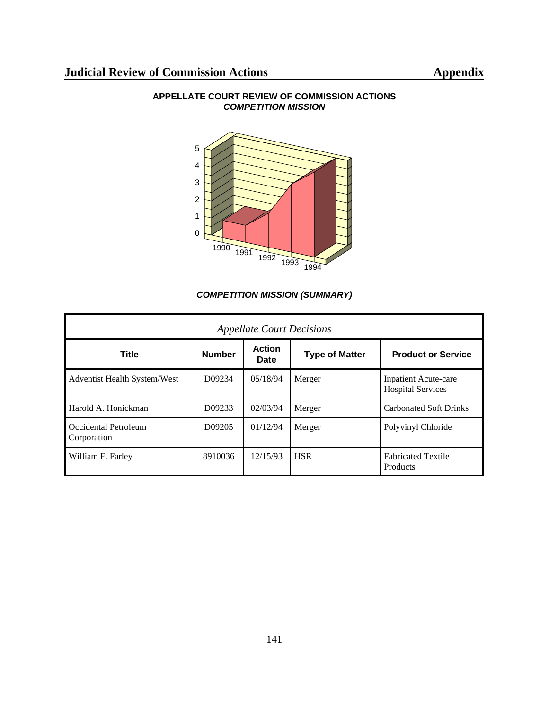

## **APPELLATE COURT REVIEW OF COMMISSION ACTIONS** *COMPETITION MISSION*

## *COMPETITION MISSION (SUMMARY)*

| <b>Appellate Court Decisions</b>    |               |                       |                       |                                                  |
|-------------------------------------|---------------|-----------------------|-----------------------|--------------------------------------------------|
| Title                               | <b>Number</b> | <b>Action</b><br>Date | <b>Type of Matter</b> | <b>Product or Service</b>                        |
| <b>Adventist Health System/West</b> | D09234        | 05/18/94              | Merger                | Inpatient Acute-care<br><b>Hospital Services</b> |
| Harold A. Honickman                 | D09233        | 02/03/94              | Merger                | <b>Carbonated Soft Drinks</b>                    |
| Occidental Petroleum<br>Corporation | D09205        | 01/12/94              | Merger                | Polyvinyl Chloride                               |
| William F. Farley                   | 8910036       | 12/15/93              | <b>HSR</b>            | <b>Fabricated Textile</b><br><b>Products</b>     |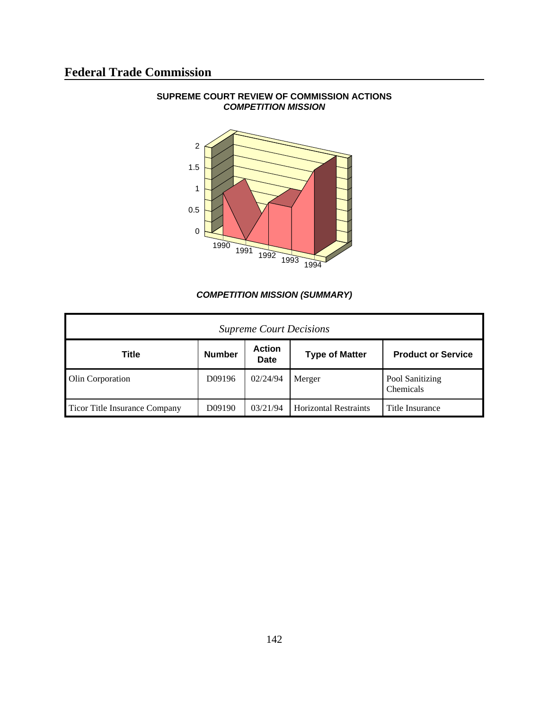

## **SUPREME COURT REVIEW OF COMMISSION ACTIONS** *COMPETITION MISSION*

## *COMPETITION MISSION (SUMMARY)*

| <b>Supreme Court Decisions</b> |               |                              |                              |                              |
|--------------------------------|---------------|------------------------------|------------------------------|------------------------------|
| <b>Title</b>                   | <b>Number</b> | <b>Action</b><br><b>Date</b> | <b>Type of Matter</b>        | <b>Product or Service</b>    |
| Olin Corporation               | D09196        | 02/24/94                     | Merger                       | Pool Sanitizing<br>Chemicals |
| Ticor Title Insurance Company  | D09190        | 03/21/94                     | <b>Horizontal Restraints</b> | Title Insurance              |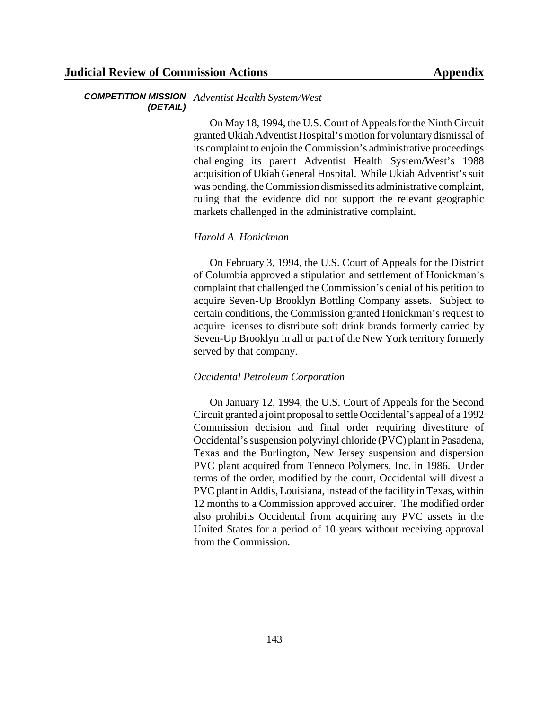#### *COMPETITION MISSION Adventist Health System/West (DETAIL)*

On May 18, 1994, the U.S. Court of Appeals for the Ninth Circuit granted Ukiah Adventist Hospital's motion for voluntarydismissal of its complaint to enjoin the Commission's administrative proceedings challenging its parent Adventist Health System/West's 1988 acquisition of Ukiah General Hospital. While Ukiah Adventist's suit was pending, the Commission dismissed its administrative complaint, ruling that the evidence did not support the relevant geographic markets challenged in the administrative complaint.

### *Harold A. Honickman*

On February 3, 1994, the U.S. Court of Appeals for the District of Columbia approved a stipulation and settlement of Honickman's complaint that challenged the Commission's denial of his petition to acquire Seven-Up Brooklyn Bottling Company assets. Subject to certain conditions, the Commission granted Honickman's request to acquire licenses to distribute soft drink brands formerly carried by Seven-Up Brooklyn in all or part of the New York territory formerly served by that company.

### *Occidental Petroleum Corporation*

On January 12, 1994, the U.S. Court of Appeals for the Second Circuit granted a joint proposal to settle Occidental's appeal of a 1992 Commission decision and final order requiring divestiture of Occidental'ssuspension polyvinyl chloride (PVC) plant in Pasadena, Texas and the Burlington, New Jersey suspension and dispersion PVC plant acquired from Tenneco Polymers, Inc. in 1986. Under terms of the order, modified by the court, Occidental will divest a PVC plant in Addis, Louisiana, instead of the facility in Texas, within 12 months to a Commission approved acquirer. The modified order also prohibits Occidental from acquiring any PVC assets in the United States for a period of 10 years without receiving approval from the Commission.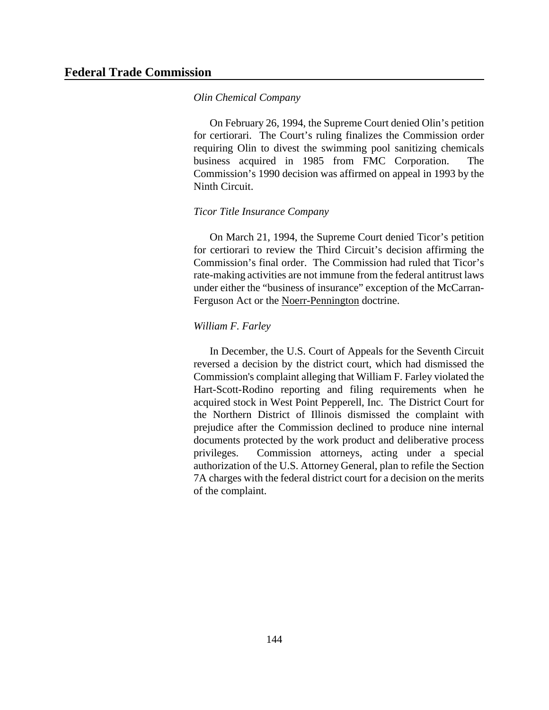### *Olin Chemical Company*

On February 26, 1994, the Supreme Court denied Olin's petition for certiorari. The Court's ruling finalizes the Commission order requiring Olin to divest the swimming pool sanitizing chemicals business acquired in 1985 from FMC Corporation. The Commission's 1990 decision was affirmed on appeal in 1993 by the Ninth Circuit.

## *Ticor Title Insurance Company*

On March 21, 1994, the Supreme Court denied Ticor's petition for certiorari to review the Third Circuit's decision affirming the Commission's final order. The Commission had ruled that Ticor's rate-making activities are not immune from the federal antitrust laws under either the "business of insurance" exception of the McCarran-Ferguson Act or the Noerr-Pennington doctrine.

### *William F. Farley*

In December, the U.S. Court of Appeals for the Seventh Circuit reversed a decision by the district court, which had dismissed the Commission's complaint alleging that William F. Farley violated the Hart-Scott-Rodino reporting and filing requirements when he acquired stock in West Point Pepperell, Inc. The District Court for the Northern District of Illinois dismissed the complaint with prejudice after the Commission declined to produce nine internal documents protected by the work product and deliberative process privileges. Commission attorneys, acting under a special authorization of the U.S. Attorney General, plan to refile the Section 7A charges with the federal district court for a decision on the merits of the complaint.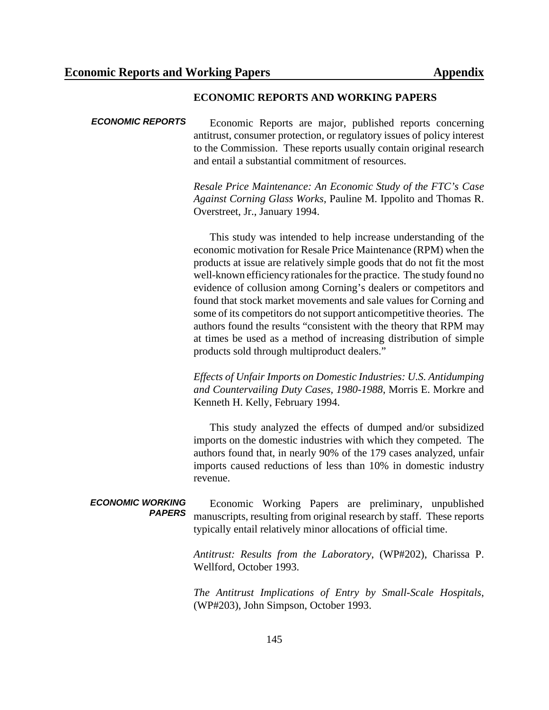### **ECONOMIC REPORTS AND WORKING PAPERS**

**ECONOMIC REPORTS** Economic Reports are major, published reports concerning antitrust, consumer protection, or regulatory issues of policy interest to the Commission. These reports usually contain original research and entail a substantial commitment of resources.

> *Resale Price Maintenance: An Economic Study of the FTC's Case Against Corning Glass Works*, Pauline M. Ippolito and Thomas R. Overstreet, Jr., January 1994.

> This study was intended to help increase understanding of the economic motivation for Resale Price Maintenance (RPM) when the products at issue are relatively simple goods that do not fit the most well-known efficiency rationales for the practice. The study found no evidence of collusion among Corning's dealers or competitors and found that stock market movements and sale values for Corning and some of its competitors do not support anticompetitive theories. The authors found the results "consistent with the theory that RPM may at times be used as a method of increasing distribution of simple products sold through multiproduct dealers."

> *Effects of Unfair Imports on Domestic Industries: U.S. Antidumping and Countervailing Duty Cases, 1980-1988*, Morris E. Morkre and Kenneth H. Kelly, February 1994.

> This study analyzed the effects of dumped and/or subsidized imports on the domestic industries with which they competed. The authors found that, in nearly 90% of the 179 cases analyzed, unfair imports caused reductions of less than 10% in domestic industry revenue.

*ECONOMIC WORKING PAPERS* Economic Working Papers are preliminary, unpublished manuscripts, resulting from original research by staff. These reports typically entail relatively minor allocations of official time.

> *Antitrust: Results from the Laboratory*, (WP#202), Charissa P. Wellford, October 1993.

> *The Antitrust Implications of Entry by Small-Scale Hospitals*, (WP#203), John Simpson, October 1993.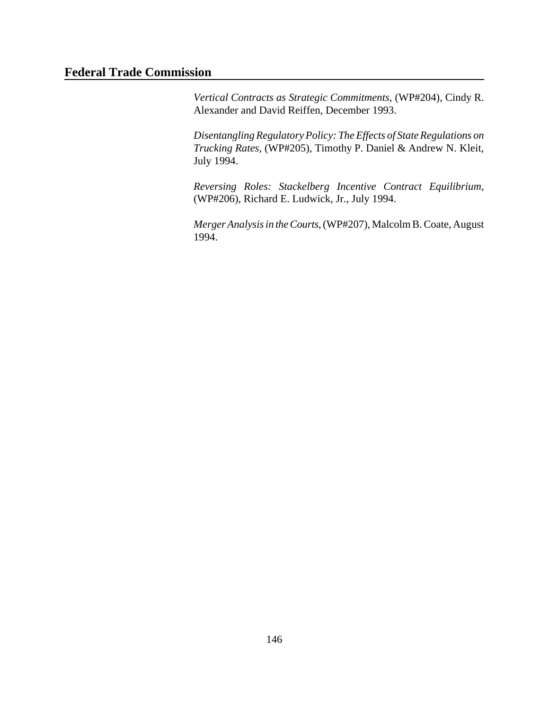*Vertical Contracts as Strategic Commitments*, (WP#204), Cindy R. Alexander and David Reiffen, December 1993.

*DisentanglingRegulatoryPolicy: The Effects of StateRegulations on Trucking Rates*, (WP#205), Timothy P. Daniel & Andrew N. Kleit, July 1994.

*Reversing Roles: Stackelberg Incentive Contract Equilibrium*, (WP#206), Richard E. Ludwick, Jr., July 1994.

*MergerAnalysisin the Courts*, (WP#207), Malcolm B. Coate, August 1994.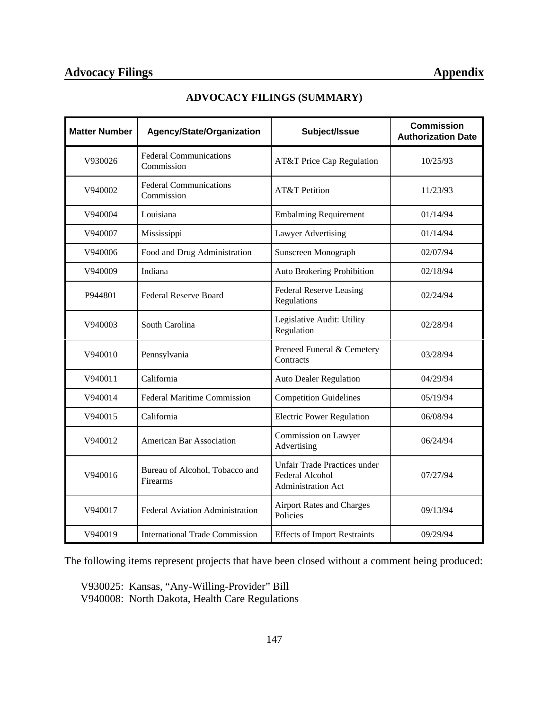| <b>Matter Number</b> | Agency/State/Organization                   | Subject/Issue                                                         | <b>Commission</b><br><b>Authorization Date</b> |
|----------------------|---------------------------------------------|-----------------------------------------------------------------------|------------------------------------------------|
| V930026              | <b>Federal Communications</b><br>Commission | AT&T Price Cap Regulation                                             | 10/25/93                                       |
| V940002              | <b>Federal Communications</b><br>Commission | <b>AT&amp;T Petition</b>                                              | 11/23/93                                       |
| V940004              | Louisiana                                   | <b>Embalming Requirement</b>                                          | 01/14/94                                       |
| V940007              | Mississippi                                 | Lawyer Advertising                                                    | 01/14/94                                       |
| V940006              | Food and Drug Administration                | Sunscreen Monograph                                                   | 02/07/94                                       |
| V940009              | Indiana                                     | Auto Brokering Prohibition                                            | 02/18/94                                       |
| P944801              | <b>Federal Reserve Board</b>                | <b>Federal Reserve Leasing</b><br>Regulations                         | 02/24/94                                       |
| V940003              | South Carolina                              | Legislative Audit: Utility<br>Regulation                              | 02/28/94                                       |
| V940010              | Pennsylvania                                | Preneed Funeral & Cemetery<br>Contracts                               | 03/28/94                                       |
| V940011              | California                                  | <b>Auto Dealer Regulation</b>                                         | 04/29/94                                       |
| V940014              | <b>Federal Maritime Commission</b>          | <b>Competition Guidelines</b>                                         | 05/19/94                                       |
| V940015              | California                                  | <b>Electric Power Regulation</b>                                      | 06/08/94                                       |
| V940012              | <b>American Bar Association</b>             | Commission on Lawyer<br>Advertising                                   | 06/24/94                                       |
| V940016              | Bureau of Alcohol, Tobacco and<br>Firearms  | Unfair Trade Practices under<br>Federal Alcohol<br>Administration Act | 07/27/94                                       |
| V940017              | Federal Aviation Administration             | <b>Airport Rates and Charges</b><br>Policies                          | 09/13/94                                       |
| V940019              | <b>International Trade Commission</b>       | <b>Effects of Import Restraints</b>                                   | 09/29/94                                       |

## **ADVOCACY FILINGS (SUMMARY)**

The following items represent projects that have been closed without a comment being produced:

V930025: Kansas, "Any-Willing-Provider" Bill V940008: North Dakota, Health Care Regulations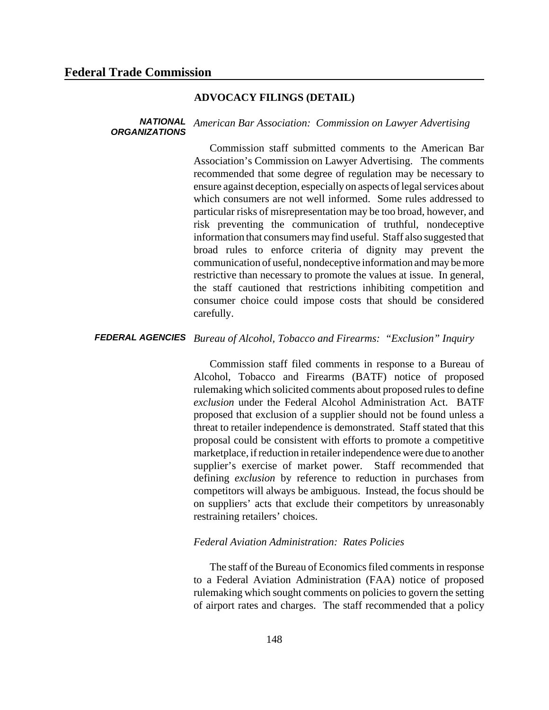## **ADVOCACY FILINGS (DETAIL)**

### *NATIONAL American Bar Association: Commission on Lawyer Advertising ORGANIZATIONS*

Commission staff submitted comments to the American Bar Association's Commission on Lawyer Advertising. The comments recommended that some degree of regulation may be necessary to ensure against deception, especially on aspects of legal services about which consumers are not well informed. Some rules addressed to particular risks of misrepresentation may be too broad, however, and risk preventing the communication of truthful, nondeceptive information that consumers may find useful. Staff also suggested that broad rules to enforce criteria of dignity may prevent the communication of useful, nondeceptive information and may be more restrictive than necessary to promote the values at issue. In general, the staff cautioned that restrictions inhibiting competition and consumer choice could impose costs that should be considered carefully.

## *FEDERAL AGENCIES Bureau of Alcohol, Tobacco and Firearms: "Exclusion" Inquiry*

Commission staff filed comments in response to a Bureau of Alcohol, Tobacco and Firearms (BATF) notice of proposed rulemaking which solicited comments about proposed rules to define *exclusion* under the Federal Alcohol Administration Act. BATF proposed that exclusion of a supplier should not be found unless a threat to retailer independence is demonstrated. Staff stated that this proposal could be consistent with efforts to promote a competitive marketplace, ifreduction in retailer independence were due to another supplier's exercise of market power. Staff recommended that defining *exclusion* by reference to reduction in purchases from competitors will always be ambiguous. Instead, the focus should be on suppliers' acts that exclude their competitors by unreasonably restraining retailers' choices.

## *Federal Aviation Administration: Rates Policies*

The staff of the Bureau of Economics filed comments in response to a Federal Aviation Administration (FAA) notice of proposed rulemaking which sought comments on policies to govern the setting of airport rates and charges. The staff recommended that a policy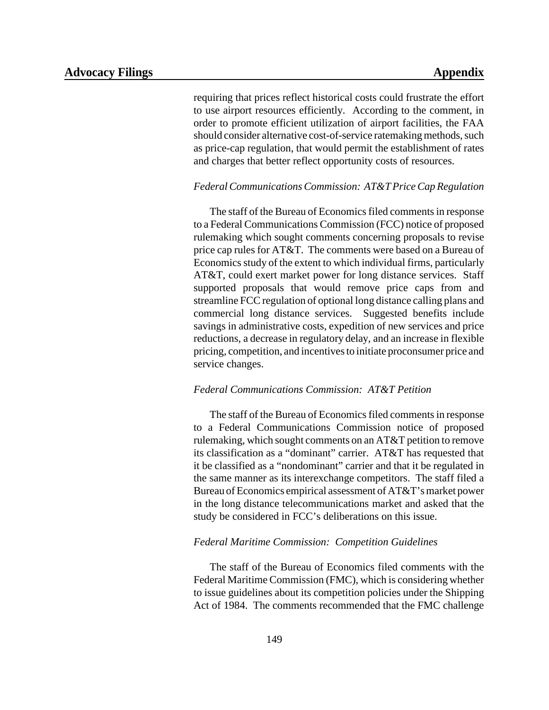requiring that prices reflect historical costs could frustrate the effort to use airport resources efficiently. According to the comment, in order to promote efficient utilization of airport facilities, the FAA should consider alternative cost-of-service ratemaking methods, such as price-cap regulation, that would permit the establishment of rates and charges that better reflect opportunity costs of resources.

### *FederalCommunicationsCommission: AT&T Price Cap Regulation*

The staff of the Bureau of Economics filed comments in response to a Federal Communications Commission (FCC) notice of proposed rulemaking which sought comments concerning proposals to revise price cap rules for AT&T. The comments were based on a Bureau of Economics study of the extent to which individual firms, particularly AT&T, could exert market power for long distance services. Staff supported proposals that would remove price caps from and streamline FCC regulation of optional long distance calling plans and commercial long distance services. Suggested benefits include savings in administrative costs, expedition of new services and price reductions, a decrease in regulatory delay, and an increase in flexible pricing, competition, and incentivesto initiate proconsumer price and service changes.

## *Federal Communications Commission: AT&T Petition*

The staff of the Bureau of Economics filed comments in response to a Federal Communications Commission notice of proposed rulemaking, which sought comments on an AT&T petition to remove its classification as a "dominant" carrier. AT&T has requested that it be classified as a "nondominant" carrier and that it be regulated in the same manner as its interexchange competitors. The staff filed a Bureau of Economics empirical assessment of AT&T's market power in the long distance telecommunications market and asked that the study be considered in FCC's deliberations on this issue.

### *Federal Maritime Commission: Competition Guidelines*

The staff of the Bureau of Economics filed comments with the Federal Maritime Commission (FMC), which is considering whether to issue guidelines about its competition policies under the Shipping Act of 1984. The comments recommended that the FMC challenge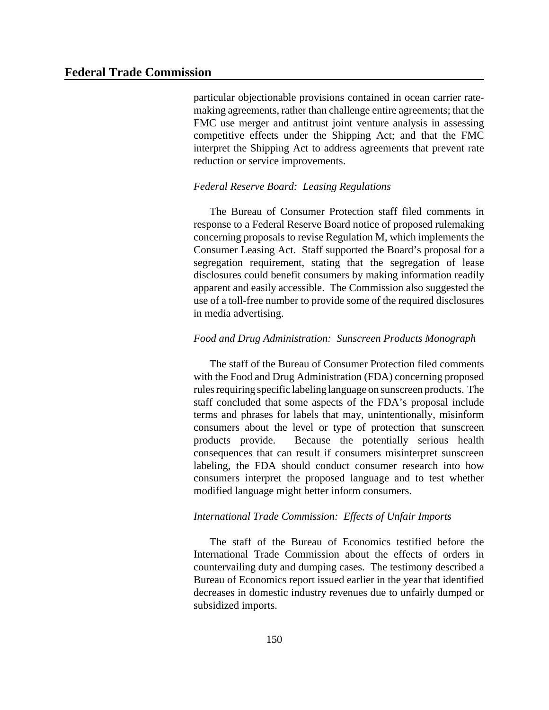particular objectionable provisions contained in ocean carrier ratemaking agreements, rather than challenge entire agreements; that the FMC use merger and antitrust joint venture analysis in assessing competitive effects under the Shipping Act; and that the FMC interpret the Shipping Act to address agreements that prevent rate reduction or service improvements.

### *Federal Reserve Board: Leasing Regulations*

The Bureau of Consumer Protection staff filed comments in response to a Federal Reserve Board notice of proposed rulemaking concerning proposals to revise Regulation M, which implements the Consumer Leasing Act. Staff supported the Board's proposal for a segregation requirement, stating that the segregation of lease disclosures could benefit consumers by making information readily apparent and easily accessible. The Commission also suggested the use of a toll-free number to provide some of the required disclosures in media advertising.

#### *Food and Drug Administration: Sunscreen Products Monograph*

The staff of the Bureau of Consumer Protection filed comments with the Food and Drug Administration (FDA) concerning proposed rules requiring specific labeling language on sunscreen products. The staff concluded that some aspects of the FDA's proposal include terms and phrases for labels that may, unintentionally, misinform consumers about the level or type of protection that sunscreen products provide. Because the potentially serious health consequences that can result if consumers misinterpret sunscreen labeling, the FDA should conduct consumer research into how consumers interpret the proposed language and to test whether modified language might better inform consumers.

### *International Trade Commission: Effects of Unfair Imports*

The staff of the Bureau of Economics testified before the International Trade Commission about the effects of orders in countervailing duty and dumping cases. The testimony described a Bureau of Economics report issued earlier in the year that identified decreases in domestic industry revenues due to unfairly dumped or subsidized imports.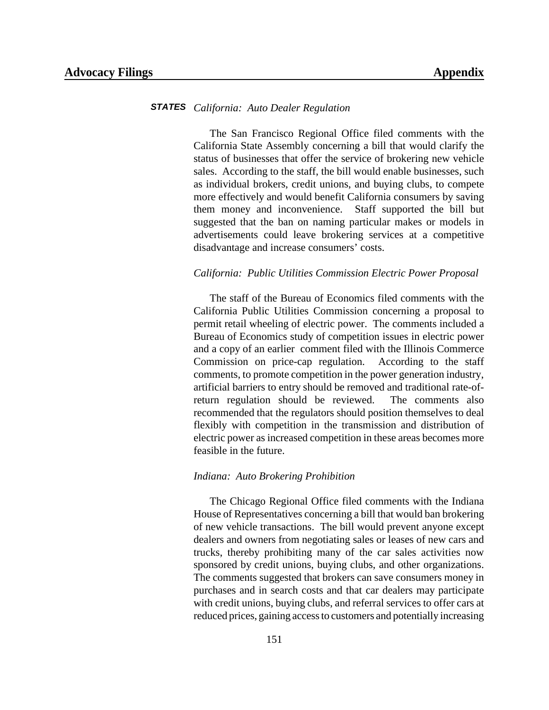## *STATES California: Auto Dealer Regulation*

The San Francisco Regional Office filed comments with the California State Assembly concerning a bill that would clarify the status of businesses that offer the service of brokering new vehicle sales. According to the staff, the bill would enable businesses, such as individual brokers, credit unions, and buying clubs, to compete more effectively and would benefit California consumers by saving them money and inconvenience. Staff supported the bill but suggested that the ban on naming particular makes or models in advertisements could leave brokering services at a competitive disadvantage and increase consumers' costs.

### *California: Public Utilities Commission Electric Power Proposal*

The staff of the Bureau of Economics filed comments with the California Public Utilities Commission concerning a proposal to permit retail wheeling of electric power. The comments included a Bureau of Economics study of competition issues in electric power and a copy of an earlier comment filed with the Illinois Commerce Commission on price-cap regulation. According to the staff comments, to promote competition in the power generation industry, artificial barriers to entry should be removed and traditional rate-ofreturn regulation should be reviewed. The comments also recommended that the regulators should position themselves to deal flexibly with competition in the transmission and distribution of electric power as increased competition in these areas becomes more feasible in the future.

### *Indiana: Auto Brokering Prohibition*

The Chicago Regional Office filed comments with the Indiana House of Representatives concerning a bill that would ban brokering of new vehicle transactions. The bill would prevent anyone except dealers and owners from negotiating sales or leases of new cars and trucks, thereby prohibiting many of the car sales activities now sponsored by credit unions, buying clubs, and other organizations. The comments suggested that brokers can save consumers money in purchases and in search costs and that car dealers may participate with credit unions, buying clubs, and referral services to offer cars at reduced prices, gaining access to customers and potentially increasing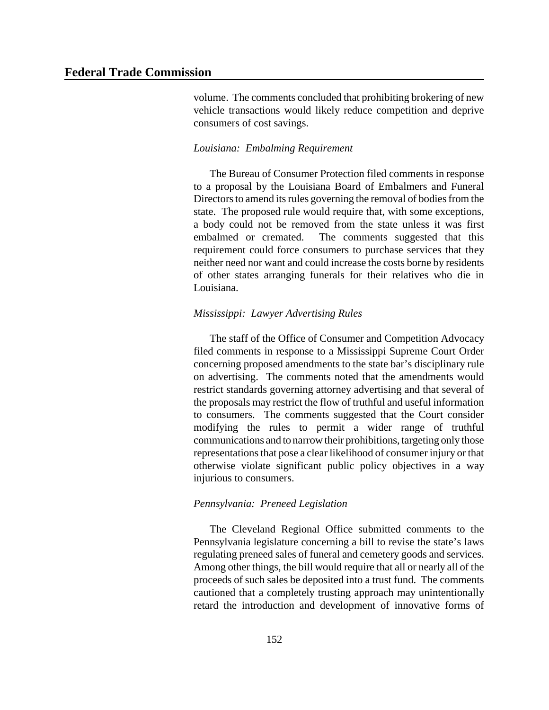volume. The comments concluded that prohibiting brokering of new vehicle transactions would likely reduce competition and deprive consumers of cost savings.

### *Louisiana: Embalming Requirement*

The Bureau of Consumer Protection filed comments in response to a proposal by the Louisiana Board of Embalmers and Funeral Directors to amend its rules governing the removal of bodies from the state. The proposed rule would require that, with some exceptions, a body could not be removed from the state unless it was first embalmed or cremated. The comments suggested that this requirement could force consumers to purchase services that they neither need nor want and could increase the costs borne by residents of other states arranging funerals for their relatives who die in Louisiana.

### *Mississippi: Lawyer Advertising Rules*

The staff of the Office of Consumer and Competition Advocacy filed comments in response to a Mississippi Supreme Court Order concerning proposed amendments to the state bar's disciplinary rule on advertising. The comments noted that the amendments would restrict standards governing attorney advertising and that several of the proposals may restrict the flow of truthful and useful information to consumers. The comments suggested that the Court consider modifying the rules to permit a wider range of truthful communications and to narrow their prohibitions, targeting only those representations that pose a clear likelihood of consumer injury or that otherwise violate significant public policy objectives in a way injurious to consumers.

### *Pennsylvania: Preneed Legislation*

The Cleveland Regional Office submitted comments to the Pennsylvania legislature concerning a bill to revise the state's laws regulating preneed sales of funeral and cemetery goods and services. Among other things, the bill would require that all or nearly all of the proceeds of such sales be deposited into a trust fund. The comments cautioned that a completely trusting approach may unintentionally retard the introduction and development of innovative forms of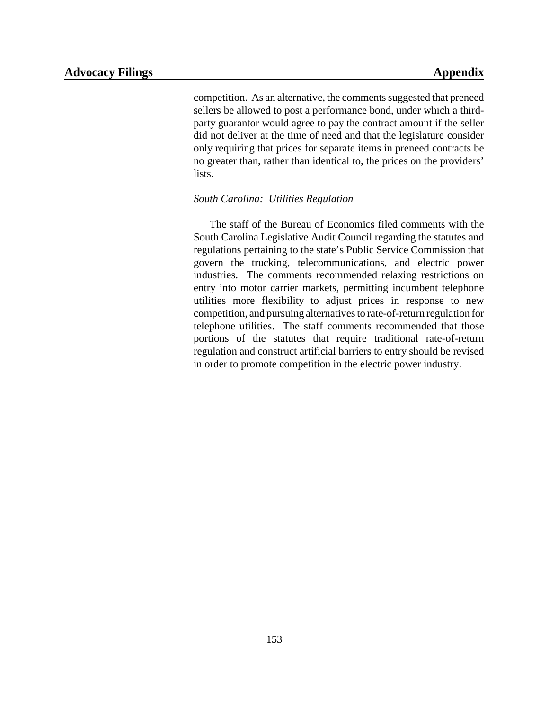competition. As an alternative, the comments suggested that preneed sellers be allowed to post a performance bond, under which a thirdparty guarantor would agree to pay the contract amount if the seller did not deliver at the time of need and that the legislature consider only requiring that prices for separate items in preneed contracts be no greater than, rather than identical to, the prices on the providers' lists.

### *South Carolina: Utilities Regulation*

The staff of the Bureau of Economics filed comments with the South Carolina Legislative Audit Council regarding the statutes and regulations pertaining to the state's Public Service Commission that govern the trucking, telecommunications, and electric power industries. The comments recommended relaxing restrictions on entry into motor carrier markets, permitting incumbent telephone utilities more flexibility to adjust prices in response to new competition, and pursuing alternatives to rate-of-return regulation for telephone utilities. The staff comments recommended that those portions of the statutes that require traditional rate-of-return regulation and construct artificial barriers to entry should be revised in order to promote competition in the electric power industry.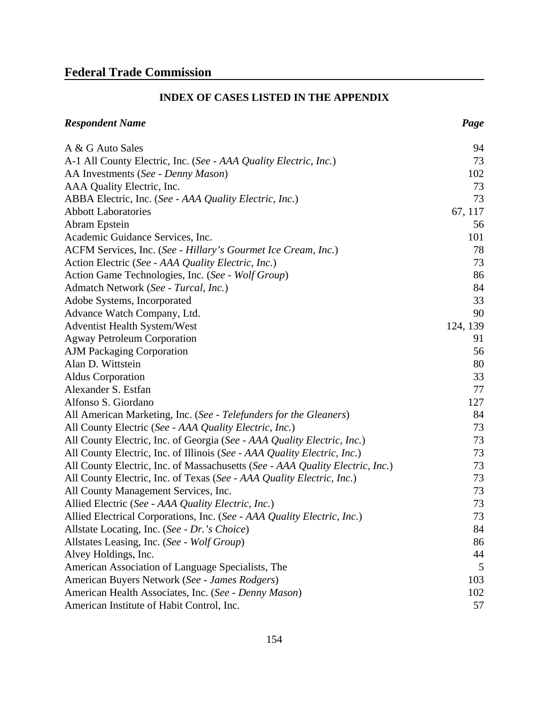| <b>Respondent Name</b>                                                        | Page     |
|-------------------------------------------------------------------------------|----------|
| A & G Auto Sales                                                              | 94       |
| A-1 All County Electric, Inc. (See - AAA Quality Electric, Inc.)              | 73       |
| AA Investments (See - Denny Mason)                                            | 102      |
| AAA Quality Electric, Inc.                                                    | 73       |
| ABBA Electric, Inc. (See - AAA Quality Electric, Inc.)                        | 73       |
| <b>Abbott Laboratories</b>                                                    | 67, 117  |
| Abram Epstein                                                                 | 56       |
| Academic Guidance Services, Inc.                                              | 101      |
| ACFM Services, Inc. (See - Hillary's Gourmet Ice Cream, Inc.)                 | 78       |
| Action Electric (See - AAA Quality Electric, Inc.)                            | 73       |
| Action Game Technologies, Inc. (See - Wolf Group)                             | 86       |
| Admatch Network (See - Turcal, Inc.)                                          | 84       |
| Adobe Systems, Incorporated                                                   | 33       |
| Advance Watch Company, Ltd.                                                   | 90       |
| <b>Adventist Health System/West</b>                                           | 124, 139 |
| <b>Agway Petroleum Corporation</b>                                            | 91       |
| <b>AJM Packaging Corporation</b>                                              | 56       |
| Alan D. Wittstein                                                             | 80       |
| <b>Aldus Corporation</b>                                                      | 33       |
| Alexander S. Estfan                                                           | 77       |
| Alfonso S. Giordano                                                           | 127      |
| All American Marketing, Inc. (See - Telefunders for the Gleaners)             | 84       |
| All County Electric (See - AAA Quality Electric, Inc.)                        | 73       |
| All County Electric, Inc. of Georgia (See - AAA Quality Electric, Inc.)       | 73       |
| All County Electric, Inc. of Illinois (See - AAA Quality Electric, Inc.)      | 73       |
| All County Electric, Inc. of Massachusetts (See - AAA Quality Electric, Inc.) | 73       |
| All County Electric, Inc. of Texas (See - AAA Quality Electric, Inc.)         | 73       |
| All County Management Services, Inc.                                          | 73       |
| Allied Electric (See - AAA Quality Electric, Inc.)                            | 73       |
| Allied Electrical Corporations, Inc. (See - AAA Quality Electric, Inc.)       | 73       |
| Allstate Locating, Inc. (See - Dr.'s Choice)                                  | 84       |
| Allstates Leasing, Inc. (See - Wolf Group)                                    | 86       |
| Alvey Holdings, Inc.                                                          | 44       |
| American Association of Language Specialists, The                             | 5        |
| American Buyers Network (See - James Rodgers)                                 | 103      |
| American Health Associates, Inc. (See - Denny Mason)                          | 102      |
| American Institute of Habit Control, Inc.                                     | 57       |

## **INDEX OF CASES LISTED IN THE APPENDIX**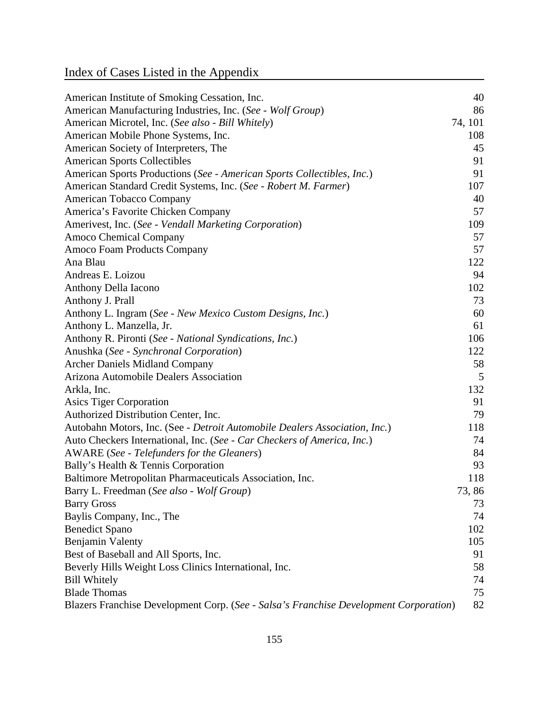| American Institute of Smoking Cessation, Inc.                                         | 40      |
|---------------------------------------------------------------------------------------|---------|
| American Manufacturing Industries, Inc. (See - Wolf Group)                            | 86      |
| American Microtel, Inc. (See also - Bill Whitely)                                     | 74, 101 |
| American Mobile Phone Systems, Inc.                                                   | 108     |
| American Society of Interpreters, The                                                 | 45      |
| <b>American Sports Collectibles</b>                                                   | 91      |
| American Sports Productions (See - American Sports Collectibles, Inc.)                | 91      |
| American Standard Credit Systems, Inc. (See - Robert M. Farmer)                       | 107     |
| American Tobacco Company                                                              | 40      |
| America's Favorite Chicken Company                                                    | 57      |
| Amerivest, Inc. (See - Vendall Marketing Corporation)                                 | 109     |
| <b>Amoco Chemical Company</b>                                                         | 57      |
| Amoco Foam Products Company                                                           | 57      |
| Ana Blau                                                                              | 122     |
| Andreas E. Loizou                                                                     | 94      |
| Anthony Della Iacono                                                                  | 102     |
| Anthony J. Prall                                                                      | 73      |
| Anthony L. Ingram (See - New Mexico Custom Designs, Inc.)                             | 60      |
| Anthony L. Manzella, Jr.                                                              | 61      |
| Anthony R. Pironti (See - National Syndications, Inc.)                                | 106     |
| Anushka (See - Synchronal Corporation)                                                | 122     |
| Archer Daniels Midland Company                                                        | 58      |
| Arizona Automobile Dealers Association                                                | 5       |
| Arkla, Inc.                                                                           | 132     |
| Asics Tiger Corporation                                                               | 91      |
| Authorized Distribution Center, Inc.                                                  | 79      |
| Autobahn Motors, Inc. (See - Detroit Automobile Dealers Association, Inc.)            | 118     |
| Auto Checkers International, Inc. (See - Car Checkers of America, Inc.)               | 74      |
| AWARE (See - Telefunders for the Gleaners)                                            | 84      |
| Bally's Health & Tennis Corporation                                                   | 93      |
| Baltimore Metropolitan Pharmaceuticals Association, Inc.                              | 118     |
| Barry L. Freedman (See also - Wolf Group)                                             | 73,86   |
| <b>Barry Gross</b>                                                                    | 73      |
| Baylis Company, Inc., The                                                             | 74      |
| <b>Benedict Spano</b>                                                                 | 102     |
| Benjamin Valenty                                                                      | 105     |
| Best of Baseball and All Sports, Inc.                                                 | 91      |
| Beverly Hills Weight Loss Clinics International, Inc.                                 | 58      |
| <b>Bill Whitely</b>                                                                   | 74      |
| <b>Blade Thomas</b>                                                                   | 75      |
| Blazers Franchise Development Corp. (See - Salsa's Franchise Development Corporation) | 82      |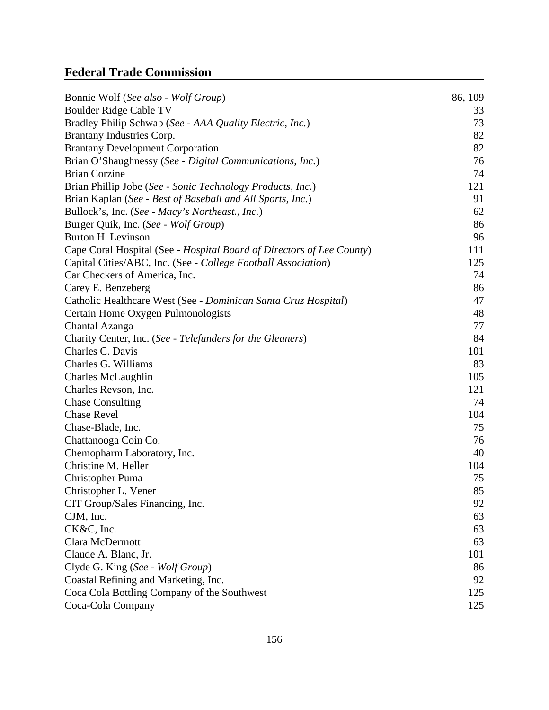| Bonnie Wolf (See also - Wolf Group)                                   | 86, 109 |
|-----------------------------------------------------------------------|---------|
| <b>Boulder Ridge Cable TV</b>                                         | 33      |
| Bradley Philip Schwab (See - AAA Quality Electric, Inc.)              | 73      |
| Brantany Industries Corp.                                             | 82      |
| <b>Brantany Development Corporation</b>                               | 82      |
| Brian O'Shaughnessy (See - Digital Communications, Inc.)              | 76      |
| <b>Brian Corzine</b>                                                  | 74      |
| Brian Phillip Jobe (See - Sonic Technology Products, Inc.)            | 121     |
| Brian Kaplan (See - Best of Baseball and All Sports, Inc.)            | 91      |
| Bullock's, Inc. (See - Macy's Northeast., Inc.)                       | 62      |
| Burger Quik, Inc. (See - Wolf Group)                                  | 86      |
| <b>Burton H. Levinson</b>                                             | 96      |
| Cape Coral Hospital (See - Hospital Board of Directors of Lee County) | 111     |
| Capital Cities/ABC, Inc. (See - College Football Association)         | 125     |
| Car Checkers of America, Inc.                                         | 74      |
| Carey E. Benzeberg                                                    | 86      |
| Catholic Healthcare West (See - Dominican Santa Cruz Hospital)        | 47      |
| Certain Home Oxygen Pulmonologists                                    | 48      |
| Chantal Azanga                                                        | 77      |
| Charity Center, Inc. (See - Telefunders for the Gleaners)             | 84      |
| Charles C. Davis                                                      | 101     |
| Charles G. Williams                                                   | 83      |
| Charles McLaughlin                                                    | 105     |
| Charles Revson, Inc.                                                  | 121     |
| <b>Chase Consulting</b>                                               | 74      |
| <b>Chase Revel</b>                                                    | 104     |
| Chase-Blade, Inc.                                                     | 75      |
| Chattanooga Coin Co.                                                  | 76      |
| Chemopharm Laboratory, Inc.                                           | 40      |
| Christine M. Heller                                                   | 104     |
| Christopher Puma                                                      | 75      |
| Christopher L. Vener                                                  | 85      |
| CIT Group/Sales Financing, Inc.                                       | 92      |
| CJM, Inc.                                                             | 63      |
| CK&C, Inc.                                                            | 63      |
| Clara McDermott                                                       | 63      |
| Claude A. Blanc, Jr.                                                  | 101     |
| Clyde G. King (See - Wolf Group)                                      | 86      |
| Coastal Refining and Marketing, Inc.                                  | 92      |
| Coca Cola Bottling Company of the Southwest                           | 125     |
| Coca-Cola Company                                                     | 125     |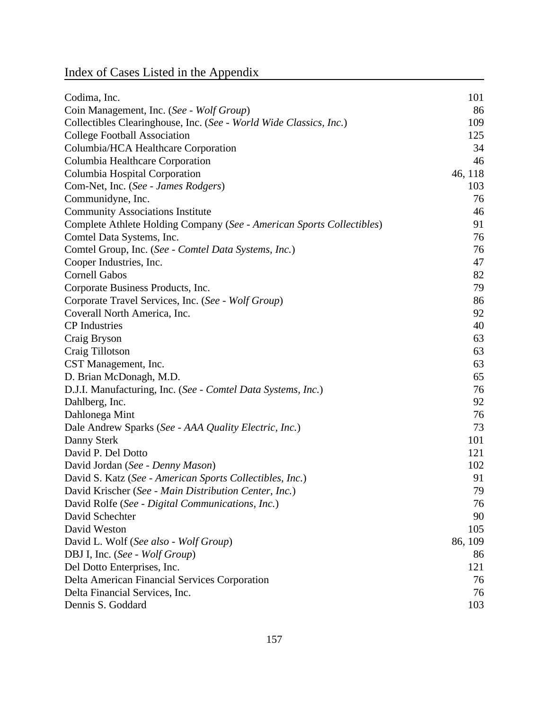| Codima, Inc.                                                          | 101     |
|-----------------------------------------------------------------------|---------|
| Coin Management, Inc. (See - Wolf Group)                              | 86      |
| Collectibles Clearinghouse, Inc. (See - World Wide Classics, Inc.)    | 109     |
| <b>College Football Association</b>                                   | 125     |
| Columbia/HCA Healthcare Corporation                                   | 34      |
| Columbia Healthcare Corporation                                       | 46      |
| Columbia Hospital Corporation                                         | 46, 118 |
| Com-Net, Inc. (See - James Rodgers)                                   | 103     |
| Communidyne, Inc.                                                     | 76      |
| <b>Community Associations Institute</b>                               | 46      |
| Complete Athlete Holding Company (See - American Sports Collectibles) | 91      |
| Comtel Data Systems, Inc.                                             | 76      |
| Comtel Group, Inc. (See - Comtel Data Systems, Inc.)                  | 76      |
| Cooper Industries, Inc.                                               | 47      |
| <b>Cornell Gabos</b>                                                  | 82      |
| Corporate Business Products, Inc.                                     | 79      |
| Corporate Travel Services, Inc. (See - Wolf Group)                    | 86      |
| Coverall North America, Inc.                                          | 92      |
| <b>CP</b> Industries                                                  | 40      |
| Craig Bryson                                                          | 63      |
| Craig Tillotson                                                       | 63      |
| CST Management, Inc.                                                  | 63      |
| D. Brian McDonagh, M.D.                                               | 65      |
| D.J.I. Manufacturing, Inc. (See - Comtel Data Systems, Inc.)          | 76      |
| Dahlberg, Inc.                                                        | 92      |
| Dahlonega Mint                                                        | 76      |
| Dale Andrew Sparks (See - AAA Quality Electric, Inc.)                 | 73      |
| Danny Sterk                                                           | 101     |
| David P. Del Dotto                                                    | 121     |
| David Jordan (See - Denny Mason)                                      | 102     |
| David S. Katz (See - American Sports Collectibles, Inc.)              | 91      |
| David Krischer (See - Main Distribution Center, Inc.)                 | 79      |
| David Rolfe (See - Digital Communications, Inc.)                      | 76      |
| David Schechter                                                       | 90      |
| David Weston                                                          | 105     |
| David L. Wolf (See also - Wolf Group)                                 | 86, 109 |
| DBJ I, Inc. (See - Wolf Group)                                        | 86      |
| Del Dotto Enterprises, Inc.                                           | 121     |
| Delta American Financial Services Corporation                         | 76      |
| Delta Financial Services, Inc.                                        | 76      |
| Dennis S. Goddard                                                     | 103     |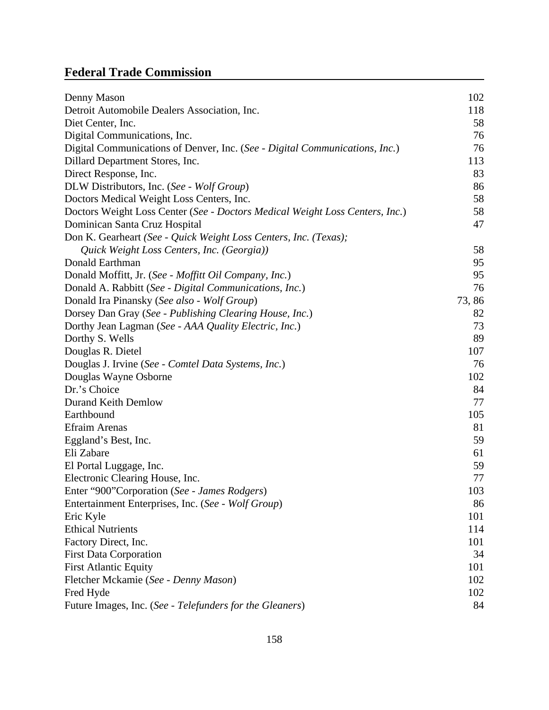| Denny Mason                                                                  | 102   |
|------------------------------------------------------------------------------|-------|
| Detroit Automobile Dealers Association, Inc.                                 | 118   |
| Diet Center, Inc.                                                            | 58    |
| Digital Communications, Inc.                                                 | 76    |
| Digital Communications of Denver, Inc. (See - Digital Communications, Inc.)  | 76    |
| Dillard Department Stores, Inc.                                              | 113   |
| Direct Response, Inc.                                                        | 83    |
| DLW Distributors, Inc. (See - Wolf Group)                                    | 86    |
| Doctors Medical Weight Loss Centers, Inc.                                    | 58    |
| Doctors Weight Loss Center (See - Doctors Medical Weight Loss Centers, Inc.) | 58    |
| Dominican Santa Cruz Hospital                                                | 47    |
| Don K. Gearheart (See - Quick Weight Loss Centers, Inc. (Texas);             |       |
| Quick Weight Loss Centers, Inc. (Georgia))                                   | 58    |
| Donald Earthman                                                              | 95    |
| Donald Moffitt, Jr. (See - Moffitt Oil Company, Inc.)                        | 95    |
| Donald A. Rabbitt (See - Digital Communications, Inc.)                       | 76    |
| Donald Ira Pinansky (See also - Wolf Group)                                  | 73,86 |
| Dorsey Dan Gray (See - Publishing Clearing House, Inc.)                      | 82    |
| Dorthy Jean Lagman (See - AAA Quality Electric, Inc.)                        | 73    |
| Dorthy S. Wells                                                              | 89    |
| Douglas R. Dietel                                                            | 107   |
| Douglas J. Irvine (See - Comtel Data Systems, Inc.)                          | 76    |
| Douglas Wayne Osborne                                                        | 102   |
| Dr.'s Choice                                                                 | 84    |
| Durand Keith Demlow                                                          | 77    |
| Earthbound                                                                   | 105   |
| <b>Efraim Arenas</b>                                                         | 81    |
| Eggland's Best, Inc.                                                         | 59    |
| Eli Zabare                                                                   | 61    |
| El Portal Luggage, Inc.                                                      | 59    |
| Electronic Clearing House, Inc.                                              | 77    |
| Enter "900" Corporation (See - James Rodgers)                                | 103   |
| Entertainment Enterprises, Inc. (See - Wolf Group)                           | 86    |
| Eric Kyle                                                                    | 101   |
| <b>Ethical Nutrients</b>                                                     | 114   |
| Factory Direct, Inc.                                                         | 101   |
| <b>First Data Corporation</b>                                                | 34    |
| <b>First Atlantic Equity</b>                                                 | 101   |
| Fletcher Mckamie (See - Denny Mason)                                         | 102   |
| Fred Hyde                                                                    | 102   |
| Future Images, Inc. (See - Telefunders for the Gleaners)                     | 84    |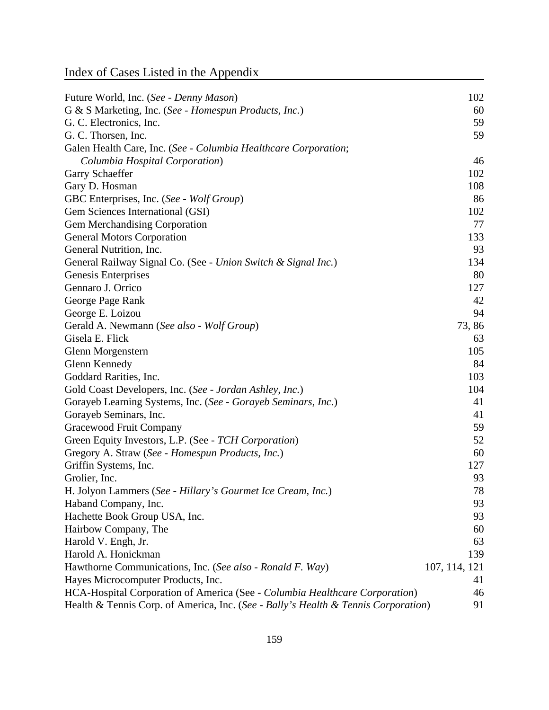| Future World, Inc. (See - Denny Mason)                                             | 102           |
|------------------------------------------------------------------------------------|---------------|
| G & S Marketing, Inc. (See - Homespun Products, Inc.)                              | 60            |
| G. C. Electronics, Inc.                                                            | 59            |
| G. C. Thorsen, Inc.                                                                | 59            |
| Galen Health Care, Inc. (See - Columbia Healthcare Corporation;                    |               |
| Columbia Hospital Corporation)                                                     | 46            |
| Garry Schaeffer                                                                    | 102           |
| Gary D. Hosman                                                                     | 108           |
| GBC Enterprises, Inc. (See - Wolf Group)                                           | 86            |
| Gem Sciences International (GSI)                                                   | 102           |
| Gem Merchandising Corporation                                                      | 77            |
| <b>General Motors Corporation</b>                                                  | 133           |
| General Nutrition, Inc.                                                            | 93            |
| General Railway Signal Co. (See - Union Switch & Signal Inc.)                      | 134           |
| Genesis Enterprises                                                                | 80            |
| Gennaro J. Orrico                                                                  | 127           |
| George Page Rank                                                                   | 42            |
| George E. Loizou                                                                   | 94            |
| Gerald A. Newmann (See also - Wolf Group)                                          | 73,86         |
| Gisela E. Flick                                                                    | 63            |
| Glenn Morgenstern                                                                  | 105           |
| <b>Glenn Kennedy</b>                                                               | 84            |
| Goddard Rarities, Inc.                                                             | 103           |
| Gold Coast Developers, Inc. (See - Jordan Ashley, Inc.)                            | 104           |
| Gorayeb Learning Systems, Inc. (See - Gorayeb Seminars, Inc.)                      | 41            |
| Gorayeb Seminars, Inc.                                                             | 41            |
| Gracewood Fruit Company                                                            | 59            |
| Green Equity Investors, L.P. (See - TCH Corporation)                               | 52            |
| Gregory A. Straw (See - Homespun Products, Inc.)                                   | 60            |
| Griffin Systems, Inc.                                                              | 127           |
| Grolier, Inc.                                                                      | 93            |
| H. Jolyon Lammers (See - Hillary's Gourmet Ice Cream, Inc.)                        | 78            |
| Haband Company, Inc.                                                               | 93            |
| Hachette Book Group USA, Inc.                                                      | 93            |
| Hairbow Company, The                                                               | 60            |
| Harold V. Engh, Jr.                                                                | 63            |
| Harold A. Honickman                                                                | 139           |
| Hawthorne Communications, Inc. (See also - Ronald F. Way)                          | 107, 114, 121 |
| Hayes Microcomputer Products, Inc.                                                 | 41            |
| HCA-Hospital Corporation of America (See - Columbia Healthcare Corporation)        | 46            |
| Health & Tennis Corp. of America, Inc. (See - Bally's Health & Tennis Corporation) | 91            |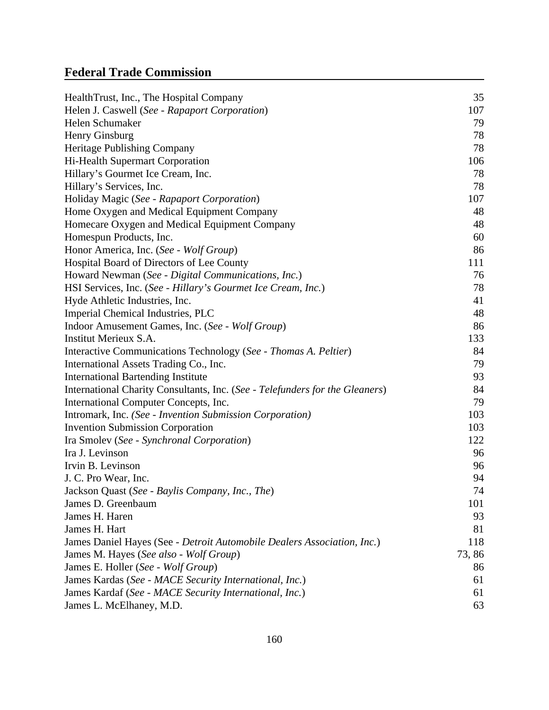| HealthTrust, Inc., The Hospital Company                                      | 35    |
|------------------------------------------------------------------------------|-------|
| Helen J. Caswell (See - Rapaport Corporation)                                | 107   |
| Helen Schumaker                                                              | 79    |
| Henry Ginsburg                                                               | 78    |
| Heritage Publishing Company                                                  | 78    |
| Hi-Health Supermart Corporation                                              | 106   |
| Hillary's Gourmet Ice Cream, Inc.                                            | 78    |
| Hillary's Services, Inc.                                                     | 78    |
| Holiday Magic (See - Rapaport Corporation)                                   | 107   |
| Home Oxygen and Medical Equipment Company                                    | 48    |
| Homecare Oxygen and Medical Equipment Company                                | 48    |
| Homespun Products, Inc.                                                      | 60    |
| Honor America, Inc. (See - Wolf Group)                                       | 86    |
| Hospital Board of Directors of Lee County                                    | 111   |
| Howard Newman (See - Digital Communications, Inc.)                           | 76    |
| HSI Services, Inc. (See - Hillary's Gourmet Ice Cream, Inc.)                 | 78    |
| Hyde Athletic Industries, Inc.                                               | 41    |
| Imperial Chemical Industries, PLC                                            | 48    |
| Indoor Amusement Games, Inc. (See - Wolf Group)                              | 86    |
| Institut Merieux S.A.                                                        | 133   |
| Interactive Communications Technology (See - Thomas A. Peltier)              | 84    |
| International Assets Trading Co., Inc.                                       | 79    |
| <b>International Bartending Institute</b>                                    | 93    |
| International Charity Consultants, Inc. (See - Telefunders for the Gleaners) | 84    |
| International Computer Concepts, Inc.                                        | 79    |
| Intromark, Inc. (See - Invention Submission Corporation)                     | 103   |
| <b>Invention Submission Corporation</b>                                      | 103   |
| Ira Smolev (See - Synchronal Corporation)                                    | 122   |
| Ira J. Levinson                                                              | 96    |
| Irvin B. Levinson                                                            | 96    |
| J. C. Pro Wear, Inc.                                                         | 94    |
| Jackson Quast (See - Baylis Company, Inc., The)                              | 74    |
| James D. Greenbaum                                                           | 101   |
| James H. Haren                                                               | 93    |
| James H. Hart                                                                | 81    |
| James Daniel Hayes (See - Detroit Automobile Dealers Association, Inc.)      | 118   |
| James M. Hayes (See also - Wolf Group)                                       | 73,86 |
| James E. Holler (See - Wolf Group)                                           | 86    |
| James Kardas (See - MACE Security International, Inc.)                       | 61    |
| James Kardaf (See - MACE Security International, Inc.)                       | 61    |
| James L. McElhaney, M.D.                                                     | 63    |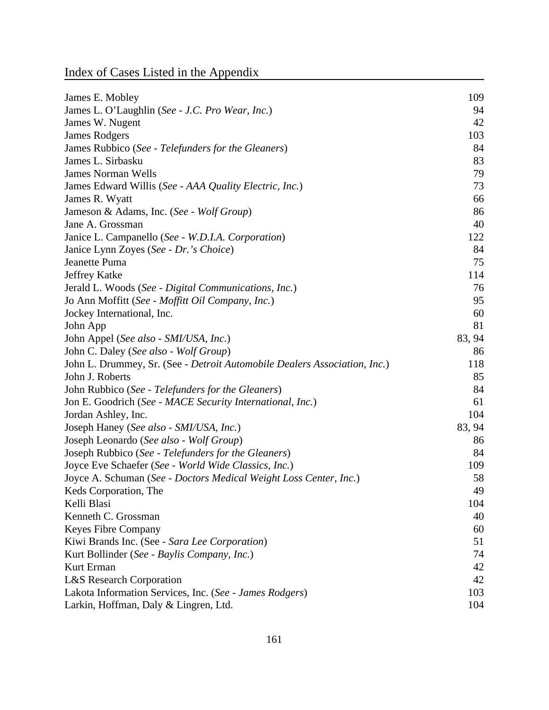| James E. Mobley                                                           | 109    |
|---------------------------------------------------------------------------|--------|
| James L. O'Laughlin (See - J.C. Pro Wear, Inc.)                           | 94     |
| James W. Nugent                                                           | 42     |
| <b>James Rodgers</b>                                                      | 103    |
| James Rubbico (See - Telefunders for the Gleaners)                        | 84     |
| James L. Sirbasku                                                         | 83     |
| <b>James Norman Wells</b>                                                 | 79     |
| James Edward Willis (See - AAA Quality Electric, Inc.)                    | 73     |
| James R. Wyatt                                                            | 66     |
| Jameson & Adams, Inc. (See - Wolf Group)                                  | 86     |
| Jane A. Grossman                                                          | 40     |
| Janice L. Campanello (See - W.D.I.A. Corporation)                         | 122    |
| Janice Lynn Zoyes (See - Dr.'s Choice)                                    | 84     |
| Jeanette Puma                                                             | 75     |
| Jeffrey Katke                                                             | 114    |
| Jerald L. Woods (See - Digital Communications, Inc.)                      | 76     |
| Jo Ann Moffitt (See - Moffitt Oil Company, Inc.)                          | 95     |
| Jockey International, Inc.                                                | 60     |
| John App                                                                  | 81     |
| John Appel (See also - SMI/USA, Inc.)                                     | 83, 94 |
| John C. Daley (See also - Wolf Group)                                     | 86     |
| John L. Drummey, Sr. (See - Detroit Automobile Dealers Association, Inc.) | 118    |
| John J. Roberts                                                           | 85     |
| John Rubbico (See - Telefunders for the Gleaners)                         | 84     |
| Jon E. Goodrich (See - MACE Security International, Inc.)                 | 61     |
| Jordan Ashley, Inc.                                                       | 104    |
| Joseph Haney (See also - SMI/USA, Inc.)                                   | 83, 94 |
| Joseph Leonardo (See also - Wolf Group)                                   | 86     |
| Joseph Rubbico (See - Telefunders for the Gleaners)                       | 84     |
| Joyce Eve Schaefer (See - World Wide Classics, Inc.)                      | 109    |
| Joyce A. Schuman (See - Doctors Medical Weight Loss Center, Inc.)         | 58     |
| Keds Corporation, The                                                     | 49     |
| Kelli Blasi                                                               | 104    |
| Kenneth C. Grossman                                                       | 40     |
| <b>Keyes Fibre Company</b>                                                | 60     |
| Kiwi Brands Inc. (See - Sara Lee Corporation)                             | 51     |
| Kurt Bollinder (See - Baylis Company, Inc.)                               | 74     |
| Kurt Erman                                                                | 42     |
| <b>L&amp;S</b> Research Corporation                                       | 42     |
| Lakota Information Services, Inc. (See - James Rodgers)                   | 103    |
| Larkin, Hoffman, Daly & Lingren, Ltd.                                     | 104    |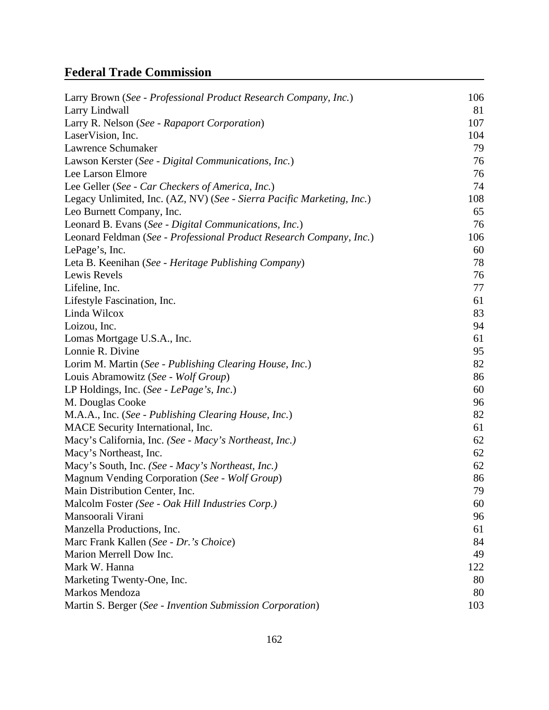| Larry Brown (See - Professional Product Research Company, Inc.)        | 106 |
|------------------------------------------------------------------------|-----|
| Larry Lindwall                                                         | 81  |
| Larry R. Nelson (See - Rapaport Corporation)                           | 107 |
| LaserVision, Inc.                                                      | 104 |
| Lawrence Schumaker                                                     | 79  |
| Lawson Kerster (See - Digital Communications, Inc.)                    | 76  |
| Lee Larson Elmore                                                      | 76  |
| Lee Geller (See - Car Checkers of America, Inc.)                       | 74  |
| Legacy Unlimited, Inc. (AZ, NV) (See - Sierra Pacific Marketing, Inc.) | 108 |
| Leo Burnett Company, Inc.                                              | 65  |
| Leonard B. Evans (See - Digital Communications, Inc.)                  | 76  |
| Leonard Feldman (See - Professional Product Research Company, Inc.)    | 106 |
| LePage's, Inc.                                                         | 60  |
| Leta B. Keenihan (See - Heritage Publishing Company)                   | 78  |
| Lewis Revels                                                           | 76  |
| Lifeline, Inc.                                                         | 77  |
| Lifestyle Fascination, Inc.                                            | 61  |
| Linda Wilcox                                                           | 83  |
| Loizou, Inc.                                                           | 94  |
| Lomas Mortgage U.S.A., Inc.                                            | 61  |
| Lonnie R. Divine                                                       | 95  |
| Lorim M. Martin (See - Publishing Clearing House, Inc.)                | 82  |
| Louis Abramowitz (See - Wolf Group)                                    | 86  |
| LP Holdings, Inc. (See - LePage's, Inc.)                               | 60  |
| M. Douglas Cooke                                                       | 96  |
| M.A.A., Inc. (See - Publishing Clearing House, Inc.)                   | 82  |
| MACE Security International, Inc.                                      | 61  |
| Macy's California, Inc. (See - Macy's Northeast, Inc.)                 | 62  |
| Macy's Northeast, Inc.                                                 | 62  |
| Macy's South, Inc. (See - Macy's Northeast, Inc.)                      | 62  |
| Magnum Vending Corporation (See - Wolf Group)                          | 86  |
| Main Distribution Center, Inc.                                         | 79  |
| Malcolm Foster (See - Oak Hill Industries Corp.)                       | 60  |
| Mansoorali Virani                                                      | 96  |
| Manzella Productions, Inc.                                             | 61  |
| Marc Frank Kallen (See - Dr.'s Choice)                                 | 84  |
| Marion Merrell Dow Inc.                                                | 49  |
| Mark W. Hanna                                                          | 122 |
| Marketing Twenty-One, Inc.                                             | 80  |
| Markos Mendoza                                                         | 80  |
| Martin S. Berger (See - Invention Submission Corporation)              | 103 |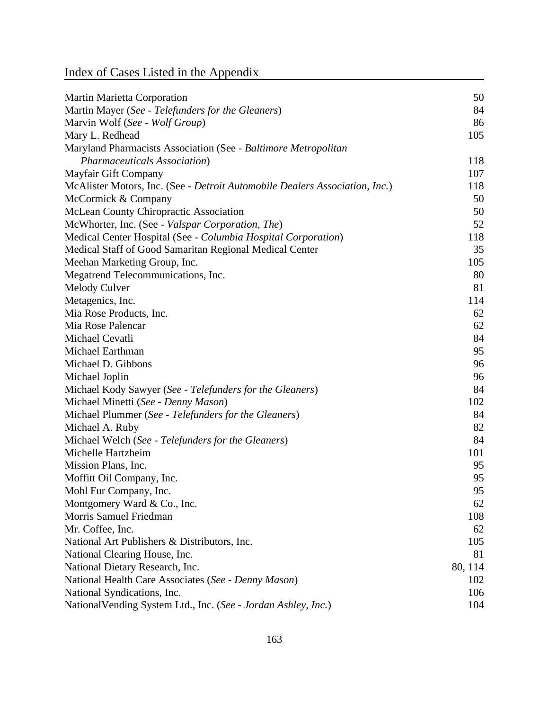| Martin Marietta Corporation                                                 | 50      |
|-----------------------------------------------------------------------------|---------|
| Martin Mayer (See - Telefunders for the Gleaners)                           | 84      |
| Marvin Wolf (See - Wolf Group)                                              | 86      |
| Mary L. Redhead                                                             | 105     |
| Maryland Pharmacists Association (See - Baltimore Metropolitan              |         |
| <b>Pharmaceuticals Association</b> )                                        | 118     |
| Mayfair Gift Company                                                        | 107     |
| McAlister Motors, Inc. (See - Detroit Automobile Dealers Association, Inc.) | 118     |
| McCormick & Company                                                         | 50      |
| McLean County Chiropractic Association                                      | 50      |
| McWhorter, Inc. (See - Valspar Corporation, The)                            | 52      |
| Medical Center Hospital (See - Columbia Hospital Corporation)               | 118     |
| Medical Staff of Good Samaritan Regional Medical Center                     | 35      |
| Meehan Marketing Group, Inc.                                                | 105     |
| Megatrend Telecommunications, Inc.                                          | 80      |
| <b>Melody Culver</b>                                                        | 81      |
| Metagenics, Inc.                                                            | 114     |
| Mia Rose Products, Inc.                                                     | 62      |
| Mia Rose Palencar                                                           | 62      |
| Michael Cevatli                                                             | 84      |
| Michael Earthman                                                            | 95      |
| Michael D. Gibbons                                                          | 96      |
| Michael Joplin                                                              | 96      |
| Michael Kody Sawyer (See - Telefunders for the Gleaners)                    | 84      |
| Michael Minetti (See - Denny Mason)                                         | 102     |
| Michael Plummer (See - Telefunders for the Gleaners)                        | 84      |
| Michael A. Ruby                                                             | 82      |
| Michael Welch (See - Telefunders for the Gleaners)                          | 84      |
| Michelle Hartzheim                                                          | 101     |
| Mission Plans, Inc.                                                         | 95      |
| Moffitt Oil Company, Inc.                                                   | 95      |
| Mohl Fur Company, Inc.                                                      | 95      |
| Montgomery Ward & Co., Inc.                                                 | 62      |
| Morris Samuel Friedman                                                      | 108     |
| Mr. Coffee, Inc.                                                            | 62      |
| National Art Publishers & Distributors, Inc.                                | 105     |
| National Clearing House, Inc.                                               | 81      |
| National Dietary Research, Inc.                                             | 80, 114 |
| National Health Care Associates (See - Denny Mason)                         | 102     |
| National Syndications, Inc.                                                 | 106     |
| National Vending System Ltd., Inc. (See - Jordan Ashley, Inc.)              | 104     |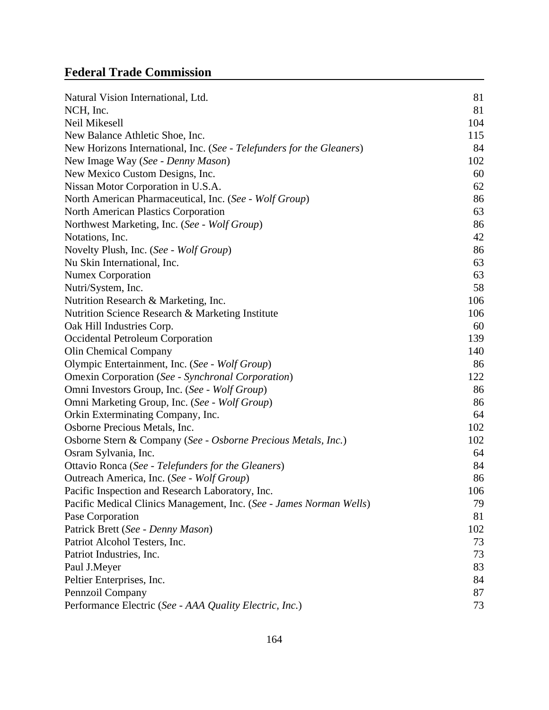| Natural Vision International, Ltd.                                    | 81  |
|-----------------------------------------------------------------------|-----|
| NCH, Inc.                                                             | 81  |
| Neil Mikesell                                                         | 104 |
| New Balance Athletic Shoe, Inc.                                       | 115 |
| New Horizons International, Inc. (See - Telefunders for the Gleaners) | 84  |
| New Image Way (See - Denny Mason)                                     | 102 |
| New Mexico Custom Designs, Inc.                                       | 60  |
| Nissan Motor Corporation in U.S.A.                                    | 62  |
| North American Pharmaceutical, Inc. (See - Wolf Group)                | 86  |
| <b>North American Plastics Corporation</b>                            | 63  |
| Northwest Marketing, Inc. (See - Wolf Group)                          | 86  |
| Notations, Inc.                                                       | 42  |
| Novelty Plush, Inc. (See - Wolf Group)                                | 86  |
| Nu Skin International, Inc.                                           | 63  |
| <b>Numex Corporation</b>                                              | 63  |
| Nutri/System, Inc.                                                    | 58  |
| Nutrition Research & Marketing, Inc.                                  | 106 |
| Nutrition Science Research & Marketing Institute                      | 106 |
| Oak Hill Industries Corp.                                             | 60  |
| Occidental Petroleum Corporation                                      | 139 |
| <b>Olin Chemical Company</b>                                          | 140 |
| Olympic Entertainment, Inc. (See - Wolf Group)                        | 86  |
| <b>Omexin Corporation (See - Synchronal Corporation)</b>              | 122 |
| Omni Investors Group, Inc. (See - Wolf Group)                         | 86  |
| Omni Marketing Group, Inc. (See - Wolf Group)                         | 86  |
| Orkin Exterminating Company, Inc.                                     | 64  |
| Osborne Precious Metals, Inc.                                         | 102 |
| Osborne Stern & Company (See - Osborne Precious Metals, Inc.)         | 102 |
| Osram Sylvania, Inc.                                                  | 64  |
| Ottavio Ronca (See - Telefunders for the Gleaners)                    | 84  |
| Outreach America, Inc. (See - Wolf Group)                             | 86  |
| Pacific Inspection and Research Laboratory, Inc.                      | 106 |
| Pacific Medical Clinics Management, Inc. (See - James Norman Wells)   | 79  |
| Pase Corporation                                                      | 81  |
| Patrick Brett (See - Denny Mason)                                     | 102 |
| Patriot Alcohol Testers, Inc.                                         | 73  |
| Patriot Industries, Inc.                                              | 73  |
| Paul J.Meyer                                                          | 83  |
| Peltier Enterprises, Inc.                                             | 84  |
| Pennzoil Company                                                      | 87  |
| Performance Electric (See - AAA Quality Electric, Inc.)               | 73  |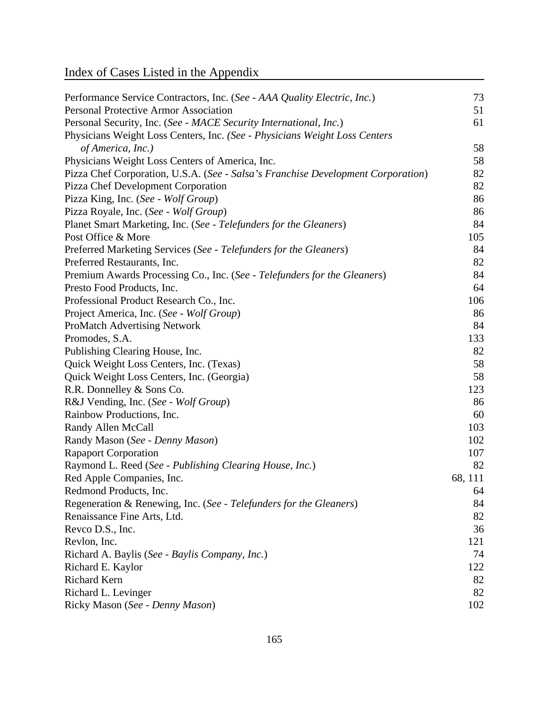| Performance Service Contractors, Inc. (See - AAA Quality Electric, Inc.)         | 73      |
|----------------------------------------------------------------------------------|---------|
| <b>Personal Protective Armor Association</b>                                     | 51      |
| Personal Security, Inc. (See - MACE Security International, Inc.)                | 61      |
| Physicians Weight Loss Centers, Inc. (See - Physicians Weight Loss Centers       |         |
| of America, Inc.)                                                                | 58      |
| Physicians Weight Loss Centers of America, Inc.                                  | 58      |
| Pizza Chef Corporation, U.S.A. (See - Salsa's Franchise Development Corporation) | 82      |
| Pizza Chef Development Corporation                                               | 82      |
| Pizza King, Inc. (See - Wolf Group)                                              | 86      |
| Pizza Royale, Inc. (See - Wolf Group)                                            | 86      |
| Planet Smart Marketing, Inc. (See - Telefunders for the Gleaners)                | 84      |
| Post Office & More                                                               | 105     |
| Preferred Marketing Services (See - Telefunders for the Gleaners)                | 84      |
| Preferred Restaurants, Inc.                                                      | 82      |
| Premium Awards Processing Co., Inc. (See - Telefunders for the Gleaners)         | 84      |
| Presto Food Products, Inc.                                                       | 64      |
| Professional Product Research Co., Inc.                                          | 106     |
| Project America, Inc. (See - Wolf Group)                                         | 86      |
| <b>ProMatch Advertising Network</b>                                              | 84      |
| Promodes, S.A.                                                                   | 133     |
| Publishing Clearing House, Inc.                                                  | 82      |
| Quick Weight Loss Centers, Inc. (Texas)                                          | 58      |
| Quick Weight Loss Centers, Inc. (Georgia)                                        | 58      |
| R.R. Donnelley & Sons Co.                                                        | 123     |
| R&J Vending, Inc. (See - Wolf Group)                                             | 86      |
| Rainbow Productions, Inc.                                                        | 60      |
| Randy Allen McCall                                                               | 103     |
| Randy Mason (See - Denny Mason)                                                  | 102     |
| <b>Rapaport Corporation</b>                                                      | 107     |
| Raymond L. Reed (See - Publishing Clearing House, Inc.)                          | 82      |
| Red Apple Companies, Inc.                                                        | 68, 111 |
| Redmond Products, Inc.                                                           | 64      |
| Regeneration & Renewing, Inc. (See - Telefunders for the Gleaners)               | 84      |
| Renaissance Fine Arts, Ltd.                                                      | 82      |
| Revco D.S., Inc.                                                                 | 36      |
| Revlon, Inc.                                                                     | 121     |
| Richard A. Baylis (See - Baylis Company, Inc.)                                   | 74      |
| Richard E. Kaylor                                                                | 122     |
| <b>Richard Kern</b>                                                              | 82      |
| Richard L. Levinger                                                              | 82      |
| Ricky Mason (See - Denny Mason)                                                  | 102     |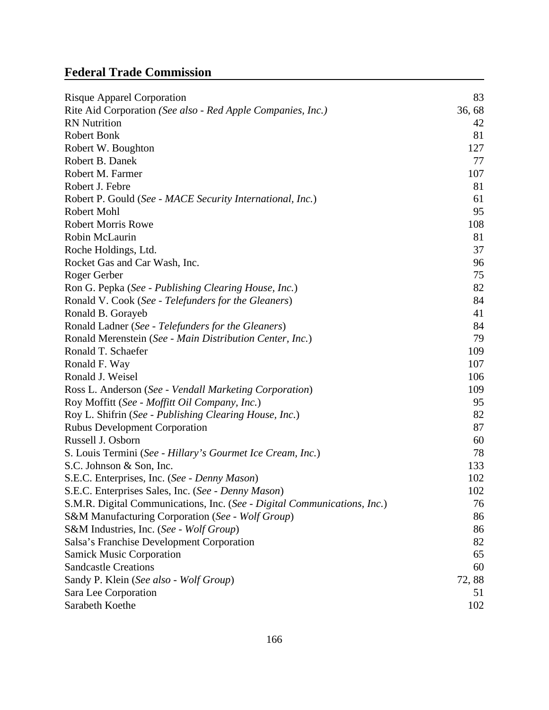| <b>Risque Apparel Corporation</b>                                        | 83     |
|--------------------------------------------------------------------------|--------|
| Rite Aid Corporation (See also - Red Apple Companies, Inc.)              | 36, 68 |
| <b>RN</b> Nutrition                                                      | 42     |
| <b>Robert Bonk</b>                                                       | 81     |
| Robert W. Boughton                                                       | 127    |
| Robert B. Danek                                                          | 77     |
| Robert M. Farmer                                                         | 107    |
| Robert J. Febre                                                          | 81     |
| Robert P. Gould (See - MACE Security International, Inc.)                | 61     |
| <b>Robert Mohl</b>                                                       | 95     |
| <b>Robert Morris Rowe</b>                                                | 108    |
| Robin McLaurin                                                           | 81     |
| Roche Holdings, Ltd.                                                     | 37     |
| Rocket Gas and Car Wash, Inc.                                            | 96     |
| Roger Gerber                                                             | 75     |
| Ron G. Pepka (See - Publishing Clearing House, Inc.)                     | 82     |
| Ronald V. Cook (See - Telefunders for the Gleaners)                      | 84     |
| Ronald B. Gorayeb                                                        | 41     |
| Ronald Ladner (See - Telefunders for the Gleaners)                       | 84     |
| Ronald Merenstein (See - Main Distribution Center, Inc.)                 | 79     |
| Ronald T. Schaefer                                                       | 109    |
| Ronald F. Way                                                            | 107    |
| Ronald J. Weisel                                                         | 106    |
| Ross L. Anderson (See - Vendall Marketing Corporation)                   | 109    |
| Roy Moffitt (See - Moffitt Oil Company, Inc.)                            | 95     |
| Roy L. Shifrin (See - Publishing Clearing House, Inc.)                   | 82     |
| <b>Rubus Development Corporation</b>                                     | 87     |
| Russell J. Osborn                                                        | 60     |
| S. Louis Termini (See - Hillary's Gourmet Ice Cream, Inc.)               | 78     |
| S.C. Johnson & Son, Inc.                                                 | 133    |
| S.E.C. Enterprises, Inc. (See - Denny Mason)                             | 102    |
| S.E.C. Enterprises Sales, Inc. (See - Denny Mason)                       | 102    |
| S.M.R. Digital Communications, Inc. (See - Digital Communications, Inc.) | 76     |
| S&M Manufacturing Corporation (See - Wolf Group)                         | 86     |
| S&M Industries, Inc. (See - Wolf Group)                                  | 86     |
| Salsa's Franchise Development Corporation                                | 82     |
| <b>Samick Music Corporation</b>                                          | 65     |
| <b>Sandcastle Creations</b>                                              | 60     |
| Sandy P. Klein (See also - Wolf Group)                                   | 72,88  |
| Sara Lee Corporation                                                     | 51     |
| Sarabeth Koethe                                                          | 102    |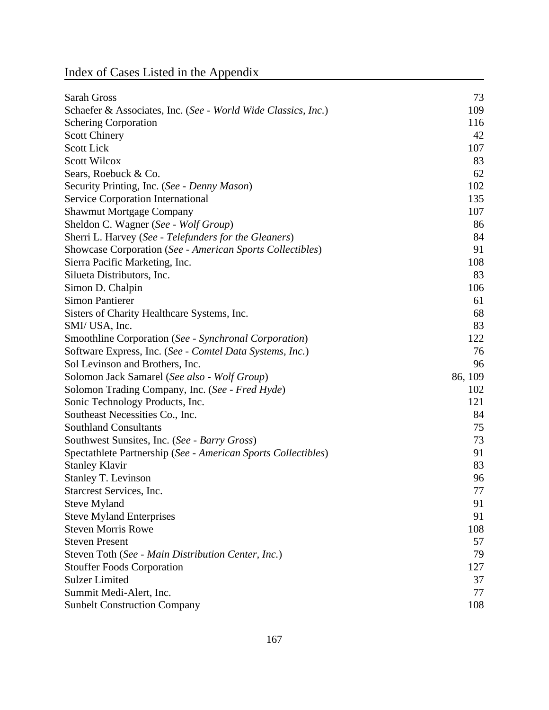| <b>Sarah Gross</b>                                            | 73      |
|---------------------------------------------------------------|---------|
| Schaefer & Associates, Inc. (See - World Wide Classics, Inc.) | 109     |
| <b>Schering Corporation</b>                                   | 116     |
| <b>Scott Chinery</b>                                          | 42      |
| <b>Scott Lick</b>                                             | 107     |
| <b>Scott Wilcox</b>                                           | 83      |
| Sears, Roebuck & Co.                                          | 62      |
| Security Printing, Inc. (See - Denny Mason)                   | 102     |
| Service Corporation International                             | 135     |
| <b>Shawmut Mortgage Company</b>                               | 107     |
| Sheldon C. Wagner (See - Wolf Group)                          | 86      |
| Sherri L. Harvey (See - Telefunders for the Gleaners)         | 84      |
| Showcase Corporation (See - American Sports Collectibles)     | 91      |
| Sierra Pacific Marketing, Inc.                                | 108     |
| Silueta Distributors, Inc.                                    | 83      |
| Simon D. Chalpin                                              | 106     |
| <b>Simon Pantierer</b>                                        | 61      |
| Sisters of Charity Healthcare Systems, Inc.                   | 68      |
| SMI/ USA, Inc.                                                | 83      |
| Smoothline Corporation (See - Synchronal Corporation)         | 122     |
| Software Express, Inc. (See - Comtel Data Systems, Inc.)      | 76      |
| Sol Levinson and Brothers, Inc.                               | 96      |
| Solomon Jack Samarel (See also - Wolf Group)                  | 86, 109 |
| Solomon Trading Company, Inc. (See - Fred Hyde)               | 102     |
| Sonic Technology Products, Inc.                               | 121     |
| Southeast Necessities Co., Inc.                               | 84      |
| <b>Southland Consultants</b>                                  | 75      |
| Southwest Sunsites, Inc. (See - Barry Gross)                  | 73      |
| Spectathlete Partnership (See - American Sports Collectibles) | 91      |
| <b>Stanley Klavir</b>                                         | 83      |
| Stanley T. Levinson                                           | 96      |
| Starcrest Services, Inc.                                      | $77 \,$ |
| <b>Steve Myland</b>                                           | 91      |
| <b>Steve Myland Enterprises</b>                               | 91      |
| <b>Steven Morris Rowe</b>                                     | 108     |
| <b>Steven Present</b>                                         | 57      |
| Steven Toth (See - Main Distribution Center, Inc.)            | 79      |
| <b>Stouffer Foods Corporation</b>                             | 127     |
| <b>Sulzer Limited</b>                                         | 37      |
| Summit Medi-Alert, Inc.                                       | 77      |
| <b>Sunbelt Construction Company</b>                           | 108     |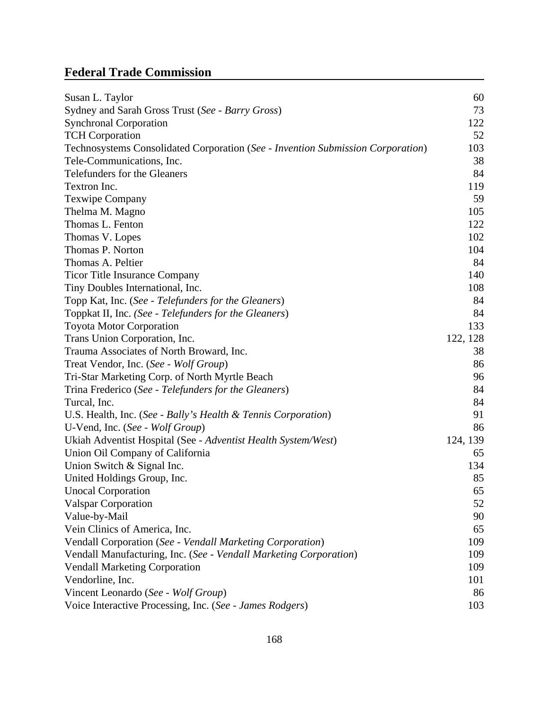|                                                                                 | 60       |
|---------------------------------------------------------------------------------|----------|
| Susan L. Taylor<br>Sydney and Sarah Gross Trust (See - Barry Gross)             | 73       |
| <b>Synchronal Corporation</b>                                                   | 122      |
| <b>TCH Corporation</b>                                                          | 52       |
| Technosystems Consolidated Corporation (See - Invention Submission Corporation) | 103      |
| Tele-Communications, Inc.                                                       | 38       |
| Telefunders for the Gleaners                                                    | 84       |
| Textron Inc.                                                                    | 119      |
| <b>Texwipe Company</b>                                                          | 59       |
| Thelma M. Magno                                                                 | 105      |
| Thomas L. Fenton                                                                | 122      |
|                                                                                 | 102      |
| Thomas V. Lopes<br>Thomas P. Norton                                             | 104      |
| Thomas A. Peltier                                                               | 84       |
|                                                                                 |          |
| <b>Ticor Title Insurance Company</b>                                            | 140      |
| Tiny Doubles International, Inc.                                                | 108      |
| Topp Kat, Inc. (See - Telefunders for the Gleaners)                             | 84       |
| Toppkat II, Inc. (See - Telefunders for the Gleaners)                           | 84       |
| <b>Toyota Motor Corporation</b>                                                 | 133      |
| Trans Union Corporation, Inc.                                                   | 122, 128 |
| Trauma Associates of North Broward, Inc.                                        | 38       |
| Treat Vendor, Inc. (See - Wolf Group)                                           | 86       |
| Tri-Star Marketing Corp. of North Myrtle Beach                                  | 96       |
| Trina Frederico (See - Telefunders for the Gleaners)                            | 84       |
| Turcal, Inc.                                                                    | 84       |
| U.S. Health, Inc. (See - Bally's Health & Tennis Corporation)                   | 91       |
| U-Vend, Inc. (See - Wolf Group)                                                 | 86       |
| Ukiah Adventist Hospital (See - Adventist Health System/West)                   | 124, 139 |
| Union Oil Company of California                                                 | 65       |
| Union Switch & Signal Inc.                                                      | 134      |
| United Holdings Group, Inc.                                                     | 85       |
| <b>Unocal Corporation</b>                                                       | 65       |
| Valspar Corporation                                                             | 52       |
| Value-by-Mail                                                                   | 90       |
| Vein Clinics of America, Inc.                                                   | 65       |
| Vendall Corporation (See - Vendall Marketing Corporation)                       | 109      |
| Vendall Manufacturing, Inc. (See - Vendall Marketing Corporation)               | 109      |
| <b>Vendall Marketing Corporation</b>                                            | 109      |
| Vendorline, Inc.                                                                | 101      |
| Vincent Leonardo (See - Wolf Group)                                             | 86       |
| Voice Interactive Processing, Inc. (See - James Rodgers)                        | 103      |